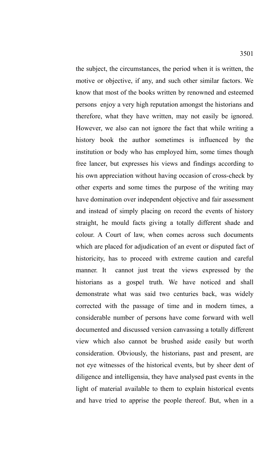the subject, the circumstances, the period when it is written, the motive or objective, if any, and such other similar factors. We know that most of the books written by renowned and esteemed persons enjoy a very high reputation amongst the historians and therefore, what they have written, may not easily be ignored. However, we also can not ignore the fact that while writing a history book the author sometimes is influenced by the institution or body who has employed him, some times though free lancer, but expresses his views and findings according to his own appreciation without having occasion of cross-check by other experts and some times the purpose of the writing may have domination over independent objective and fair assessment and instead of simply placing on record the events of history straight, he mould facts giving a totally different shade and colour. A Court of law, when comes across such documents which are placed for adjudication of an event or disputed fact of historicity, has to proceed with extreme caution and careful manner. It cannot just treat the views expressed by the historians as a gospel truth. We have noticed and shall demonstrate what was said two centuries back, was widely corrected with the passage of time and in modern times, a considerable number of persons have come forward with well documented and discussed version canvassing a totally different view which also cannot be brushed aside easily but worth consideration. Obviously, the historians, past and present, are not eye witnesses of the historical events, but by sheer dent of diligence and intelligensia, they have analysed past events in the light of material available to them to explain historical events and have tried to apprise the people thereof. But, when in a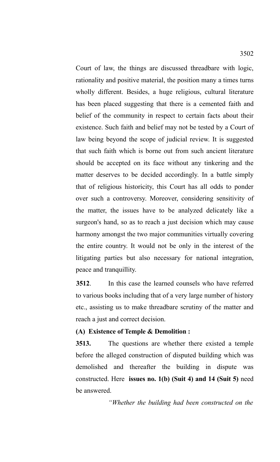Court of law, the things are discussed threadbare with logic, rationality and positive material, the position many a times turns wholly different. Besides, a huge religious, cultural literature has been placed suggesting that there is a cemented faith and belief of the community in respect to certain facts about their existence. Such faith and belief may not be tested by a Court of law being beyond the scope of judicial review. It is suggested that such faith which is borne out from such ancient literature should be accepted on its face without any tinkering and the

matter deserves to be decided accordingly. In a battle simply that of religious historicity, this Court has all odds to ponder over such a controversy. Moreover, considering sensitivity of the matter, the issues have to be analyzed delicately like a surgeon's hand, so as to reach a just decision which may cause harmony amongst the two major communities virtually covering the entire country. It would not be only in the interest of the litigating parties but also necessary for national integration, peace and tranquillity.

**3512**. In this case the learned counsels who have referred to various books including that of a very large number of history etc., assisting us to make threadbare scrutiny of the matter and reach a just and correct decision.

### **(A) Existence of Temple & Demolition :**

**3513.** The questions are whether there existed a temple before the alleged construction of disputed building which was demolished and thereafter the building in dispute was constructed. Here **issues no. 1(b) (Suit 4) and 14 (Suit 5)** need be answered.

*"Whether the building had been constructed on the*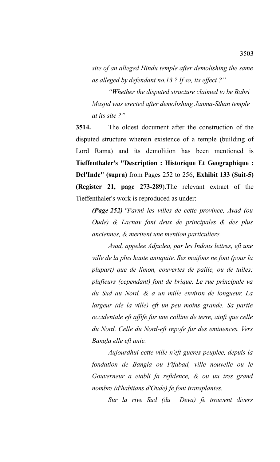*site of an alleged Hindu temple after demolishing the same as alleged by defendant no.13 ? If so, its effect ?"*

*"Whether the disputed structure claimed to be Babri Masjid was erected after demolishing Janma-Sthan temple at its site ?"*

**3514.** The oldest document after the construction of the disputed structure wherein existence of a temple (building of Lord Rama) and its demolition has been mentioned is **Tieffenthaler's "Description : Historique Et Geographique : Del'Inde" (supra)** from Pages 252 to 256, **Exhibit 133 (Suit-5) (Register 21, page 273-289**).The relevant extract of the Tieffenthaler's work is reproduced as under:

*(Page 252) "Parmi les villes de cette province, Avad (ou Oude) & Lacnav font deux de principales & des plus anciennes, & meritent une mention particuliere.*

*Avad, appelee Adjudea, par les Indous lettres, eft une ville de la plus haute antiquite. Ses maifons ne font (pour la plupart) que de limon, couvertes de paille, ou de tuiles; plufieurs (cependant) font de brique. Le rue principale va du Sud au Nord, & a un mille environ de longueur. La largeur (de la ville) eft un peu moins grande. Sa partie occidentale eft affife fur une colline de terre, ainfi que celle du Nord. Celle du Nord-eft repofe fur des eminences. Vers Bangla elle eft unie.*

*Aujourdhui cette ville n'eft gueres peuplee, depuis la fondation de Bangla ou Fifabad, ville nouvelle ou le Gouverneur a etabli fa refidence, & ou uu tres grand nombre (d'habitans d'Oude) fe font transplantes.*

*Sur la rive Sud (du Deva) fe trouvent divers*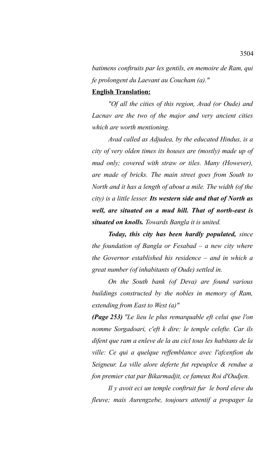*batimens conftruits par les gentils, en memoire de Ram, qui fe prolongent du Laevant au Coucham (a)."* 

#### **English Translation:**

*"Of all the cities of this region, Avad (or Oude) and Lacnav are the two of the major and very ancient cities which are worth mentioning.*

*Avad called as Adjudea, by the educated Hindus, is a city of very olden times its houses are (mostly) made up of mud only; covered with straw or tiles. Many (However), are made of bricks. The main street goes from South to North and it has a length of about a mile. The width (of the city) is a little lesser. Its western side and that of North as well, are situated on a mud hill. That of north-east is situated on knolls. Towards Bangla it is united.*

*Today, this city has been hardly populated, since the foundation of Bangla or Fesabad – a new city where the Governor established his residence – and in which a great number (of inhabitants of Oude) settled in.*

*On the South bank (of Deva) are found various buildings constructed by the nobles in memory of Ram, extending from East to West (a)"*

*(Page 253) "Le lieu le plus remarquable eft celui que l'on nomme Sorgadoari, c'eft k dire: le temple celefte. Car ils difent que ram a enleve de la au cicl tous les habitans de la ville: Ce qui a quelque reffemblance avec l'afcenfion du Seigneur. La ville alore deferte fut repeuplce & rendue a fon premier ctat par Bikarmadjit, ce fameux Roi d'Oudjen.*

*Il y avoit eci un temple conftruit fur le bord eleve du fleuve; mais Aurengzebe, toujours attentif a propager la*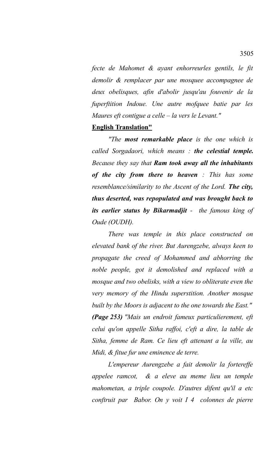*fecte de Mahomet & ayant enhorreurles gentils, le fit demolir & remplacer par une mosquee accompagnee de deux obelisques, afin d'abolir jusqu'au fouvenir de la fuperftition Indoue. Une autre mofquee batie par les Maures eft contigue a celle – la vers le Levant."* 

### **English Translation"**

*"The most remarkable place is the one which is called Sorgadaori, which means : the celestial temple. Because they say that Ram took away all the inhabitants of the city from there to heaven : This has some resemblance/similarity to the Ascent of the Lord. The city, thus deserted, was repopulated and was brought back to its earlier status by Bikarmadjit - the famous king of Oude (OUDH).*

*There was temple in this place constructed on elevated bank of the river. But Aurengzebe, always keen to propagate the creed of Mohammed and abhorring the noble people, got it demolished and replaced with a mosque and two obelisks, with a view to obliterate even the very memory of the Hindu superstition. Another mosque built by the Moors is adjacent to the one towards the East." (Page 253) "Mais un endroit fameux particulierement, eft celui qu'on appelle Sitha raffoi, c'eft a dire, la table de Sitha, femme de Ram. Ce lieu eft attenant a la ville, au Midi, & fitue fur une eminence de terre.*

*L'empereur Aurengzebe a fait demolir la fortereffe appelee ramcot, & a eleve au meme lieu un temple mahometan, a triple coupole. D'autres difent qu'il a etc conftruit par Babor. On y voit I 4 colonnes de pierre*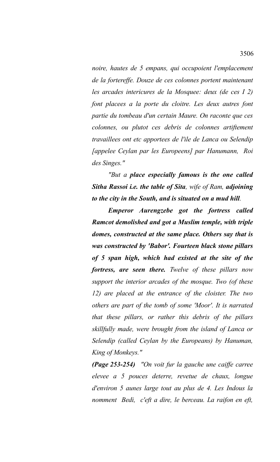*noire, hautes de 5 empans, qui occupoient l'emplacement de la fortereffe. Douze de ces colonnes portent maintenant les arcades intericures de la Mosquee: deux (de ces I 2) font placees a la porte du cloitre. Les deux autres font partie du tombeau d'un certain Maure. On raconte que ces colonnes, ou plutot ces debris de colonnes artiftement travaillees ont etc apportees de l'ile de Lanca ou Selendip [appelee Ceylan par les Europeens] par Hanumann, Roi des Singes."* 

*"But a place especially famous is the one called Sitha Rassoi i.e. the table of Sita, wife of Ram, adjoining to the city in the South, and is situated on a mud hill.*

*Emperor Aurengzebe got the fortress called Ramcot demolished and got a Muslim temple, with triple domes, constructed at the same place. Others say that is was constructed by 'Babor'. Fourteen black stone pillars of 5 span high, which had existed at the site of the fortress, are seen there. Twelve of these pillars now support the interior arcades of the mosque. Two (of these 12) are placed at the entrance of the cloister. The two others are part of the tomb of some 'Moor'. It is narrated that these pillars, or rather this debris of the pillars skillfully made, were brought from the island of Lanca or Selendip (called Ceylan by the Europeans) by Hanuman, King of Monkeys."*

*(Page 253-254) "On voit fur la gauche une caiffe carree elevee a 5 pouces deterre, revetue de chaux, longue d'environ 5 aunes large tout au plus de 4. Les Indous la nomment Bedi, c'eft a dire, le berceau. La raifon en eft,*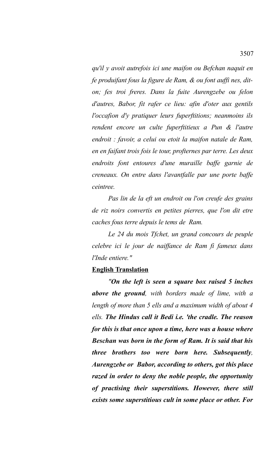*qu'il y avoit autrefois ici une maifon ou Befchan naquit en fe produifant fous la figure de Ram, & ou font auffi nes, diton; fes troi freres. Dans la fuite Aurengzebe ou felon d'autres, Babor, fit rafer ce lieu: afin d'oter aux gentils l'occafion d'y pratiquer leurs fuperftitions; neanmoins ils rendent encore un culte fuperftitieux a Pun & l'autre endroit : favoir, a celui ou etoit la maifon natale de Ram, en en faifant trois fois le tour, profternes par terre. Les deux endroits font entoures d'une muraille baffe garnie de creneaux. On entre dans l'avantfalle par une porte baffe ceintree.*

*Pas lin de la eft un endroit ou l'on creufe des grains de riz noirs convertis en petites pierres, que l'on dit etre caches fous terre depuis le tems de Ram.*

*Le 24 du mois Tfchet, un grand concours de peuple celebre ici le jour de naiffance de Ram fi fameux dans l'Inde entiere."*

#### **English Translation**

*"On the left is seen a square box raised 5 inches above the ground, with borders made of lime, with a length of more than 5 ells and a maximum width of about 4 ells. The Hindus call it Bedi i.e. 'the cradle. The reason for this is that once upon a time, here was a house where Beschan was born in the form of Ram. It is said that his three brothers too were born here. Subsequently, Aurengzebe or Babor, according to others, got this place razed in order to deny the noble people, the opportunity of practising their superstitions. However, there still exists some superstitious cult in some place or other. For*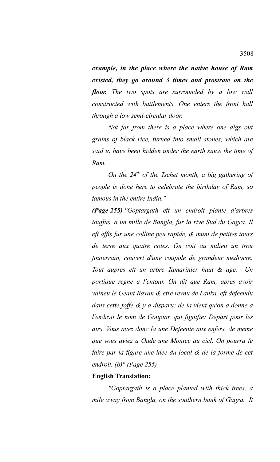*example, in the place where the native house of Ram existed, they go around 3 times and prostrate on the floor. The two spots are surrounded by a low wall constructed with battlements. One enters the front hall through a low semi-circular door.*

*Not far from there is a place where one digs out grains of black rice, turned into small stones, which are said to have been hidden under the earth since the time of Ram.*

*On the 24th of the Tschet month, a big gathering of people is done here to celebrate the birthday of Ram, so famous in the entire India."*

*(Page 255) "Goptargath eft un endroit plante d'arbres touffus, a un mille de Bangla, fur la rive Sud du Gagra. Il eft affis fur une colline peu rapide, & muni de petites tours de terre aux quatre cotes. On voit au milieu un trou fouterrain, couvert d'une coupole de grandeur mediocre. Tout aupres eft un arbre Tamarinier haut & age. Un portique regne a l'entour. On dit que Ram, apres avoir vaineu le Geant Ravan & etre revnu de Lanka, eft defeendu dans cette foffe & y a disparu: de la vient qu'on a donne a l'endroit le nom de Gouptar, qui fignifie: Depart pour les airs. Vous avez donc la une Defeente aux enfers, de meme que vous aviez a Oude une Montee au cicl. On pourra fe faire par la figure une idee du local & de la forme de cet endroit. (b)" (Page 255)*

### **English Translation:**

*"Goptargath is a place planted with thick trees, a mile away from Bangla, on the southern bank of Gagra. It*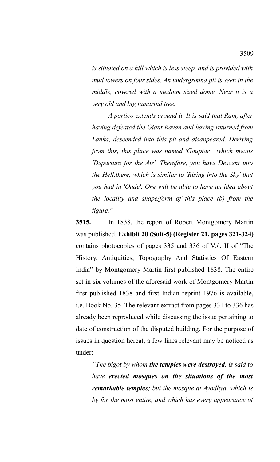*is situated on a hill which is less steep, and is provided with mud towers on four sides. An underground pit is seen in the middle, covered with a medium sized dome. Near it is a very old and big tamarind tree.* 

*A portico extends around it. It is said that Ram, after having defeated the Giant Ravan and having returned from Lanka, descended into this pit and disappeared. Deriving from this, this place was named 'Gouptar' which means 'Departure for the Air'. Therefore, you have Descent into the Hell,there, which is similar to 'Rising into the Sky' that you had in 'Oude'. One will be able to have an idea about the locality and shape/form of this place (b) from the figure."*

**3515.** In 1838, the report of Robert Montgomery Martin was published. **Exhibit 20 (Suit-5) (Register 21, pages 321-324)** contains photocopies of pages 335 and 336 of Vol. II of "The History, Antiquities, Topography And Statistics Of Eastern India" by Montgomery Martin first published 1838. The entire set in six volumes of the aforesaid work of Montgomery Martin first published 1838 and first Indian reprint 1976 is available, i.e. Book No. 35. The relevant extract from pages 331 to 336 has already been reproduced while discussing the issue pertaining to date of construction of the disputed building. For the purpose of issues in question hereat, a few lines relevant may be noticed as under:

*"The bigot by whom the temples were destroyed, is said to have erected mosques on the situations of the most remarkable temples; but the mosque at Ayodhya, which is by far the most entire, and which has every appearance of*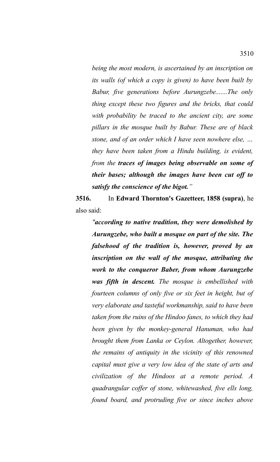*being the most modern, is ascertained by an inscription on its walls (of which a copy is given) to have been built by Babur, five generations before Aurungzebe.......The only thing except these two figures and the bricks, that could with probability be traced to the ancient city, are some pillars in the mosque built by Babur. These are of black stone, and of an order which I have seen nowhere else, … they have been taken from a Hindu building, is evident, from the traces of images being observable on some of their bases; although the images have been cut off to satisfy the conscience of the bigot."* 

**3516.** In **Edward Thornton's Gazetteer, 1858 (supra)**, he also said:

*"according to native tradition, they were demolished by Aurungzebe, who built a mosque on part of the site. The falsehood of the tradition is, however, proved by an inscription on the wall of the mosque, attributing the work to the conqueror Baber, from whom Aurungzebe was fifth in descent. The mosque is embellished with fourteen columns of only five or six feet in height, but of very elaborate and tasteful workmanship, said to have been taken from the ruins of the Hindoo fanes, to which they had been given by the monkey-general Hanuman, who had brought them from Lanka or Ceylon. Altogether, however, the remains of antiquity in the vicinity of this renowned capital must give a very low idea of the state of arts and civilization of the Hindoos at a remote period. A quadrangular coffer of stone, whitewashed, five ells long, found board, and protruding five or since inches above*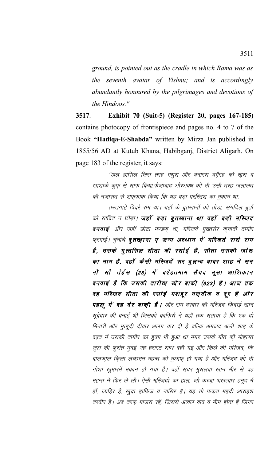*ground, is pointed out as the cradle in which Rama was as the seventh avatar of Vishnu; and is accordingly abundantly honoured by the pilgrimages and devotions of the Hindoos."*

**3517**. **Exhibit 70 (Suit-5) (Register 20, pages 167-185)** contains photocopy of frontispiece and pages no. 4 to 7 of the Book **"Hadiqa-E-Shabda"** written by Mirza Jan published in 1855/56 AD at Kutub Khana, Habibganj, District Aligarh. On page 183 of the register, it says:

''अल हासिल जिस तरह मथुरा और बनारस वगै़रह को ख़स व खाशाके कूफ़ से साफ किया,फैजाबाद औरअवध को भी उसी तरह ज़लालत की नजासत से शफ़फ़ाक किया कि यह बड़ा परस्तिश का मुकाम था,

तख़्तगाहे पिदरे राम था। यहाँ के बुतखानों को तोड़ा, संगदिल बुतों को साबित न छोड़ा। **जहाँ बड़ा बुतखाना था वहाँ बड़ी मस्जिद** बनवाई और जहाँ छोटा मण्डफ् था, मस्जिदे मुख्तसेर क्**नाती तामी**र फरमाई । चुनांचे **बुतखाना ए जन्म अस्थान में मस्किते रासे राम** है, उसके मुत्तसिल सीता की रसोई है, सीता उसकी जोरू का नाम है, वहाँ कैसी मस्जिदें सर बुलन्द बाबर शाह ने सन नौ सौ तेईस (23) में बऐहतमाम सैयद मूसा आशिकान बनवाई है कि उसकी तारीख़ खौर बाकी (923) है। आज तक वह मस्जिद सीता की रसोई मशहूर नज़दीक व दूर है और पहलू में वह देर बाक़ी है। और राम दरबार की मस्जिद फि्दाई खान सूबेदार की बनाई थी जिसको काफिरों ने यहाँ तक सताया है कि एक दो मिनारी और मुत्हूदी दीवार अलग कर दी है बल्कि अमजद अली शाह के वक़्त में उसकी तामीर का हुक्म भी हुआ था मगर उसके मौत फी मोहलत जुल की फुर्सत मुदई यह हसरत साथ बही गई और किले की मस्जिद, कि बालफ़ाल किला लच्छमन महन्त को मुआफ़ हो गया है और मस्जिद को भी गोशा खुमारमें मकान हो गया है। वहाँ सदर मुसलबा ख़ान मीर से वह महन्त ने फिर ले ली। ऐसी मस्जिदों का हाल, जो कब्ज़ा अख़त्यार हनूद में हों, ज़ाहिर है, खुदा हाफिज़ व नासिर है। यह तो फ़क़त महंदी आराइश तस्वीर है। अब तरफ माजरा रहें, जिससे अव्वल वाव व मीम होता है जिगर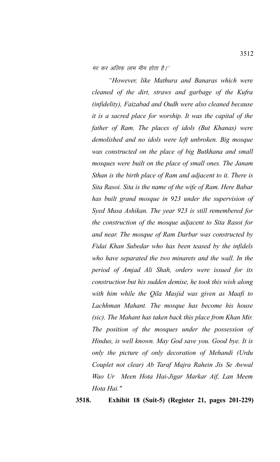मर कर अलिफ लाम मीम होता है।''

*"However, like Mathura and Banaras which were cleaned of the dirt, straws and garbage of the Kufra (infidelity), Faizabad and Oudh were also cleaned because it is a sacred place for worship. It was the capital of the father of Ram. The places of idols (But Khanas) were demolished and no idols were left unbroken. Big mosque was constructed on the place of big Butkhana and small mosques were built on the place of small ones. The Janam Sthan is the birth place of Ram and adjacent to it. There is Sita Rasoi. Sita is the name of the wife of Ram. Here Babar has built grand mosque in 923 under the supervision of Syed Musa Ashikan. The year 923 is still remembered for the construction of the mosque adjacent to Sita Rasoi for and near. The mosque of Ram Darbar was constructed by Fidai Khan Subedar who has been teased by the infidels who have separated the two minarets and the wall. In the period of Amjad Ali Shah, orders were issued for its construction but his sudden demise, he took this wish along with him while the Qila Masjid was given as Maafi to Lachhman Mahant. The mosque has become his house (sic). The Mahant has taken back this place from Khan Mir. The position of the mosques under the possession of Hindus, is well known. May God save you. Good bye. It is only the picture of only decoration of Mehandi (Urdu Couplet not clear) Ab Taraf Majra Rahein Jis Se Awwal Wao Ur Meen Hota Hai-Jigar Markar Aif, Lan Meem Hota Hai."*

**3518. Exhibit 18 (Suit-5) (Register 21, pages 201-229)**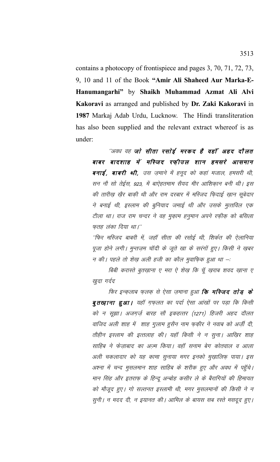contains a photocopy of frontispiece and pages 3, 70, 71, 72, 73, 9, 10 and 11 of the Book "Amir Ali Shaheed Aur Marka-E-Hanumangarhi" by Shaikh Muhammad Azmat Ali Alvi Kakoravi as arranged and published by Dr. Zaki Kakoravi in 1987 Markaj Adab Urdu, Lucknow. The Hindi transliteration has also been supplied and the relevant extract whereof is as under:

"अवध वह जो सीता रसोई मरकद है वहाँ अहद दौलत बाबर बादशाह में मस्जिद रफ़ीउल शान हमसरे आसमान बनाई, बाबरी थी, उस ज़माने में हनूद को कहां मजाल, हमसरी थी, सन नौ सो तेईस, 923, में बाऐहतमाम सैयद मीर आशिक़ान बनी थी। इस की तारीख़ ख़ैर बाकी थी और राम दरबार में मस्जिद फ़िदाई ख़ान सूबेदार ने बनाई थी, इस्लाम की बुनियाद जमाई थी और उसके मुत्तविल एक टीला था। राज राम चन्दर ने वह मुकाम हनुमान अपने रफ़ीक़ को बसिला फतह लंका दिया था।''

''फिर मस्जिद बाबरी में, जहाँ सीता की रसोई थी, शिर्कत की ऐलानिया पूजा होने लगी। मुन्तज़म चाँदी के जूते खा के सरंगों हुए। किसी ने खुबर न की। पहले तो शेख अली हजी का कौल मुवाफिक हुआ था –:

बिबी करास्ते बुतख़ाना ए मरा ऐ शेख़ कि चूँ ख़राब शवद ख़ाना ए खुदा गर्दद

फिर इन्कलाब फ़लक से ऐसा ज़माना हुआ **कि मस्जिद तोड़ के** बुतख़ाना हुआ। यहाँ ग़फ़लत का पर्दा ऐसा आंखों पर पड़ा कि किसी को न सूझा। अजगर्जु बारह सौ इकहत्तर (1271) हिजरी अहद दौलत वाजिद अली शाह में शाह गुलाम हुसैन नाम फ़क़ीर ने नवाब को अर्ज़ी दी, तौहीन इस्लाम की इत्तलाह की। यहाँ किसी ने न सूना। आख़िर शाह साहिब ने फेजाबाद का अज्म किया। वहाँ सनाम बेग कोतवाल व आला अली चकलादार को यह कामा सुनाया मगर इनको मुख़ालिफ़ पाया। इस अश्ना में चन्द मुसलमान शाह साहिब के शरीक हुए और अवध में पहुँचे। मान सिंह और इतराफ के हिन्दू अन्बोह कसीर ले के बैरागियों की हिमायत को मौजूद हुए। गो सल्तनत इस्लामी थी, मगर मुसलमानों की किसी ने न सूनी । न मदद दी, न इ़यानत की । आमिल के बायस सब रस्ते मसदूद हुए ।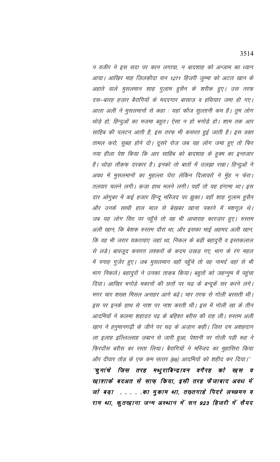न वजीर ने इस सदा पर कान लगाया, न बादशाह को अन्जाम का ध्यान आया। आख़िर माह ज़िलक़ीदा सन 1271 हिजरी जुम्मा को अटल खान के अहाते वाले मुसलमान शाह गुलाम हुसैन के शरीक हुए। उस तरफ़ दस—बारह हज़ार बैरागियों के मददगार बासाज़ व हथियार जमा हो गए। आला अली ने मुसलमानों से कहा : यहां फौज सुल्तानी कम है। तुम लोग थोड़े हो, हिन्दुओं का मजमा बहुत। ऐसा न हो भगोड़े हो। शाम तक आर साहिब की पलटन आती है, इस तरफ़ भी कसरत हुई जाती है। इस वक़्त तामल करो, सुबह होने दो। दूसरे रोज़ जब यह लोग जमा हुए तो फिर नया हीला पेश किया कि आर साहिब को बादशाह के हुक्म का इन्तजार है। थोड़ा तौक़फ़ दरकार है। इनको तो बातों में उलझा रखा। हिन्दुओं ने अवध में मुसलमानों का मुहल्ला घेरा लेकिन दिलावरों ने मुँह न फेरा। तलवार चलने लगी। क़ज़ा हाथ मलने लगी। यहाँ तो यह हंगामा था। इस दार ओगुबर में कई हजार हिन्दू मस्जिद पर झुका। वहाँ शाह गुलाम हुसैन और उनके साथी हाल माल से बेख़बर खाना पकाने में मशगूल थे। जब यह लोग सिर पर पहुँचे तो वह भी आवाराह कारज़ार हुए। रुस्तम अली ख़ान, कि बेशक रुस्तम दौरां था, और इसका भाई अहमद अली खान, कि वह भी जरार यकतयाए जहां था, निकल के बड़ी बहादुरी व इस्तक़लाल से लड़े। बावजूद कसरत लश्करों के कदम उखड़ गए, भाग के रंग महल में पनाह गुजेर हुए। जब मुसलमान वहाँ पहुँचे तो वह नामर्द वहां से भी भाग निकले। बहादुरों ने उनका ताक़ब किया। बहुतों को जहन्नुम में पहुंचा दिया। आखिर भगोड़े मकानों की छतों पर चढ़ के बन्दूकें सर करने लगे। मगर चार शख्स मिसल अनाहर आगे बढ़े। चार तरफ़ से गोली बरसती थी। इस पर इनके हाथ से नाश पर नाश करती थी। इस में गोली खा के तीन आदमियों ने कलमा शहादत पढ़ के बहिश्त बरीस की राह ली। रुस्तम अली ख़ान ने हनुमानगढ़ी के जीने पर चढ़ के अज़ान कही। जिस दम अशहदान ला इलाह इल्लिल्लाह ज़बान से जारी हुआ, पेशानी पर गोली पड़ी रूह ने फि़रदौस बरीस का रस्ता लिया। बैरागियों ने मस्जिद का मुहासिरा किया और दीवार तोड़ के एक कम सत्तर (69) आदमियों को शहीद कर दिया।'' "चुनांचे जिस तरह मथुराबिन्द्रावन वगैरह को ख़स व खाशाके बदअत से साफ़ किया, इसी तरह फैजाबाद अवध में जो बड़ा . . . . .का मुकाम था, तख़्तगाहे पिदरे लच्छमन व राम था, कुतख़ाना जन्म अस्थान में सन 923 हिजरी में सैयद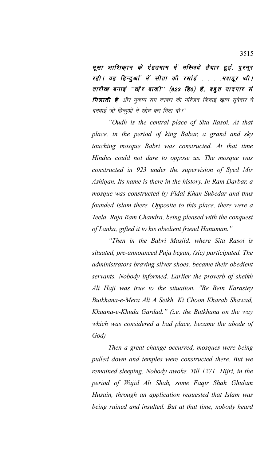मूसा आशिकान के ऐहतमाम में मस्जिदे तैयार हुई, पूरनूर रही । वह हिन्दुओं में सीता की रसोई . . . .मशहूर थी । तारीख बनाई ''ख़ैर बाक़ी'' (923 हि0) है, बहुत यादगार से **मिलाती है** और मुकाम राम दरबार की मस्जिद फिदाई ख़ान सूबेदार ने बनवाई जो हिन्दुओं ने खोद कर मिटा दी।''

*"Oudh is the central place of Sita Rasoi. At that place, in the period of king Babar, a grand and sky touching mosque Babri was constructed. At that time Hindus could not dare to oppose us. The mosque was constructed in 923 under the supervision of Syed Mir Ashiqan. Its name is there in the history. In Ram Darbar, a mosque was constructed by Fidai Khan Subedar and thus founded Islam there. Opposite to this place, there were a Teela. Raja Ram Chandra, being pleased with the conquest of Lanka, gifted it to his obedient friend Hanuman."*

*"Then in the Babri Masjid, where Sita Rasoi is situated, pre-announced Puja began, (sic) participated. The administrators braving silver shoes, became their obedient servants. Nobody informed. Earlier the proverb of sheikh Ali Haji was true to the situation. "Be Bein Karastey Butkhana-e-Mera Ali A Seikh. Ki Choon Kharab Shawad, Khaana-e-Khuda Gardad." (i.e. the Butkhana on the way which was considered a bad place, became the abode of God)*

*Then a great change occurred, mosques were being pulled down and temples were constructed there. But we remained sleeping. Nobody awoke. Till 1271 Hijri, in the period of Wajid Ali Shah, some Faqir Shah Ghulam Husain, through an application requested that Islam was being ruined and insulted. But at that time, nobody heard*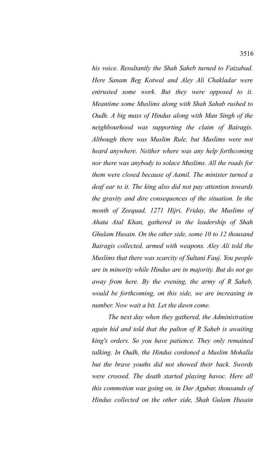*his voice. Resultantly the Shah Saheb turned to Faizabad. Here Sanam Beg Kotwal and Aley Ali Chakladar were entrusted some work. But they were opposed to it. Meantime some Muslims along with Shah Sahab rushed to Oudh. A big mass of Hindus along with Man Singh of the neighbourhood was supporting the claim of Bairagis. Although there was Muslim Rule, but Muslims were not heard anywhere. Neither where was any help forthcoming nor there was anybody to solace Muslims. All the roads for them were closed because of Aamil. The minister turned a deaf ear to it. The king also did not pay attention towards the gravity and dire consequences of the situation. In the month of Zeequad, 1271 Hijri, Friday, the Muslims of Ahata Atal Khan, gathered in the leadership of Shah Ghulam Husain. On the other side, some 10 to 12 thousand Bairagis collected, armed with weapons. Aley Ali told the Muslims that there was scarcity of Sultani Fauj. You people are in minority while Hindus are in majority. But do not go away from here. By the evening, the army of R Saheb, would be forthcoming, on this side, we are increasing in number. Now wait a bit. Let the dawn come.*

*The next day when they gathered, the Administration again hid and told that the palton of R Saheb is awaiting king's orders. So you have patience. They only remained talking. In Oudh, the Hindus cordoned a Muslim Mohalla but the brave youths did not showed their back. Swords were crossed. The death started playing havoc. Here all this commotion was going on, in Dar Agubar, thousands of Hindus collected on the other side, Shah Gulam Husain*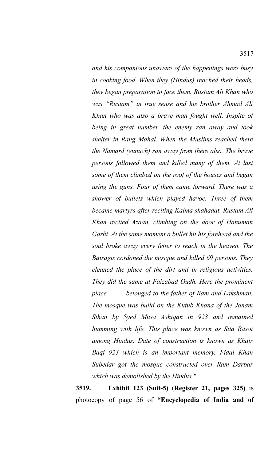*and his companions unaware of the happenings were busy in cooking food. When they (Hindus) reached their heads, they began preparation to face them. Rustam Ali Khan who was "Rustam" in true sense and his brother Ahmad Ali Khan who was also a brave man fought well. Inspite of being in great number, the enemy ran away and took shelter in Rang Mahal. When the Muslims reached there the Namard (eunuch) ran away from there also. The brave persons followed them and killed many of them. At last some of them climbed on the roof of the houses and began using the guns. Four of them came forward. There was a shower of bullets which played havoc. Three of them became martyrs after reciting Kalma shahadat. Rustam Ali Khan recited Azaan, climbing on the door of Hanuman Garhi. At the same moment a bullet hit his forehead and the soul broke away every fetter to reach in the heaven. The Bairagis cordoned the mosque and killed 69 persons. They cleaned the place of the dirt and in religious activities. They did the same at Faizabad Oudh. Here the prominent place. . . . . belonged to the father of Ram and Lakshman. The mosque was build on the Kutub Khana of the Janam Sthan by Syed Musa Ashiqan in 923 and remained humming with life. This place was known as Sita Rasoi among Hindus. Date of construction is known as Khair Baqi 923 which is an important memory. Fidai Khan Subedar got the mosque constructed over Ram Darbar which was demolished by the Hindus."*

**3519. Exhibit 123 (Suit-5) (Register 21, pages 325)** is photocopy of page 56 of **"Encyclopedia of India and of**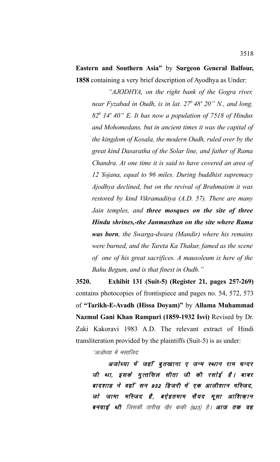**Eastern and Southern Asia"** by **Surgeon General Balfour, 1858** containing a very brief description of Ayodhya as Under:

*"AJODHYA, on the right bank of the Gogra river, near Fyzabad in Oudh, is in lat. 27<sup>0</sup>48' 20" N., and long. 82<sup>0</sup> 14' 40" E. It has now a population of 7518 of Hindus and Mohomedans, but in ancient times it was the capital of the kingdom of Kosala, the modern Oudh, ruled over by the great kind Dasaratha of the Solar line, and father of Rama Chandra. At one time it is said to have covered an area of 12 Yojana, equal to 96 miles. During buddhist supremacy Ajodhya declined, but on the revival of Brahmaism it was restored by kind Vikramaditya (A.D. 57). There are many Jain temples, and three mosques on the site of three Hindu shrines,-the Janmasthan on the site where Rama was born, the Swarga-dwara (Mandir) where his remains were burned, and the Tareta Ka Thakur, famed as the scene of one of his great sacrifices. A mausoleum is here of the Bahu Begum, and is that finest in Oudh."*

**3520. Exhibit 131 (Suit-5) (Register 21, pages 257-269)** contains photocopies of frontispiece and pages no. 54, 572, 573 of **"Tarikh-E-Avadh (Hissa Doyam)"** by **Allama Muhammad Nazmul Gani Khan Rampuri (1859-1932 Isvi)** Revised by Dr. Zaki Kakoravi 1983 A.D. The relevant extract of Hindi transliteration provided by the plaintiffs (Suit-5) is as under:

''अजोध्या में मसाजिद

अजोध्या में जहाँ बुतखाना ए जन्म स्थान राम चन्दर जी था, इसके मुत्तसिल सीता जी की रसोई है। बाबर बादशाह ने वहाँ सन 932 हिजरी में एक आलीशान मस्जिद, जो जामा मस्जिद है, बऐहतमाम सैयद मूसा आशिकान बनवाई थी जिसकी तारीख़ ख़ैर बाक़ी (923) है। **आज तक वह**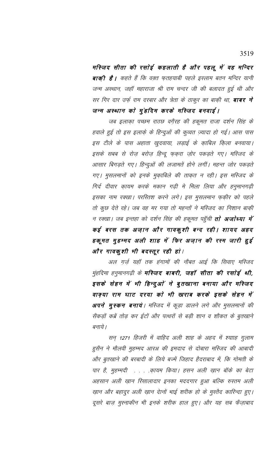मस्जिद सीता की रसोई कहलाती है और पहलू में वह मन्दिर **बाक़ी है।** कहते हैं कि वक़्त फ़तहयाबी पहले इस्लाम बतन मन्दिर यानी जन्म अस्थान, जहाँ महाराजा श्री राम चन्दर जी की बलादत हुई थी और सर गिर दार उर्फ़ राम दरबार और त्रेता के ठाकुर का बाक़ी था, **बाबर ने** जन्म अस्थान को मुंहदिम करके मस्जिद बनवाई।

जब इलाका पच्छम राठछ वगैरह की हकूमत राजा दर्शन सिंह के हवाले हुई तो इस इलाक़े के हिन्दुओं की कुव्वत ज़्यादा हो गई। आस पास इस टीले के पास अहाता खुदवाया, लड़ाई के क़ाबिल क़िला बनवाया। इसके सबब से रोज़ बरोज़ हिन्दू फ़क़रा ज़ोर पकड़ते गए। मस्जिद के आसार बिगड़ते गए। हिन्दुओं की लजामतें होने लगीं। महन्त जोर पकड़ते गए। मुसलमानों को इनके मुकाबिले की ताक़त न रही। इस मस्जिद के गिर्द दीवार कायम करके मकान गढ़ी मे मिला लिया और हनुमानगढ़ी इसका नाम रक्खा। परस्तिश करने लगे। इस मुसलमान फ़क़ीर को पहले तो कुछ देते रहे। जब वह मर गया तो महन्तों ने मस्जिद का निशान बाक़ी न रक्खा। जब इन्तहा को दर्शन सिंह की हकूमत पहुँची **तो अजोध्या में** कई बरस तक अज़ान और गावक़ुशी बन्द रही। शायद अहद हकूमत मुहम्मद अली शाह में फिर अज़ान की रस्म जारी हुई और गावकुशी भी बदस्तूर रही हो।

अल ग़र्ज़ यहाँ तक हंगामों की नौबत आई कि सिवाए मस्जिद मुंहदिमा हनुमानगढ़ी के **मस्जिद बाबरी, जहाँ सीता की रसोई थी,** इसके सेहन में भी हिन्दुओं ने बुतखाना बनाया और मस्जिद वाक्या राम घाट दरया को भी खराब करके इसके सेहन में **अपने मुस्कन बनाये**। मस्जिद में कूड़ा डालने लगे और मुसलमानों की सैकड़ों कब्रें तोड़ कर ईटों और पत्थरों से बड़ी शान व शौकत के बुतखाने बनाये ।

सन् 1271 हिजरी में वाहिद अली शाह के अहद में श्यााह गुलाम हुसैन ने मौलवी मुहम्मद आरअ की इमदाद से दोबारा मस्जिद की आबादी और बुतखाने की बरबादी के लिये बज्में जिहाद हैदराबाद में, कि गोमती के पार है, मुहम्मदी . . . .क़ायम किया। हसन अली ख़ान बॉके का बेटा अहसान अली ख़ान रिसालादार इनका मददगार हुआ बल्कि रुस्तम अली ख़ान और बहादुर अली ख़ान दाेनों भाई शरीक हो के मुस्तैद कारिन्दा हुए। दूसरे बाज़ मुस्नाकीन भी इनके शरीक हाल हुए। और यह सब फैज़ाबाद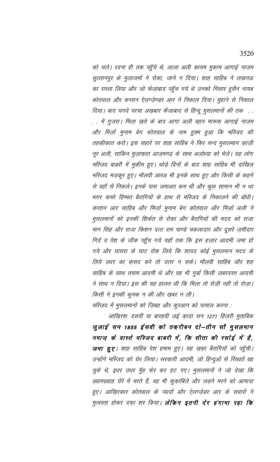को चले। रदना ही तक पहुँचे थे, आला अली कायम मुक़ाम आगाई नाज़म सुल्तानपुर के मुलाजमों ने रोका, जाने न दिया। शाह साहिब ने लखनऊ का रास्ता लिया और जो फेज़ाबाद पहुॅच गये थे उनको निसार हुसैन नायब कोतवाल और कप्तान ऐलग्ज़ेण्डर आर ने निकाल दिया। मुहाने से निकाल दिया। बाद चनदे परचा अख़बार फैजाबाद से हिन्दू मुसलमानों की तक  $\sim$   $\sim$ . . में गुजरा। मिला ख़ते के बाद आगा अली ख़ान मारूफ़ आग़ाई नाज़म और मिर्ज़ा मुनाम बेग कोतवाल के नाम हुक्म हुआ कि मस्जिद की तहक़ीकात करो। इस सहारे पर शाह साहिब ने फिर चन्द मुसलमान क़ाज़ी नूर अली, साकिन मुज़ाफ़ात आज़मगढ़ के साथ अजोध्या को भेजे। यह लोग मस्जिद बाबरी में मुकीम हुए। थोड़े दिनों के बाद शाह साहिब भी दाखिल मस्जिद मज़कूर हुए। मौलवी आरअ भी इनके साथ हुए और किसी के कहने से वहाँ से निकले। इनके पास जमाअत कम थी और कुछ सामान भी न था मगर कमरे हिम्मत बैरागियों के हाथ से मस्जिद के निकालने की बॉधी। कप्तान आर साहिब और मिर्ज़ा मुनाम बेग कोतवाल और मिर्ज़ा अली ने मुसलमानों को इनकी शिर्कत से रोका और बैरागियों की मदद को राजा मान सिंह और राजा किशन दत्त राम पाण्डे चकलादार और दूसरे ज़मींदार गिर्द व पेश के जौक पहुँच गये यहाँ तक कि इस हज़ार आदमी जमा हो गये और घाघरा के घाट रोक लिये कि शायद कोई मुसलमान मदद के लिये उधर का कुसद करे तो उतर न सके। मौलवी साहिब और शह साहिब के साथ तमाम आदमी थे और वह भी गुर्बा किसी ज़बरदस्त आदमी ने साथ न दिया। इस की यह हालत थी कि मिला तो रोज़ी नहीं तो रोज़ा। किसी ने इनकी कुमक न की और ख़बर न ली।

मस्जिद में मुसलमानों को ज़िबह और कुरआन को पामाल करना :

आख़िरशः दसवीं या बारहवीं ज़ई क़ादा सन 1271 हिजरी मुताबिक जुलाई सन 1855 ईसवी को तकरीबन दो—तीन सौ मुसलमान नमाज़ के वास्ते मस्जिद बाबरी में, कि सीता की रसोई में है, **जमा हुए**। शाह साहिब पेश हमाम हुए। यह ख़बर बैरागियों को पहुँची। उन्होंने मस्जिद को घेर लिया। सरकारी आदमी, जो हिन्दुओं से रिख्वतें खा चुके थे, इधर उधर मुँह फेर कर हट गए। मुसलमानों ने जो देखा कि ख़्वामख़्वाह घेरे में मरते हैं, वह भी कुक़ाबिले और लड़ने मरने को आमादा हुए। आख़िरकार कोतवाल के प्यादों और ऐलग्ज़ेडर आर के सवारों ने मुत्वस्ता होकर दफा शर किया। **लेकिन इतनी देर हंगामा रहा कि**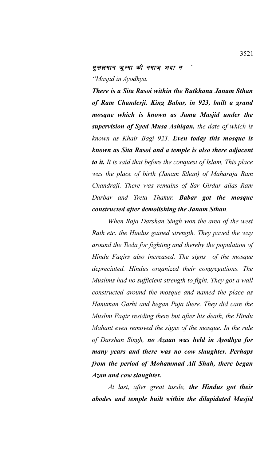## मुसलमान जूम्मा की नमाज़ अदा न ....'' *"Masjid in Ayodhya.*

*There is a Sita Rasoi within the Butkhana Janam Sthan of Ram Chanderji. King Babar, in 923, built a grand mosque which is known as Jama Masjid under the supervision of Syed Musa Ashiqan, the date of which is known as Khair Bagi 923. Even today this mosque is known as Sita Rasoi and a temple is also there adjacent to it. It is said that before the conquest of Islam, This place was the place of birth (Janam Sthan) of Maharaja Ram Chandraji. There was remains of Sar Girdar alias Ram Darbar and Treta Thakur. Babar got the mosque constructed after demolishing the Janam Sthan.* 

*When Raja Darshan Singh won the area of the west Rath etc. the Hindus gained strength. They paved the way around the Teela for fighting and thereby the population of Hindu Faqirs also increased. The signs of the mosque depreciated. Hindus organized their congregations. The Muslims had no sufficient strength to fight. They got a wall constructed around the mosque and named the place as Hanuman Garhi and began Puja there. They did care the Muslim Faqir residing there but after his death, the Hindu Mahant even removed the signs of the mosque. In the rule of Darshan Singh, no Azaan was held in Ayodhya for many years and there was no cow slaughter. Perhaps from the period of Mohammad Ali Shah, there began Azan and cow slaughter.*

*At last, after great tussle, the Hindus got their abodes and temple built within the dilapidated Masjid*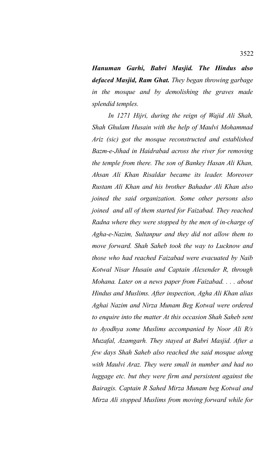*Hanuman Garhi, Babri Masjid. The Hindus also defaced Masjid, Ram Ghat. They began throwing garbage in the mosque and by demolishing the graves made splendid temples.*

*In 1271 Hijri, during the reign of Wajid Ali Shah, Shah Ghulam Husain with the help of Maulvi Mohammad Ariz (sic) got the mosque reconstructed and established Bazm-e-Jihad in Haidrabad across the river for removing the temple from there. The son of Bankey Hasan Ali Khan, Ahsan Ali Khan Risaldar became its leader. Moreover Rustam Ali Khan and his brother Bahadur Ali Khan also joined the said organization. Some other persons also joined and all of them started for Faizabad. They reached Radna where they were stopped by the men of in-charge of Agha-e-Nazim, Sultanpur and they did not allow them to move forward. Shah Saheb took the way to Lucknow and those who had reached Faizabad were evacuated by Naib Kotwal Nisar Husain and Captain Alexender R, through Mohana. Later on a news paper from Faizabad. . . . about Hindus and Muslims. After inspection, Agha Ali Khan alias Aghai Nazim and Nirza Munam Beg Kotwal were ordered to enquire into the matter At this occasion Shah Saheb sent to Ayodhya some Muslims accompanied by Noor Ali R/s Muzafal, Azamgarh. They stayed at Babri Masjid. After a few days Shah Saheb also reached the said mosque along with Maulvi Araz. They were small in number and had no luggage etc. but they were firm and persistent against the Bairagis. Captain R Sahed Mirza Munam beg Kotwal and Mirza Ali stopped Muslims from moving forward while for*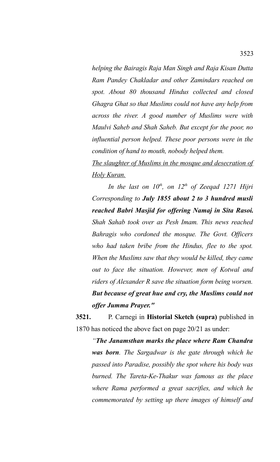*helping the Bairagis Raja Man Singh and Raja Kisan Dutta Ram Pandey Chakladar and other Zamindars reached on spot. About 80 thousand Hindus collected and closed Ghagra Ghat so that Muslims could not have any help from across the river. A good number of Muslims were with Maulvi Saheb and Shah Saheb. But except for the poor, no influential person helped. These poor persons were in the condition of hand to mouth, nobody helped them.*

*The slaughter of Muslims in the mosque and desecration of Holy Kuran.*

*In the last on 10th, on 12th of Zeeqad 1271 Hijri Corresponding to July 1855 about 2 to 3 hundred musli reached Babri Masjid for offering Namaj in Sita Rasoi. Shah Sahab took over as Pesh Imam. This news reached Bahragis who cordoned the mosque. The Govt. Officers who had taken bribe from the Hindus, flee to the spot. When the Muslims saw that they would be killed, they came out to face the situation. However, men of Kotwal and riders of Alexander R save the situation form being worsen. But because of great hue and cry, the Muslims could not offer Jumma Prayer."*

**3521.** P. Carnegi in **Historial Sketch (supra)** published in 1870 has noticed the above fact on page 20/21 as under:

*"The Janamsthan marks the place where Ram Chandra was born. The Sargadwar is the gate through which he passed into Paradise, possibly the spot where his body was burned. The Tareta-Ke-Thakur was famous as the place where Rama performed a great sacrifies, and which he commemorated by setting up there images of himself and*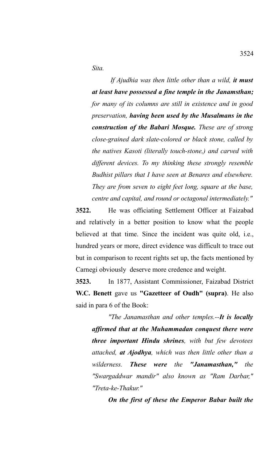*Sita.* 

 *If Ajudhia was then little other than a wild, it must at least have possessed a fine temple in the Janamsthan; for many of its columns are still in existence and in good preservation, having been used by the Musalmans in the construction of the Babari Mosque. These are of strong close-grained dark slate-colored or black stone, called by the natives Kasoti (literally touch-stone,) and carved with different devices. To my thinking these strongly resemble Budhist pillars that I have seen at Benares and elsewhere. They are from seven to eight feet long, square at the base, centre and capital, and round or octagonal intermediately."*

**3522.** He was officiating Settlement Officer at Faizabad and relatively in a better position to know what the people believed at that time. Since the incident was quite old, i.e., hundred years or more, direct evidence was difficult to trace out but in comparison to recent rights set up, the facts mentioned by Carnegi obviously deserve more credence and weight.

**3523.** In 1877, Assistant Commissioner, Faizabad District **W.C. Benett** gave us **"Gazetteer of Oudh" (supra)**. He also said in para 6 of the Book:

*"The Janamasthan and other temples.--It is locally affirmed that at the Muhammadan conquest there were three important Hindu shrines, with but few devotees attached, at Ajodhya, which was then little other than a wilderness. These were the "Janamasthan," the "Swargaddwar mandir" also known as "Ram Darbar," "Treta-ke-Thakur."*

*On the first of these the Emperor Babar built the*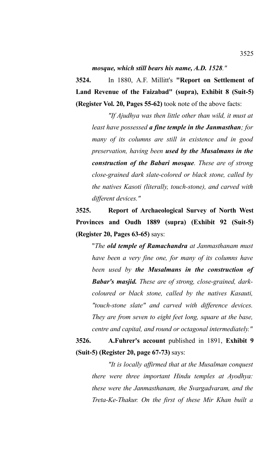*mosque, which still bears his name, A.D. 1528."*

**3524.** In 1880, A.F. Millitt's **"Report on Settlement of Land Revenue of the Faizabad" (supra), Exhibit 8 (Suit-5) (Register Vol. 20, Pages 55-62)** took note of the above facts:

*"If Ajudhya was then little other than wild, it must at least have possessed a fine temple in the Janmasthan; for many of its columns are still in existence and in good preservation, having been used by the Musalmans in the construction of the Babari mosque. These are of strong close-grained dark slate-colored or black stone, called by the natives Kasoti (literally, touch-stone), and carved with different devices."*

**3525. Report of Archaeological Survey of North West Provinces and Oudh 1889 (supra) (Exhibit 92 (Suit-5) (Register 20, Pages 63-65)** says:

"*The old temple of Ramachandra at Janmasthanam must have been a very fine one, for many of its columns have been used by the Musalmans in the construction of Babar's masjid. These are of strong, close-grained, darkcoloured or black stone, called by the natives Kasauti, "touch-stone slate" and carved with difference devices. They are from seven to eight feet long, square at the base, centre and capital, and round or octagonal intermediately."*

## **3526. A.Fuhrer's account** published in 1891, **Exhibit 9 (Suit-5) (Register 20, page 67-73)** says:

*"It is locally affirmed that at the Musalman conquest there were three important Hindu temples at Ayodhya: these were the Janmasthanam, the Svargadvaram, and the Treta-Ke-Thakur. On the first of these Mir Khan built a*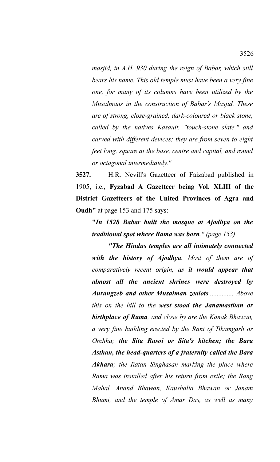*masjid, in A.H. 930 during the reign of Babar, which still bears his name. This old temple must have been a very fine one, for many of its columns have been utilized by the Musalmans in the construction of Babar's Masjid. These are of strong, close-grained, dark-coloured or black stone, called by the natives Kasauit, "touch-stone slate." and carved with different devices; they are from seven to eight feet long, square at the base, centre and capital, and round or octagonal intermediately."*

**3527.** H.R. Nevill's Gazetteer of Faizabad published in 1905, i.e., **Fyzabad A Gazetteer being Vol. XLIII of the District Gazetteers of the United Provinces of Agra and Oudh"** at page 153 and 175 says:

**"***In 1528 Babar built the mosque at Ajodhya on the traditional spot where Rama was born." (page 153)*

*"The Hindus temples are all intimately connected with the history of Ajodhya. Most of them are of comparatively recent origin, as it would appear that almost all the ancient shrines were destroyed by Aurangzeb and other Musalman zealots............... Above this on the hill to the west stood the Janamasthan or birthplace of Rama, and close by are the Kanak Bhawan, a very fine building erected by the Rani of Tikamgarh or Orchha; the Sita Rasoi or Sita's kitchen; the Bara Asthan, the head-quarters of a fraternity called the Bara Akhara; the Ratan Singhasan marking the place where Rama was installed after his return from exile; the Rang Mahal, Anand Bhawan, Kaushalia Bhawan or Janam Bhumi, and the temple of Amar Das, as well as many*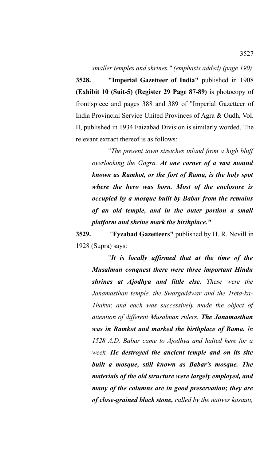*smaller temples and shrines." (emphasis added) (page 190)*

**3528. "Imperial Gazetteer of India"** published in 1908 **(Exhibit 10 (Suit-5) (Register 29 Page 87-89)** is photocopy of frontispiece and pages 388 and 389 of "Imperial Gazetteer of India Provincial Service United Provinces of Agra & Oudh, Vol. II, published in 1934 Faizabad Division is similarly worded. The relevant extract thereof is as follows:

"*The present town stretches inland from a high bluff overlooking the Gogra. At one corner of a vast mound known as Ramkot, or the fort of Rama, is the holy spot where the hero was born. Most of the enclosure is occupied by a mosque built by Babar from the remains of an old temple, and in the outer portion a small platform and shrine mark the birthplace."*

**3529.** "**Fyzabad Gazetteers"** published by H. R. Nevill in 1928 (Supra) says:

"*It is locally affirmed that at the time of the Musalman conquest there were three important Hindu shrines at Ajodhya and little else. These were the Janamasthan temple, the Swargaddwar and the Treta-ka-Thakur, and each was successively made the object of attention of different Musalman rulers. The Janamasthan was in Ramkot and marked the birthplace of Rama. In 1528 A.D. Babar came to Ajodhya and halted here for a week. He destroyed the ancient temple and on its site built a mosque, still known as Babar's mosque. The materials of the old structure were largely employed, and many of the columns are in good preservation; they are of close-grained black stone, called by the natives kasauti,*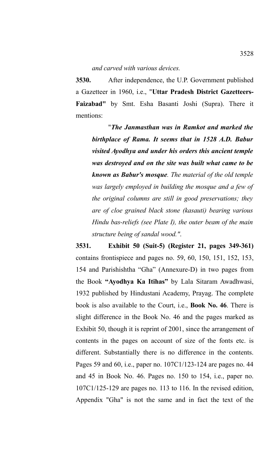*and carved with various devices.*

**3530.** After independence, the U.P. Government published a Gazetteer in 1960, i.e., "**Uttar Pradesh District Gazetteers-Faizabad"** by Smt. Esha Basanti Joshi (Supra). There it mentions:

"*The Janmasthan was in Ramkot and marked the birthplace of Rama. It seems that in 1528 A.D. Babur visited Ayodhya and under his orders this ancient temple was destroyed and on the site was built what came to be known as Babur's mosque. The material of the old temple was largely employed in building the mosque and a few of the original columns are still in good preservations; they are of cloe grained black stone (kasauti) bearing various Hindu bas-reliefs (see Plate I), the outer beam of the main structure being of sandal wood."*.

**3531. Exhibit 50 (Suit-5) (Register 21, pages 349-361)** contains frontispiece and pages no. 59, 60, 150, 151, 152, 153, 154 and Parishishtha "Gha" (Annexure-D) in two pages from the Book **"Ayodhya Ka Itihas"** by Lala Sitaram Awadhwasi, 1932 published by Hindustani Academy, Prayag. The complete book is also available to the Court, i.e., **Book No. 46**. There is slight difference in the Book No. 46 and the pages marked as Exhibit 50, though it is reprint of 2001, since the arrangement of contents in the pages on account of size of the fonts etc. is different. Substantially there is no difference in the contents. Pages 59 and 60, i.e., paper no. 107C1/123-124 are pages no. 44 and 45 in Book No. 46. Pages no. 150 to 154, i.e., paper no. 107C1/125-129 are pages no. 113 to 116. In the revised edition, Appendix "Gha" is not the same and in fact the text of the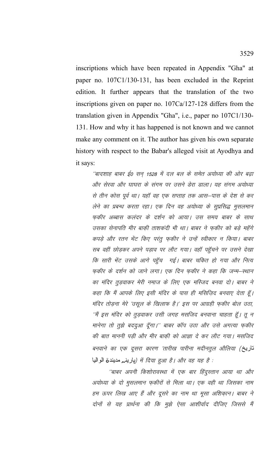inscriptions which have been repeated in Appendix "Gha" at paper no. 107C1/130-131, has been excluded in the Reprint edition. It further appears that the translation of the two inscriptions given on paper no.  $107Ca/127-128$  differs from the translation given in Appendix "Gha", i.e., paper no 107C1/130-131. How and why it has happened is not known and we cannot make any comment on it. The author has given his own separate history with respect to the Babar's alleged visit at Ayodhya and it says:

''बादशाह बाबर ई0 सन् 1528 में दल बल के समेत अयोध्या की ओर बढ़ा और सेरवा और घाघरा के संगम पर उसने डेरा डाला। यह संगम अयोध्या से तीन कोस पूर्व था। यहाँ वह एक सप्ताह तक आस–पास के देश से कर लेने का प्रबन्ध करता रहा। एक दिन वह अयोध्या के सूप्रसिद्ध मुसलमान फकीर अब्बास कलंदर के दर्शन को आया। उस समय बाबर के साथ उसका सेनापति मीर बाकी ताशकदी भी था। बाबर ने फकीर को बड़े महॅंगे कपड़े और रतन भेंट किए परंतू फ़कीर ने उन्हें स्वीकार न किया। बाबर सब वहीं छोड़कर अपने पड़ाव पर लौट गया। वहाँ पहुँचने पर उसने देखा कि सारी भेंट उसके आगे पहुँच गई। बाबर चकित हो गया और नित्य फकीर के दर्शन को जाने लगा। एक दिन फकीर ने कहा कि जन्म–स्थान का मंदिर तुड़वाकर मेरी नमाज के लिए एक मस्जिद बनवा दो। बाबर ने कहा कि मैं आपके लिए इसी मंदिर के पास ही मसिज़िद बनवाए देता हूँ। मंदिर तोड़ना मेरे 'उसूल के खिलाफ है।' इस पर आग्रही फ़कीर बोल उठा, ''मैं इस मंदिर को तुड़वाकर उसी जगह मसजिद बनवाना चाहता हूँ। तू न मानेगा तो तुझे बददुआ दूँगा।'' बाबर कॉप उठा और उसे अगत्या फुकीर की बात माननी पड़ी और मीर बाकी को आज्ञा दे कर लौट गया। मसजिद बनवाने का एक दूसरा कारण 'तारीख पारीना मदीनतुल औलिया (تاریخ : से दिया हुआ है। और वह यह है (بارينم مديندة الواليا

''बाबर अपनी किशोरावस्था में एक बार हिंदुस्तान आया था और अयोध्या के दो मुसलमान फ़कीरों से मिला था। एक वही था जिसका नाम हम ऊपर लिख आए हैं और दूसरे का नाम था मूसा अशिक़ान। बाबर ने दोनों से यह प्रार्थना की कि मुझे ऐसा आशीर्वाद दीजिए जिससे मैं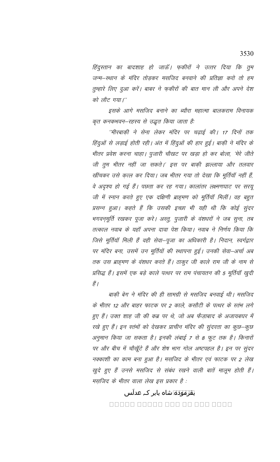हिंदुस्तान का बादशाह हो जाऊँ। फ़कीरों ने उत्तर दिया कि तुम जन्म–स्थान के मंदिर तोड़कर मसजिद बनवाने की प्रतिज्ञा करो तो हम तुम्हारे लिए दुआ करें। बाबर ने फ़कीरों की बात मान ली और अपने देश को लौट गया।''

इसके आगे मसजिद बनाने का ब्यौरा महात्मा बालकराम विनायक कृत कनकभवन–रहस्य से उद्धृत किया जाता है:

''मीरबाक़ी ने सेना लेकर मंदिर पर चढ़ाई की। 17 दिनों तक हिंदुओं से लड़ाई होती रही। अंत में हिंदुओं की हार हुई। बाक़ी ने मंदिर के भीतर प्रवेश करना चाहा। पुजारी चौखट पर खड़ा हो कर बोला, 'मेरे जीते जी तुम भीतर नहीं जा सकते।' इस पर बाकी झल्लाया और तलवार खींचकर उसे क़त्ल कर दिया। जब भीतर गया तो देखा कि मूर्तियाँ नहीं हैं, वे अदृश्य हो गई हैं। पछता कर रह गया। कालांतर लक्ष्मणघाट पर सरयू जी में स्नान करते हुए एक दक्षिणी ब्राह्मण को मूर्तियाँ मिलीं। वह बहुत प्रसन्न हुआ। कहते हैं कि उसकी इच्छा भी यही थी कि कोई सुंदर भगवन्मूर्ति रखकर पूजा करे। अस्तु, पुजारी के वंशधरों ने जब सुना, तब तत्काल नवाब के यहाँ अपना दावा पेश किया। नवाब ने निर्णय किया कि जिसे मूर्तियॉ मिली हैं वही सेवा–पूजा का अधिकारी है। निदान, स्वर्गद्वार पर मंदिर बना, उसमें उन मूर्तियों की स्थापना हुई। उनकी सेवा–अर्चा अब तक उस ब्राह्मण के वंशधर करते हैं। ठाकुर जी काले राम जी के नाम से प्रसिद्ध हैं। इसमें एक बड़े काले पत्थर पर राम पंचायतन की 5 मूर्तियाँ खुदी हैं |

बाक़ी बेग ने मंदिर की ही सामग्री से मसजिद बनवाई थी। मसजिद के भीतर 12 और बाहर फाटक पर 2 काले, कसौटी के पत्थर के स्तंभ लगे हुए हैं। उक्त शाह जी की कब्र पर थे, जो अब फैज़ाबाद के अजायबघर में रखे हुए हैं। इन स्तंभों को देखकर प्राचीन मंदिर की सुंदरता का कुछ–कुछ अनुमान किया जा सकता है। इनकी लंबाई 7 से 8 फुट तक है। किनारों पर और बीच में चौखूँटे हैं और शेष भाग गोल अष्टपहल है। इन पर सुंदर नक्काशी का काम बना हुआ है। मसजिद के भीतर एवं फाटक पर 2 लेख खुदे हुए हैं उनसे मसजिद से संबंध रखने वाली बातें मालूम होती हैं। मस़जिद के भीतर वाला लेख इस प्रकार है :

> بقرموده شاه بابر کہ عدلس <u>ANANA ANANA ANA ANA ANAN</u>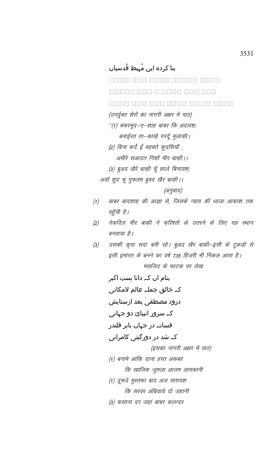# بنا کردہ ایں مُہبط قُدسیاں

<u>ANAN ANA ANAN ANAN ANAN</u> 00000 000 0 0000 000 000 <u>MANA NAN NAN NAN NA NANA </u>

(उपर्युक्त शेरों का नागरी अक्षर में पाठ)

- ''(1) बफरमूद—ए—शाह बाबर कि अदलश; बनाईस्त ता–काखे गरदूँ मुलाकी्।
- (2) बिना कर्दे ईं महबते कुदसियाँ ; अमीरे सआदत निशॉ मीर बाकी।।
- (3) बुअद खैरे बाकी चूँ साले बिनायश;

अयॉ शुद चूं गुफतम बुवद ख़ैर बाक़ी।।

(अनुवाद)

- बाबर बादशाह की आज्ञा से, जिसके न्याय की ध्वजा आकाश तक  $(1)$ पहुँची है।
- नेकदिल मीर बाकी ने फरिश्तों के उतरने के लिए यह स्थान  $(2)$ बनवाया है।
- उसकी कृपा सदा बनी रहे। बुअद खैर बाकी–इसी के टुकड़ों से  $(3)$ इसी इमारत के बनने का वर्ष 735 हिजरी भी निकल आता है। मसजिद के फाटक पर लेख

بنام اں کہ دانا ہست اکبر کہ خالق جملہ عالم لامکانی درود مصطفیٰ بعد ازستایش کہ سرور انبیائ دو جہانی فسانہ در جہاں بابر قلندر کہ شد در دورگیتی کامرانی (इसका नागरी अक्षर में पाठ) (1) बनामे आंकि दाना हस्त अकबर कि खालिक जुमला आलम लामकानी (1) दूरूदे मुस्तफा बाद अज सतायश कि सरवर अंबियाये दो जहानी (3) फसाना दर जहां बाबर कलन्दर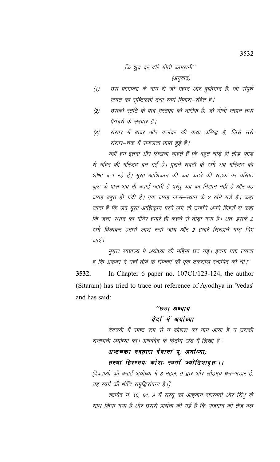कि शुद दर दौरे गीती कामरानी''

(अनुवाद)

- उस परमात्मा के नाम से जो महान और बुद्धिमान है, जो संपूर्ण  $(1)$ जगत का सृष्टिकर्ता तथा स्वयं निवास–रहित है।
- उसकी स्तुति के बाद मुस्तफ़ा की तारीफ़ है, जो दोनों जहान तथा  $(2)$ पैगंबरों के सरदार हैं।
- संसार में बाबर और कलंदर की कथा प्रसिद्ध है, जिसे उसे  $(3)$ संसार-चक्र में सफलता प्राप्त हुई है।

यहाँ हम इतना और लिखना चाहते हैं कि बहुत थोड़े ही तोड़–फोड़ से मंदिर की मस्जिद बन गई है। पुराने रावटी के खंभे अब मस्जिद की शोभा बढ़ा रहे हैं। मूसा आशिकान की कब्र कटरे की सड़क पर वसिष्ठ कुंड के पास अब भी बताई जाती है परंतु कब्र का निशान नहीं है और वह जगह बहुत ही गंदी है। एक जगह जन्म-स्थान के 2 खंभे गड़े हैं। कहा जाता है कि जब मुसा आशिकान मरने लगे तो उन्होंने अपने शिष्यों से कहा कि जन्म–स्थान का मंदिर हमारे ही कहने से तोड़ा गया है। अतः इसके 2 खंभे बिछाकर हमारी लाश रखी जाय और 2 हमारे सिरहाने गाड दिए जाएँ ।

मुग़ल साम्राज्य में अयोध्या की महिमा घट गई। इतना पता लगता है कि अकबर ने यहाँ ताँबे के सिक्कों की एक टकसाल स्थापित की थी।''

3532. In Chapter 6 paper no.  $107C1/123-124$ , the author (Sitaram) has tried to trace out reference of Ayodhya in 'Vedas' and has said:

## ''छठा अध्याय वेदां में अयाेध्या

वेदत्रयी में स्पष्ट रूप से न कोशल का नाम आया है न उसकी राजधानी अयोध्या का। अथर्ववेद के द्वितीय खंड में लिखा है :

### अष्टचका नवद्वारा देवानां पू: अयोध्या;

### तस्यां हिरण्मयः कोशः स्वर्गां ज्योतिषावृतः।।

{देवताओं की बनाई अयोध्या में 8 महल, 9 द्वार और लौहमय धन–भंडार है, यह स्वर्ग की भाँति समृद्धिसंपन्न है।}

ऋग्वेद मं. 10, 64, 9 में सरयू का आह्वान सरस्वती और सिंधु के साथ किया गया है और उससे प्रार्थना की गई है कि यजमान को तेज बल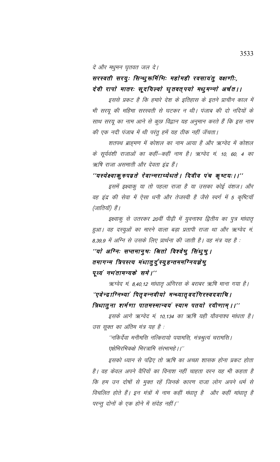दे और मधुमन घृतवत जल दे।

## सरस्वती सरयुः सिन्धुरूर्मिभिः महोमही रवसायतु वक्षणीः, देवी रापो मातरः सूदयिल्वो धृतवत् पयो मधुमन्नो अर्चत ।।

इससे प्रकट है कि हमारे देश के इतिहास के इतने प्राचीन काल में भी सरयू की महिमा सरस्वती से घटकर न थी। पंजाब की दो नदियों के साथ सरयू का नाम आने से कुछ विद्वान यह अनुमान करते हैं कि इस नाम की एक नदी पंजाब में थी परंतु हमें यह ठीक नहीं जॅचता।

शतपथ ब्राह्मण में कोशल का नाम आया है और ऋग्वेद में कोशल के सूर्यवंशी राजाओं का कहीं–कहीं नाम है। ऋग्वेद मं. 10, 60, 4 का ऋषि राजा असमाती और देवता इंद्र हैं।

## ''यस्येक्ष्वाकुरुपव्रते रेवान्मराय्येधते । दिवीव पंच कृष्टयः ।।''

इसमें इक्ष्वाकु या तो पहला राजा है या उसका कोई वंशज। और वह इंद्र की सेवा में ऐसा धनी और तेजस्वी है जैसे स्वर्ग में 5 कृष्टियाँ (जातियाँ) हैं।

इक्ष्वाकु से उतरकर 20वीं पीढ़ी में युवनाश्व द्वितीय का पुत्र मांधातृ हुआ। वह दस्युओं का मारने वाला बड़ा प्रतापी राजा था और ऋग्वेद मं 8,39,9 में अग्नि से उसके लिए प्रार्थना की जाती है। वह मंत्र यह है :

# ''यो अग्निः सप्तमानुषः श्रितो विश्वेषु सिंधुषु । तमागन्म त्रिपस्त्य मंधातुर्दुस्युहन्तममग्नियज्ञेषु पूव्यं नभंतामन्यकं समे ।''

ऋग्वेद मं. 8,40,12 मांधातृ अंगिरस के बराबर ऋषि माना गया है।

## "एवेन्द्राग्निभ्यां पितृवन्नवीयो मन्ध्यातृवदंगिरस्वदवाचि । त्रिधातुना शर्मणा पातमस्मान्वयं स्याम पतयो रयीणाम् ।।''

इसके आगे ऋग्वेद मं. 10,134 का ऋषि यही यौवनाश्व मांधता है। उस सुक्त का अंतिम मंत्र यह है :

''नकिर्देवा मनीमसि नत्किरायो पयामसि, मंत्रश्रुत्यं चरामसि । एक्षेभिरभिकक्षे भिरत्रामि संरभामहे ।।''

इसको ध्यान से पढ़िए तो ऋषि का अच्छा शासक होना प्रकट होता है। वह केवल अपने वैरियों का विनाश नहीं चाहता वरन यह भी कहता है कि हम उन दोषों से मुक्त रहें जिनके कारण राजा लोग अपने धर्म से विचलित होते हैं। इन मंत्रों में नाम कहीं मंधातृ है और कहीं मांधातृ है परन्तू दोनों के एक होने में संदेह नहीं।''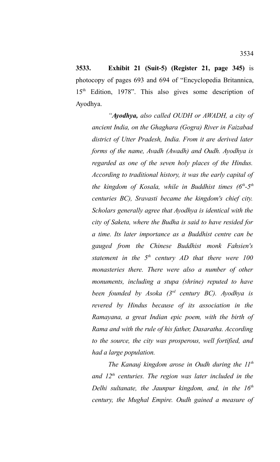**3533. Exhibit 21 (Suit-5) (Register 21, page 345)** is photocopy of pages 693 and 694 of "Encyclopedia Britannica, 15th Edition, 1978". This also gives some description of Ayodhya.

*"Ayodhya, also called OUDH or AWADH, a city of ancient India, on the Ghaghara (Gogra) River in Faizabad district of Utter Pradesh, India. From it are derived later forms of the name, Avadh (Awadh) and Oudh. Ayodhya is regarded as one of the seven holy places of the Hindus. According to traditional history, it was the early capital of the kingdom of Kosala, while in Buddhist times (6th-5th centuries BC), Sravasti became the kingdom's chief city. Scholars generally agree that Ayodhya is identical with the city of Saketa, where the Budha is said to have resided for a time. Its later importance as a Buddhist centre can be gauged from the Chinese Buddhist monk Fahsien's statement in the 5th century AD that there were 100 monasteries there. There were also a number of other monuments, including a stupa (shrine) reputed to have been founded by Asoka (3rd century BC). Ayodhya is revered by Hindus because of its association in the Ramayana, a great Indian epic poem, with the birth of Rama and with the rule of his father, Dasaratha. According to the source, the city was prosperous, well fortified, and had a large population.* 

*The Kanauj kingdom arose in Oudh during the 11th and 12th centuries. The region was later included in the Delhi sultanate, the Jaunpur kingdom, and, in the 16th century, the Mughal Empire. Oudh gained a measure of*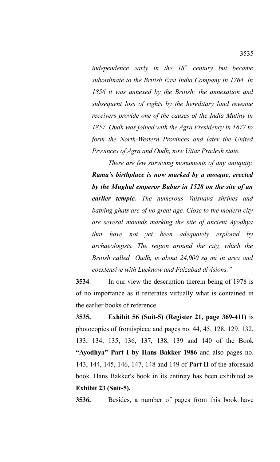*independence early in the 18th century but became subordinate to the British East India Company in 1764. In 1856 it was annexed by the British; the annexation and subsequent loss of rights by the hereditary land revenue receivers provide one of the causes of the India Mutiny in 1857. Oudh was joined with the Agra Presidency in 1877 to form the North-Western Provinces and later the United Provinces of Agra and Oudh, now Uttar Pradesh state.* 

*There are few surviving monuments of any antiquity. Rama's birthplace is now marked by a mosque, erected by the Mughal emperor Babur in 1528 on the site of an earlier temple. The numerous Vaisnava shrines and bathing ghats are of no great age. Close to the modern city are several mounds marking the site of ancient Ayodhya that have not yet been adequately explored by archaeologists. The region around the city, which the British called Oudh, is about 24,000 sq mi in area and coextensive with Lucknow and Faizabad divisions."*

**3534**. In our view the description therein being of 1978 is of no importance as it reiterates virtually what is contained in the earlier books of reference.

**3535. Exhibit 56 (Suit-5) (Register 21, page 369-411)** is photocopies of frontispiece and pages no. 44, 45, 128, 129, 132, 133, 134, 135, 136, 137, 138, 139 and 140 of the Book **"Ayodhya" Part I by Hans Bakker 1986** and also pages no. 143, 144, 145, 146, 147, 148 and 149 of **Part II** of the aforesaid book. Hans Bakker's book in its entirety has been exhibited as **Exhibit 23 (Suit-5).** 

**3536.** Besides, a number of pages from this book have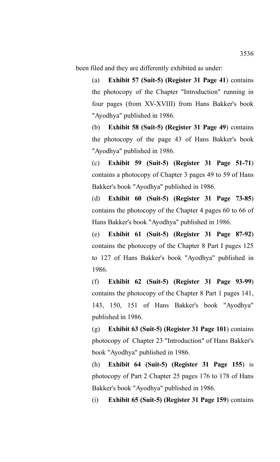been filed and they are differently exhibited as under:

(a) **Exhibit 57 (Suit-5) (Register 31 Page 41**) contains the photocopy of the Chapter "Introduction" running in four pages (from XV-XVIII) from Hans Bakker's book "Ayodhya" published in 1986.

(b) **Exhibit 58 (Suit-5) (Register 31 Page 49**) contains the photocopy of the page 43 of Hans Bakker's book "Ayodhya" published in 1986.

(c) **Exhibit 59 (Suit-5) (Register 31 Page 51-71**) contains a photocopy of Chapter 3 pages 49 to 59 of Hans Bakker's book "Ayodhya" published in 1986.

(d) **Exhibit 60 (Suit-5) (Register 31 Page 73-85**) contains the photocopy of the Chapter 4 pages 60 to 66 of Hans Bakker's book "Ayodhya" published in 1986.

(e) **Exhibit 61 (Suit-5) (Register 31 Page 87-92**) contains the photocopy of the Chapter 8 Part I pages 125 to 127 of Hans Bakker's book "Ayodhya" published in 1986.

(f) **Exhibit 62 (Suit-5) (Register 31 Page 93-99**) contains the photocopy of the Chapter 8 Part 1 pages 141, 143, 150, 151 of Hans Bakker's book "Ayodhya" published in 1986.

(g) **Exhibit 63 (Suit-5) (Register 31 Page 101**) contains photocopy of Chapter 23 "Introduction" of Hans Bakker's book "Ayodhya" published in 1986.

(h) **Exhibit 64 (Suit-5) (Register 31 Page 155**) is photocopy of Part 2 Chapter 25 pages 176 to 178 of Hans Bakker's book "Ayodhya" published in 1986.

(i) **Exhibit 65 (Suit-5) (Register 31 Page 159**) contains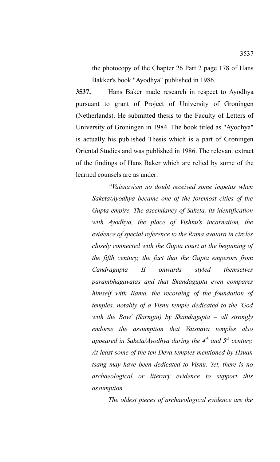the photocopy of the Chapter 26 Part 2 page 178 of Hans Bakker's book "Ayodhya" published in 1986.

**3537.** Hans Baker made research in respect to Ayodhya pursuant to grant of Project of University of Groningen (Netherlands). He submitted thesis to the Faculty of Letters of University of Groningen in 1984. The book titled as "Ayodhya" is actually his published Thesis which is a part of Groningen Oriental Studies and was published in 1986. The relevant extract of the findings of Hans Baker which are relied by some of the learned counsels are as under:

*"Vaisnavism no doubt received some impetus when Saketa/Ayodhya became one of the foremost cities of the Gupta empire. The ascendancy of Saketa, its identification with Ayodhya, the place of Vishnu's incarnation, the evidence of special reference to the Rama avatara in circles closely connected with the Gupta court at the beginning of the fifth century, the fact that the Gupta emperors from Candragupta II onwards styled themselves parambhagavatas and that Skandagupta even compares himself with Rama, the recording of the foundation of temples, notably of a Visnu temple dedicated to the 'God with the Bow' (Sarngin) by Skandagupta – all strongly endorse the assumption that Vaisnava temples also appeared in Saketa/Ayodhya during the 4th and 5th century. At least some of the ten Deva temples mentioned by Hsuan tsang may have been dedicated to Visnu. Yet, there is no archaeological or literary evidence to support this assumption.*

*The oldest pieces of archaeological evidence are the*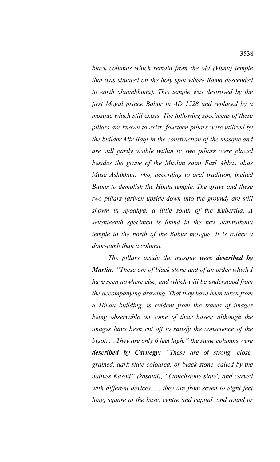*black columns which remain from the old (Visnu) temple that was situated on the holy spot where Rama descended to earth (Janmbhumi). This temple was destroyed by the first Mogul prince Babur in AD 1528 and replaced by a mosque which still exists. The following specimens of these pillars are known to exist: fourteen pillars were utilized by the builder Mir Baqi in the construction of the mosque and are still partly visible within it; two pillars were placed besides the grave of the Muslim saint Fazl Abbas alias Musa Ashikhan, who, according to oral tradition, incited Babur to demolish the Hindu temple. The grave and these two pillars (driven upside-down into the ground) are still shown in Ayodhya, a little south of the Kubertila. A seventeenth specimen is found in the new Janmsthana temple to the north of the Babur mosque. It is rather a door-jamb than a column.*

*The pillars inside the mosque were described by Martin: "These are of black stone and of an order which I have seen nowhere else, and which will be understood from the accompanying drawing. That they have been taken from a Hindu building, is evident from the traces of images being observable on some of their bases; although the images have been cut off to satisfy the conscience of the bigot. . . They are only 6 feet high." the same columns were described by Carnegy: "These are of strong, closegrained, dark slate-coloured, or black stone, called by the natives Kasoti" (kasauti), "('touchstone slate') and carved with different devices. . . they are from seven to eight feet long, square at the base, centre and capital, and round or*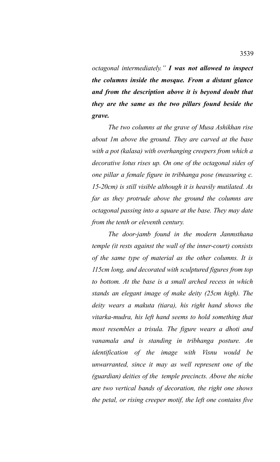*octagonal intermediately." I was not allowed to inspect the columns inside the mosque. From a distant glance and from the description above it is beyond doubt that they are the same as the two pillars found beside the grave.*

*The two columns at the grave of Musa Ashikhan rise about 1m above the ground. They are carved at the base with a pot (kalasa) with overhanging creepers from which a decorative lotus rises up. On one of the octagonal sides of one pillar a female figure in tribhanga pose (measuring c. 15-20cm) is still visible although it is heavily mutilated. As far as they protrude above the ground the columns are octagonal passing into a square at the base. They may date from the tenth or eleventh century.*

*The door-jamb found in the modern Janmsthana temple (it rests against the wall of the inner-court) consists of the same type of material as the other columns. It is 115cm long, and decorated with sculptured figures from top to bottom. At the base is a small arched recess in which stands an elegant image of make deity (25cm high). The deity wears a makuta (tiara), his right hand shows the vitarka-mudra, his left hand seems to hold something that most resembles a trisula. The figure wears a dhoti and vanamala and is standing in tribhanga posture. An identification of the image with Visnu would be unwarranted, since it may as well represent one of the (guardian) deities of the temple precincts. Above the niche are two vertical bands of decoration, the right one shows the petal, or rising creeper motif, the left one contains five*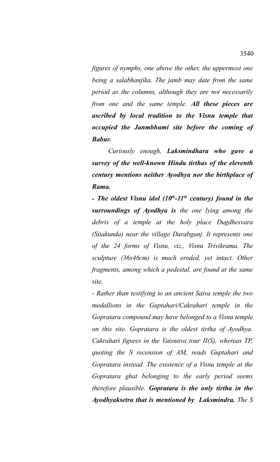*figures of nymphs, one above the other, the uppermost one being a salabhanjika. The jamb may date from the same period as the columns, although they are not necessarily from one and the same temple. All these pieces are ascribed by local tradition to the Visnu temple that occupied the Janmbhumi site before the coming of Babur.*

*Curiously enough, Laksmindhara who gave a survey of the well-known Hindu tirthas of the eleventh century mentions neither Ayodhya nor the birthplace of Rama.*

*- The oldest Visnu idol (10th-11th century) found in the surroundings of Ayodhya is the one lying among the debris of a temple at the holy place Dugdhesvara (Sitakunda) near the village Darabganj. It represents one of the 24 forms of Visnu, viz., Visnu Trivikrama. The sculpture (36x46cm) is much eroded, yet intact. Other fragments, among which a pedestal, are found at the same site.*

*- Rather than testifying to an ancient Saiva temple the two medallions in the Guptahari/Cakrahari temple in the Gopratara compound may have belonged to a Visnu temple on this site. Gopratara is the oldest tirtha of Ayodhya. Cakrahari figures in the Vaisnava tour II(S), whereas TP, quoting the S recension of AM, reads Guptahari and Gopratara instead. The existence of a Visnu temple at the Gopratara ghat belonging to the early period seems therefore plausible. Gopratara is the only tirtha in the Ayodhyaksetra that is mentioned by Laksmindra. The S*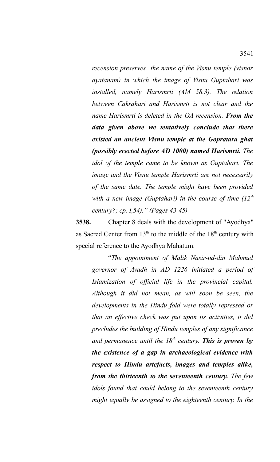*recension preserves the name of the Visnu temple (visnor ayatanam) in which the image of Visnu Guptahari was installed, namely Harismrti (AM 58.3). The relation between Cakrahari and Harismrti is not clear and the name Harismrti is deleted in the OA recension. From the data given above we tentatively conclude that there existed an ancient Visnu temple at the Gopratara ghat (possibly erected before AD 1000) named Harismrti. The idol of the temple came to be known as Guptahari. The image and the Visnu temple Harismrti are not necessarily of the same date. The temple might have been provided with a new image (Guptahari) in the course of time (12th century?; cp. I,54)." (Pages 43-45)*

**3538.** Chapter 8 deals with the development of "Ayodhya" as Sacred Center from  $13<sup>th</sup>$  to the middle of the  $18<sup>th</sup>$  century with special reference to the Ayodhya Mahatum.

"*The appointment of Malik Nasir-ud-din Mahmud governor of Avadh in AD 1226 initiated a period of Islamization of official life in the provincial capital. Although it did not mean, as will soon be seen, the developments in the Hindu fold were totally repressed or that an effective check was put upon its activities, it did precludes the building of Hindu temples of any significance and permanence until the 18th century. This is proven by the existence of a gap in archaeological evidence with respect to Hindu artefacts, images and temples alike, from the thirteenth to the seventeenth century. The few idols found that could belong to the seventeenth century might equally be assigned to the eighteenth century. In the*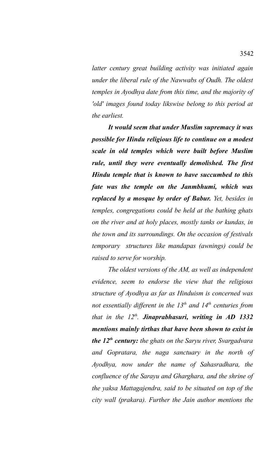*latter century great building activity was initiated again under the liberal rule of the Nawwabs of Oudh. The oldest temples in Ayodhya date from this time, and the majority of 'old' images found today likswise belong to this period at the earliest.*

*It would seem that under Muslim supremacy it was possible for Hindu religious life to continue on a modest scale in old temples which were built before Muslim rule, until they were eventually demolished. The first Hindu temple that is known to have succumbed to this fate was the temple on the Janmbhumi, which was replaced by a mosque by order of Babur. Yet, besides in temples, congregations could be held at the bathing ghats on the river and at holy places, mostly tanks or kundas, in the town and its surroundings. On the occasion of festivals temporary structures like mandapas (awnings) could be raised to serve for worship.*

*The oldest versions of the AM, as well as independent evidence, seem to endorse the view that the religious structure of Ayodhya as far as Hinduism is concerned was not essentially different in the 13th and 14th centuries from that in the 12th . Jinaprabhasuri, writing in AD 1332 mentions mainly tirthas that have been shown to exist in the 12th century: the ghats on the Saryu river, Svargadvara and Gopratara, the naga sanctuary in the north of Ayodhya, now under the name of Sahasradhara, the confluence of the Sarayu and Gharghara, and the shrine of the yaksa Mattagajendra, said to be situated on top of the city wall (prakara). Further the Jain author mentions the*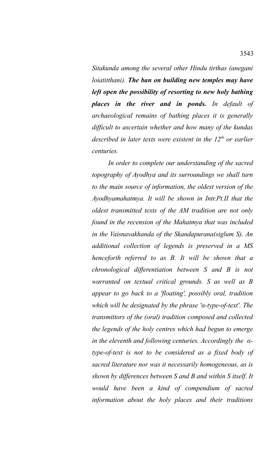*Sitakunda among the several other Hindu tirthas (anegani loiatitthani). The ban on building new temples may have left open the possibility of resorting to new holy bathing places in the river and in ponds. In default of archaeological remains of bathing places it is generally difficult to ascertain whether and how many of the kundas described in later texts were existent in the 12th or earlier centuries.*

*In order to complete our understanding of the sacred topography of Ayodhya and its surroundings we shall turn to the main source of information, the oldest version of the Ayodhyamahatmya. It will be shown in Intr.Pt.II that the oldest transmitted texts of the AM tradition are not only found in the recension of the Mahatmya that was included in the Vaisnavakhanda of the Skandapurana(siglum S). An additional collection of legends is preserved in a MS henceforth referred to as B. It will be shown that a chronological differentiation between S and B is not warranted on textual critical grounds. S as well as B appear to go back to a 'floating', possibly oral, tradition which will be designated by the phrase 'α-type-of-text'. The transmittors of the (oral) tradition composed and collected the legends of the holy centres which had begun to emerge in the eleventh and following centuries. Accordingly the αtype-of-text is not to be considered as a fixed body of sacred literature nor was it necessarily homogeneous, as is shown by differences between S and B and within S itself. It would have been a kind of compendium of sacred information about the holy places and their traditions*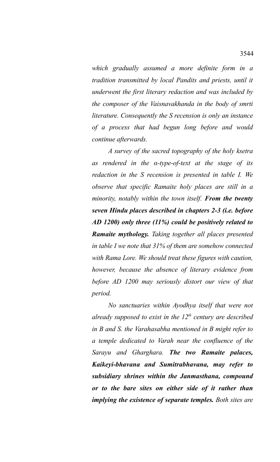*which gradually assumed a more definite form in a tradition transmitted by local Pandits and priests, until it underwent the first literary redaction and was included by the composer of the Vaisnavakhanda in the body of smrti literature. Consequently the S recension is only an instance of a process that had begun long before and would continue afterwards.*

*A survey of the sacred topography of the holy ksetra as rendered in the α-type-of-text at the stage of its redaction in the S recension is presented in table I. We observe that specific Ramaite holy places are still in a minority, notably within the town itself. From the twenty seven Hindu places described in chapters 2-3 (i.e. before AD 1200) only three (11%) could be positively related to Ramaite mythology. Taking together all places presented in table I we note that 31% of them are somehow connected with Rama Lore. We should treat these figures with caution, however, because the absence of literary evidence from before AD 1200 may seriously distort our view of that period.*

*No sanctuaries within Ayodhya itself that were not already supposed to exist in the 12th century are described in B and S. the Varahasabha mentioned in B might refer to a temple dedicated to Varah near the confluence of the Sarayu and Gharghara. The two Ramaite palaces, Kaikeyi-bhavana and Sumitrabhavana, may refer to subsidiary shrines within the Janmasthana, compound or to the bare sites on either side of it rather than implying the existence of separate temples. Both sites are*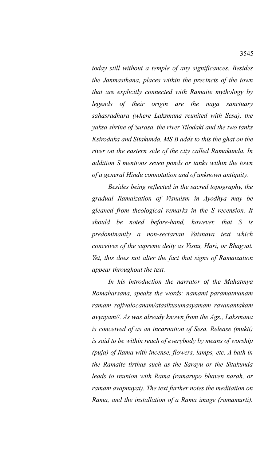*today still without a temple of any significances. Besides the Janmasthana, places within the precincts of the town that are explicitly connected with Ramaite mythology by legends of their origin are the naga sanctuary sahasradhara (where Laksmana reunited with Sesa), the yaksa shrine of Surasa, the river Tilodaki and the two tanks Ksirodaka and Sitakunda. MS B adds to this the ghat on the river on the eastern side of the city called Ramakunda. In addition S mentions seven ponds or tanks within the town of a general Hindu connotation and of unknown antiquity.*

*Besides being reflected in the sacred topography, the gradual Ramaization of Visnuism in Ayodhya may be gleaned from theological remarks in the S recension. It should be noted before-hand, however, that S is predominantly a non-sectarian Vaisnava text which conceives of the supreme deity as Visnu, Hari, or Bhagvat. Yet, this does not alter the fact that signs of Ramaization appear throughout the text.*

*In his introduction the narrator of the Mahatmya Romaharsana, speaks the words: namami paramatmanam ramam rajivalocanam/atasikusumasyamam ravanantakam avyayam//. As was already known from the Ags., Laksmana is conceived of as an incarnation of Sesa. Release (mukti) is said to be within reach of everybody by means of worship (puja) of Rama with incense, flowers, lamps, etc. A bath in the Ramaite tirthas such as the Sarayu or the Sitakunda leads to reunion with Rama (ramarupo bhaven narah, or ramam avapnuyat). The text further notes the meditation on Rama, and the installation of a Rama image (ramamurti).*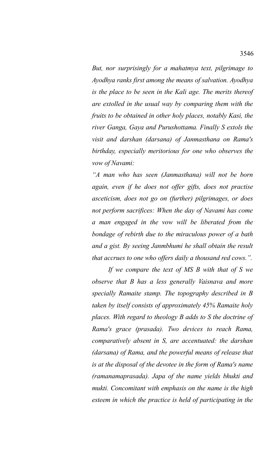*But, nor surprisingly for a mahatmya text, pilgrimage to Ayodhya ranks first among the means of salvation. Ayodhya is the place to be seen in the Kali age. The merits thereof are extolled in the usual way by comparing them with the fruits to be obtained in other holy places, notably Kasi, the river Ganga, Gaya and Purushottama. Finally S extols the visit and darshan (darsana) of Janmasthana on Rama's birthday, especially meritorious for one who observes the vow of Navami:*

*"A man who has seen (Janmasthana) will not be born again, even if he does not offer gifts, does not practise asceticism, does not go on (further) pilgrimages, or does not perform sacrifices: When the day of Navami has come a man engaged in the vow will be liberated from the bondage of rebirth due to the miraculous power of a bath and a gist. By seeing Janmbhumi he shall obtain the result that accrues to one who offers daily a thousand red cows.".*

*If we compare the text of MS B with that of S we observe that B has a less generally Vaisnava and more specially Ramaite stamp. The topography described in B taken by itself consists of approximately 45% Ramaite holy places. With regard to theology B adds to S the doctrine of Rama's grace (prasada). Two devices to reach Rama, comparatively absent in S, are accentuated: the darshan (darsana) of Rama, and the powerful means of release that is at the disposal of the devotee in the form of Rama's name (ramanamaprasada). Japa of the name yields bhukti and mukti. Concomitant with emphasis on the name is the high esteem in which the practice is held of participating in the*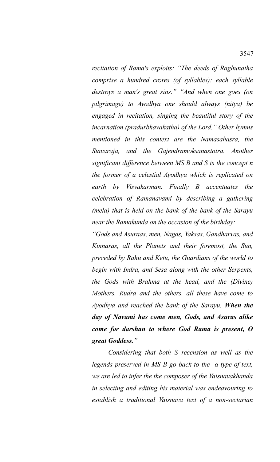*recitation of Rama's exploits: "The deeds of Raghunatha comprise a hundred crores (of syllables): each syllable destroys a man's great sins." "And when one goes (on pilgrimage) to Ayodhya one should always (nitya) be engaged in recitation, singing the beautiful story of the incarnation (pradurbhavakatha) of the Lord." Other hymns mentioned in this context are the Namasahasra, the Stavaraja, and the Gajendramoksanastotra. Another significant difference between MS B and S is the concept n the former of a celestial Ayodhya which is replicated on earth by Visvakarman. Finally B accentuates the celebration of Ramanavami by describing a gathering (mela) that is held on the bank of the bank of the Sarayu near the Ramakunda on the occasion of the birthday:*

*"Gods and Asuraas, men, Nagas, Yaksas, Gandharvas, and Kinnaras, all the Planets and their foremost, the Sun, preceded by Rahu and Ketu, the Guardians of the world to begin with Indra, and Sesa along with the other Serpents, the Gods with Brahma at the head, and the (Divine) Mothers, Rudra and the others, all these have come to Ayodhya and reached the bank of the Sarayu. When the day of Navami has come men, Gods, and Asuras alike come for darshan to where God Rama is present, O great Goddess."*

*Considering that both S recension as well as the legends preserved in MS B go back to the α-type-of-text, we are led to infer the the composer of the Vaisnavakhanda in selecting and editing his material was endeavouring to establish a traditional Vaisnava text of a non-sectarian*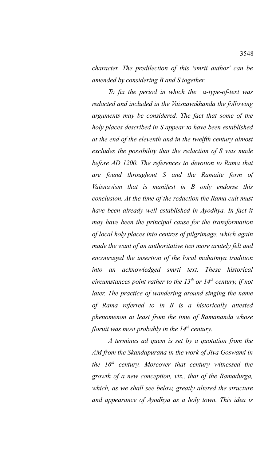*character. The predilection of this 'smrti author' can be amended by considering B and S together.*

*To fix the period in which the α-type-of-text was redacted and included in the Vaisnavakhanda the following arguments may be considered. The fact that some of the holy places described in S appear to have been established at the end of the eleventh and in the twelfth century almost excludes the possibility that the redaction of S was made before AD 1200. The references to devotion to Rama that are found throughout S and the Ramaite form of Vaisnavism that is manifest in B only endorse this conclusion. At the time of the redaction the Rama cult must have been already well established in Ayodhya. In fact it may have been the principal cause for the transformation of local holy places into centres of pilgrimage, which again made the want of an authoritative text more acutely felt and encouraged the insertion of the local mahatmya tradition into an acknowledged smrti text. These historical circumstances point rather to the 13th or 14th century, if not later. The practice of wandering around singing the name of Rama referred to in B is a historically attested phenomenon at least from the time of Ramananda whose floruit was most probably in the 14th century.*

*A terminus ad quem is set by a quotation from the AM from the Skandapurana in the work of Jiva Goswami in the 16th century. Moreover that century witnessed the growth of a new conception, viz., that of the Ramadurga, which, as we shall see below, greatly altered the structure and appearance of Ayodhya as a holy town. This idea is*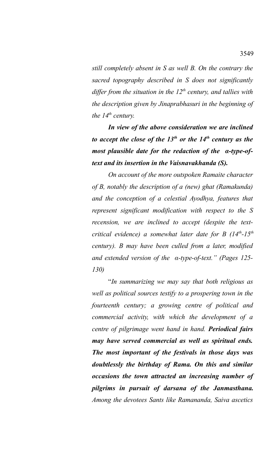*still completely absent in S as well B. On the contrary the sacred topography described in S does not significantly differ from the situation in the 12th century, and tallies with the description given by Jinaprabhasuri in the beginning of the 14th century.*

*In view of the above consideration we are inclined to accept the close of the 13th or the 14th century as the most plausible date for the redaction of the α-type-oftext and its insertion in the Vaisnavakhanda (S).*

*On account of the more outspoken Ramaite character of B, notably the description of a (new) ghat (Ramakunda) and the conception of a celestial Ayodhya, features that represent significant modification with respect to the S recension, we are inclined to accept (despite the textcritical evidence) a somewhat later date for B (14th-15th century). B may have been culled from a later, modified and extended version of the α-type-of-text." (Pages 125- 130)*

"*In summarizing we may say that both religious as well as political sources testify to a prospering town in the fourteenth century; a growing centre of political and commercial activity, with which the development of a centre of pilgrimage went hand in hand. Periodical fairs may have served commercial as well as spiritual ends. The most important of the festivals in those days was doubtlessly the birthday of Rama. On this and similar occasions the town attracted an increasing number of pilgrims in pursuit of darsana of the Janmasthana. Among the devotees Sants like Ramananda, Saiva ascetics*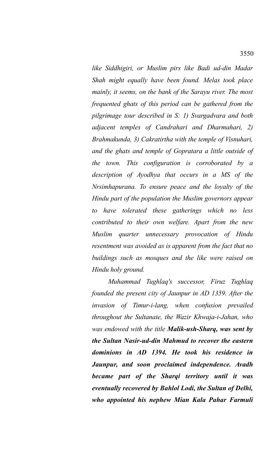*like Siddhigiri, or Muslim pirs like Badi ud-din Madar Shah might equally have been found. Melas took place mainly, it seems, on the bank of the Sarayu river. The most frequented ghats of this period can be gathered from the pilgrimage tour described in S: 1) Svargadvara and both adjacent temples of Candrahari and Dharmahari, 2) Brahmakunda, 3) Cakratirtha with the temple of Visnuhari, and the ghats and temple of Gopratara a little outside of the town. This configuration is corroborated by a description of Ayodhya that occurs in a MS of the Nrsimhapurana. To ensure peace and the loyalty of the Hindu part of the population the Muslim governors appear to have tolerated these gatherings which no less contributed to their own welfare. Apart from the new Muslim quarter unnecessary provocation of Hindu resentment was avoided as is apparent from the fact that no buildings such as mosques and the like were raised on Hindu holy ground.* 

*Muhammad Tughlaq's successor, Firuz Tughlaq founded the present city of Jaunpur in AD 1359. After the invasion of Timur-i-lang, when confusion prevailed throughout the Sultanate, the Wazir Khwaja-i-Jahan, who was endowed with the title Malik-ush-Sharq, was sent by the Sultan Nasir-ud-din Mahmud to recover the eastern dominions in AD 1394. He took his residence in Jaunpur, and soon proclaimed independence. Avadh became part of the Sharqi territory until it was eventually recovered by Bahlol Lodi, the Sultan of Delhi, who appointed his nephew Mian Kala Pahar Farmuli*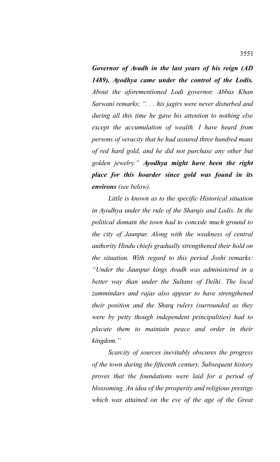*Governor of Avadh in the last years of his reign (AD 1489). Ayodhya came under the control of the Lodis. About the aforementioned Lodi governor, Abbas Khan Sarwani remarks; ". . . his jagirs were never disturbed and during all this time he gave his attention to nothing else except the accumulation of wealth. I have heard from persons of veracity that he had assured three hundred mans of red hard gold, and he did not purchase any other but golden jewelry." Ayodhya might have been the right place for this hoarder since gold was found in its environs (see below).* 

*Little is known as to the specific Historical situation in Ayodhya under the rule of the Sharqis and Lodis. In the political domain the town had to concede much ground to the city of Jaunpur. Along with the weakness of central authority Hindu chiefs gradually strengthened their hold on the situation. With regard to this period Joshi remarks: "Under the Jaunpur kings Avadh was administered in a better way than under the Sultans of Delhi. The local zammindars and rajas also appear to have strengthened their position and the Sharq rulers (surrounded as they were by petty though independent principalities) had to placate them to maintain peace and order in their kingdom."*

*Scarcity of sources inevitably obscures the progress of the town during the fifteenth century. Subsequent history proves that the foundations were laid for a period of blossoming. An idea of the prosperity and religious prestige which was attained on the eve of the age of the Great*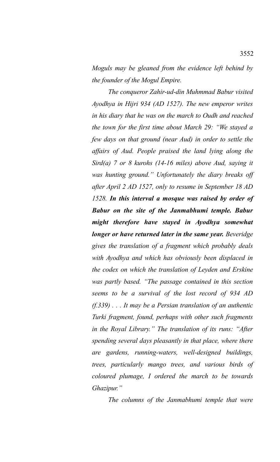*Moguls may be gleaned from the evidence left behind by the founder of the Mogul Empire.* 

*The conqueror Zahir-ud-din Muhmmad Babur visited Ayodhya in Hijri 934 (AD 1527). The new emperor writes in his diary that he was on the march to Oudh and reached the town for the first time about March 29: "We stayed a few days on that ground (near Aud) in order to settle the affairs of Aud. People praised the land lying along the Sird(a) 7 or 8 kurohs (14-16 miles) above Aud, saying it was hunting ground." Unfortunately the diary breaks off after April 2 AD 1527, only to resume in September 18 AD 1528. In this interval a mosque was raised by order of Babur on the site of the Janmabhumi temple. Babur might therefore have stayed in Ayodhya somewhat longer or have returned later in the same year. Beveridge gives the translation of a fragment which probably deals with Ayodhya and which has obviously been displaced in the codex on which the translation of Leyden and Erskine was partly based. "The passage contained in this section seems to be a survival of the lost record of 934 AD (f.339) . . . It may be a Persian translation of an authentic Turki fragment, found, perhaps with other such fragments in the Royal Library." The translation of its runs: "After spending several days pleasantly in that place, where there are gardens, running-waters, well-designed buildings, trees, particularly mango trees, and various birds of coloured plumage, I ordered the march to be towards Ghazipur."* 

*The columns of the Janmabhumi temple that were*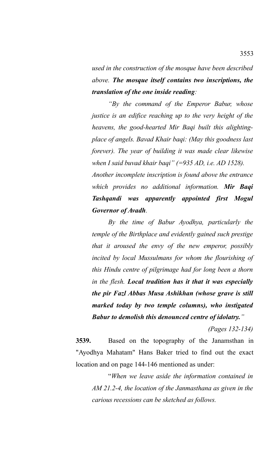*used in the construction of the mosque have been described above. The mosque itself contains two inscriptions, the translation of the one inside reading:*

*"By the command of the Emperor Babur, whose justice is an edifice reaching up to the very height of the heavens, the good-hearted Mir Baqi built this alightingplace of angels. Bavad Khair baqi: (May this goodness last forever). The year of building it was made clear likewise when I said buvad khair baqi" (=935 AD, i.e. AD 1528).*

*Another incomplete inscription is found above the entrance which provides no additional information. Mir Baqi Tashqandi was apparently appointed first Mogul Governor of Avadh.*

*By the time of Babur Ayodhya, particularly the temple of the Birthplace and evidently gained such prestige that it aroused the envy of the new emperor, possibly incited by local Mussulmans for whom the flourishing of this Hindu centre of pilgrimage had for long been a thorn in the flesh. Local tradition has it that it was especially the pir Fazl Abbas Musa Ashikhan (whose grave is still marked today by two temple columns), who instigated Babur to demolish this denounced centre of idolatry."*

*(Pages 132-134)*

**3539.** Based on the topography of the Janamsthan in "Ayodhya Mahatam" Hans Baker tried to find out the exact location and on page 144-146 mentioned as under:

"*When we leave aside the information contained in AM 21.2-4, the location of the Janmasthana as given in the carious recessions can be sketched as follows.*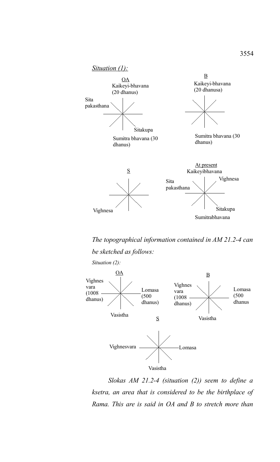

*The topographical information contained in AM 21.2-4 can be sketched as follows: Situation (2):*



*Slokas AM 21.2-4 (situation (2)) seem to define a ksetra, an area that is considered to be the birthplace of Rama. This are is said in OA and B to stretch more than*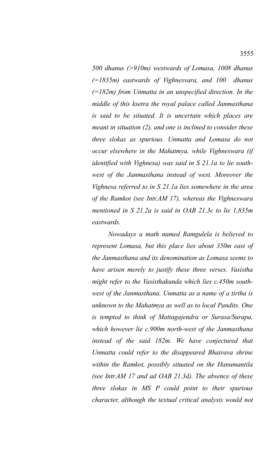*500 dhanus (>910m) westwards of Lomasa, 1008 dhanus (=1835m) eastwards of Vighnesvara, and 100 dhanus (=182m) from Unmatta in an unspecified direction. In the middle of this ksetra the royal palace called Janmasthana is said to be situated. It is uncertain which places are meant in situation (2), and one is inclined to consider these three slokas as spurious. Unmatta and Lomasa do not occur elsewhere in the Mahatmya, while Vighneswara (if identified with Vighnesa) was said in S 21.1a to lie southwest of the Janmasthana instead of west. Moreover the Vighnesa referred to in S 21.1a lies somewhere in the area of the Ramkot (see Intr.AM 17), whereas the Vighneswara mentioned in S 21.2a is said in OAB 21.3c to lie 1,835m eastwards.*

*Nowadays a math named Ramgulela is believed to represent Lomasa, but this place lies about 350m east of the Janmasthana and its denomination as Lomasa seems to have arisen merely to justify these three verses. Vasistha might refer to the Vasisthakunda which lies c.450m southwest of the Janmasthana. Unmatta as a name of a tirtha is unknown to the Mahatmya as well as to local Pandits. One is tempted to think of Mattagajendra or Surasa/Surapa, which however lie c.900m north-west of the Janmasthana instead of the said 182m. We have conjectured that Unmatta could refer to the disappeared Bhairava shrine within the Ramkot, possibly situated on the Hanumantila (see Intr.AM 17 and ad OAB 21.3d). The absence of these three slokas in MS P could point to their spurious character, although the textual critical analysis would not*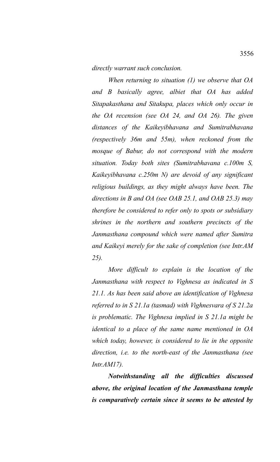*directly warrant such conclusion.*

*When returning to situation (1) we observe that OA and B basically agree, albiet that OA has added Sitapakasthana and Sitakupa, places which only occur in the OA recension (see OA 24, and OA 26). The given distances of the Kaikeyibhavana and Sumitrabhavana (respectively 36m and 55m), when reckoned from the mosque of Babur, do not correspond with the modern situation. Today both sites (Sumitrabhavana c.100m S, Kaikeyibhavana c.250m N) are devoid of any significant religious buildings, as they might always have been. The directions in B and OA (see OAB 25.1, and OAB 25.3) may therefore be considered to refer only to spots or subsidiary shrines in the northern and southern precincts of the Janmasthana compound which were named after Sumitra and Kaikeyi merely for the sake of completion (see Intr.AM 25).*

*More difficult to explain is the location of the Janmasthana with respect to Vighnesa as indicated in S 21.1. As has been said above an identification of Vighnesa referred to in S 21.1a (tasmad) with Vighnesvara of S 21.2a is problematic. The Vighnesa implied in S 21.1a might be identical to a place of the same name mentioned in OA which today, however, is considered to lie in the opposite direction, i.e. to the north-east of the Janmasthana (see Intr.AM17).*

*Notwithstanding all the difficulties discussed above, the original location of the Janmasthana temple is comparatively certain since it seems to be attested by*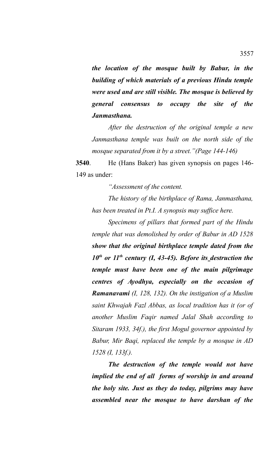*the location of the mosque built by Babur, in the building of which materials of a previous Hindu temple were used and are still visible. The mosque is believed by general consensus to occupy the site of the Janmasthana.*

*After the destruction of the original temple a new Janmasthana temple was built on the north side of the mosque separated from it by a street."(Page 144-146)*

**3540**. He (Hans Baker) has given synopsis on pages 146- 149 as under:

*"Assessment of the content.*

*The history of the birthplace of Rama, Janmasthana, has been treated in Pt.I. A synopsis may suffice here.*

*Specimens of pillars that formed part of the Hindu temple that was demolished by order of Babur in AD 1528 show that the original birthplace temple dated from the 10th or 11th century (I, 43-45). Before its destruction the temple must have been one of the main pilgrimage centres of Ayodhya, especially on the occasion of Ramanavami (I, 128, 132). On the instigation of a Muslim saint Khwajah Fazl Abbas, as local tradition has it (or of another Muslim Faqir named Jalal Shah according to Sitaram 1933, 34f.), the first Mogul governor appointed by Babur, Mir Baqi, replaced the temple by a mosque in AD 1528 (I, 133f.).* 

*The destruction of the temple would not have implied the end of all forms of worship in and around the holy site. Just as they do today, pilgrims may have assembled near the mosque to have darshan of the*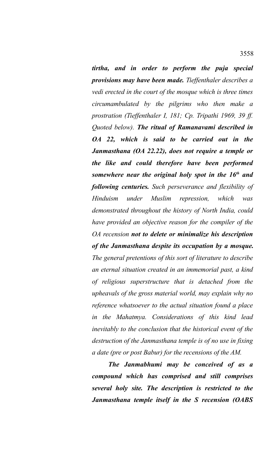*tirtha, and in order to perform the puja special provisions may have been made. Tieffenthaler describes a vedi erected in the court of the mosque which is three times circumambulated by the pilgrims who then make a prostration (Tieffenthaler I, 181; Cp. Tripathi 1969, 39 ff. Quoted below). The ritual of Ramanavami described in OA 22, which is said to be carried out in the Janmasthana (OA 22.22), does not require a temple or the like and could therefore have been performed somewhere near the original holy spot in the 16th and following centuries. Such perseverance and flexibility of Hinduism under Muslim repression, which was demonstrated throughout the history of North India, could have provided an objective reason for the compiler of the OA recension not to delete or minimalize his description of the Janmasthana despite its occupation by a mosque. The general pretentions of this sort of literature to describe an eternal situation created in an immemorial past, a kind of religious superstructure that is detached from the upheavals of the gross material world, may explain why no reference whatsoever to the actual situation found a place in the Mahatmya. Considerations of this kind lead inevitably to the conclusion that the historical event of the destruction of the Janmasthana temple is of no use in fixing a date (pre or post Babur) for the recensions of the AM.* 

*The Janmabhumi may be conceived of as a compound which has comprised and still comprises several holy site. The description is restricted to the Janmasthana temple itself in the S recension (OABS*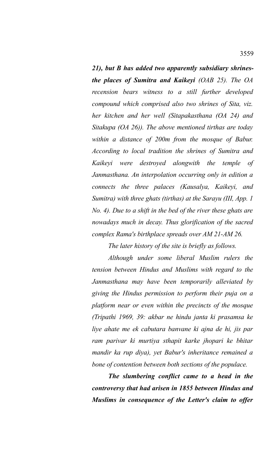*21), but B has added two apparently subsidiary shrinesthe places of Sumitra and Kaikeyi (OAB 25). The OA recension bears witness to a still further developed compound which comprised also two shrines of Sita, viz. her kitchen and her well (Sitapakasthana (OA 24) and Sitakupa (OA 26)). The above mentioned tirthas are today within a distance of 200m from the mosque of Babur. According to local tradition the shrines of Sumitra and Kaikeyi were destroyed alongwith the temple of Janmasthana. An interpolation occurring only in edition a connects the three palaces (Kausalya, Kaikeyi, and Sumitra) with three ghats (tirthas) at the Sarayu (III, App. 1 No. 4). Due to a shift in the bed of the river these ghats are nowadays much in decay. Thus glorification of the sacred complex Rama's birthplace spreads over AM 21-AM 26.*

*The later history of the site is briefly as follows.*

*Although under some liberal Muslim rulers the tension between Hindus and Muslims with regard to the Janmasthana may have been temporarily alleviated by giving the Hindus permission to perform their puja on a platform near or even within the precincts of the mosque (Tripathi 1969, 39: akbar ne hindu janta ki prasamsa ke liye ahate me ek cabutara banvane ki ajna de hi, jis par ram parivar ki murtiya sthapit karke jhopari ke bhitar mandir ka rup diya), yet Babur's inheritance remained a bone of contention between both sections of the populace.* 

*The slumbering conflict came to a head in the controversy that had arisen in 1855 between Hindus and Muslims in consequence of the Letter's claim to offer*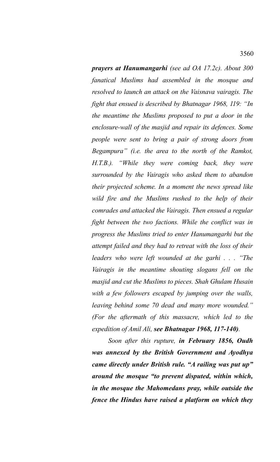*prayers at Hanumangarhi (see ad OA 17.2c). About 300 fanatical Muslims had assembled in the mosque and resolved to launch an attack on the Vaisnava vairagis. The fight that ensued is described by Bhatnagar 1968, 119: "In the meantime the Muslims proposed to put a door in the enclosure-wall of the masjid and repair its defences. Some people were sent to bring a pair of strong doors from Begampura" (i.e. the area to the north of the Ramkot, H.T.B.). "While they were coming back, they were surrounded by the Vairagis who asked them to abandon their projected scheme. In a moment the news spread like wild fire and the Muslims rushed to the help of their comrades and attacked the Vairagis. Then ensued a regular fight between the two factions. While the conflict was in progress the Muslims tried to enter Hanumangarhi but the attempt failed and they had to retreat with the loss of their leaders who were left wounded at the garhi . . . "The Vairagis in the meantime shouting slogans fell on the masjid and cut the Muslims to pieces. Shah Ghulam Husain with a few followers escaped by jumping over the walls, leaving behind some 70 dead and many more wounded." (For the aftermath of this massacre, which led to the expedition of Amil Ali, see Bhatnagar 1968, 117-140).* 

*Soon after this rupture, in February 1856, Oudh was annexed by the British Government and Ayodhya came directly under British rule. "A railing was put up" around the mosque "to prevent disputed, within which, in the mosque the Mahomedans pray, while outside the fence the Hindus have raised a platform on which they*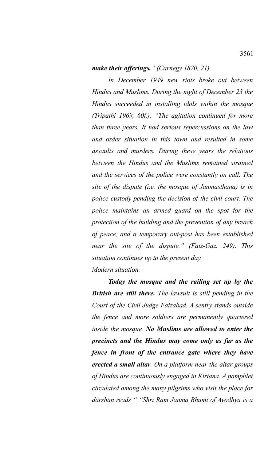## *make their offerings." (Carnegy 1870, 21).*

*In December 1949 new riots broke out between Hindus and Muslims. During the night of December 23 the Hindus succeeded in installing idols within the mosque (Tripathi 1969, 60f.). "The agitation continued for more than three years. It had serious repercussions on the law and order situation in this town and resulted in some assaults and murders. During these years the relations between the Hindus and the Muslims remained strained and the services of the police were constantly on call. The site of the dispute (i.e. the mosque of Janmasthana) is in police custody pending the decision of the civil court. The police maintains an armed guard on the spot for the protection of the building and the prevention of any breach of peace, and a temporary out-post has been established near the site of the dispute." (Faiz-Gaz. 249). This situation continues up to the present day. Modern situation.* 

*Today the mosque and the railing set up by the British are still there. The lawsuit is still pending in the Court of the Civil Judge Faizabad. A sentry stands outside the fence and more soldiers are permanently quartered inside the mosque. No Muslims are allowed to enter the precincts and the Hindus may come only as far as the fence in front of the entrance gate where they have erected a small altar. On a platform near the altar groups of Hindus are continuously engaged in Kirtana. A pamphlet circulated among the many pilgrims who visit the place for darshan reads " "Shri Ram Janma Bhumi of Ayodhya is a*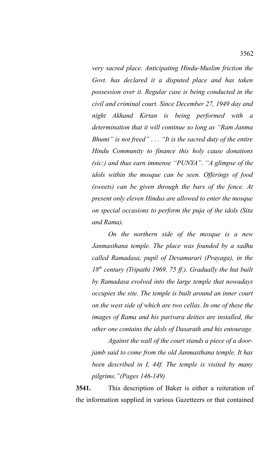*very sacred place. Anticipating Hindu-Muslim friction the Govt. has declared it a disputed place and has taken possession over it. Regular case is being conducted in the civil and criminal court. Since December 27, 1949 day and night Akhand Kirtan is being performed with a determination that it will continue so long as "Ram Janma Bhumi" is not freed" . . . "It is the sacred duty of the entire Hindu Community to finance this holy cause donations (sic:) and thus earn immense "PUNYA". "A glimpse of the idols within the mosque can be seen. Offerings of food (sweets) can be given through the bars of the fence. At present only eleven Hindus are allowed to enter the mosque on special occasions to perform the puja of the idols (Sita and Rama).*

*On the northern side of the mosque is a new Janmasthana temple. The place was founded by a sadhu called Ramadasa, pupil of Devamurari (Prayaga), in the 18th century (Tripathi 1969, 75 ff.). Gradually the hut built by Ramadasa evolved into the large temple that nowadays occupies the site. The temple is built around an inner court on the west side of which are two cellas. In one of these the images of Rama and his parivara deities are installed, the other one contains the idols of Dasarath and his entourage.*

*Against the wall of the court stands a piece of a doorjamb said to come from the old Janmasthana temple. It has been described in I, 44f. The temple is visited by many pilgrims."(Pages 146-149)*

**3541.** This description of Baker is either a reiteration of the information supplied in various Gazetteers or that contained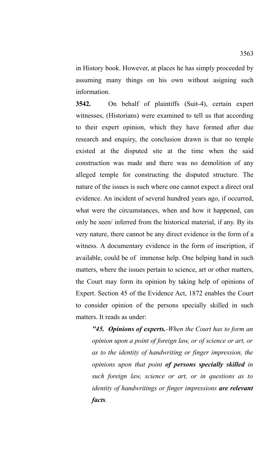in History book. However, at places he has simply proceeded by assuming many things on his own without asigning such information.

**3542.** On behalf of plaintiffs (Suit-4), certain expert witnesses, (Historians) were examined to tell us that according to their expert opinion, which they have formed after due research and enquiry, the conclusion drawn is that no temple existed at the disputed site at the time when the said construction was made and there was no demolition of any alleged temple for constructing the disputed structure. The nature of the issues is such where one cannot expect a direct oral evidence. An incident of several hundred years ago, if occurred, what were the circumstances, when and how it happened, can only be seen/ inferred from the historical material, if any. By its very nature, there cannot be any direct evidence in the form of a witness. A documentary evidence in the form of inscription, if available, could be of immense help. One helping hand in such matters, where the issues pertain to science, art or other matters, the Court may form its opinion by taking help of opinions of Expert. Section 45 of the Evidence Act, 1872 enables the Court to consider opinion of the persons specially skilled in such matters. It reads as under:

*"45. Opinions of experts.-When the Court has to form an opinion upon a point of foreign law, or of science or art, or as to the identity of handwriting or finger impression, the opinions upon that point of persons specially skilled in such foreign law, science or art, or in questions as to identity of handwritings or finger impressions are relevant facts.*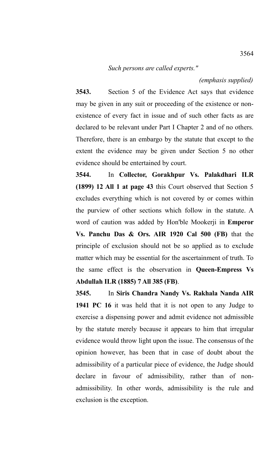*Such persons are called experts."*

*(emphasis supplied)*

**3543.** Section 5 of the Evidence Act says that evidence may be given in any suit or proceeding of the existence or nonexistence of every fact in issue and of such other facts as are declared to be relevant under Part I Chapter 2 and of no others. Therefore, there is an embargo by the statute that except to the extent the evidence may be given under Section 5 no other evidence should be entertained by court.

**3544.** In **Collector, Gorakhpur Vs. Palakdhari ILR (1899) 12 All 1 at page 43** this Court observed that Section 5 excludes everything which is not covered by or comes within the purview of other sections which follow in the statute. A word of caution was added by Hon'ble Mookerji in **Emperor Vs. Panchu Das & Ors. AIR 1920 Cal 500 (FB)** that the principle of exclusion should not be so applied as to exclude matter which may be essential for the ascertainment of truth. To the same effect is the observation in **Queen-Empress Vs Abdullah ILR (1885) 7 All 385 (FB)**.

**3545.** In **Siris Chandra Nandy Vs. Rakhala Nanda AIR 1941 PC 16** it was held that it is not open to any Judge to exercise a dispensing power and admit evidence not admissible by the statute merely because it appears to him that irregular evidence would throw light upon the issue. The consensus of the opinion however, has been that in case of doubt about the admissibility of a particular piece of evidence, the Judge should declare in favour of admissibility, rather than of nonadmissibility. In other words, admissibility is the rule and exclusion is the exception.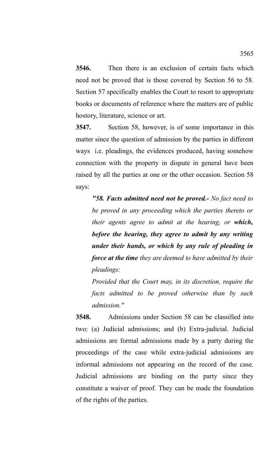**3546.** Then there is an exclusion of certain facts which need not be proved that is those covered by Section 56 to 58. Section 57 specifically enables the Court to resort to appropriate books or documents of reference where the matters are of public hostory, literature, science or art.

**3547.** Section 58, however, is of some importance in this matter since the question of admission by the parties in different ways i.e. pleadings, the evidences produced, having somehow connection with the property in dispute in general have been raised by all the parties at one or the other occasion. Section 58 says:

*"58. Facts admitted need not be proved.- No fact need to be proved in any proceeding which the parties thereto or their agents agree to admit at the hearing, or which, before the hearing, they agree to admit by any writing under their hands, or which by any rule of pleading in force at the time they are deemed to have admitted by their pleadings:*

*Provided that the Court may, in its discretion, require the facts admitted to be proved otherwise than by such admission."* 

**3548.** Admissions under Section 58 can be classified into two: (a) Judicial admissions; and (b) Extra-judicial. Judicial admissions are formal admissions made by a party during the proceedings of the case while extra-judicial admissions are informal admissions not appearing on the record of the case. Judicial admissions are binding on the party since they constitute a waiver of proof. They can be made the foundation of the rights of the parties.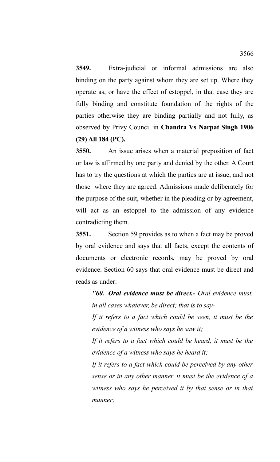**3549.** Extra-judicial or informal admissions are also binding on the party against whom they are set up. Where they operate as, or have the effect of estoppel, in that case they are fully binding and constitute foundation of the rights of the parties otherwise they are binding partially and not fully, as observed by Privy Council in **Chandra Vs Narpat Singh 1906 (29) All 184 (PC).**

**3550.** An issue arises when a material preposition of fact or law is affirmed by one party and denied by the other. A Court has to try the questions at which the parties are at issue, and not those where they are agreed. Admissions made deliberately for the purpose of the suit, whether in the pleading or by agreement, will act as an estoppel to the admission of any evidence contradicting them.

**3551.** Section 59 provides as to when a fact may be proved by oral evidence and says that all facts, except the contents of documents or electronic records, may be proved by oral evidence. Section 60 says that oral evidence must be direct and reads as under:

*"60. Oral evidence must be direct.- Oral evidence must, in all cases whatever, be direct; that is to say-*

*If it refers to a fact which could be seen, it must be the evidence of a witness who says he saw it;*

*If it refers to a fact which could be heard, it must be the evidence of a witness who says he heard it;*

*If it refers to a fact which could be perceived by any other sense or in any other manner, it must be the evidence of a witness who says he perceived it by that sense or in that manner;*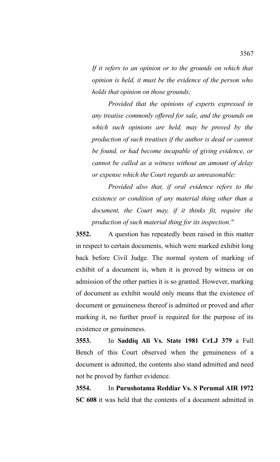*If it refers to an opinion or to the grounds on which that opinion is held, it must be the evidence of the person who holds that opinion on those grounds;*

*Provided that the opinions of experts expressed in any treatise commonly offered for sale, and the grounds on which such opinions are held, may be proved by the production of such treatises if the author is dead or cannot be found, or had become incapable of giving evidence, or cannot be called as a witness without an amount of delay or expense which the Court regards as unreasonable:*

*Provided also that, if oral evidence refers to the existence or condition of any material thing other than a document, the Court may, if it thinks fit, require the production of such material thing for its inspection."*

**3552.** A question has repeatedly been raised in this matter in respect to certain documents, which were marked exhibit long back before Civil Judge. The normal system of marking of exhibit of a document is, when it is proved by witness or on admission of the other parties it is so granted. However, marking of document as exhibit would only means that the existence of document or genuineness thereof is admitted or proved and after marking it, no further proof is required for the purpose of its existence or genuineness.

**3553.** In **Saddiq Ali Vs. State 1981 CrLJ 379** a Full Bench of this Court observed when the genuineness of a document is admitted, the contents also stand admitted and need not be proved by further evidence.

**3554.** In **Purushotama Reddiar Vs. S Perumal AIR 1972 SC 608** it was held that the contents of a document admitted in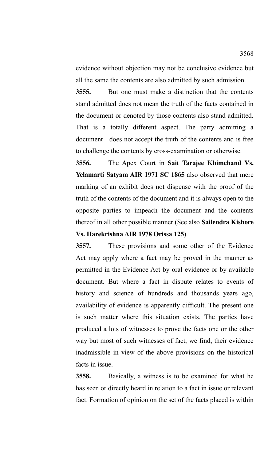evidence without objection may not be conclusive evidence but all the same the contents are also admitted by such admission.

**3555.** But one must make a distinction that the contents stand admitted does not mean the truth of the facts contained in the document or denoted by those contents also stand admitted. That is a totally different aspect. The party admitting a document does not accept the truth of the contents and is free to challenge the contents by cross-examination or otherwise.

**3556.** The Apex Court in **Sait Tarajee Khimchand Vs. Yelamarti Satyam AIR 1971 SC 1865** also observed that mere marking of an exhibit does not dispense with the proof of the truth of the contents of the document and it is always open to the opposite parties to impeach the document and the contents thereof in all other possible manner (See also **Sailendra Kishore Vs. Harekrishna AIR 1978 Orissa 125)**.

**3557.** These provisions and some other of the Evidence Act may apply where a fact may be proved in the manner as permitted in the Evidence Act by oral evidence or by available document. But where a fact in dispute relates to events of history and science of hundreds and thousands years ago, availability of evidence is apparently difficult. The present one is such matter where this situation exists. The parties have produced a lots of witnesses to prove the facts one or the other way but most of such witnesses of fact, we find, their evidence inadmissible in view of the above provisions on the historical facts in issue.

**3558.** Basically, a witness is to be examined for what he has seen or directly heard in relation to a fact in issue or relevant fact. Formation of opinion on the set of the facts placed is within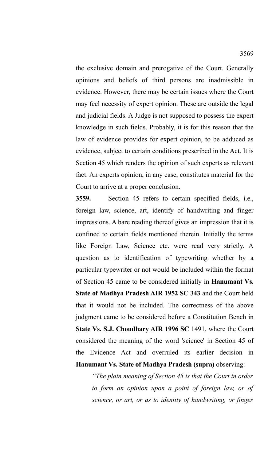the exclusive domain and prerogative of the Court. Generally opinions and beliefs of third persons are inadmissible in evidence. However, there may be certain issues where the Court may feel necessity of expert opinion. These are outside the legal and judicial fields. A Judge is not supposed to possess the expert knowledge in such fields. Probably, it is for this reason that the law of evidence provides for expert opinion, to be adduced as evidence, subject to certain conditions prescribed in the Act. It is Section 45 which renders the opinion of such experts as relevant fact. An experts opinion, in any case, constitutes material for the Court to arrive at a proper conclusion.

**3559.** Section 45 refers to certain specified fields, i.e., foreign law, science, art, identify of handwriting and finger impressions. A bare reading thereof gives an impression that it is confined to certain fields mentioned therein. Initially the terms like Foreign Law, Science etc. were read very strictly. A question as to identification of typewriting whether by a particular typewriter or not would be included within the format of Section 45 came to be considered initially in **Hanumant Vs. State of Madhya Pradesh AIR 1952 SC 343** and the Court held that it would not be included. The correctness of the above judgment came to be considered before a Constitution Bench in **State Vs. S.J. Choudhary AIR 1996 SC** 1491, where the Court considered the meaning of the word 'science' in Section 45 of the Evidence Act and overruled its earlier decision in **Hanumant Vs. State of Madhya Pradesh (supra)** observing:

*"The plain meaning of Section 45 is that the Court in order to form an opinion upon a point of foreign law, or of science, or art, or as to identity of handwriting, or finger*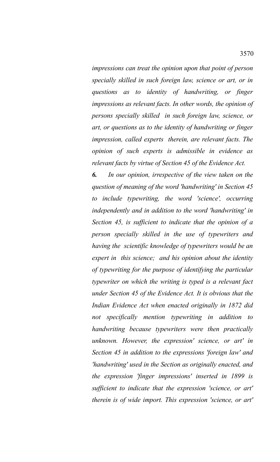*impressions can treat the opinion upon that point of person specially skilled in such foreign law, science or art, or in questions as to identity of handwriting, or finger impressions as relevant facts. In other words, the opinion of persons specially skilled in such foreign law, science, or art, or questions as to the identity of handwriting or finger impression, called experts therein, are relevant facts. The opinion of such experts is admissible in evidence as relevant facts by virtue of Section 45 of the Evidence Act.*

*6. In our opinion, irrespective of the view taken on the question of meaning of the word 'handwriting' in Section 45 to include typewriting, the word 'science', occurring independently and in addition to the word 'handwriting' in Section 45, is sufficient to indicate that the opinion of a person specially skilled in the use of typewriters and having the scientific knowledge of typewriters would be an expert in this science; and his opinion about the identity of typewriting for the purpose of identifying the particular typewriter on which the writing is typed is a relevant fact under Section 45 of the Evidence Act. It is obvious that the Indian Evidence Act when enacted originally in 1872 did not specifically mention typewriting in addition to handwriting because typewriters were then practically unknown. However, the expression' science, or art' in Section 45 in addition to the expressions 'foreign law' and 'handwriting' used in the Section as originally enacted, and the expression 'finger impressions' inserted in 1899 is sufficient to indicate that the expression 'science, or art' therein is of wide import. This expression 'science, or art'*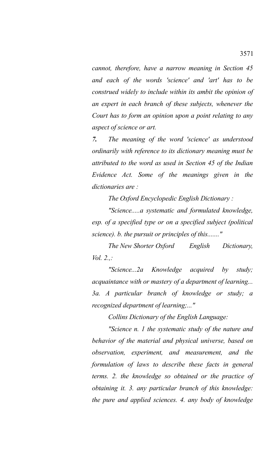*cannot, therefore, have a narrow meaning in Section 45 and each of the words 'science' and 'art' has to be construed widely to include within its ambit the opinion of an expert in each branch of these subjects, whenever the Court has to form an opinion upon a point relating to any aspect of science or art.* 

*7. The meaning of the word 'science' as understood ordinarily with reference to its dictionary meaning must be attributed to the word as used in Section 45 of the Indian Evidence Act. Some of the meanings given in the dictionaries are :* 

*The Oxford Encyclopedic English Dictionary :*

*"Science.....a systematic and formulated knowledge, esp. of a specified type or on a specified subject (political science). b. the pursuit or principles of this......."*

 *The New Shorter Oxford English Dictionary, Vol. 2.,:*

*"Science...2a Knowledge acquired by study; acquaintance with or mastery of a department of learning... 3a. A particular branch of knowledge or study; a recognized department of learning;..."*

*Collins Dictionary of the English Language:*

*"Science n. 1 the systematic study of the nature and behavior of the material and physical universe, based on observation, experiment, and measurement, and the formulation of laws to describe these facts in general terms. 2. the knowledge so obtained or the practice of obtaining it. 3. any particular branch of this knowledge: the pure and applied sciences. 4. any body of knowledge*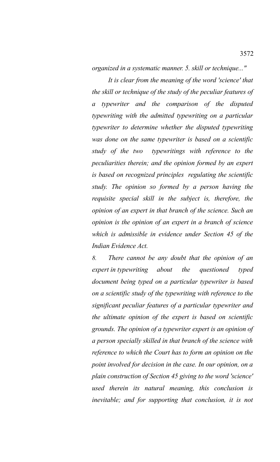*organized in a systematic manner. 5. skill or technique..."*

*It is clear from the meaning of the word 'science' that the skill or technique of the study of the peculiar features of a typewriter and the comparison of the disputed typewriting with the admitted typewriting on a particular typewriter to determine whether the disputed typewriting was done on the same typewriter is based on a scientific study of the two typewritings with reference to the peculiarities therein; and the opinion formed by an expert is based on recognized principles regulating the scientific study. The opinion so formed by a person having the requisite special skill in the subject is, therefore, the opinion of an expert in that branch of the science. Such an opinion is the opinion of an expert in a branch of science which is admissible in evidence under Section 45 of the Indian Evidence Act.* 

*8. There cannot be any doubt that the opinion of an expert in typewriting about the questioned typed document being typed on a particular typewriter is based on a scientific study of the typewriting with reference to the significant peculiar features of a particular typewriter and the ultimate opinion of the expert is based on scientific grounds. The opinion of a typewriter expert is an opinion of a person specially skilled in that branch of the science with reference to which the Court has to form an opinion on the point involved for decision in the case. In our opinion, on a plain construction of Section 45 giving to the word 'science' used therein its natural meaning, this conclusion is inevitable; and for supporting that conclusion, it is not*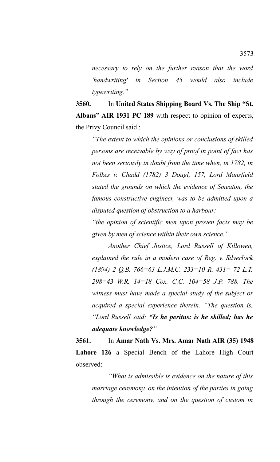*necessary to rely on the further reason that the word 'handwriting' in Section 45 would also include typewriting."*

**3560.** In **United States Shipping Board Vs. The Ship "St. Albans" AIR 1931 PC 189** with respect to opinion of experts, the Privy Council said :

*"The extent to which the opinions or conclusions of skilled persons are receivable by way of proof in point of fact has not been seriously in doubt from the time when, in 1782, in Folkes v. Chadd (1782) 3 Dougl, 157, Lord Mansfield stated the grounds on which the evidence of Smeaton, the famous constructive engineer, was to be admitted upon a disputed question of obstruction to a harbour:*

*"the opinion of scientific men upon proven facts may be given by men of science within their own science."*

*Another Chief Justice, Lord Russell of Killowen, explained the rule in a modern case of Reg. v. Silverlock (1894) 2 Q.B. 766=63 L.J.M.C. 233=10 R. 431= 72 L.T. 298=43 W.R. 14=18 Cox. C.C. 104=58 J.P. 788. The witness must have made a special study of the subject or acquired a special experience therein. "The question is, "Lord Russell said: "Is he peritus: is he skilled; has he adequate knowledge?"*

**3561.** In **Amar Nath Vs. Mrs. Amar Nath AIR (35) 1948 Lahore 126** a Special Bench of the Lahore High Court observed:

*"What is admissible is evidence on the nature of this marriage ceremony, on the intention of the parties in going through the ceremony, and on the question of custom in*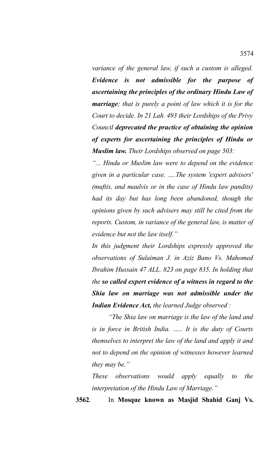*variance of the general law, if such a custom is alleged. Evidence is not admissible for the purpose of ascertaining the principles of the ordinary Hindu Law of marriage; that is purely a point of law which it is for the Court to decide. In 21 Lah. 493 their Lordships of the Privy Council deprecated the practice of obtaining the opinion of experts for ascertaining the principles of Hindu or Muslim law. Their Lordships observed on page 503:*

*"... Hindu or Muslim law were to depend on the evidence given in a particular case. ….The system 'expert advisers' (muftis, and maulvis or in the case of Hindu law pandits) had its day but has long been abandoned, though the opinions given by such advisers may still be cited from the reports. Custom, in variance of the general law, is matter of evidence but not the law itself."*

*In this judgment their Lordships expressly approved the observations of Sulaiman J. in Aziz Bano Vs. Mahomed Ibrahim Hussain 47 ALL. 823 on page 835. In holding that the so called expert evidence of a witness in regard to the Shia law on marriage was not admissible under the Indian Evidence Act, the learned Judge observed :*

*"The Shia law on marriage is the law of the land and is in force in British India. ….. It is the duty of Courts themselves to interpret the law of the land and apply it and not to depend on the opinion of witnesses however learned they may be."*

*These observations would apply equally to the interpretation of the Hindu Law of Marriage."*

**3562**. In **Mosque known as Masjid Shahid Ganj Vs.**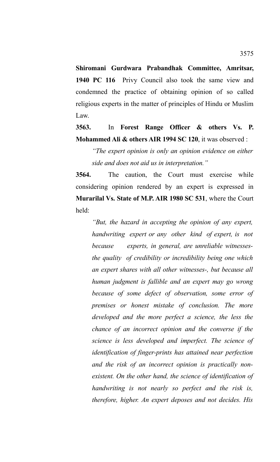**Shiromani Gurdwara Prabandhak Committee, Amritsar, 1940 PC 116** Privy Council also took the same view and condemned the practice of obtaining opinion of so called religious experts in the matter of principles of Hindu or Muslim Law.

# **3563.** In **Forest Range Officer & others Vs. P. Mohammed Ali & others AIR 1994 SC 120**, it was observed :

*"The expert opinion is only an opinion evidence on either side and does not aid us in interpretation."*

**3564.** The caution, the Court must exercise while considering opinion rendered by an expert is expressed in **Murarilal Vs. State of M.P. AIR 1980 SC 531**, where the Court held:

*"But, the hazard in accepting the opinion of any expert, handwriting expert or any other kind of expert, is not because experts, in general, are unreliable witnessesthe quality of credibility or incredibility being one which an expert shares with all other witnesses-, but because all human judgment is fallible and an expert may go wrong because of some defect of observation, some error of premises or honest mistake of conclusion. The more developed and the more perfect a science, the less the chance of an incorrect opinion and the converse if the science is less developed and imperfect. The science of identification of finger-prints has attained near perfection and the risk of an incorrect opinion is practically nonexistent. On the other hand, the science of identification of handwriting is not nearly so perfect and the risk is, therefore, higher. An expert deposes and not decides. His*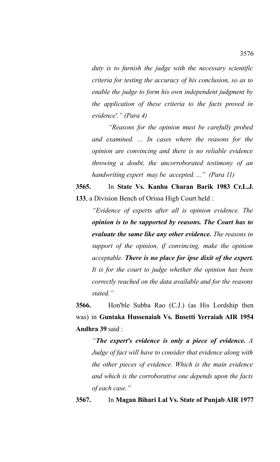*duty is to furnish the judge with the necessary scientific criteria for testing the accuracy of his conclusion, so as to enable the judge to form his own independent judgment by the application of these criteria to the facts proved in evidence'." (Para 4)* 

*"Reasons for the opinion must be carefully probed and examined. ... In cases where the reasons for the opinion are convincing and there is no reliable evidence throwing a doubt, the uncorroborated testimony of an handwriting expert may be accepted. ..." (Para 11)*

# **3565.** In **State Vs. Kanhu Charan Barik 1983 Cr.L.J. 133**, a Division Bench of Orissa High Court held :

*"Evidence of experts after all is opinion evidence. The opinion is to be supported by reasons. The Court has to evaluate the same like any other evidence. The reasons in support of the opinion, if convincing, make the opinion acceptable. There is no place for ipse dixit of the expert. It is for the court to judge whether the opinion has been correctly reached on the data available and for the reasons stated."* 

**3566.** Hon'ble Subba Rao (C.J.) (as His Lordship then was) in **Guntaka Hussenaiah Vs. Busetti Yerraiah AIR 1954 Andhra 39** said :

*"The expert's evidence is only a piece of evidence. A Judge of fact will have to consider that evidence along with the other pieces of evidence. Which is the main evidence and which is the corroborative one depends upon the facts of each case."*

**3567.** In **Magan Bihari Lal Vs. State of Punjab AIR 1977**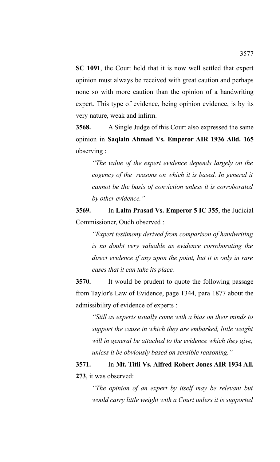**SC 1091**, the Court held that it is now well settled that expert opinion must always be received with great caution and perhaps none so with more caution than the opinion of a handwriting expert. This type of evidence, being opinion evidence, is by its very nature, weak and infirm.

**3568.** A Single Judge of this Court also expressed the same opinion in **Saqlain Ahmad Vs. Emperor AIR 1936 Alld. 165** observing :

*"The value of the expert evidence depends largely on the cogency of the reasons on which it is based. In general it cannot be the basis of conviction unless it is corroborated by other evidence."*

**3569.** In **Lalta Prasad Vs. Emperor 5 IC 355**, the Judicial Commissioner, Oudh observed :

*"Expert testimony derived from comparison of handwriting is no doubt very valuable as evidence corroborating the direct evidence if any upon the point, but it is only in rare cases that it can take its place.*

**3570.** It would be prudent to quote the following passage from Taylor's Law of Evidence, page 1344, para 1877 about the admissibility of evidence of experts :

*"Still as experts usually come with a bias on their minds to support the cause in which they are embarked, little weight will in general be attached to the evidence which they give, unless it be obviously based on sensible reasoning."*

**3571.** In **Mt. Titli Vs. Alfred Robert Jones AIR 1934 All. 273**, it was observed:

*"The opinion of an expert by itself may be relevant but would carry little weight with a Court unless it is supported*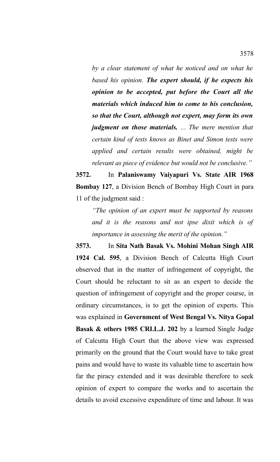*by a clear statement of what he noticed and on what he based his opinion. The expert should, if he expects his opinion to be accepted, put before the Court all the materials which induced him to come to his conclusion, so that the Court, although not expert, may form its own judgment on those materials. ... The mere mention that certain kind of tests knows as Binet and Simon tests were applied and certain results were obtained, might be relevant as piece of evidence but would not be conclusive."*

**3572.** In **Palaniswamy Vaiyapuri Vs. State AIR 1968 Bombay 127**, a Division Bench of Bombay High Court in para 11 of the judgment said :

*"The opinion of an expert must be supported by reasons and it is the reasons and not ipse dixit which is of importance in assessing the merit of the opinion."*

**3573.** In **Sita Nath Basak Vs. Mohini Mohan Singh AIR 1924 Cal. 595**, a Division Bench of Calcutta High Court observed that in the matter of infringement of copyright, the Court should be reluctant to sit as an expert to decide the question of infringement of copyright and the proper course, in ordinary circumstances, is to get the opinion of experts. This was explained in **Government of West Bengal Vs. Nitya Gopal Basak & others 1985 CRI.L.J. 202** by a learned Single Judge of Calcutta High Court that the above view was expressed primarily on the ground that the Court would have to take great pains and would have to waste its valuable time to ascertain how far the piracy extended and it was desirable therefore to seek opinion of expert to compare the works and to ascertain the details to avoid excessive expenditure of time and labour. It was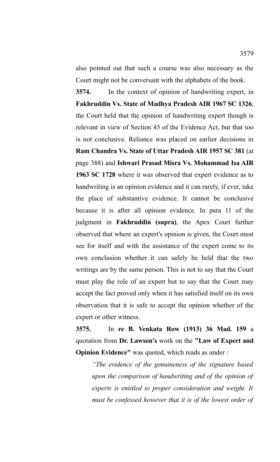also pointed out that such a course was also necessary as the Court might not be conversant with the alphabets of the book.

**3574.** In the context of opinion of handwriting expert, in **Fakhruddin Vs. State of Madhya Pradesh AIR 1967 SC 1326**, the Court held that the opinion of handwriting expert though is relevant in view of Section 45 of the Evidence Act, but that too is not conclusive. Reliance was placed on earlier decisions in **Ram Chandra Vs. State of Uttar Pradesh AIR 1957 SC 381** (at page 388) and **Ishwari Prasad Misra Vs. Mohammad Isa AIR 1963 SC 1728** where it was observed that expert evidence as to handwriting is an opinion evidence and it can rarely, if ever, take the place of substantive evidence. It cannot be conclusive because it is after all opinion evidence. In para 11 of the judgment in **Fakhruddin (supra)**, the Apex Court further observed that where an expert's opinion is given, the Court must see for itself and with the assistance of the expert come to its own conclusion whether it can safely be held that the two writings are by the same person. This is not to say that the Court must play the role of an expert but to say that the Court may accept the fact proved only when it has satisfied itself on its own observation that it is safe to accept the opinion whether of the expert or other witness.

**3575.** In **re B. Venkata Row (1913) 36 Mad. 159** a quotation from **Dr. Lawson's** work on the **"Law of Expert and Opinion Evidence"** was quoted, which reads as under :

*"The evidence of the genuineness of the signature based upon the comparison of handwriting and of the opinion of experts is entitled to proper consideration and weight. It must be confessed however that it is of the lowest order of*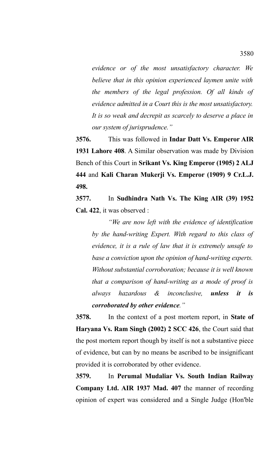*evidence or of the most unsatisfactory character. We believe that in this opinion experienced laymen unite with the members of the legal profession. Of all kinds of evidence admitted in a Court this is the most unsatisfactory. It is so weak and decrepit as scarcely to deserve a place in our system of jurisprudence."* 

**3576.** This was followed in **Indar Datt Vs. Emperor AIR 1931 Lahore 408**. A Similar observation was made by Division Bench of this Court in **Srikant Vs. King Emperor (1905) 2 ALJ 444** and **Kali Charan Mukerji Vs. Emperor (1909) 9 Cr.L.J. 498.**

**3577.** In **Sudhindra Nath Vs. The King AIR (39) 1952 Cal. 422**, it was observed :

*"We are now left with the evidence of identification by the hand-writing Expert. With regard to this class of evidence, it is a rule of law that it is extremely unsafe to base a conviction upon the opinion of hand-writing experts. Without substantial corroboration; because it is well known that a comparison of hand-writing as a mode of proof is always hazardous & inconclusive, unless it is corroborated by other evidence."*

**3578.** In the context of a post mortem report, in **State of Haryana Vs. Ram Singh (2002) 2 SCC 426**, the Court said that the post mortem report though by itself is not a substantive piece of evidence, but can by no means be ascribed to be insignificant provided it is corroborated by other evidence.

**3579.** In **Perumal Mudaliar Vs. South Indian Railway Company Ltd. AIR 1937 Mad. 407** the manner of recording opinion of expert was considered and a Single Judge (Hon'ble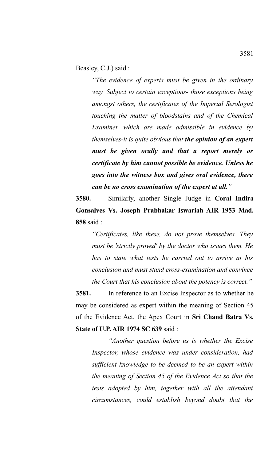Beasley, C.J.) said :

*"The evidence of experts must be given in the ordinary way. Subject to certain exceptions- those exceptions being amongst others, the certificates of the Imperial Serologist touching the matter of bloodstains and of the Chemical Examiner, which are made admissible in evidence by themselves-it is quite obvious that the opinion of an expert must be given orally and that a report merely or certificate by him cannot possible be evidence. Unless he goes into the witness box and gives oral evidence, there can be no cross examination of the expert at all."* 

**3580.** Similarly, another Single Judge in **Coral Indira Gonsalves Vs. Joseph Prabhakar Iswariah AIR 1953 Mad. 858** said :

*"Certificates, like these, do not prove themselves. They must be 'strictly proved' by the doctor who issues them. He has to state what tests he carried out to arrive at his conclusion and must stand cross-examination and convince the Court that his conclusion about the potency is correct."*

**3581.** In reference to an Excise Inspector as to whether he may be considered as expert within the meaning of Section 45 of the Evidence Act, the Apex Court in **Sri Chand Batra Vs. State of U.P. AIR 1974 SC 639** said :

*"Another question before us is whether the Excise Inspector, whose evidence was under consideration, had sufficient knowledge to be deemed to be an expert within the meaning of Section 45 of the Evidence Act so that the tests adopted by him, together with all the attendant circumstances, could establish beyond doubt that the*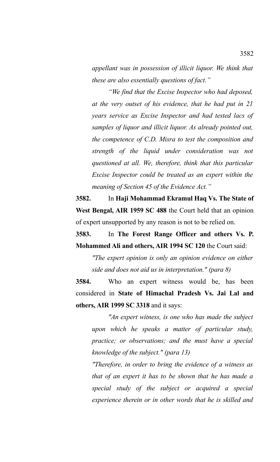*appellant was in possession of illicit liquor. We think that these are also essentially questions of fact."*

*"We find that the Excise Inspector who had deposed, at the very outset of his evidence, that he had put in 21 years service as Excise Inspector and had tested lacs of samples of liquor and illicit liquor. As already pointed out, the competence of C.D. Misra to test the composition and strength of the liquid under consideration was not questioned at all. We, therefore, think that this particular Excise Inspector could be treated as an expert within the meaning of Section 45 of the Evidence Act."* 

**3582.** In **Haji Mohammad Ekramul Haq Vs. The State of West Bengal, AIR 1959 SC 488** the Court held that an opinion of expert unsupported by any reason is not to be relied on.

**3583.** In **The Forest Range Officer and others Vs. P. Mohammed Ali and others, AIR 1994 SC 120** the Court said:

*"The expert opinion is only an opinion evidence on either side and does not aid us in interpretation." (para 8)*

**3584.** Who an expert witness would be, has been considered in **State of Himachal Pradesh Vs. Jai Lal and others, AIR 1999 SC 3318** and it says:

*"An expert witness, is one who has made the subject upon which he speaks a matter of particular study, practice; or observations; and the must have a special knowledge of the subject." (para 13)*

*"Therefore, in order to bring the evidence of a witness as that of an expert it has to be shown that he has made a special study of the subject or acquired a special experience therein or in other words that he is skilled and*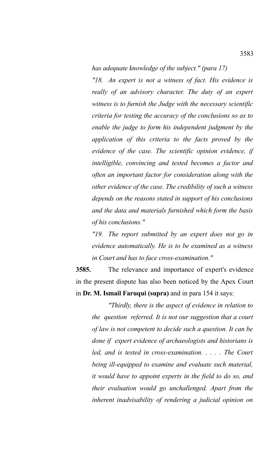*has adequate knowledge of the subject." (para 17)*

*"18. An expert is not a witness of fact. His evidence is really of an advisory character. The duty of an expert witness is to furnish the Judge with the necessary scientific criteria for testing the accuracy of the conclusions so as to enable the judge to form his independent judgment by the application of this criteria to the facts proved by the evidence of the case. The scientific opinion evidence, if intelligible, convincing and tested becomes a factor and often an important factor for consideration along with the other evidence of the case. The credibility of such a witness depends on the reasons stated in support of his conclusions and the data and materials furnished which form the basis of his conclusions."*

*"19. The report submitted by an expert does not go in evidence automatically. He is to be examined as a witness in Court and has to face cross-examination."*

**3585.** The relevance and importance of expert's evidence in the present dispute has also been noticed by the Apex Court in **Dr. M. Ismail Faruqui (supra)** and in para 154 it says:

*"Thirdly, there is the aspect of evidence in relation to the question referred. It is not our suggestion that a court of law is not competent to decide such a question. It can be done if expert evidence of archaeologists and historians is led, and is tested in cross-examination. . . . . The Court being ill-equipped to examine and evaluate such material, it would have to appoint experts in the field to do so, and their evaluation would go unchallenged. Apart from the inherent inadvisability of rendering a judicial opinion on*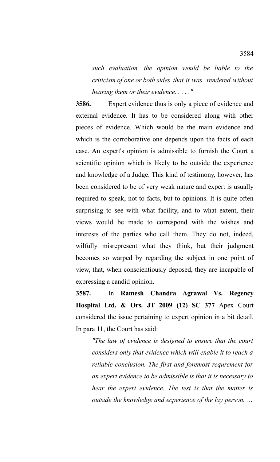*such evaluation, the opinion would be liable to the criticism of one or both sides that it was rendered without hearing them or their evidence. . . . ."*

**3586.** Expert evidence thus is only a piece of evidence and external evidence. It has to be considered along with other pieces of evidence. Which would be the main evidence and which is the corroborative one depends upon the facts of each case. An expert's opinion is admissible to furnish the Court a scientific opinion which is likely to be outside the experience and knowledge of a Judge. This kind of testimony, however, has been considered to be of very weak nature and expert is usually required to speak, not to facts, but to opinions. It is quite often surprising to see with what facility, and to what extent, their views would be made to correspond with the wishes and interests of the parties who call them. They do not, indeed, wilfully misrepresent what they think, but their judgment becomes so warped by regarding the subject in one point of view, that, when conscientiously deposed, they are incapable of expressing a candid opinion.

**3587.** In **Ramesh Chandra Agrawal Vs. Regency Hospital Ltd. & Ors. JT 2009 (12) SC 377** Apex Court considered the issue pertaining to expert opinion in a bit detail. In para 11, the Court has said:

*"The law of evidence is designed to ensure that the court considers only that evidence which will enable it to reach a reliable conclusion. The first and foremost requrement for an expert evidence to be admissible is that it is necessary to hear the expert evidence. The test is that the matter is outside the knowledge and ecperience of the lay person. …*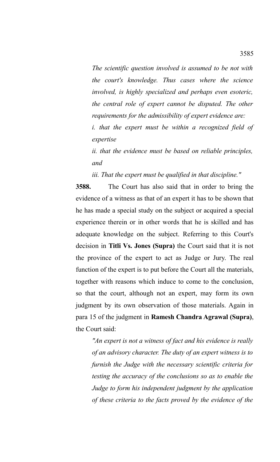*The scientific question involved is assumed to be not with the court's knowledge. Thus cases where the science involved, is highly specialized and perhaps even esoteric, the central role of expert cannot be disputed. The other requirements for the admissibility of expert evidence are:*

*i. that the expert must be within a recognized field of expertise*

*ii. that the evidence must be based on reliable principles, and*

*iii. That the expert must be qualified in that discipline."*

**3588.** The Court has also said that in order to bring the evidence of a witness as that of an expert it has to be shown that he has made a special study on the subject or acquired a special experience therein or in other words that he is skilled and has adequate knowledge on the subject. Referring to this Court's decision in **Titli Vs. Jones (Supra)** the Court said that it is not the province of the expert to act as Judge or Jury. The real function of the expert is to put before the Court all the materials, together with reasons which induce to come to the conclusion, so that the court, although not an expert, may form its own judgment by its own observation of those materials. Again in para 15 of the judgment in **Ramesh Chandra Agrawal (Supra)**, the Court said:

*"An expert is not a witness of fact and his evidence is really of an advisory character. The duty of an expert witness is to furnish the Judge with the necessary scientific criteria for testing the accuracy of the conclusions so as to enable the Judge to form his independent judgment by the application of these criteria to the facts proved by the evidence of the*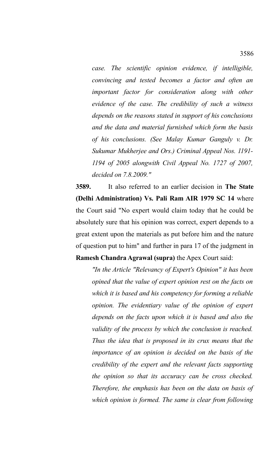*case. The scientific opinion evidence, if intelligible, convincing and tested becomes a factor and often an important factor for consideration along with other evidence of the case. The credibility of such a witness depends on the reasons stated in support of his conclusions and the data and material furnished which form the basis of his conclusions. (See Malay Kumar Ganguly v. Dr. Sukumar Mukherjee and Ors.) Criminal Appeal Nos. 1191- 1194 of 2005 alongwith Civil Appeal No. 1727 of 2007, decided on 7.8.2009."*

**3589.** It also referred to an earlier decision in **The State (Delhi Administration) Vs. Pali Ram AIR 1979 SC 14** where the Court said "No expert would claim today that he could be absolutely sure that his opinion was correct, expert depends to a great extent upon the materials as put before him and the nature of question put to him" and further in para 17 of the judgment in **Ramesh Chandra Agrawal (supra)** the Apex Court said:

*"In the Article "Relevancy of Expert's Opinion" it has been opined that the value of expert opinion rest on the facts on which it is based and his competency for forming a reliable opinion. The evidentiary value of the opinion of expert depends on the facts upon which it is based and also the validity of the process by which the conclusion is reached. Thus the idea that is proposed in its crux means that the importance of an opinion is decided on the basis of the credibility of the expert and the relevant facts supporting the opinion so that its accuracy can be cross checked. Therefore, the emphasis has been on the data on basis of which opinion is formed. The same is clear from following*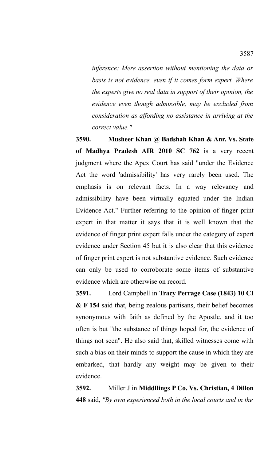*inference: Mere assertion without mentioning the data or basis is not evidence, even if it comes form expert. Where the experts give no real data in support of their opinion, the evidence even though admissible, may be excluded from consideration as affording no assistance in arriving at the correct value."*

**3590. Musheer Khan @ Badshah Khan & Anr. Vs. State of Madhya Pradesh AIR 2010 SC 762** is a very recent judgment where the Apex Court has said "under the Evidence Act the word 'admissibility' has very rarely been used. The emphasis is on relevant facts. In a way relevancy and admissibility have been virtually equated under the Indian Evidence Act." Further referring to the opinion of finger print expert in that matter it says that it is well known that the evidence of finger print expert falls under the category of expert evidence under Section 45 but it is also clear that this evidence of finger print expert is not substantive evidence. Such evidence can only be used to corroborate some items of substantive evidence which are otherwise on record.

**3591.** Lord Campbell in **Tracy Perrage Case (1843) 10 CI & F 154** said that, being zealous partisans, their belief becomes synonymous with faith as defined by the Apostle, and it too often is but "the substance of things hoped for, the evidence of things not seen". He also said that, skilled witnesses come with such a bias on their minds to support the cause in which they are embarked, that hardly any weight may be given to their evidence.

**3592.** Miller J in **Middllings P Co. Vs. Christian, 4 Dillon 448** said, *"By own experienced both in the local courts and in the*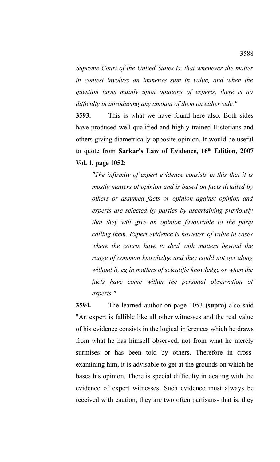*Supreme Court of the United States is, that whenever the matter in contest involves an immense sum in value, and when the question turns mainly upon opinions of experts, there is no difficulty in introducing any amount of them on either side."*

**3593.** This is what we have found here also. Both sides have produced well qualified and highly trained Historians and others giving diametrically opposite opinion. It would be useful to quote from **Sarkar's Law of Evidence, 16th Edition, 2007 Vol. 1, page 1052**:

*"The infirmity of expert evidence consists in this that it is mostly matters of opinion and is based on facts detailed by others or assumed facts or opinion against opinion and experts are selected by parties by ascertaining previously that they will give an opinion favourable to the party calling them. Expert evidence is however, of value in cases where the courts have to deal with matters beyond the range of common knowledge and they could not get along without it, eg in matters of scientific knowledge or when the facts have come within the personal observation of experts."*

**3594.** The learned author on page 1053 **(supra)** also said "An expert is fallible like all other witnesses and the real value of his evidence consists in the logical inferences which he draws from what he has himself observed, not from what he merely surmises or has been told by others. Therefore in crossexamining him, it is advisable to get at the grounds on which he bases his opinion. There is special difficulty in dealing with the evidence of expert witnesses. Such evidence must always be received with caution; they are two often partisans- that is, they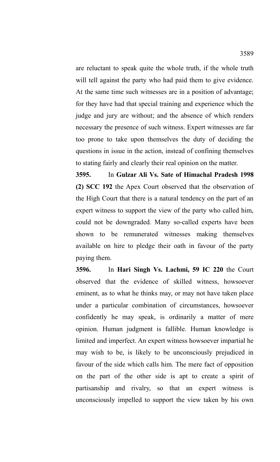are reluctant to speak quite the whole truth, if the whole truth will tell against the party who had paid them to give evidence. At the same time such witnesses are in a position of advantage; for they have had that special training and experience which the judge and jury are without; and the absence of which renders necessary the presence of such witness. Expert witnesses are far too prone to take upon themselves the duty of deciding the questions in issue in the action, instead of confining themselves to stating fairly and clearly their real opinion on the matter.

**3595.** In **Gulzar Ali Vs. Sate of Himachal Pradesh 1998 (2) SCC 192** the Apex Court observed that the observation of the High Court that there is a natural tendency on the part of an expert witness to support the view of the party who called him, could not be downgraded. Many so-called experts have been shown to be remunerated witnesses making themselves available on hire to pledge their oath in favour of the party paying them.

**3596.** In **Hari Singh Vs. Lachmi, 59 IC 220** the Court observed that the evidence of skilled witness, howsoever eminent, as to what he thinks may, or may not have taken place under a particular combination of circumstances, howsoever confidently he may speak, is ordinarily a matter of mere opinion. Human judgment is fallible. Human knowledge is limited and imperfect. An expert witness howsoever impartial he may wish to be, is likely to be unconsciously prejudiced in favour of the side which calls him. The mere fact of opposition on the part of the other side is apt to create a spirit of partisanship and rivalry, so that an expert witness is unconsciously impelled to support the view taken by his own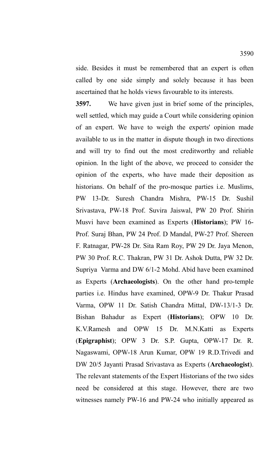side. Besides it must be remembered that an expert is often called by one side simply and solely because it has been ascertained that he holds views favourable to its interests.

**3597.** We have given just in brief some of the principles, well settled, which may guide a Court while considering opinion of an expert. We have to weigh the experts' opinion made available to us in the matter in dispute though in two directions and will try to find out the most creditworthy and reliable opinion. In the light of the above, we proceed to consider the opinion of the experts, who have made their deposition as historians. On behalf of the pro-mosque parties i.e. Muslims, PW 13-Dr. Suresh Chandra Mishra, PW-15 Dr. Sushil Srivastava, PW-18 Prof. Suvira Jaiswal, PW 20 Prof. Shirin Musvi have been examined as Experts (**Historians**); PW 16- Prof. Suraj Bhan, PW 24 Prof. D Mandal, PW-27 Prof. Shereen F. Ratnagar, PW-28 Dr. Sita Ram Roy, PW 29 Dr. Jaya Menon, PW 30 Prof. R.C. Thakran, PW 31 Dr. Ashok Dutta, PW 32 Dr. Supriya Varma and DW 6/1-2 Mohd. Abid have been examined as Experts (**Archaeologists**). On the other hand pro-temple parties i.e. Hindus have examined, OPW-9 Dr. Thakur Prasad Varma, OPW 11 Dr. Satish Chandra Mittal, DW-13/1-3 Dr. Bishan Bahadur as Expert (**Historians**); OPW 10 Dr. K.V.Ramesh and OPW 15 Dr. M.N.Katti as Experts (**Epigraphist**); OPW 3 Dr. S.P. Gupta, OPW-17 Dr. R. Nagaswami, OPW-18 Arun Kumar, OPW 19 R.D.Trivedi and DW 20/5 Jayanti Prasad Srivastava as Experts (**Archaeologist**). The relevant statements of the Expert Historians of the two sides need be considered at this stage. However, there are two witnesses namely PW-16 and PW-24 who initially appeared as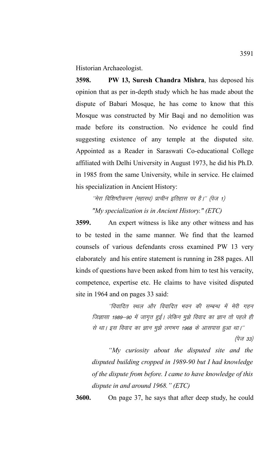Historian Archaeologist.

**3598. PW 13, Suresh Chandra Mishra**, has deposed his opinion that as per in-depth study which he has made about the dispute of Babari Mosque, he has come to know that this Mosque was constructed by Mir Baqi and no demolition was made before its construction. No evidence he could find suggesting existence of any temple at the disputed site. Appointed as a Reader in Saraswati Co-educational College affiliated with Delhi University in August 1973, he did his Ph.D. in 1985 from the same University, while in service. He claimed his specialization in Ancient History:

''मेरा विशिष्टीकरण (महारथ) प्राचीन इतिहास पर है।'' (पेज 1) *"My specialization is in Ancient History." (ETC)*

**3599.** An expert witness is like any other witness and has to be tested in the same manner. We find that the learned counsels of various defendants cross examined PW 13 very elaborately and his entire statement is running in 288 pages. All kinds of questions have been asked from him to test his veracity, competence, expertise etc. He claims to have visited disputed site in 1964 and on pages 33 said:

''विवादित स्थल और विवादित भवन की सम्बन्ध में मेरी गहन जिज्ञासा 1989–90 में जागृत हुई। लेकिन मुझे विवाद का ज्ञान तो पहले ही से था। इस विवाद का ज्ञान मुझे लगभग 1968 के आसपास हुआ था।''

 $(\dot{q}\bar{w}$  33)

*"My curiosity about the disputed site and the disputed building cropped in 1989-90 but I had knowledge of the dispute from before. I came to have knowledge of this dispute in and around 1968." (ETC)*

**3600.** On page 37, he says that after deep study, he could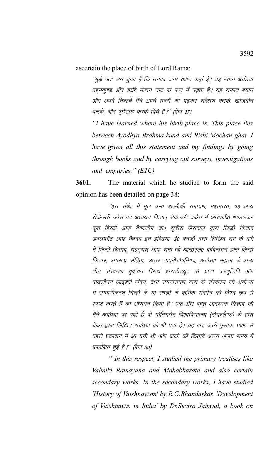ascertain the place of birth of Lord Rama:

''मुझे पता लग चुका है कि उनका जन्म स्थान कहाँ है। यह स्थान अयोध्या ब्रह्मकुण्ड और ऋषि मोचन घाट के मध्य में पड़ता है। यह समस्त बयान ओर अपने निष्कर्ष मैंने अपने ग्रन्थों को पढ़कर सर्वेक्षण करके, खोजबीन करके, और पूछॅताछ करके दिये हैं।'' (पेज 37)

*"I have learned where his birth-place is. This place lies between Ayodhya Brahma-kund and Rishi-Mochan ghat. I have given all this statement and my findings by going through books and by carrying out surveys, investigations and enquiries." (ETC)* 

**3601.** The material which he studied to form the said opinion has been detailed on page 38:

''इस संबंध में मूल ग्रन्थ बाल्मीकी रामायण, महाभारत, वह अन्य सेकेन्डरी वर्क्स का अध्ययन किया। सेकेन्डरी वर्कस में आर0जी0 भण्डारकर कृत हिस्टी आफ वैष्णजीम डा0 सबीरा जैसवाल द्वारा लिखी किताब डवलपमेंट आफ वैषनव इन इण्डिया, ई0 बनर्जी द्वारा लिखित राम के बारे में लिखी किताब, राइटयस आफ रामा जो आर0एल0 ब्राकिउटन द्वारा लिखी किताब, अगस्त्य संहिता, उत्तर तापनीयोपनिषद, अयोध्या महात्म के अन्य तीन संस्करण वृदांवन रिसर्च इन्सटीट्यूट से प्राप्त पाण्डुलिपि और बाडलीयन लाइब्रेरी लंदन, तथा रामनारायण दास के संस्करण जो अयोध्या में राममयीकरण चिन्हों के या स्थलों के क्रमिक संवर्धन को विषद रूप से स्पष्ट करते हैं का अध्ययन किया है। एक और बहुत आवश्यक किताब जो मैंने अयोध्या पर पढी है वो ग्रोनिंगगेन विश्वविद्यालय (नीदरलैण्ड) के हांस बेकर द्वारा लिखित अयोध्या को भी पढ़ा है। यह बाद वाली पुस्तक 1990 से पहले प्रकाशन में आ गयी थी और बाकी की किताबें अलग अलग समय में प्रकाशित हुई है।'' (पेज 38)

*" In this respect, I studied the primary treatises like Valmiki Ramayana and Mahabharata and also certain secondary works. In the secondary works, I have studied 'History of Vaishnavism' by R.G.Bhandarkar, 'Development of Vaishnavas in India' by Dr.Suvira Jaiswal, a book on*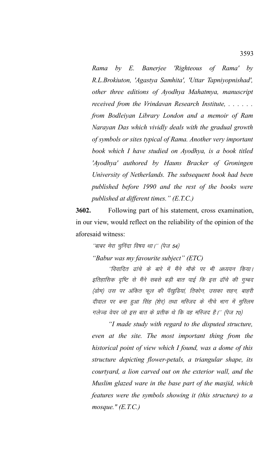*Rama by E. Banerjee 'Righteous of Rama' by R.L.Brokiuton, 'Agastya Samhita', 'Uttar Tapniyopnishad', other three editions of Ayodhya Mahatmya, manuscript received from the Vrindavan Research Institute, . . . . . . from Bodleiyan Library London and a memoir of Ram Narayan Das which vividly deals with the gradual growth of symbols or sites typical of Rama. Another very important book which I have studied on Ayodhya, is a book titled 'Ayodhya' authored by Hauns Bracker of Groningen University of Netherlands. The subsequent book had been published before 1990 and the rest of the books were published at different times." (E.T.C.)*

**3602.** Following part of his statement, cross examination, in our view, would reflect on the reliability of the opinion of the aforesaid witness:

"बाबर मेरा चुनिंदा विषय था।'' (पेज 54)

*"Babur was my favourite subject" (ETC)* 

''विवादित ढांचे के बारे में मैंने मौके पर भी अध्ययन किया। इतिहासिक दृष्टि से मैंने सबसे बड़ी बात पाई कि इस ढॉचे की गुम्बद (डोम) उस पर अंकित फूल की पॅखुडियां, तिकोन, उसका सहन, बाहरी दीवाल पर बना हुआ सिंह (शेर) तथा मस्जिद के नीचे भाग में मुस्लिम गलेज्ड वेयर जो इस बात के प्रतीक थे कि वह मस्जिद है।'' (पेज 70)

*"I made study with regard to the disputed structure, even at the site. The most important thing from the historical point of view which I found, was a dome of this structure depicting flower-petals, a triangular shape, its courtyard, a lion carved out on the exterior wall, and the Muslim glazed ware in the base part of the masjid, which features were the symbols showing it (this structure) to a mosque." (E.T.C.)*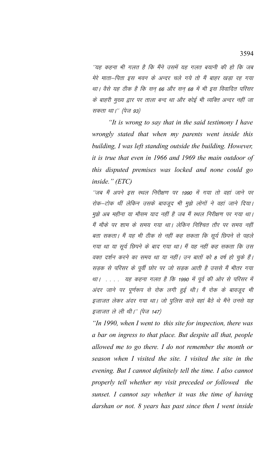´´यह कहना भी गलत है कि मैंने उसमें यह गलत बयानी की हो कि जब मेरे माता–पिता इस भवन के अन्दर चले गये तो मैं बाहर खड़ा रह गया था। वैसे यह ठीक है कि सन 66 और सन 68 में भी इस विवादित परिसर के बाहरी मुख्य द्वार पर ताला बन्द था और कोई भी व्यक्ति अन्दर नहीं जा सकता था।'' (पेज 93)

*"It is wrong to say that in the said testimony I have wrongly stated that when my parents went inside this building, I was left standing outside the building. However, it is true that even in 1966 and 1969 the main outdoor of this disputed premises was locked and none could go inside." (ETC)* 

''जब मैं अपने इस स्थल निरीक्षण पर 1990 में गया तो वहां जाने पर रोक-टोक थीं लेकिन उसके बावजूद भी मुझे लोगों ने वहां जाने दिया। मुझे अब महीना या मौसम याद नहीं है जब मैं स्थल निरीक्षण पर गया था। मैं मौके पर शाम के समय गया था। लेकिन निश्चित तौर पर समय नहीं बता सकता। मैं यह भी ठीक से नहीं कह सकता कि सूर्य छिपने से पहले गया था या सूर्य छिपने के बाद गया था। मैं यह नहीं कह सकता कि उस वक्त दर्शन करने का समय था या नहीं। उन बातों को 8 वर्ष हो चुके हैं। सड़क से परिसर के पूर्वी छोर पर जो सड़क आती है उससे मैं भीतर गया था। . . . . यह कहना गलत है कि 1990 में पूर्व की ओर से परिसर में अंदर जाने पर पूर्णरूप से रोक लगी हुई थी। मैं रोक के बावजूद भी इजाजत लेकर अंदर गया था। जो पुलिस वाले वहां बैठे थे मैंने उनसे यह इजाजत ले ली थी।'' (पेज 147)

*"In 1990, when I went to this site for inspection, there was a bar on ingress to that place. But despite all that, people allowed me to go there. I do not remember the month or season when I visited the site. I visited the site in the evening. But I cannot definitely tell the time. I also cannot properly tell whether my visit preceded or followed the sunset. I cannot say whether it was the time of having darshan or not. 8 years has past since then I went inside*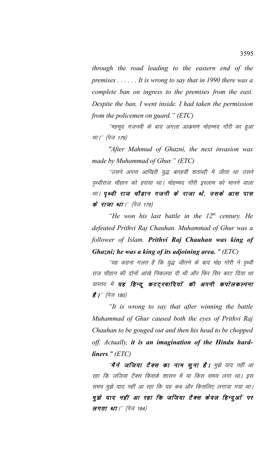*through the road leading to the eastern end of the premises . . . . . . It is wrong to say that in 1990 there was a complete ban on ingress to the premises from the east. Despite the ban, I went inside. I had taken the permission from the policemen on guard." (ETC)* 

''महमूद गजनवी के बाद अगला आक्रमण मोहम्मद गौरी का <u>हु</u>आ था।'' (पेज 179)

*"After Mahmud of Ghazni, the next invasion was made by Muhammad of Ghur." (ETC)* 

´उसने अपना आखिरी युद्ध बारहवीं शताब्दी में जीता था उसने पृथ्वीराज चौहान को हराया था। मोहम्मद गौरी इस्लाम को मानने वाला था। पृथ्वी राज चौहान गजनी के राजा थे, उसके आस पास के राजा था।'' (पेज 179)

*"He won his last battle in the 12th century. He defeated Prithvi Raj Chauhan. Muhammad of Ghur was a follower of Islam. Prithvi Raj Chauhan was king of Ghazni; he was a king of its adjoining area. " (ETC)* 

''यह कहना गलत है कि युद्ध जीतने के बाद मो0 गोरी ने पृथ्वी राज चौहान की दोनों आंखे निकलवा दी थी और फिर सिर काट दिया था वास्तव में **यह हिन्दू कटट्खादियों की अपनी कपोलकल्पना है |'' (पेज 180)** 

*"It is wrong to say that after winning the battle Muhammad of Ghur caused both the eyes of Prithvi Raj Chauhan to be gouged out and then his head to be chopped off. Actually, it is an imagination of the Hindu hardliners." (ETC)* 

''**मैने जजिया टैक्स का नाम सूना है।** मुझे याद नहीं आ रहा कि जजिया टैक्स किसके शासन में या किस समय लगा था। इस समय मुझे याद नहीं आ रहा कि यह कब और किसलिए लगाया गया था। मुझे याद नहीं आ रहा कि जजिया टैक्स केवल हिन्दुओं पर **लगता था**।'' (पेज 184)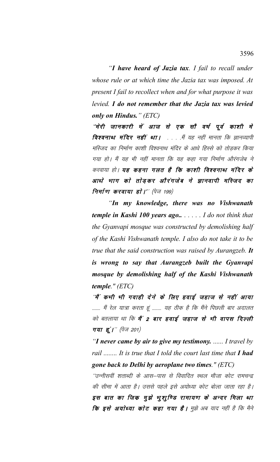*"I have heard of Jazia tax. I fail to recall under whose rule or at which time the Jazia tax was imposed. At present I fail to recollect when and for what purpose it was levied. I do not remember that the Jazia tax was levied only on Hindus." (ETC)* 

"मेरी जानकारी में आज से एक सौ वर्ष पूर्व काशी मे **विश्वनाथ मंदिर नहीं था।** . . . . मैं यह नहीं मानता कि ज्ञानव्यापी मस्जिद का निर्माण काशी विश्वनाथ मंदिर के आधे हिस्से को तोडकर किया गया हो। मैं यह भी नहीं मानता कि यह कहा गया निर्माण औरंगजेब ने करवाया हो। **यह कहना गलत है कि काशी विश्वनाथ मंदिर के** आधो भाग को तोड़कर औरंगजेब ने ज्ञानवापी मस्जिद का निर्माण करवाया हो |'' (पेज 199)

*"In my knowledge, there was no Vishwanath temple in Kashi 100 years ago.. . . . . . I do not think that the Gyanvapi mosque was constructed by demolishing half of the Kashi Vishwanath temple. I also do not take it to be true that the said construction was raised by Aurangzeb. It is wrong to say that Aurangzeb built the Gyanvapi mosque by demolishing half of the Kashi Vishwanath temple." (ETC)* 

*''*मैं कभी भी गवाही देने के लिए हवाई जहाज से नहीं आया ....... मैं रेल यात्रा करता हूं ........ यह ठीक है कि मैंने पिछली बार अदालत को बतलाया था कि **मैं 2 बार हवाई जहाज से भी वापस दिल्ली**  $\pi$ या हूं।" (पेज 201)

*"I never came by air to give my testimony. ...... I travel by rail ........ It is true that I told the court last time that I had gone back to Delhi by aeroplane two times." (ETC)* 

''उन्नीसवीं शताब्दी के आस–पास से विवादित स्थल मौजा कोट रामचन्द्र की सीमा में आता है। उससे पहले इसे अयोध्या कोट बोला जाता रहा है। इस बात का जिक मुझे भुश् $\hat{p}$ ड रामायण के अन्दर मिला था कि इसे अयोध्या कोट कहा गया है। मुझे अब याद नहीं है कि मैने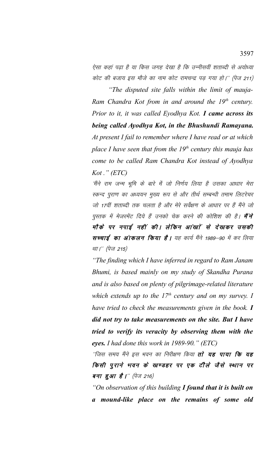ऐसा कहां पढ़ा है या किस जगह देखा है कि उन्नीसवीं शताब्दी से अयोध्या कोट की बजाय इस मौजे का नाम कोट रामचन्द्र पड़ गया हो।" (पेज 211)

*"The disputed site falls within the limit of mauja-Ram Chandra Kot from in and around the 19th century. Prior to it, it was called Eyodhya Kot. I came across its being called Ayodhya Kot, in the Bhushundi Ramayana. At present I fail to remember where I have read or at which place I have seen that from the 19th century this mauja has come to be called Ram Chandra Kot instead of Ayodhya Kot ." (ETC)* 

'मैंने राम जन्म भूमि के बारे में जो निर्णय लिया है उसका आधार मेरा स्कन्द पुराण का अध्ययन मुख्य रूप से और तीर्थ सम्बन्धी तमाम लिटरेचर जो 17वीं शताब्दी तक चलता है और मेरे सर्वेक्षण के आधार पर हैं मैंने जो पुस्तक में मेजरमेंट दिये हैं उनको चेक करने की कोशिश की है। **मैंने** मौके पर नपाई नहीं की। लेकिन आंखों से देखकर उसकी सच्चाई का आंकलन किया है। यह कार्य मैंने 1989–90 में कर लिया था।'' (पेज 215)

*"The finding which I have inferred in regard to Ram Janam Bhumi, is based mainly on my study of Skandha Purana and is also based on plenty of pilgrimage-related literature which extends up to the 17th century and on my survey. I have tried to check the measurements given in the book. I did not try to take measurements on the site. But I have tried to verify its veracity by observing them with the eyes. I had done this work in 1989-90." (ETC)* 

''जिस समय मैंने इस भवन का निरीक्षण किया **तो यह पाया कि यह** किसी पूराने भवन के खण्डहर पर एक टीले जैसे स्थान पर बना हुआ $\vec{B}$  |" (पेज 216)

*"On observation of this building I found that it is built on a mound-like place on the remains of some old*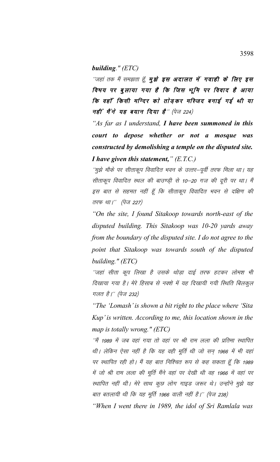#### *building." (ETC)*

''जहां तक मैं समझता हूँ, **मुझे इस अदालत में गवाही के लिए इस** विषय पर बुलाया गया है कि जिस भूमि पर विवाद है आया कि वहाँ किसी मन्दिर को तोड़कर मस्जिद बनाई गई थी या नहीं मैंने यह बयान दिया है" (पेज 224)

*"As far as I understand, I have been summoned in this court to depose whether or not a mosque was constructed by demolishing a temple on the disputed site. I have given this statement," (E.T.C.)*

''मुझे मौके पर सीताकूप विवादित भवन के उत्तर—पूर्वी तरफ मिला था। यह सीताकूप विवादित स्थल की बाउण्ड़ी से 10–20 गज की दूरी पर था। मैं इस बात से सहमत नहीं हूँ कि सीताकूप विवादित भवन से दक्षिण की तरफ था।'' (पेज 227)

*"On the site, I found Sitakoop towards north-east of the disputed building. This Sitakoop was 10-20 yards away from the boundary of the disputed site. I do not agree to the point that Sitakoop was towards south of the disputed building." (ETC)* 

''जहां सीता कूप लिखा है उसके थोड़ा दाई तरफ हटकर लोमश भी दिखाया गया है। मेरे हिसाब से नक्शे में यह दिखायी गयी स्थिति बिलकुल गलत है।'' (पेज 232)

*"The 'Lomash' is shown a bit right to the place where 'Sita Kup' is written. According to me, this location shown in the map is totally wrong." (ETC)* 

''मैं 1989 में जब वहां गया तो वहां पर श्री राम लला की प्रतिमा स्थापित थी। लेकिन ऐसा नहीं है कि यह वही मूर्ति थी जो सन् 1966 में भी वहां पर स्थापित रही हो। मैं यह बात निश्चित रूप से कह सकता हूँ कि 1989 में जो श्री राम लला की मूर्ति मैंने वहां पर देखी थी वह 1966 में वहां पर स्थापित नहीं थी। मेरे साथ कुछ लोग गाइड जरूर थे। उन्होंने मुझे यह बात बतलायी थी कि यह मूर्ति 1966 वाली नहीं है।'' (पेज 238)

*"When I went there in 1989, the idol of Sri Ramlala was*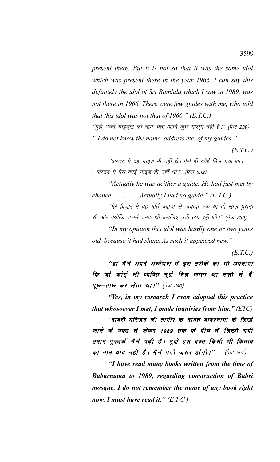*present there. But it is not so that it was the same idol which was present there in the year 1966. I can say this definitely the idol of Sri Ramlala which I saw in 1989, was not there in 1966. There were few guides with me, who told that this idol was not that of 1966." (E.T.C.)* ''मुझे अपने गाइड्स का नाम, पता आदि कुछ मालूम नहीं है।'' (पेज 239)

*" I do not know the name, address etc. of my guides."*

*(E.T.C.)*

''वास्तव में वह गाइड भी नहीं थे। ऐसे ही कोई मिल गया था। . . . वास्तव में मेरा कोई गाइड ही नहीं था।'' (पेज 239)

*"Actually he was neither a guide. He had just met by chance. . .. . . .. . .Actually I had no guide." (E.T.C.)*

''मेरे विचार में वह मूर्ति ज्यादा से जयादा एक या दो साल पुरानी थी और क्योंकि उसमें चमक थी इसलिए नयी लग रही थी।'' (पेज 239)

*"In my opinion this idol was hardly one or two years old, because it had shine. As such it appeared new."*

*(E.T.C.)*

''हां मैं ने अपने अन्वेषण में इस तरीके को भी अपनाया कि जो कोई भी व्यक्ति मुझे मिल जाता था उसी से मैं  $\mathbf{u} \mathbf{v} - \mathbf{v} \mathbf{v} \mathbf{v} \mathbf{v} \mathbf{v} \mathbf{v} \mathbf{v}$  (पेज 240)

*"Yes, in my research I even adopted this practice that whosoever I met, I made inquiries from him." (ETC)*

"बाबरी मस्जिद की तामीर के बाबत बाबरनामा के लिखे जाने के वक्त से लेकर 1989 तक के बीच में लिखी गयी तमाम पुस्तकें मैंने पढ़ी है। मुझे इस वक्त किसी भी किताब का नाम याद नहीं है। मैंने पढ़ी जरूर होगी।'' (पेज 257)

*"I have read many books written from the time of Babarnama to 1989, regarding construction of Babri mosque. I do not remember the name of any book right now. I must have read it." (E.T.C.)*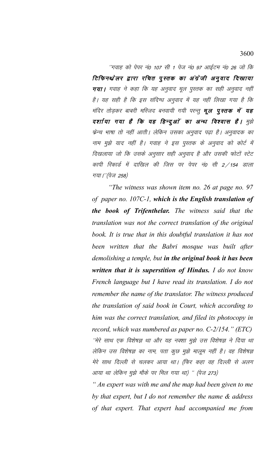''गवाह को पेपर नं0 107 सी 1 पेज नं0 97 आईटम नं0 26 जो कि टिफिनथ्रेलर द्वारा रचित पुस्तक का अंग्रेजी अनुवाद दिखाया गया। गवाह ने कहा कि यह अनुवाद मूल पुस्तक का सही अनुवाद नहीं है। यह सही है कि इस संदिग्ध अनुवाद में यह नहीं लिखा गया है कि मंदिर तोड़कर बाबरी मस्जिद बनवायी गयी परन्तु **मूल पुस्तक में यह** दर्शाया गया है कि यह हिन्दुओं का अन्ध विश्वास है। मुझे फ्रेन्च भाषा तो नहीं आती। लेकिन उसका अनुवाद पढ़ा है। अनुवादक का नाम मुझे याद नहीं है। गवाह ने इस पुस्तक के अनुवाद को कोर्ट में दिखलाया जो कि उसके अनुसार सही अनुवाद है और उसकी फोटों स्टेट कापी रिकार्ड में दाखिल की जिस पर पेपर नं0 सी 2 ⁄ 154 डाला गया।"(पेज 258)

*"The witness was shown item no. 26 at page no. 97 of paper no. 107C-1, which is the English translation of the book of Trifenthelar. The witness said that the translation was not the correct translation of the original book. It is true that in this doubtful translation it has not been written that the Babri mosque was built after demolishing a temple, but in the original book it has been written that it is superstition of Hindus. I do not know French language but I have read its translation. I do not remember the name of the translator. The witness produced the translation of said book in Court, which according to him was the correct translation, and filed its photocopy in record, which was numbered as paper no. C-2/154." (ETC)* ''मेरे साथ एक विशेषज्ञ था और यह नक्शा मुझे उस विशेषज्ञ ने दिया था लेकिन उस विशेषज्ञ का नाम, पता कुछ मुझे मालूम नहीं है। वह विशेषज्ञ मेरे साथ दिल्ली से चलकर आया था। (फिर कहा वह दिल्ली से अलग आया था लेकिन मुझे मौके पर मिल गया था) " (पेज 273)

*" An expert was with me and the map had been given to me by that expert, but I do not remember the name & address of that expert. That expert had accompanied me from*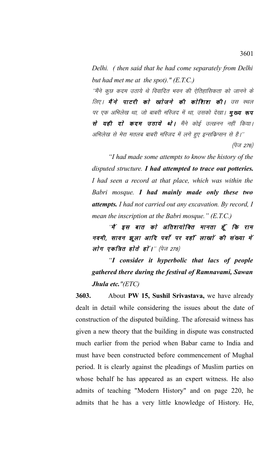*Delhi. ( then said that he had come separately from Delhi but had met me at the spot)." (E.T.C.)*

''मैंने कुछ कदम उठाये थे विवादित भवन की ऐतिहासिकता को जानने के लिए। **मैंने पाटरी को खाेजने की काेशिश की।** उस स्थल पर एक अभिलेख था, जो बाबरी मस्जिद में था, उसको देखा। **मुख्य रूप** से यही दो कदम उठाये थे। मैंने कोई उत्खनन नहीं किया। अभिलेख से मेरा मतलब बाबरी मस्जिद में लगे हुए इन्सक्रिप्सन से है।''

(पेज 276)

*"I had made some attempts to know the history of the disputed structure. I had attempted to trace out potteries. I had seen a record at that place, which was within the Babri mosque. I had mainly made only these two attempts. I had not carried out any excavation. By record, I mean the inscription at the Babri mosque." (E.T.C.)*

"मैं इस बात को अतिशयोक्ति मानता हूँ कि राम नवमी, सावन झूला आदि पर्वा पर वहाँ लाखां की संख्या में लोग एकत्रित होते हों ।'' (पेज 278)

*"I consider it hyperbolic that lacs of people gathered there during the festival of Ramnavami, Sawan Jhula etc."(ETC)*

**3603.** About **PW 15, Sushil Srivastava,** we have already dealt in detail while considering the issues about the date of construction of the disputed building. The aforesaid witness has given a new theory that the building in dispute was constructed much earlier from the period when Babar came to India and must have been constructed before commencement of Mughal period. It is clearly against the pleadings of Muslim parties on whose behalf he has appeared as an expert witness. He also admits of teaching "Modern History" and on page 220, he admits that he has a very little knowledge of History. He,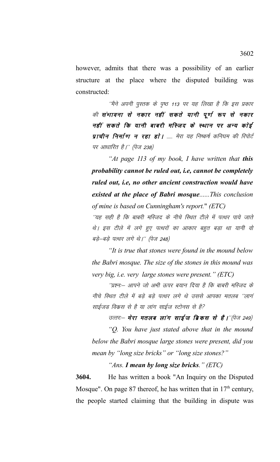however, admits that there was a possibility of an earlier structure at the place where the disputed building was constructed:

''मैने अपनी पुस्तक के पृष्ठ 113 पर यह लिखा है कि इस प्रकार की संभावना से नकार नहीं सकते यानी पूर्ण रूप से नकार नहीं सकते कि यानी बाबरी मस्जिद के स्थान पर अन्य कोई प्राचीन निर्माण न रहा हो | ..... मेरा यह निष्कर्ष कनिघम की रिपोर्ट पर आधारित है।'' (पेज 238)

*"At page 113 of my book, I have written that this probability cannot be ruled out, i.e, cannot be completely ruled out, i.e, no other ancient construction would have existed at the place of Babri mosque......This conclusion of mine is based on Cunningham's report.*" *(ETC)* 

''यह सही है कि बाबरी मस्जिद के नीचे स्थित टीले में पत्थर पाये जाते थे। इस टीले में लगे हुए पत्थरों का आकार बहुत बड़ा था यानी वो बड़े-बड़े पत्थर लगे थे।" (पेज 248)

*"It is true that stones were found in the mound below the Babri mosque. The size of the stones in this mound was very big, i.e. very large stones were present." (ETC)* 

''प्रश्न:-- आपने जो अभी ऊपर बयान दिया है कि बाबरी मस्जिद के नीचे स्थित टीले में बड़े बड़े पत्थर लगे थे उससे आपका मतलब ''लागं साईजड विकस से है या लांग साईज स्टोनस से है?

उत्तर:— **मेरा मतलब लांग साईज ब्रिकस से है।**''(पेज 249)

*"Q. You have just stated above that in the mound below the Babri mosque large stones were present, did you mean by "long size bricks" or "long size stones?"*

*"Ans. I mean by long size bricks." (ETC)* 

**3604.** He has written a book "An Inquiry on the Disputed Mosque". On page 87 thereof, he has written that in  $17<sup>th</sup>$  century, the people started claiming that the building in dispute was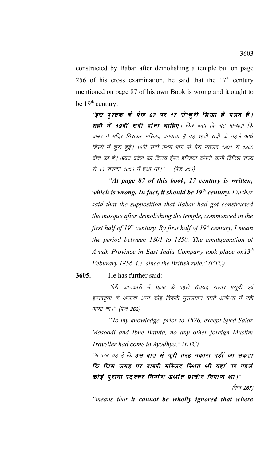constructed by Babar after demolishing a temple but on page 256 of his cross examination, he said that the  $17<sup>th</sup>$  century mentioned on page 87 of his own Book is wrong and it ought to be  $19<sup>th</sup>$  century:

"इस पुस्तक के पेज 87 पर 17 सेन्चूरी लिखा है गलत है। सही में 19वीं सदी होना चाहिए। फिर कहा कि यह मान्यता कि बाबर ने मंदिर गिराकर मस्जिद बनवाया है वह 19वी सदी के पहले आधे हिस्से में शुरू हुई। 19वी सदी प्रथम भाग से मेरा मतलब 1801 से 1850 बीच का है। अवध प्रदेश का विलय ईस्ट इण्डिया कंपनी यानी ब्रिटिश राज्य से 13 फरवरी 1856 में हुआ था।'' (पेज 256)

*"At page 87 of this book, 17 century is written, which is wrong. In fact, it should be 19th century. Further said that the supposition that Babar had got constructed the mosque after demolishing the temple, commenced in the first half of 19th century. By first half of 19th century, I mean the period between 1801 to 1850. The amalgamation of Avadh Province in East India Company took place on13th Feburary 1856. i.e. since the British rule." (ETC)* 

**3605.** He has further said:

''मेरी जानकारी में 1526 के पहले सैय़यद सलार मसूदी एवं इब्नबतूता के अलावा अन्य कोई विदेशी मुसलमान यात्री अयोध्या में नहीं आया था।'' (पेज 262)

*"To my knowledge, prior to 1526, except Syed Salar Masoodi and Ibne Batuta, no any other foreign Muslim Traveller had come to Ayodhya." (ETC)* 

''मतलब यह है कि **इस बात से पूरी तरह नकारा नहीं जा सकता** कि जिस जगह पर बाबरी मस्जिद स्थित थी यहां पर पहले कोई पुराना स्ट्क्चर निर्माण अर्थात प्राचीन निर्माण था।"

(पेज 267)

*"means that it cannot be wholly ignored that where*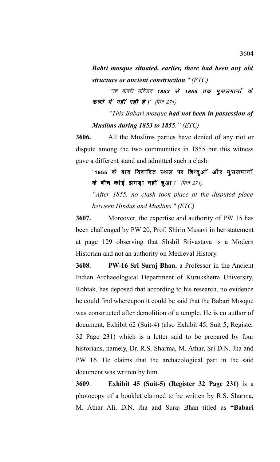*Babri mosque situated, earlier, there had been any old structure or ancient construction." (ETC)*

''यह बाबरी मस्जिद **1853 से 1855 तक मुसलमानों के** कब्जे में नहीं रही है।" (पेज 271)

*"This Babari mosque had not been in possession of Muslims during 1853 to 1855." (ETC)* 

**3606.** All the Muslims parties have denied of any riot or dispute among the two communities in 1855 but this witness gave a different stand and admitted such a clash:

 $^{\prime\prime}$ 1855 के बाद विवादित स्थल पर हिन्द्ओं और मुसलमानों के बीच कोई झगड़ा नहीं हुआ।" (पेज 271)

*"After 1855, no clash took place at the disputed place between Hindus and Muslims." (ETC)* 

**3607.** Moreover, the expertise and authority of PW 15 has been challenged by PW 20, Prof. Shirin Musavi in her statement at page 129 observing that Shshil Srivastava is a Modern Historian and not an authority on Medieval History.

**3608. PW-16 Sri Suraj Bhan**, a Professor in the Ancient Indian Archaeological Department of Kurukshetra University, Rohtak, has deposed that according to his research, no evidence he could find whereupon it could be said that the Babari Mosque was constructed after demolition of a temple. He is co author of document, Exhibit 62 (Suit-4) (also Exhibit 45, Suit 5; Register 32 Page 231) which is a letter said to be prepared by four historians, namely, Dr. R.S. Sharma, M. Athar, Sri D.N. Jha and PW 16. He claims that the archaeological part in the said document was written by him.

**3609**. **Exhibit 45 (Suit-5) (Register 32 Page 231)** is a photocopy of a booklet claimed to be written by R.S. Sharma, M. Athar Ali, D.N. Jha and Suraj Bhan titled as **"Babari**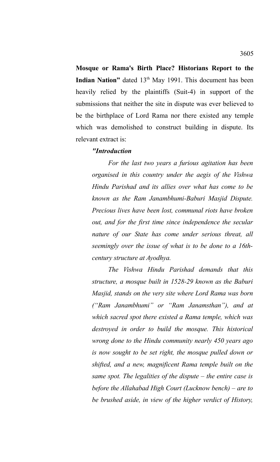**Mosque or Rama's Birth Place? Historians Report to the Indian Nation"** dated 13<sup>th</sup> May 1991. This document has been heavily relied by the plaintiffs (Suit-4) in support of the submissions that neither the site in dispute was ever believed to be the birthplace of Lord Rama nor there existed any temple which was demolished to construct building in dispute. Its relevant extract is:

### *"Introduction*

*For the last two years a furious agitation has been organised in this country under the aegis of the Vishwa Hindu Parishad and its allies over what has come to be known as the Ram Janambhumi-Baburi Masjid Dispute. Precious lives have been lost, communal riots have broken out, and for the first time since independence the secular nature of our State has come under serious threat, all seemingly over the issue of what is to be done to a 16thcentury structure at Ayodhya.* 

*The Vishwa Hindu Parishad demands that this structure, a mosque built in 1528-29 known as the Baburi Masjid, stands on the very site where Lord Rama was born ("Ram Janambhumi" or "Ram Janamsthan"), and at which sacred spot there existed a Rama temple, which was destroyed in order to build the mosque. This historical wrong done to the Hindu community nearly 450 years ago is now sought to be set right, the mosque pulled down or shifted, and a new, magnificent Rama temple built on the same spot. The legalities of the dispute – the entire case is before the Allahabad High Court (Lucknow bench) – are to be brushed aside, in view of the higher verdict of History,*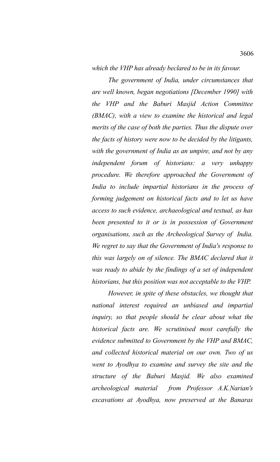*which the VHP has already beclared to be in its favour.* 

*The government of India, under circumstances that are well known, began negotiations [December 1990] with the VHP and the Baburi Masjid Action Committee (BMAC), with a view to examine the historical and legal merits of the case of both the parties. Thus the dispute over the facts of history were now to be decided by the litigants, with the government of India as an umpire, and not by any independent forum of historians: a very unhappy procedure. We therefore approached the Government of India to include impartial historians in the process of forming judgement on historical facts and to let us have access to such evidence, archaeological and textual, as has been presented to it or is in possession of Government organisations, such as the Archeological Survey of India. We regret to say that the Government of India's response to this was largely on of silence. The BMAC declared that it was ready to abide by the findings of a set of independent historians, but this position was not acceptable to the VHP.* 

*However, in spite of these obstacles, we thought that national interest required an unbiased and impartial inquiry, so that people should be clear about what the historical facts are. We scrutinised most carefully the evidence submitted to Government by the VHP and BMAC, and collected historical material on our own. Two of us went to Ayodhya to examine and survey the site and the structure of the Baburi Masjid. We also examined archeological material from Professor A.K.Narian's excavations at Ayodhya, now preserved at the Banaras*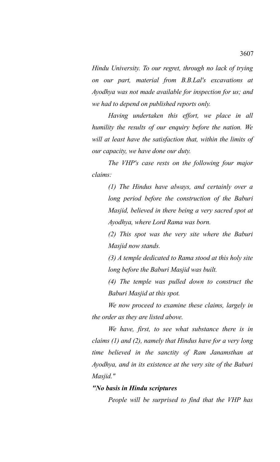*Hindu University. To our regret, through no lack of trying on our part, material from B.B.Lal's excavations at Ayodhya was not made available for inspection for us; and we had to depend on published reports only.* 

*Having undertaken this effort, we place in all humility the results of our enquiry before the nation. We will at least have the satisfaction that, within the limits of our capacity, we have done our duty.*

*The VHP's case rests on the following four major claims:*

*(1) The Hindus have always, and certainly over a long period before the construction of the Baburi Masjid, believed in there being a very sacred spot at Ayodhya, where Lord Rama was born.*

*(2) This spot was the very site where the Baburi Masjid now stands.*

*(3) A temple dedicated to Rama stood at this holy site long before the Baburi Masjid was built.* 

*(4) The temple was pulled down to construct the Baburi Masjid at this spot.*

*We now proceed to examine these claims, largely in the order as they are listed above.*

*We have, first, to see what substance there is in claims (1) and (2), namely that Hindus have for a very long time believed in the sanctity of Ram Janamsthan at Ayodhya, and in its existence at the very site of the Baburi Masjid."*

### *"No basis in Hindu scriptures*

*People will be surprised to find that the VHP has*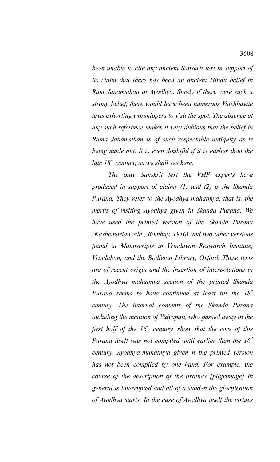*been unable to cite any ancient Sanskrit text in support of its claim that there has been an ancient Hindu belief in Ram Janamsthan at Ayodhya. Surely if there were such a strong belief, there would have been numerous Vaishbavite texts exhorting worshippers to visit the spot. The absence of any such reference makes it very dubious that the belief in Rama Janamsthan is of such respectable antiquity as is being made out. It is even doubtful if it is earlier than the late 18th century, as we shall see here.* 

*The only Sanskrit text the VHP experts have produced in support of claims (1) and (2) is the Skanda Purana. They refer to the Ayodhya-mahatmya, that is, the merits of visiting Ayodhya given in Skanda Purana. We have used the printed version of the Skanda Purana (Kashemarian edn., Bombay, 1910) and two other versions found in Manuscripts in Vrindavan Reswarch Institute, Vrindaban, and the Bodleian Library, Oxford. These texts are of recent origin and the insertion of interpolations in the Ayodhya mahatmya section of the printed Skanda Purana seems to have continued at least till the 18th century. The internal contents of the Skanda Purana including the mention of Vidyapati, who passed away in the first half of the 16th century, show that the core of this Purana itself was not compiled until earlier than the 16th century. Ayodhya-mahatmya given n the printed version has not been compiled by one hand. For example, the course of the description of the tirathas [pilgrimage] in general is interrupted and all of a sudden the glorification of Ayodhya starts. In the case of Ayodhya itself the virtues*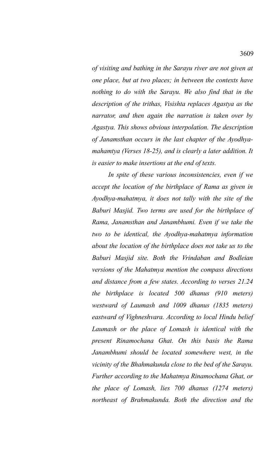*of visiting and bathing in the Sarayu river are not given at one place, but at two places; in between the contexts have nothing to do with the Sarayu. We also find that in the description of the trithas, Visishta replaces Agastya as the narrator, and then again the narration is taken over by Agastya. This shows obvious interpolation. The description of Janamsthan occurs in the last chapter of the Ayodhyamahamtya (Verses 18-25), and is clearly a later addition. It is easier to make insertions at the end of texts.* 

*In spite of these various inconsistencies, even if we accept the location of the birthplace of Rama as given in Ayodhya-mahatmya, it does not tally with the site of the Baburi Masjid. Two terms are used for the birthplace of Rama, Janamsthan and Janambhumi. Even if we take the two to be identical, the Ayodhya-mahatmya information about the location of the birthplace does not take us to the Baburi Masjid site. Both the Vrindaban and Bodleian versions of the Mahatmya mention the compass directions and distance from a few states. According to verses 21.24 the birthplace is located 500 dhanus (910 meters) westward of Laumash and 1009 dhanus (1835 meters) eastward of Vighneshvara. According to local Hindu belief Laumash or the place of Lomash is identical with the present Rinamochana Ghat. On this basis the Rama Janambhumi should be located somewhere west, in the vicinity of the Bhahmakunda close to the bed of the Sarayu. Further according to the Mahatmya Rinamochana Ghat, or the place of Lomash, lies 700 dhanus (1274 meters) northeast of Brahmakunda. Both the direction and the*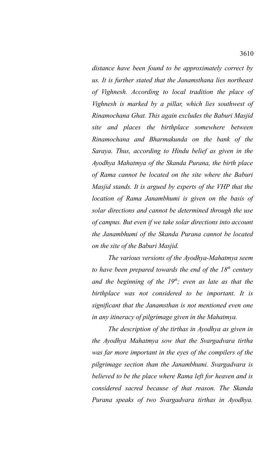*distance have been found to be approximately correct by us. It is further stated that the Janamsthana lies northeast of Vighnesh. According to local tradition the place of Vighnesh is marked by a pillar, which lies southwest of Rinamochana Ghat. This again excludes the Baburi Masjid site and places the birthplace somewhere between Rinamochana and Bharmakunda on the bank of the Saraya. Thus, according to Hindu belief as given in the Ayodhya Mahatmya of the Skanda Purana, the birth place of Rama cannot be located on the site where the Baburi Masjid stands. It is argued by experts of the VHP that the location of Rama Janambhumi is given on the basis of solar directions and cannot be determined through the use of campus. But even if we take solar directions into account the Janambhumi of the Skanda Purana cannot be located on the site of the Baburi Masjid.* 

*The various versions of the Ayodhya-Mahatmya seem to have been prepared towards the end of the 18th century and the beginning of the 19th; even as late as that the birthplace was not considered to be important. It is significant that the Janamsthan is not mentioned even one in any itineracy of pilgrimage given in the Mahatmya.* 

*The description of the tirthas in Ayodhya as given in the Ayodhya Mahatmya sow that the Svargadvara tirtha was far more important in the eyes of the compilers of the pilgrimage section than the Janambhumi. Svargadvara is believed to be the place where Rama left for heaven and is considered sacred because of that reason. The Skanda Purana speaks of two Svargadvara tirthas in Ayodhya.*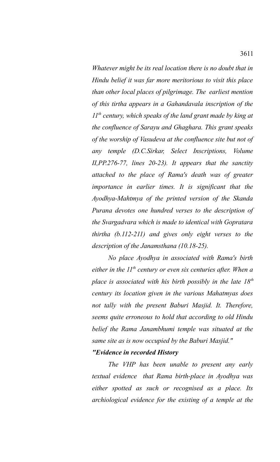*Whatever might be its real location there is no doubt that in Hindu belief it was far more meritorious to visit this place than other local places of pilgrimage. The earliest mention of this tirtha appears in a Gahandavala inscription of the 11th century, which speaks of the land grant made by king at the confluence of Sarayu and Ghaghara. This grant speaks of the worship of Vasudeva at the confluence site but not of any temple (D.C.Sirkar, Select Inscriptions, Volume II,PP.276-77, lines 20-23). It appears that the sanctity attached to the place of Rama's death was of greater importance in earlier times. It is significant that the Ayodhya-Mahtmya of the printed version of the Skanda Purana devotes one hundred verses to the description of the Svargadvara which is made to identical with Gopratara thirtha (b.112-211) and gives only eight verses to the description of the Janamsthana (10.18-25).* 

*No place Ayodhya in associated with Rama's birth either in the 11th century or even six centuries after. When a place is associated with his birth possibly in the late 18th century its location given in the various Mahatmyas does not tally with the present Baburi Masjid. It. Therefore, seems quite erroneous to hold that according to old Hindu belief the Rama Janambhumi temple was situated at the same site as is now occupied by the Baburi Masjid."*

## *"Evidence in recorded History*

*The VHP has been unable to present any early textual evidence that Rama birth-place in Ayodhya was either spotted as such or recognised as a place. Its archiological evidence for the existing of a temple at the*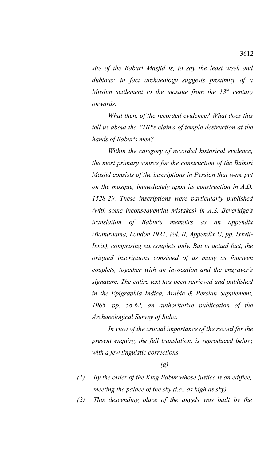*site of the Baburi Masjid is, to say the least week and dubious; in fact archaeology suggests proximity of a Muslim settlement to the mosque from the 13th century onwards.* 

*What then, of the recorded evidence? What does this tell us about the VHP's claims of temple destruction at the hands of Babur's men?*

*Within the category of recorded historical evidence, the most primary source for the construction of the Baburi Masjid consists of the inscriptions in Persian that were put on the mosque, immediately upon its construction in A.D. 1528-29. These inscriptions were particularly published (with some inconsequential mistakes) in A.S. Beveridge's translation of Babur's memoirs as an appendix (Banurnama, London 1921, Vol. II, Appendix U, pp. Ixxvii-Ixxix), comprising six couplets only. But in actual fact, the original inscriptions consisted of as many as fourteen couplets, together with an invocation and the engraver's signature. The entire text has been retrieved and published in the Epigraphia Indica, Arabic & Persian Supplement, 1965, pp. 58-62, an authoritative publication of the Archaeological Survey of India.*

*In view of the crucial importance of the record for the present enquiry, the full translation, is reproduced below, with a few linguistic corrections.*

*(a)*

- *(1) By the order of the King Babur whose justice is an edifice, meeting the palace of the sky (i.e., as high as sky)*
- *(2) This descending place of the angels was built by the*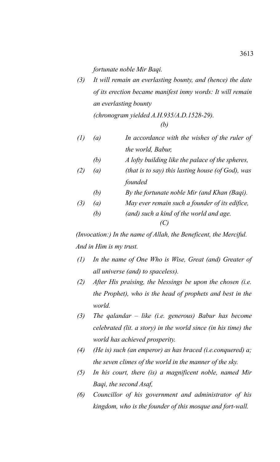*fortunate noble Mir Baqi.*

*(3) It will remain an everlasting bounty, and (hence) the date of its erection became manifest inmy words: It will remain an everlasting bounty*

*(chronogram yielded A.H.935/A.D.1528-29). (b)*

$$
(b)
$$

- *(1) (a) In accordance with the wishes of the ruler of the world, Babur,*
	- *(b) A lofty building like the palace of the spheres,*
- *(2) (a) (that is to say) this lasting house (of God), was founded*
	- *(b) By the fortunate noble Mir (and Khan (Baqi).*
- *(3) (a) May ever remain such a founder of its edifice,*
	- *(b) (and) such a kind of the world and age. (C)*

*(Invocation:) In the name of Allah, the Beneficent, the Merciful. And in Him is my trust.* 

- *(1) In the name of One Who is Wise, Great (and) Greater of all universe (and) to spaceless).*
- *(2) After His praising, the blessings be upon the chosen (i.e. the Prophet), who is the head of prophets and best in the world.*
- *(3) The qalandar like (i.e. generous) Babur has become celebrated (lit. a story) in the world since (in his time) the world has achieved prosperity.*
- *(4) (He is) such (an emperor) as has braced (i.e.conquered) a; the seven climes of the world in the manner of the sky.*
- *(5) In his court, there (is) a magnificent noble, named Mir Baqi, the second Asaf,*
- *(6) Councillor of his government and administrator of his kingdom, who is the founder of this mosque and fort-wall.*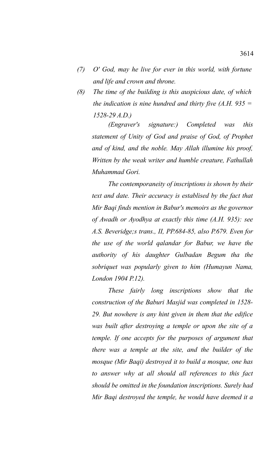- *(7) O' God, may he live for ever in this world, with fortune and life and crown and throne.*
- *(8) The time of the building is this auspicious date, of which the indication is nine hundred and thirty five (A.H. 935 = 1528-29 A.D.)*

*(Engraver's signature:) Completed was this statement of Unity of God and praise of God, of Prophet and of kind, and the noble. May Allah illumine his proof, Written by the weak writer and humble creature, Fathullah Muhammad Gori.* 

*The contemporaneity of inscriptions is shown by their text and date. Their accuracy is establised by the fact that Mir Baqi finds mention in Babur's memoirs as the governor of Awadh or Ayodhya at exactly this time (A.H. 935): see A.S. Beveridge;s trans., II, PP.684-85, also P.679. Even for the use of the world qalandar for Babur, we have the authority of his daughter Gulbadan Begum tha the sobriquet was popularly given to him (Humayun Nama, London 1904 P.12).* 

*These fairly long inscriptions show that the construction of the Baburi Masjid was completed in 1528- 29. But nowhere is any hint given in them that the edifice was built after destroying a temple or upon the site of a temple. If one accepts for the purposes of argument that there was a temple at the site, and the builder of the mosque (Mir Baqi) destroyed it to build a mosque, one has to answer why at all should all references to this fact should be omitted in the foundation inscriptions. Surely had Mir Baqi destroyed the temple, he would have deemed it a*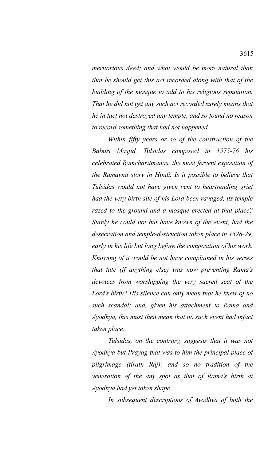*meritorious deed; and what would be more natural than that he should get this act recorded along with that of the building of the mosque to add to his religious reputation. That he did not get any such act recorded surely means that he in fact not destroyed any temple, and so found no reason to record something that had not happened.* 

*Within fifty years or so of the construction of the Baburi Masjid, Tulsidas composed in 1575-76 his celebrated Ramcharitmanas, the most fervent exposition of the Ramayna story in Hindi. Is it possible to believe that Tulsidas would not have given vent to heartrending grief had the very birth site of his Lord been ravaged, its temple razed to the ground and a mosque erected at that place? Surely he could not but have known of the event, had the desecration and temple-destruction taken place in 1528-29, early in his life but long before the composition of his work. Knowing of it would be not have complained in his verses that fate (if anything else) was now preventing Rama's devotees from worshipping the very sacred seat of the Lord's birth? His silence can only mean that he knew of no such scandal; and, given his attachment to Rama and Ayodhya, this must then mean that no such event had infact taken place.* 

*Tulsidas, on the contrary, suggests that it was not Ayodhya but Prayag that was to him the principal place of pilgrimage (tirath Raj); and so no tradition of the veneration of the any spot as that of Rama's birth at Ayodhya had yet taken shape.* 

*In subsequent descriptions of Ayodhya of both the*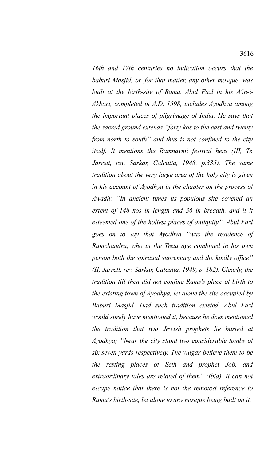*16th and 17th centuries no indication occurs that the baburi Masjid, or, for that matter, any other mosque, was built at the birth-site of Rama. Abul Fazl in his A'in-i-Akbari, completed in A.D. 1598, includes Ayodhya among the important places of pilgrimage of India. He says that the sacred ground extends "forty kos to the east and twenty from north to south" and thus is not confined to the city itself. It mentions the Ramnavmi festival here (III, Tr. Jarrett, rev. Sarkar, Calcutta, 1948. p.335). The same tradition about the very large area of the holy city is given in his account of Ayodhya in the chapter on the process of Awadh: "In ancient times its populous site covered an extent of 148 kos in length and 36 in breadth, and it it esteemed one of the holiest places of antiquity". Abul Fazl goes on to say that Ayodhya "was the residence of Ramchandra, who in the Treta age combined in his own person both the spiritual supremacy and the kindly office" (II, Jarrett, rev. Sarkar, Calcutta, 1949, p. 182). Clearly, the tradition till then did not confine Rams's place of birth to the existing town of Ayodhya, let alone the site occupied by Baburi Masjid. Had such tradition existed, Abul Fazl would surely have mentioned it, because he does mentioned the tradition that two Jewish prophets lie buried at Ayodhya; "Near the city stand two considerable tombs of six seven yards respectively. The vulgar believe them to be the resting places of Seth and prophet Job, and extraordinary tales are related of them" (Ibid). It can not escape notice that there is not the remotest reference to Rama's birth-site, let alone to any mosque being built on it.*

3616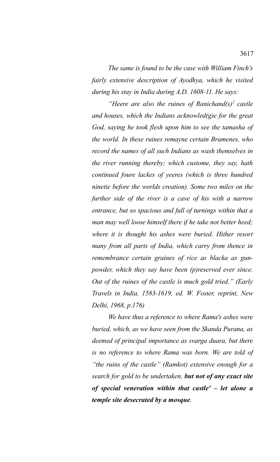*The same is found to be the case with William Finch's fairly extensive description of Ayodhya, which he visited during his stay in India during A.D. 1608-11. He says:* 

*"Heere are also the ruines of Ranichand(s)<sup>2</sup> castle and houses, which the Indians acknowled(g)e for the great God, saying he took flesh upon him to see the tamasha of the world. In these ruines remayne certain Bramenes, who record the names of all such Indians as wash themselves in the river running thereby; which custome, they say, hath continued foure lackes of yeeres (which is three hundred ninetie before the worlds creation). Some two miles on the further side of the river is a cave of his with a narrow entrance, but so spacious and full of turnings within that a man may well loose himself there if he take not better heed; where it is thought his ashes were buried. Hither resort many from all parts of India, which carry from thence in remembrance certain graines of rice as blacka as gunpowder, which they say have been (p)reserved ever since. Out of the ruines of the castle is much gold tried." (Early Travels in India, 1583-1619, ed. W. Foster, reprint, New Delhi, 1968, p.176)*

*We have thus a reference to where Rama's ashes were buried, which, as we have seen from the Skanda Purana, as deemed of principal importance as svarga duara, but there is no reference to where Rama was born. We are told of "the ruins of the castle" (Ramkot) extensive enough for a search for gold to be undertaken, but not of any exact site of special veneration within that castle' – let alone a temple site desecrated by a mosque.*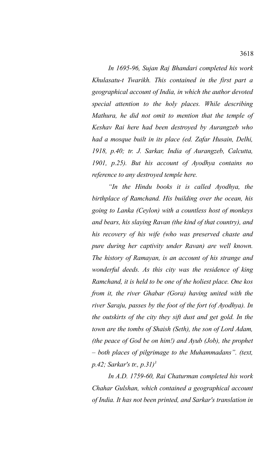*In 1695-96, Sujan Raj Bhandari completed his work Khulasatu-t Twarikh. This contained in the first part a geographical account of India, in which the author devoted special attention to the holy places. While describing Mathura, he did not omit to mention that the temple of Keshav Rai here had been destroyed by Aurangzeb who had a mosque built in its place (ed. Zafar Husain, Delhi, 1918, p.40; tr. J. Sarkar, India of Aurangzeb, Calcutta, 1901, p.25). But his account of Ayodhya contains no reference to any destroyed temple here.* 

*"In the Hindu books it is called Ayodhya, the birthplace of Ramchand. His building over the ocean, his going to Lanka (Ceylon) with a countless host of monkeys and bears, his slaying Ravan (the kind of that country), and his recovery of his wife (who was preserved chaste and pure during her captivity under Ravan) are well known. The history of Ramayan, is an account of his strange and wonderful deeds. As this city was the residence of king Ramchand, it is held to be one of the holiest place. One kos from it, the river Ghabar (Gora) having united with the river Saraju, passes by the foot of the fort (of Ayodhya). In the outskirts of the city they sift dust and get gold. In the town are the tombs of Shaish (Seth), the son of Lord Adam, (the peace of God be on him!) and Ayub (Job), the prophet – both places of pilgrimage to the Muhammadans". (text, p.42; Sarkar's tr., p.31)<sup>3</sup>*

*In A.D. 1759-60, Rai Chaturman completed his work Chahar Gulshan, which contained a geographical account of India. It has not been printed, and Sarkar's translation in*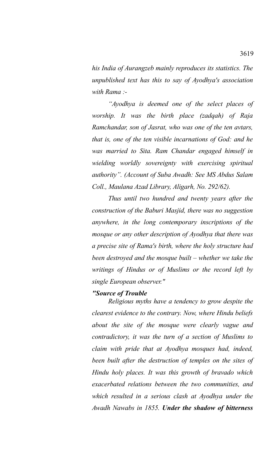*his India of Aurangzeb mainly reproduces its statistics. The unpublished text has this to say of Ayodhya's association with Rama :-*

*"Ayodhya is deemed one of the select places of worship. It was the birth place (zadqah) of Raja Ramchandar, son of Jasrat, who was one of the ten avtars, that is, one of the ten visible incarnations of God: and he was married to Sita. Ram Chandar engaged himself in wielding worldly sovereignty with exercising spiritual authority". (Account of Suba Awadh: See MS Abdus Salam Coll., Maulana Azad Library, Aligarh, No. 292/62).* 

*Thus until two hundred and twenty years after the construction of the Baburi Masjid, there was no suggestion anywhere, in the long contemporary inscriptions of the mosque or any other description of Ayodhya that there was a precise site of Rama's birth, where the holy structure had been destroyed and the mosque built – whether we take the writings of Hindus or of Muslims or the record left by single European observer."* 

## *"Source of Trouble*

*Religious myths have a tendency to grow despite the clearest evidence to the contrary. Now, where Hindu beliefs about the site of the mosque were clearly vague and contradictory, it was the turn of a section of Muslims to claim with pride that at Ayodhya mosques had, indeed, been built after the destruction of temples on the sites of Hindu holy places. It was this growth of bravado which exacerbated relations between the two communities, and which resulted in a serious clash at Ayodhya under the Awadh Nawabs in 1855. Under the shadow of bitterness*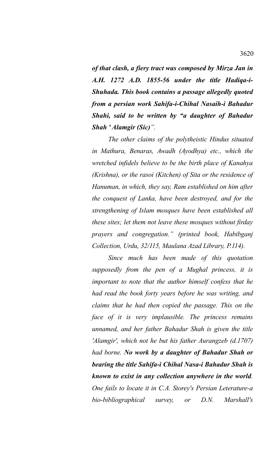*of that clash, a fiery tract was composed by Mirza Jan in A.H. 1272 A.D. 1855-56 under the title Hadiqa-i-Shuhada. This book contains a passage allegedly quoted from a persian work Sahifa-i-Chihal Nasaih-i Bahadur Shahi, said to be written by "a daughter of Bahadur Shah ' Alamgir (Sic)".*

*The other claims of the polytheistic Hindus situated in Mathura, Benaras, Awadh (Ayodhya) etc., which the wretched infidels believe to be the birth place of Kanahya (Krishna), or the rasoi (Kitchen) of Sita or the residence of Hanuman, in which, they say, Ram established on him after the conquest of Lanka, have been destroyed, and for the strengthening of Islam mosques have been established all these sites; let them not leave these mosques without firday prayers and congregation." (printed book, Habibganj Collection, Urdu, 32/115, Maulana Azad Library, P.114).* 

*Since much has been made of this quotation supposedly from the pen of a Mughal princess, it is important to note that the author himself confess that he had read the book forty years before he was writing, and claims that he had then copied the passage. This on the face of it is very implausible. The princess remains unnamed, and her father Bahadur Shah is given the title 'Alamgir', which not he but his father Aurangzeb (d.1707) had borne. No work by a daughter of Bahadur Shah or bearing the title Sahifa-i Chihal Nasa-i Bahadur Shah is known to exist in any collection anywhere in the world. One fails to locate it in C.A. Storey's Persian Leterature-a bio-bibliographical survey, or D.N. Marshall's*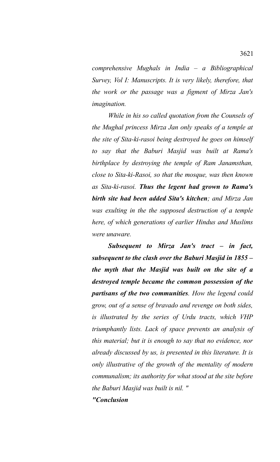*comprehensive Mughals in India – a Bibliographical Survey, Vol I: Manuscripts. It is very likely, therefore, that the work or the passage was a figment of Mirza Jan's imagination.* 

*While in his so called quotation from the Counsels of the Mughal princess Mirza Jan only speaks of a temple at the site of Sita-ki-rasoi being destroyed he goes on himself to say that the Baburi Masjid was built at Rama's birthplace by destroying the temple of Ram Janamsthan, close to Sita-ki-Rasoi, so that the mosque, was then known as Sita-ki-rasoi. Thus the legent had grown to Rama's birth site had been added Sita's kitchen; and Mirza Jan was exulting in the the supposed destruction of a temple here, of which generations of earlier Hindus and Muslims were unaware.* 

*Subsequent to Mirza Jan's tract – in fact, subsequent to the clash over the Baburi Masjid in 1855 – the myth that the Masjid was built on the site of a destroyed temple became the common possession of the partisans of the two communities. How the legend could grow, out of a sense of bravado and revenge on both sides, is illustrated by the series of Urdu tracts, which VHP triumphantly lists. Lack of space prevents an analysis of this material; but it is enough to say that no evidence, nor already discussed by us, is presented in this literature. It is only illustrative of the growth of the mentality of modern communalism; its authority for what stood at the site before the Baburi Masjid was built is nil. "*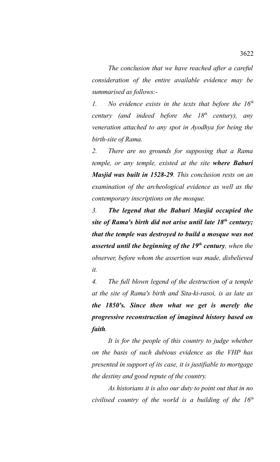*The conclusion that we have reached after a careful consideration of the entire available evidence may be summarised as follows:-*

*1. No evidence exists in the texts that before the 16th century (and indeed before the 18th century), any veneration attached to any spot in Ayodhya for being the birth-site of Rama.*

*2. There are no grounds for supposing that a Rama temple, or any temple, existed at the site where Baburi Masjid was built in 1528-29. This conclusion rests on an examination of the archeological evidence as well as the contemporary inscriptions on the mosque.* 

*3. The legend that the Baburi Masjid occupied the site of Rama's birth did not arise until late 18th century; that the temple was destroyed to build a mosque was not asserted until the beginning of the 19th century, when the observer, before whom the assertion was made, disbelieved it.* 

*4. The full blown legend of the destruction of a temple at the site of Rama's birth and Sita-ki-rasoi, is as late as the 1850's. Since then what we get is merely the progressive reconstruction of imagined history based on faith.* 

*It is for the people of this country to judge whether on the basis of such dubious evidence as the VHP has presented in support of its case, it is justifiable to mortgage the destiny and good repute of the country.* 

*As historians it is also our duty to point out that in no civilised country of the world is a building of the 16th*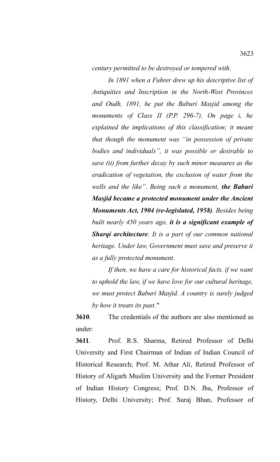*century permitted to be destroyed or tempered with.* 

*In 1891 when a Fuhrer drew up his descriptive list of Antiquities and Inscription in the North-West Provinces and Oudh, 1891, he put the Baburi Masjid among the monuments of Class II (P.P. 296-7). On page i, he explained the implications of this classification; it meant that though the monument was "in possession of private bodies and individuals", it was possible or desirable to save (it) from further decay by such minor measures as the eradication of vegetation, the exclusion of water from the wells and the like". Being such a monument, the Baburi Masjid became a protected monument under the Ancient Monuments Act, 1904 (re-legislated, 1958). Besides being built nearly 450 years ago, it is a significant example of Sharqi architecture. It is a part of our common national heritage. Under law, Government must save and preserve it as a fully protected monument.*

*If then, we have a care for historical facts, if we want to uphold the law, if we have love for our cultural heritage, we must protect Baburi Masjid. A country is surely judged by how it treats its past."*

**3610**. The credentials of the authors are also mentioned as under:

**3611**. Prof. R.S. Sharma, Retired Professor of Delhi University and First Chairman of Indian of Indian Council of Historical Research; Prof. M. Athar Ali, Retired Professor of History of Aligarh Muslim University and the Former President of Indian History Congress; Prof. D.N. Jha, Professor of History, Delhi University; Prof. Suraj Bhan, Professor of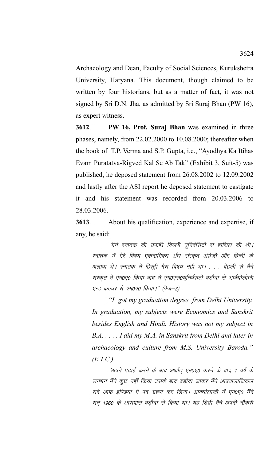Archaeology and Dean, Faculty of Social Sciences, Kurukshetra University, Haryana. This document, though claimed to be written by four historians, but as a matter of fact, it was not signed by Sri D.N. Jha, as admitted by Sri Suraj Bhan (PW 16), as expert witness.

**3612**. **PW 16, Prof. Suraj Bhan** was examined in three phases, namely, from 22.02.2000 to 10.08.2000; thereafter when the book of T.P. Verma and S.P. Gupta, i.e., "Ayodhya Ka Itihas Evam Puratatva-Rigved Kal Se Ab Tak" (Exhibit 3, Suit-5) was published, he deposed statement from 26.08.2002 to 12.09.2002 and lastly after the ASI report he deposed statement to castigate it and his statement was recorded from 20.03.2006 to 28.03.2006.

**3613**. About his qualification, experience and expertise, if any, he said:

''मैंने स्नातक की उपाधि दिल्ली यूनिर्वसिटी से हासिल की थी। स्नातक में मेरे विषय एकनामिक्स और संस्कृत अंग्रेजी और हिन्दी के अलावा थे। स्नातक में हिस्ट्री मेरा विषय नहीं था। . . . देहली से मैंने संस्कृत में एम0ए0 किया बाद में एम0एस0यूनिर्वसटी बडौदा से आर्क्योलोजी एन्ड कल्चर से एम0ए0 किया।'' (पेज-3)

*"I got my graduation degree from Delhi University. In graduation, my subjects were Economics and Sanskrit besides English and Hindi. History was not my subject in B.A. . . . . I did my M.A. in Sanskrit from Delhi and later in archaeology and culture from M.S. University Baroda." (E.T.C.)* 

''अपने पढ़ाई करने के बाद अर्थात् एम0ए0 करने के बाद 1 वर्ष के लगभग मैंने कुछ नहीं किया उसके बाद बडौदा जाकर मैंने आक्या्लाजिकल सर्वे आफ इण्डिया में पद ग्रहण कर लिया। आक्यालाजी में एम0ए0 मैंने सन् 1960 के आसपास बड़ौदा से किया था। यह डिग्री मैंने अपनी नौकरी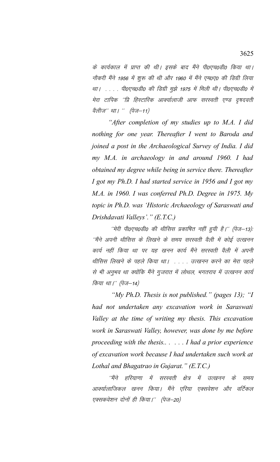के कार्यकाल में प्राप्त की थी। इसके बाद मैंने पी0एच0डी0 किया था। नौकरी मैंने 1956 में शुरू की थी और 1960 में मैंने एम0ए0 की डिग्री लिया था। .... पी0एच0डी0 की डिग्री मुझे 1975 में मिली थी। पी0एच0डी0 में मेरा टापिक ''प्रि हिस्टारिक आक्यालाजी आफ सरस्वती एण्ड दृषदवती वैलीज'' था। '' (पेज-11)

"After completion of my studies up to M.A. I did nothing for one year. Thereafter I went to Baroda and joined a post in the Archaeological Survey of India. I did my M.A. in archaeology in and around 1960. I had obtained my degree while being in service there. Thereafter I got my Ph.D. I had started service in 1956 and I got my M.A. in 1960. I was conferred Ph.D. Degree in 1975. My topic in Ph.D. was 'Historic Archaeology of Saraswati and Drishdavati Valleys'." (E.T.C.)

"मेरी पी0एच0डी0 की थीसिस प्रकाषित नहीं ह़यी है।'' (पेज-13): ''मैंने अपनी थीसिस के लिखने के समय सरस्वती वैली में कोई उत्खनन कार्य नहीं किया था पर यह खनन कार्य मैंने सरस्वती वैली में अपनी थीसिस लिखने के पहले किया था। . . . . उत्खनन करने का मेरा पहले से भी अनुभव था क्योंकि मैंने गुजरात में लोथल, भगतराव में उत्खनन कार्य किया था।'' (पेज—14)

"My Ph.D. Thesis is not published." (pages 13); "I had not undertaken any excavation work in Saraswati Valley at the time of writing my thesis. This excavation work in Saraswati Valley, however, was done by me before proceeding with the thesis...... I had a prior experience of excavation work because I had undertaken such work at Lothal and Bhagatrao in Gujarat." (E.T.C.)

''मैंने हरियाणा में सरस्वती क्षेत्र में उत्खनन के समय आक्यालाजिकल खनन किया। मैंने एरिया एक्सवेशन और वर्टिकल एक्सकवेशन दोनों ही किया।'' (पेज–20)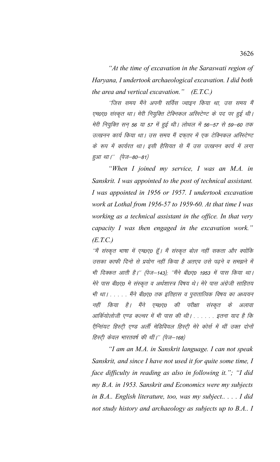"At the time of excavation in the Saraswati region of Haryana, I undertook archaeological excavation. I did both the area and vertical excavation."  $(E.T.C.)$ 

''जिस समय मैंने अपनी सर्विस ज्वाइन किया था, उस समय मैं एम0ए0 संस्कृत था। मेरी नियुक्ति टेक्निकल अस्स्टिण्ट के पद पर हुई थी। मेरी नियुक्ति सन 56 या 57 में हुई थी। लोथल में 56–57 से 59–60 तक उत्खनन कार्य किया था। उस समय मैं दफ़्तर में एक टेक्निकल अस्स्टिण्ट के रूप में कार्यरत था। इसी हैसियत से मैं उस उत्खनन कार्य में लगा हुआ था।'' (पेज-80-81)

"When I joined my service, I was an M.A. in Sanskrit. I was appointed to the post of technical assistant. I was appointed in 1956 or 1957. I undertook excavation work at Lothal from 1956-57 to 1959-60. At that time I was working as a technical assistant in the office. In that very capacity I was then engaged in the excavation work."  $(E.T.C.)$ 

''मैं संस्कृत भाषा में एम0ए0 हूँ। मैं संस्कृत बोल नहीं सकता और क्योंकि उसका काफी दिनो से प्रयोग नहीं किया है अतएव उसे पढने व समझने में भी दिक्कत आती है।'' (पेज–143); ''मैंने बी0ए0 1953 में पास किया था। मेरे पास बी0ए0 मे संस्कृत व अर्थशास्त्र विषय थे। मेरे पास अंग्रेजी साहितय भी था। . . . . . मैंने बी0ए0 तक इतिहास व पुरातात्विक विषय का अध्ययन नहीं किया है। मैंने एम0ए0 की परीक्षा संस्कृत के अलावा आर्कियोलोजी एण्ड कल्चर में भी पास की थी। . . . . . . इतना याद है कि ऐन्सियट हिस्ट्री एण्ड अर्ली मेडिवियल हिस्ट्री मेरे कोर्स में थीं उक्त दोनों हिस्टी केवल भारतवर्ष की थीं।'' (पेज–168)

"I am an M.A. in Sanskrit language. I can not speak Sanskrit, and since I have not used it for quite some time, I face difficulty in reading as also in following it."; "I did my B.A. in 1953. Sanskrit and Economics were my subjects in B.A.. English literature, too, was my subject..... I did not study history and archaeology as subjects up to B.A.. I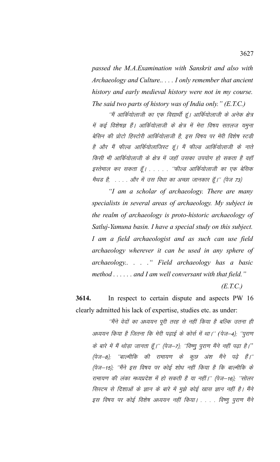*passed the M.A.Examination with Sanskrit and also with Archaeology and Culture.. . . . I only remember that ancient history and early medieval history were not in my course. The said two parts of history was of India only." (E.T.C.)*

''मैं आर्कियोलाजी का एक विद्यार्थी हूं। आर्कियोलाजी के अनेक क्षेत्र में कई विशेषज्ञ हैं। आर्कियोलाजी के क्षेत्र में मेरा विषय सतलज यमुना बेसिन की प्रोटो हिस्टोरी आर्कियोलाजी है, इस विषय पर मेरी विशेष स्टडी है और मैं फील्ड आर्कियोलाजिस्ट हूं। मैं फील्ड आर्कियोलाजी के नाते किसी भी आर्कियोलाजी के क्षेत्र में जहाँ उसका उपयोग हो सकता है वहाँ इस्तेमाल कर सकता हूँ। . . . . "फील्ड आर्कियोलाजी का एक बेसिक मैथड है, . . . . और में उस विधा का अच्छा जानकार हूँ।'' (पेज 73)

*"I am a scholar of archaeology. There are many specialists in several areas of archaeology. My subject in the realm of archaeology is proto-historic archaeology of Satluj-Yamuna basin. I have a special study on this subject. I am a field archaeologist and as such can use field archaeology wherever it can be used in any sphere of archaeology.. . . ." Field archaeology has a basic method . . . . . . and I am well conversant with that field."* 

*(E.T.C.)*

**3614.** In respect to certain dispute and aspects PW 16 clearly admitted his lack of expertise, studies etc. as under:

''मैंने वेदों का अध्ययन पूरी तरह से नहीं किया है बल्कि उतना ही अध्ययन किया है जितना कि मेरी पढाई के कोर्स में था।'' (पेज–4): ''पुराण के बारे में मैं थोड़ा जानता हूँ।'' (पेज–7); ''विष्णु पुराण मैंने नहीं पढ़ा है।'' (पेज–8); ''बाल्मीकि की रामायण के कूछ अंश मैंने पढ़े हैं।'' (पेज–15); ''मैंने इस विषय पर कोई शोध नहीं किया है कि बाल्मीकि के रामायण की लंका मध्यप्रदेश में हो सकती है या नहीं।'' (पेज-16); ''सोलर सिस्टम से दिशाओं के ज्ञान के बारे में मुझे कोई खास ज्ञान नहीं है। मैंने इस विषय पर कोई विशेष अध्ययन नहीं किया। . . . . विष्णू पुराण मैंने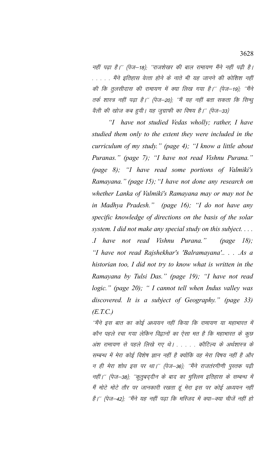नहीं पढा है।'' (पेज-18); ''राजशेखर की बाल रामायण मैंने नहीं पढी है। . . . . . मैंने इतिहास वेत्ता होने के नाते भी यह जानने की कोशिश नहीं की कि तुलसीदास की रामायण में क्या लिख गया है।'' (पेज–19); ''मैंने तर्क शास्त्र नहीं पढ़ा है।'' (पेज–20); ''मैं यह नहीं बता सकता कि सिन्धु वैली की खोज कब ह़यी। यह जुग्राफी का विषय है।'' (पेज–33)

*"I have not studied Vedas wholly; rather, I have studied them only to the extent they were included in the curriculum of my study." (page 4); "I know a little about Puranas." (page 7); "I have not read Vishnu Purana." (page 8); "I have read some portions of Valmiki's Ramayana." (page 15);"I have not done any research on whether Lanka of Valmiki's Ramayana may or may not be in Madhya Pradesh." (page 16); "I do not have any specific knowledge of directions on the basis of the solar system. I did not make any special study on this subject. . . . .I have not read Vishnu Purana." (page 18); "I have not read Rajshekhar's 'Balramayana'.. . . .As a historian too, I did not try to know what is written in the Ramayana by Tulsi Das." (page 19); "I have not read logic." (page 20); " I cannot tell when Indus valley was discovered. It is a subject of Geography." (page 33) (E.T.C.)*

''मैंने इस बात का कोई अध्ययन नहीं किया कि रामायण या महाभारत में कौन पहले रचा गया लेकिन विद्वानों का ऐसा मत है कि महाभारत के कुछ अंश रामायण से पहले लिखे गए थे। . . . . कौटिल्य के अर्थशास्त्र के सम्बन्ध में मेरा कोई विशेष ज्ञान नहीं है क्योंकि वह मेरा विषय नहीं है और न ही मेरा शोध इस पर था।'' (पेज–36); ''मैंने राजतंरगीणी पुस्तक पढी नहीं।'' (पेज-38); ''कुतुबद्दीन के बाद का मुस्लिम इतिहास के सम्बन्ध में मैं मोटे मोटे तौर पर जानकारी रखता हूं मेरा इस पर कोई अध्ययन नहीं है।'' (पेज–42); ''मैंने यह नहीं पढ़ा कि मस्जिद में क्या–क्या चीजें नहीं हो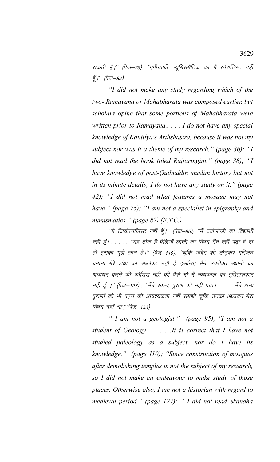सकती हैं।'' (पेज–75); ''एपीग्राफी, न्यूमिसमैटिक का मैं स्पेशलिस्ट नहीं हूँ।" (पेज-82)

"I did not make any study regarding which of the two- Ramayana or Mahabharata was composed earlier, but scholars opine that some portions of Mahabharata were written prior to Ramayana.... I do not have any special knowledge of Kautilya's Arthshastra, because it was not my subject nor was it a theme of my research." (page 36); "I did not read the book titled Rajtaringini." (page 38); "I have knowledge of post-Qutbuddin muslim history but not in its minute details; I do not have any study on it." (page 42); "I did not read what features a mosque may not have." (page 75); "I am not a specialist in epigraphy and numismatics." (page 82)  $(E.T.C.)$ 

"मैं जियोलाजिस्ट नहीं हूँ।'' (पेज–95); ''मैं ज्योलोजी का विद्यार्थी नहीं हूँ। . . . . . ''यह ठीक है पैलियों लाजी का विषय मैंने नहीं पढ़ा है ना ही इसका मुझे ज्ञान है।'' (पेज–110); ''चूंकि मंदिर को तोड़कर मस्जिद बनाना मेरे शोध का सब्जेक्ट नहीं है इसलिए मैंने उपरोक्त स्थानों का अध्ययन करने की कोशिश नहीं की वैसे भी मैं मध्यकाल का इतिहासकार नहीं हूँ ।'' (पेज-127) ; ''मैंने स्कन्द पुराण को नहीं पढ़ा। . . . . मैंने अन्य पुराणों को भी पढ़ने की आवश्यकता नहीं समझी चूंकि उनका अध्ययन मेरा विषय नहीं था।''(पेज-133)

" I am not a geologist." (page 95); "I am not a student of Geology. . . . . . It is correct that I have not studied paleology as a subject, nor do I have its knowledge." (page 110); "Since construction of mosques after demolishing temples is not the subject of my research, so I did not make an endeavour to make study of those places. Otherwise also, I am not a historian with regard to medieval period." (page 127); " I did not read Skandha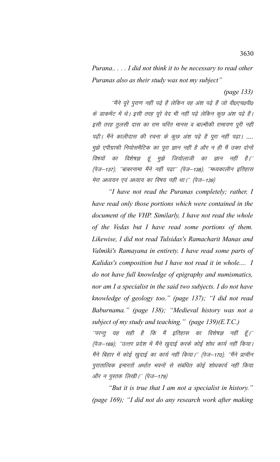*Purana.. . . . I did not think it to be necessary to read other Puranas also as their study was not my subject"* 

*(page 133)*

''मैंने पूरे पुराण नहीं पढ़े हैं लेकिन वह अंश पढ़े हैं जो वीoएच0पी0 के डाकमेंट में थे। इसी तरह पूरे वेद भी नहीं पढ़े लेकिन कुछ अंश पढ़े हैं। इसी तरह तुलसी दास का राम चरित मानस व बाल्मीकी रामायण पूरी नहीं पढ़ी। मैंने कालीदास की रचना के कुछ अंश पढ़े है पूरा नहीं पढ़ा। …. मुझे एपीग्राफी नियोसमैटिक का पूरा ज्ञान नहीं है और न ही मैं उक्त दोनों विषयों का विशेषज्ञ हूं मुझे जियोलाजी का ज्ञान नहीं है।'' (पेज-137); ''बाबरनामा मैंने नहीं पढ़ा'' (पेज-138); ''मध्यकालीन इतिहास मेरा अध्ययन एवं अध्याय का विषय नहीं था।'' (पेज-139)

*"I have not read the Puranas completely; rather, I have read only those portions which were contained in the document of the VHP. Similarly, I have not read the whole of the Vedas but I have read some portions of them. Likewise, I did not read Tulsidas's Ramacharit Manas and Valmiki's Ramayana in entirety. I have read some parts of Kalidas's composition but I have not read it in whole.... I do not have full knowledge of epigraphy and numismatics, nor am I a specialist in the said two subjects. I do not have knowledge of geology too." (page 137); "I did not read Baburnama." (page 138); "Medieval history was not a subject of my study and teaching." (page 139)(E.T.C.)*

 $^{\prime\prime}$ परन्तु यह सही है कि मैं इतिहास का विशेषज्ञ नहीं हूँ। $^{\prime\prime}$ (पेज–169); ''उत्तर प्रदेश में मैंने खुदाई करके कोई शोध कार्य नहीं किया। मैंने बिहार में कोई खुदाई का कार्य नहीं किया।'' (पेज–170); ''मैंने प्राचीन पुरातात्विक इमारतों अर्थात भवनों से संबंधित कोई शोधकार्य नहीं किया और न पुस्तक लिखी।'' (पेज-179)

*"But it is true that I am not a specialist in history." (page 169); "I did not do any research work after making*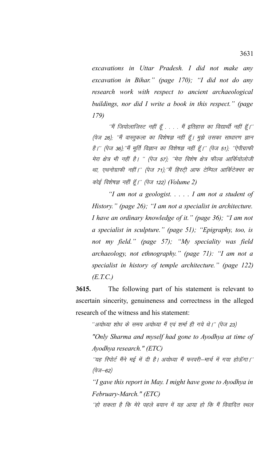*excavations in Uttar Pradesh. I did not make any excavation in Bihar." (page 170); "I did not do any research work with respect to ancient archaeological buildings, nor did I write a book in this respect." (page 179)*

 $^{\prime\prime}$ में जियोलाजिस्ट नहीं हूँ  $\ldots$  मैं इतिहास का विद्यार्थी नहीं हूँ। $^{\prime\prime}$ (पेज 26); ''मैं वास्तुकला का विशेषज्ञ नहीं हूँ। मुझे उसका साधारण ज्ञान है।'' (पेज 36),''मैं मूर्ति विज्ञान का विशेषज्ञ नहीं हूँ।'' (पेज 51), ''ऐपीग्राफी मेरा क्षेत्र भी नहीं है। " (पेज 57); 'मेरा विशेष क्षेत्र फील्ड आर्कियोलोजी था, एथनोग्राफी नहीं।'' (पेज 71),''मैं हिस्टी आफ टेम्पिल आर्किटेक्चर का कोई विशेषज्ञ नहीं हूँ*।'' (पेज 122) (Volume 2)* 

*"I am not a geologist. . . . . I am not a student of History." (page 26); "I am not a specialist in architecture. I have an ordinary knowledge of it." (page 36); "I am not a specialist in sculpture." (page 51); "Epigraphy, too, is not my field." (page 57); "My speciality was field archaeology, not ethnography." (page 71): "I am not a specialist in history of temple architecture." (page 122) (E.T.C.)*

**3615.** The following part of his statement is relevant to ascertain sincerity, genuineness and correctness in the alleged research of the witness and his statement:

''अयोध्या शोध के समय अयोध्या मैं एवं शर्मा ही गये थे।'' (पेज 23)

*"Only Sharma and myself had gone to Ayodhya at time of Ayodhya research." (ETC)*

''यह रिपोर्ट मैंने मई में दी है। अयोध्या मैं फरवरी—मार्च में गया होऊँगा।'' (पेज $-62)$ 

*"I gave this report in May. I might have gone to Ayodhya in February-March." (ETC)* 

''हो सकता है कि मेरे पहले बयान में यह आया हो कि मैं विवादित स्थल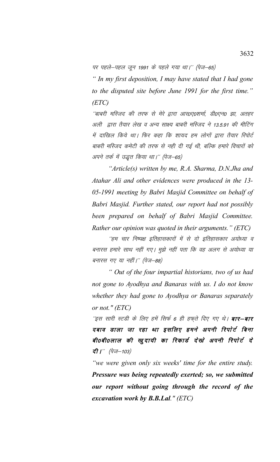पर पहले—पहल जून 1991 के पहले गया था।'' (पेज—65)

*" In my first deposition, I may have stated that I had gone to the disputed site before June 1991 for the first time." (ETC)*

´´बाबरी मस्जिद की तरफ से मेरे द्वारा आर0ए0शर्मा, डी0एन0 झा, अतहर अली द्वारा तैयार लेख व अन्य साक्ष्य बाबरी मस्जिद ने 13.5.91 की मीटिंग में दाखिल किये था। फिर कहा कि शायद हम लोगों द्वारा तैयार रिपोर्ट बाबरी मस्जिद कमेटी की तरफ से नही दी गई थी, बल्कि हमारे विचारों को अपने तर्क में उद्धत किया था।'' (पेज–65)

*"Article(s) written by me, R.A. Sharma, D.N.Jha and Atahar Ali and other evidences were produced in the 13- 05-1991 meeting by Babri Masjid Committee on behalf of Babri Masjid. Further stated, our report had not possibly been prepared on behalf of Babri Masjid Committee. Rather our opinion was quoted in their arguments." (ETC)*

"हम चार निष्पक्ष इतिहासकारों में से दो इतिहासकार अयोध्या व बनारस हमारे साथ नहीं गए। मुझे नहीं पता कि वह अलग से अयोध्या या बनारस गए या नहीं।'' (पेज–88)

*" Out of the four impartial historians, two of us had not gone to Ayodhya and Banaras with us. I do not know whether they had gone to Ayodhya or Banaras separately or not." (ETC)*

'इस सारी स्टडी के लिए हमें सिर्फ 6 ही हफ़ते दिए गए थे। **बार-बार** दबाव डाला जा रहा था इसलिए हमने अपनी रिपोर्ट बिना बी0बी0लाल की खुदायी का रिकार्ड देखो अपनी रिपोर्ट दे *दी।" (पेज*—103)

*"we were given only six weeks' time for the entire study. Pressure was being repeatedly exerted; so, we submitted our report without going through the record of the excavation work by B.B.Lal." (ETC)*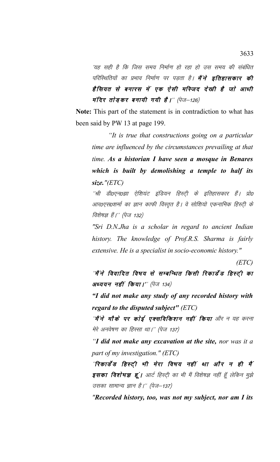´यह सही है कि जिस समय निर्माण हो रहा हो उस समय की संबंधित परिस्थितियों का प्रभाव निर्माण पर पड़ता है। **मैंने इतिहासकार की** हैसियत से बनारस में एक ऐसी मस्जिद देखी है जो आधी मंदिर तो ड़कर बनायी गयी है।" (पेज-126)

**Note:** This part of the statement is in contradiction to what has been said by PW 13 at page 199.

*"It is true that constructions going on a particular time are influenced by the circumstances prevailing at that time. As a historian I have seen a mosque in Benares which is built by demolishing a temple to half its size."(ETC)*

''श्री डी०एन०झा ऐशियंट इंडियन हिस्ट्री के इतिहासकार हैं। प्रो० आर0एस0शर्मा का ज्ञान काफी विस्तृत है। वे सोशियो एकनामिक हिस्टी के विशेषज्ञ हैं।'' (पेज 132)

*"Sri D.N.Jha is a scholar in regard to ancient Indian history. The knowledge of Prof.R.S. Sharma is fairly extensive. He is a specialist in socio-economic history."*

*(ETC)*

'मैं ने विवादित विषय से सम्बन्धित किसी रिकार्डेड हिस्ट्ी का  $\partial x \in \partial \mathcal{U}$  वहीं किया।" (पेज 134)

*"I did not make any study of any recorded history with regard to the disputed subject" (ETC)*

''**मैं ने मौके पर कोई एक्सविकिशन नहीं किया** और न यह करना मेरे अनवेषण का हिस्सा था।'' (पेज 137)

*"I did not make any excavation at the site, nor was it a part of my investigation." (ETC)*

"रिकार्डेंड हिस्ट्री भी मेरा विषय नहीं था और न ही मैं इसका विशेषज्ञ हूं। आर्ट हिस्टी का भी मैं विशेषज्ञ नहीं हूँ लेकिन मुझे उसका सामान्य ज्ञान है।'' (पेज–137)

*"Recorded history, too, was not my subject, nor am I its*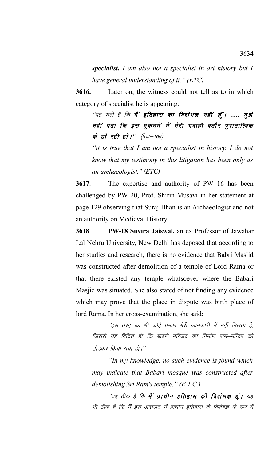*specialist. I am also not a specialist in art history but I have general understanding of it." (ETC)*

**3616.** Later on, the witness could not tell as to in which category of specialist he is appearing:

''यह सही है कि **मैं' इतिहास का विशेषज्ञ नहीं हूँ। ..... मुझे** नहीं पता कि इस मुकदमें में मेरी गवाही बतौर पुरातात्विक के हो रही हो।'' (पेज $-$ 169)

*"it is true that I am not a specialist in history. I do not know that my testimony in this litigation has been only as an archaeologist." (ETC)*

**3617**. The expertise and authority of PW 16 has been challenged by PW 20, Prof. Shirin Musavi in her statement at page 129 observing that Suraj Bhan is an Archaeologist and not an authority on Medieval History.

**3618**. **PW-18 Suvira Jaiswal,** an ex Professor of Jawahar Lal Nehru University, New Delhi has deposed that according to her studies and research, there is no evidence that Babri Masjid was constructed after demolition of a temple of Lord Rama or that there existed any temple whatsoever where the Babari Masjid was situated. She also stated of not finding any evidence which may prove that the place in dispute was birth place of lord Rama. In her cross-examination, she said:

''इस तरह का भी कोई प्रमाण मेरी जानकारी में नहीं मिलता है, जिससे यह विदित हो कि बाबरी मस्जिद का निर्माण राम–मन्दिर को तोड़कर किया गया हो*।*"

*"In my knowledge, no such evidence is found which may indicate that Babari mosque was constructed after demolishing Sri Ram's temple." (E.T.C.)* 

''यह ठीक है कि **मैं प्राचीन इतिहास की विशेषज्ञ हूं।** यह भी ठीक है कि मैं इस अदालत में प्राचीन इतिहास के विशेषज्ञ के रूप में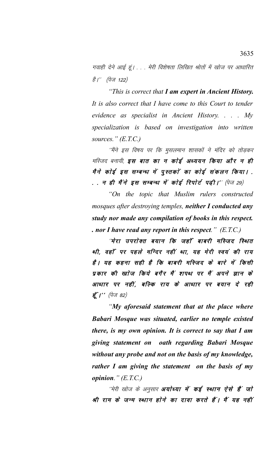गवाही देने आई हूं। . . . मेरी विशेषता लिखित श्रोतों में खोज पर आधारित है।'' (पेज 122)

"This is correct that I am expert in Ancient History. It is also correct that I have come to this Court to tender evidence as specialist in Ancient History.  $\ldots$   $M_y$ specialization is based on investigation into written sources."  $(E.T.C.)$ 

''मैंने इस विषय पर कि मुसलमान शासकों ने मंदिर को तोड़कर मस्जिद बनायी, इस बात का न कोई अध्ययन किया और न ही मैने कोई इस सम्बन्ध में पुस्तकों का कोई संकलन किया।. . . न ही मैंने इस सम्बन्ध में कोई रिपोर्ट पढ़ी।'' (पेज 29)

"On the topic that Muslim rulers constructed mosques after destroying temples, neither I conducted any study nor made any compilation of books in this respect. . nor I have read any report in this respect."  $(E.T.C.)$ 

"मेरा उपरोक्त बयान कि जहाँ बाबरी मस्जिद स्थित थी, वहाँ पर पहले मन्दिर नहीं था, यह मेरी स्वयं की राय हैं। यह कहना सही है कि बाबरी मस्जिद के बारे में किसी प्रकार की खाेज किये बगैर मैं शपथ पर मैं अपने ज्ञान के आधार पर नहीं, बल्कि राय के आधार पर बयान दे रही **हूँ।''** (पेज 82)

"My aforesaid statement that at the place where Babari Mosque was situated, earlier no temple existed there, is my own opinion. It is correct to say that I am giving statement on oath regarding Babari Mosque without any probe and not on the basis of my knowledge, rather I am giving the statement on the basis of my *opinion.*"  $(E.T.C.)$ 

''मेरी खोज के अनुसार **अयोध्या में कई स्थान ऐसे हैं जो** श्री राम के जन्म स्थान होने का दावा करते हैं। मैं यह नहीं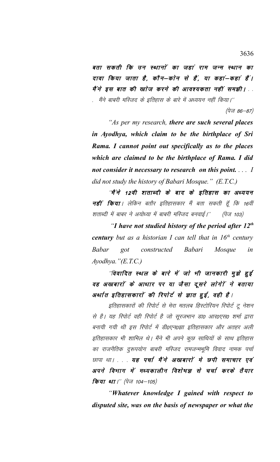बता सकती कि उन स्थानों का जहां राम जन्म स्थान का दावा किया जाता है, कौन–कोन से हैं, या कहां–कहां हैं। मैं ने इस बात की खाेज करने की आवश्यकता नहीं समझी। मैंने बाबरी मस्जिद के इतिहास के बारे में अध्ययन नहीं किया।''

*(पेज 86–87)* 

"As per my research, there are such several places in Ayodhya, which claim to be the birthplace of Sri Rama. I cannot point out specifically as to the places which are claimed to be the birthplace of Rama. I did not consider it necessary to research on this point. . . . I did not study the history of Babari Mosque." (E.T.C.)

''मैं ने 12वी शताब्दी के बाद के इतिहास का अध्ययन **नहीं किया**। लेकिन बतौर इतिहासकार मैं बता सकती हूँ कि 16वीं शताब्दी में बाबर ने अयोध्या में बाबरी मस्जिद बनवाई।'' (पेज 103)

"I have not studied history of the period after  $12<sup>th</sup>$ century but as a historian I can tell that in  $16<sup>th</sup>$  century **Babar** constructed Babari Mosque  $\varrho$ ot  $in$  $Ayodhya.$ " $(E.T.C.)$ 

"विवादित स्थल के बारे में जो भी जानकारी मुझे हुई वह अखबारों के आधार पर या जैसा दूसरे लोगेंग ने बताया अर्थात इतिहासकारों की रिपोर्ट से ज्ञात हुई, वही है।

इतिहासकारों की रिपोर्ट से मेरा मतलब हिस्टोरियन रिपोर्ट टू नेशन से है। यह रिपोर्ट वही रिपोर्ट है जो सूरजभान डा0 आर0एस0 शर्मा द्वारा बनायी गयी थी इस रिपोर्ट में डी०एन०झा इतिहासकार और अतहर अली इतिहासकार भी शामिल थे। मैंने भी अपने कुछ साथियों के साथ इतिहास का राजनैतिक दुरूपयोग बाबरी मस्जिद रामजन्मभूमि विवाद नामक पर्चा छापा था।... यह पर्चा मैंने अखबारों मे छपी समाचार एवं अपने विभाग में मध्यकालीन विशेषज्ञ से चर्चा करके तैयार किया था।" (पेज 104–105)

"Whatever knowledge I gained with respect to disputed site, was on the basis of newspaper or what the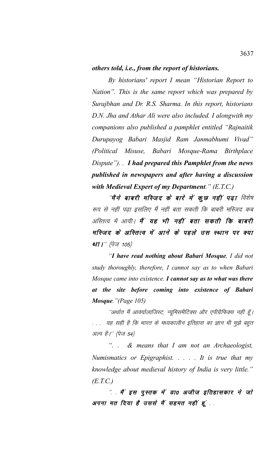## *others told, i.e., from the report of historians.*

*By historians' report I mean "Historian Report to Nation". This is the same report which was prepared by Surajbhan and Dr. R.S. Sharma. In this report, historians D.N. Jha and Athar Ali were also included. I alongwith my companions also published a pamphlet entitled "Rajnaitik Durupayog Babari Masjid Ram Janmabhumi Vivad" (Political Misuse, Babari Mosque-Rama Birthplace Dispute"). . I had prepared this Pamphlet from the news published in newspapers and after having a discussion with Medieval Expert of my Department." (E.T.C.)*

''**मै'ने बाबरी मस्जिद के बारे में कूछ नहीं पढ़ा** विशेष रूप से नहीं पढ़ा इसलिए मैं नहीं बता सकती कि बाबरी मस्जिद कब अस्तित्व में आयी। **मैं यह भी नहीं बता सकती कि बाबरी** मस्जिद के अस्तित्व में आने के पहले उस स्थान पर क्या था।'' (पेज 105)

*"I have read nothing about Babari Mosque, I did not study thoroughly, therefore, I cannot say as to when Babari Mosque came into existence. I cannot say as to what was there at the site before coming into existence of Babari Mosque."(Page 105)*

''अर्थात मैं आक्यालाजिस्ट, न्यूमिसमैटिक्स और एपीग्रैफिक्स नहीं हूँ। यह सही है कि भारत के मध्यकालीन इतिहास का ज्ञान भी मुझे बहुत अल्प है।'' (पेज 54)

*". . & means that I am not an Archaeologist, Numismatics or Epigraphist. . . . . It is true that my knowledge about medieval history of India is very little." (E.T.C.)*

*"* मैं इस पुस्तक में डा0 अजीज इतिहासकार ने जो अपना मत दिया है उससे मैं सहमत नहीं हूं ..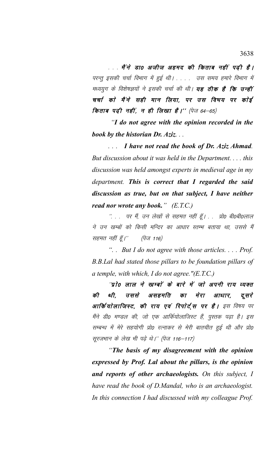. . . मैं ने डाo अजीज अहमद की किताब नहीं पढी है। परन्तु इसकी चर्चा विभाग में हुई थी। . . . . उस समय हमारे विभाग में मध्ययुग के विशेषज्ञयों ने इसकी चर्चा की थी। **यह ठीक है कि उन्हीं** चर्चा को मैंने सही मान लिया, पर उस विषय पर कोई **किताब पढ़ी नहीं, न ही लिखा है।'' (पेज 64–65)** 

 *"I do not agree with the opinion recorded in the book by the historian Dr. Aziz. . .* 

*. . . I have not read the book of Dr. Aziz Ahmad. But discussion about it was held in the Department. . . . this discussion was held amongst experts in medieval age in my department. This is correct that I regarded the said discussion as true, but on that subject, I have neither read nor wrote any book." (E.T.C.)*

 $\degree$  . . पर मैं, उन लेखों से सहमत नहीं हूँ। . प्रो0 बी0बी0लाल ने उन खम्बों को किसी मन्दिर का आधार स्तम्भ बताया था, उससे मैं सहमत नहीं हूँ।" (पेज 116)

*". . But I do not agree with those articles. . . . Prof. B.B.Lal had stated those pillars to be foundation pillars of a temple, with which, I do not agree."(E.T.C.)*

"प्रो0 लाल ने खम्बों के बारे में जो अपनी राय व्यक्त की थी, उससे असहमति का मेरा आधार, दूसरे आर्कियोलाजिस्ट, की राय एवं रिपोर्ट्स पर है। इस विषय पर मैंने डी0 मण्डल की, जो एक आर्कियोलाजिस्ट हैं, पुस्तक पढ़ा है। इस सम्बन्ध में मेरे सहयोगी प्रो0 रत्नाकर से मेरी बातचीत हुई थी और प्रो0 सूरजभान के लेख भी पढ़े थे।'' (पेज 116–117)

*"The basis of my disagreement with the opinion expressed by Prof. Lal about the pillars, is the opinion and reports of other archaeologists. On this subject, I have read the book of D.Mandal, who is an archaeologist. In this connection I had discussed with my colleague Prof.*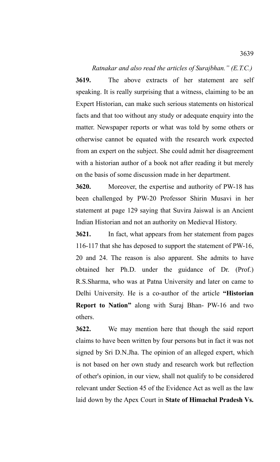*Ratnakar and also read the articles of Surajbhan." (E.T.C.)* **3619.** The above extracts of her statement are self speaking. It is really surprising that a witness, claiming to be an Expert Historian, can make such serious statements on historical facts and that too without any study or adequate enquiry into the matter. Newspaper reports or what was told by some others or otherwise cannot be equated with the research work expected from an expert on the subject. She could admit her disagreement with a historian author of a book not after reading it but merely on the basis of some discussion made in her department.

**3620.** Moreover, the expertise and authority of PW-18 has been challenged by PW-20 Professor Shirin Musavi in her statement at page 129 saying that Suvira Jaiswal is an Ancient Indian Historian and not an authority on Medieval History.

**3621.** In fact, what appears from her statement from pages 116-117 that she has deposed to support the statement of PW-16, 20 and 24. The reason is also apparent. She admits to have obtained her Ph.D. under the guidance of Dr. (Prof.) R.S.Sharma, who was at Patna University and later on came to Delhi University. He is a co-author of the article **"Historian Report to Nation"** along with Suraj Bhan- PW-16 and two others.

**3622.** We may mention here that though the said report claims to have been written by four persons but in fact it was not signed by Sri D.N.Jha. The opinion of an alleged expert, which is not based on her own study and research work but reflection of other's opinion, in our view, shall not qualify to be considered relevant under Section 45 of the Evidence Act as well as the law laid down by the Apex Court in **State of Himachal Pradesh Vs.**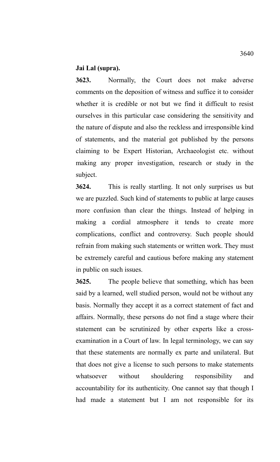## **Jai Lal (supra).**

**3623.** Normally, the Court does not make adverse comments on the deposition of witness and suffice it to consider whether it is credible or not but we find it difficult to resist ourselves in this particular case considering the sensitivity and the nature of dispute and also the reckless and irresponsible kind of statements, and the material got published by the persons claiming to be Expert Historian, Archaeologist etc. without making any proper investigation, research or study in the subject.

**3624.** This is really startling. It not only surprises us but we are puzzled. Such kind of statements to public at large causes more confusion than clear the things. Instead of helping in making a cordial atmosphere it tends to create more complications, conflict and controversy. Such people should refrain from making such statements or written work. They must be extremely careful and cautious before making any statement in public on such issues.

**3625.** The people believe that something, which has been said by a learned, well studied person, would not be without any basis. Normally they accept it as a correct statement of fact and affairs. Normally, these persons do not find a stage where their statement can be scrutinized by other experts like a crossexamination in a Court of law. In legal terminology, we can say that these statements are normally ex parte and unilateral. But that does not give a license to such persons to make statements whatsoever without shouldering responsibility and accountability for its authenticity. One cannot say that though I had made a statement but I am not responsible for its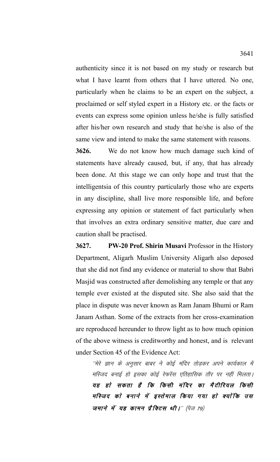authenticity since it is not based on my study or research but what I have learnt from others that I have uttered. No one, particularly when he claims to be an expert on the subject, a proclaimed or self styled expert in a History etc. or the facts or events can express some opinion unless he/she is fully satisfied after his/her own research and study that he/she is also of the same view and intend to make the same statement with reasons.

**3626.** We do not know how much damage such kind of statements have already caused, but, if any, that has already been done. At this stage we can only hope and trust that the intelligentsia of this country particularly those who are experts in any discipline, shall live more responsible life, and before expressing any opinion or statement of fact particularly when that involves an extra ordinary sensitive matter, due care and caution shall be practised.

**3627. PW-20 Prof. Shirin Musavi** Professor in the History Department, Aligarh Muslim University Aligarh also deposed that she did not find any evidence or material to show that Babri Masjid was constructed after demolishing any temple or that any temple ever existed at the disputed site. She also said that the place in dispute was never known as Ram Janam Bhumi or Ram Janam Asthan. Some of the extracts from her cross-examination are reproduced hereunder to throw light as to how much opinion of the above witness is creditworthy and honest, and is relevant under Section 45 of the Evidence Act:

´´मेरे ज्ञान के अनुसार बाबर ने कोई मंदिर तोडकर अपने कार्यकाल में मस्जिद बनाई हो इसका कोई रेफरेंस एतिहासिक तौर पर नहीं मिलता। यह हो सकता है कि किसी मंदिर का मैटीरियल किसी मस्जिद को बनाने में इस्तेमाल किया गया हो क्योंकि उस जमाने में यह कामन प्रैक्टिस थी।" (पेज 79)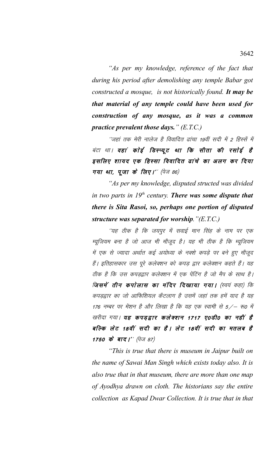"As per my knowledge, reference of the fact that during his period after demolishing any temple Babar got constructed a mosque, is not historically found. It may be that material of any temple could have been used for construction of any mosque, as it was a common practice prevalent those days."  $(E.T.C.)$ 

''जहां तक मेरी नालेज है विवादित ढांचा 19वीं सदी में 2 हिस्सें में बंटा था। वहां कोई डिस्प्यूट था कि सीता की रसोई है इसलिए शायद एक हिस्सा विवादित ढांचे का अलग कर दिया गया था, पूजा के लिए।'' (पेज 86)

"As per my knowledge, disputed structed was divided in two parts in  $19<sup>th</sup>$  century. There was some dispute that there is Sita Rasoi, so, perhaps one portion of disputed structure was separated for worship." $(E.T.C.)$ 

''यह ठीक है कि जयपुर में सवाई मान सिंह के नाम पर एक म्यूजियम बना है जो आज भी मौजूद है। यह भी ठीक है कि म्यूजियम में एक से ज्यादा अर्थात कई अयोध्या के नक्शे कपड़े पर बने हुए मौजूद हैं। इतिहासकार उस पूरे कलेक्शन को कपड़ द्वार कलेक्शन कहते हैं। यह ठीक है कि उस कपडद्वार कलेक्शन में एक पेंटिंग है जो मैप के साथ है। जिसमें तीन कपोलास का मंदिर दिखाया गया। (स्वयं कहा) कि कपडद्वार का जो आफिशियल कैटलाग है उसमें जहां तक हमें याद है यह 176 नम्बर पर मेंशन है और लिखा है कि यह एक स्वामी से 5/– रू0 में खरीदा गया। यह कपडद्वार कलेक्शन 1717 ए0डी0 का नहीं है बल्कि लेट 18वीं सदी का है। लेट 18वीं सदी का मतलब है 1750 के बाद।'' (पेज 87)

"This is true that there is museum in Jaipur built on the name of Sawai Man Singh which exists today also. It is also true that in that museum, there are more than one map of Ayodhya drawn on cloth. The historians say the entire collection as Kapad Dwar Collection. It is true that in that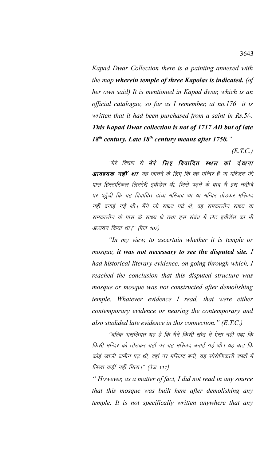*Kapad Dwar Collection there is a painting annexed with the map wherein temple of three Kapolas is indicated. (of her own said) It is mentioned in Kapad dwar, which is an official catalogue, so far as I remember, at no.176 it is written that it had been purchased from a saint in Rs.5/-. This Kapad Dwar collection is not of 1717 AD but of late 18th century. Late 18th century means after 1750."* 

*(E.T.C.)*

"मेरे विचार से **मेरे लिए विवादित स्थल को देखना आवश्यक नहीं था** यह जानने के लिए कि वह मन्दिर है या मस्जिद मेरे पास हिस्टारिकल लिटरेरी इवीडेंस थी, जिसे पढ़ने के बाद मैं इस नतीजे पर पहुँची कि यह विवादित ढांचा मस्जिद था या मन्दिर तोडकर मस्जिद नहीं बनाई गई थी। मैंने जो साक्ष्य पढ़े थे, वह समकालीन साक्ष्य या समकालीन के पास के साक्ष्य थे तथा इस संबंध में लेट इवीडेंस का भी अध्ययन किया था।'' (पेज 107)

*"In my view, to ascertain whether it is temple or mosque, it was not necessary to see the disputed site. I had historical literary evidence, on going through which, I reached the conclusion that this disputed structure was mosque or mosque was not constructed after demolishing temple. Whatever evidence I read, that were either contemporary evidence or nearing the contemporary and also studided late evidence in this connection." (E.T.C.)*

''बल्कि असलियत यह है कि मैंने किसी स्रोत में ऐसा नहीं पढा कि किसी मन्दिर को तोडकर यहाँ पर यह मस्जिद बनाई गई थी। यह बात कि कोई खाली जमीन पढ थी, वहाँ पर मस्जिद बनी, यह स्पेसेफिकली शब्दों में तिखा कहीं नहीं मिला।'' (पेज 111)

*" However, as a matter of fact, I did not read in any source that this mosque was built here after demolishing any temple. It is not specifically written anywhere that any*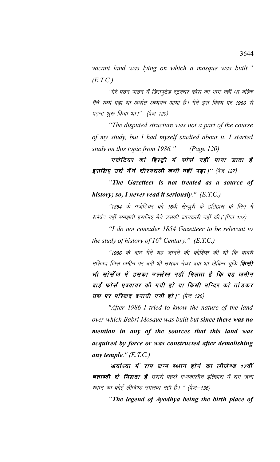vacant land was lying on which a mosque was built."  $(E.T.C.)$ 

''मेरे पठन पाठन में डिसपुटेड स्ट्रक्चर कोर्स का भाग नहीं था बल्कि मैंने स्वयं पढा था अर्थात अध्ययन आया है। मैंने इस विषय पर 1986 से पढ़ना शुरू किया था।'' (पेज 120)

"The disputed structure was not a part of the course" of my study, but I had myself studied about it. I started study on this topic from 1986."  $(Page 120)$ 

"गजेटियर को हिस्ट्री में सोर्स नहीं माना जाता है इसलिए उसे मैंने सीरयसली कभी नहीं पढ़ा।'' (पेज 127)

"The Gazetteer is not treated as a source of history; so, I never read it seriously."  $(E.T.C.)$ 

''1854 के गजेटियर को 16वी सेन्चुरी के इतिहास के लिए मैं रेलेवंट नहीं समझती इसलिए मैने उसकी जानकारी नहीं की।''(पेज 127)

"I do not consider 1854 Gazetteer to be relevant to the study of history of  $16^{th}$  Century." (E.T.C.)

''1986 के बाद मैंने यह जानने की कोशिश की थी कि बाबरी मस्जिद जिस जमीन पर बनी थी उसका नेचर क्या था लेकिन चूंकि **किसी** भी सोर्सेज में इसका उल्लेख नहीं मिलता है कि यह जमीन बाई फोर्स एक्वायर की गयी हो या किसी मन्दिर को तोड़कर उस पर मस्जिद बनायी गयी हो।" (पेज 128)

"After 1986 I tried to know the nature of the land over which Babri Mosque was built but since there was no mention in any of the sources that this land was acquired by force or was constructed after demolishing any temple."  $(E.T.C.)$ 

''अयोध्या में राम जन्म स्थान होने का लीजेण्ड 17वीं षताब्दी से मिलता है उससे पहले मध्यकालीन इतिहास में राम जन्म स्थान का कोई लीजेण्ड उपलब्ध नहीं है। " (पेज-136)

"The legend of Ayodhya being the birth place of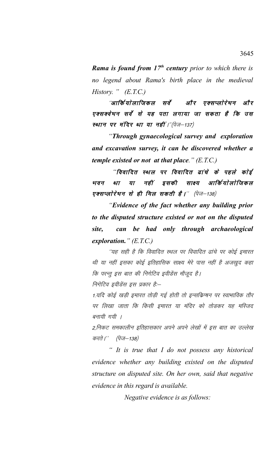*Rama is found from 17th century prior to which there is no legend about Rama's birth place in the medieval History. " (E.T.C.)*

"आर्कियोलाजिकल सर्वे और एक्सप्लोरेषन और एक्सक्वेषन सर्वे से यह पता लगाया जा सकता है कि उस स्थान पर मंदिर था या नहीं।"(पेज $-137$ )

*"Through gynaecological survey and exploration and excavation survey, it can be discovered whether a temple existed or not at that place." (E.T.C.)*

"विवादित स्थल पर विवादित ढांचे के पहले कोई भवन था या नहीं इसकी साक्ष्य आर्कियोलोजिकल एक्सप्लोरेषन से ही मिल सकती है।'' (पेज $-138$ )

*"Evidence of the fact whether any building prior to the disputed structure existed or not on the disputed site, can be had only through archaeological exploration." (E.T.C.)*

''यह सही है कि विवादित स्थल पर विवादित ढांचे पर कोई इमारत थी या नहीं इसका कोई इतिहासिक साक्ष्य मेरे पास नहीं है अजखुद कहा कि परन्तु इस बात की निगेटिव इवीडेंस मौजूद है।

निगेटिव इवीडेंस इस प्रकार हैं:--

1.यदि कोई खडी इमारत तोडी गई होती तो इन्सकिप्पन पर स्वाभाविक तौर पर लिखा जाता कि किसी इमारत या मंदिर को तोडकर यह मस्जिद बनायी गयी ।

2,निकट समकालीन इतिहासकार अपने अपने लेखों में इस बात का उल्लेख करते |'' (पेज—138)

*" It is true that I do not possess any historical evidence whether any building existed on the disputed structure on disputed site. On her own, said that negative evidence in this regard is available.* 

*Negative evidence is as follows:*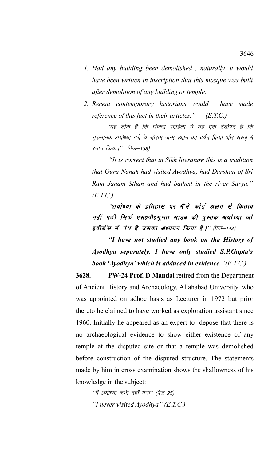- *1. Had any building been demolished , naturally, it would have been written in inscription that this mosque was built after demolition of any building or temple.*
- *2. Recent contemporary historians would have made reference of this fact in their articles." (E.T.C.)*

'यह ठीक है कि सिक्ख साहित्य में यह एक ट्रेडीषन है कि गुरुनानक अयोध्या गये थे श्रीराम जन्म स्थान का दर्षन किया और सरजू में स्नान किया।'' (पेज–138)

*"It is correct that in Sikh literature this is a tradition that Guru Nanak had visited Ayodhya, had Darshan of Sri Ram Janam Sthan and had bathed in the river Saryu." (E.T.C.)*

"अयोध्या के इतिहास पर मैं"ने कोई अलग से किताब नहीं पढ़ी सिर्फ एस0पी0गुप्ता साहब की पुस्तक अयोध्या जो इवीडेंस में पेष है उसका अध्ययन किया है।'' (पेज-143)

*"I have not studied any book on the History of Ayodhya separately. I have only studied S.P.Gupta's book 'Ayodhya' which is adduced in evidence."(E.T.C.)*

**3628. PW-24 Prof. D Mandal** retired from the Department of Ancient History and Archaeology, Allahabad University, who was appointed on adhoc basis as Lecturer in 1972 but prior thereto he claimed to have worked as exploration assistant since 1960. Initially he appeared as an expert to depose that there is no archaeological evidence to show either existence of any temple at the disputed site or that a temple was demolished before construction of the disputed structure. The statements made by him in cross examination shows the shallowness of his knowledge in the subject:

''मैं अयोध्या कभी नहीं गया'' (पेज 25) *"I never visited Ayodhya" (E.T.C.)*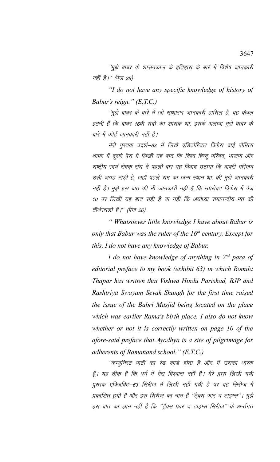''मुझे बाबर के शासनकाल के इतिहास के बारे में विशेष जानकारी नहीं है।'' (पेज 26)

"I do not have any specific knowledge of history of Babur's reign."  $(E.T.C.)$ 

''मुझे बाबर के बारे में जो साधारण जानकारी हासिल है, वह केवल इतनी है कि बाबर 16वीं सदी का शासक था, इसके अलावा मुझे बाबर के बारे में कोई जानकारी नहीं है।

मेरी पुस्तक प्रदर्श–63 में लिखे एडिटोरियल प्रिफेस बाई रोमिला थापर में दूसरे पैरा में लिखी यह बात कि विश्व हिन्दू परिषद, भाजपा और राष्ट्रीय स्वयं सेवक संघ ने पहली बार यह विवाद उठाया कि बाबरी मस्जिद उसी जगह खड़ी हे, जहाँ पहले राम का जन्म स्थान था, की मुझे जानकारी नहीं है। मुझे इस बात की भी जानकारी नहीं है कि उपरोक्त प्रिफेस में पेज 10 पर लिखी यह बात सही है या नहीं कि अयोध्या रामानन्दीय मत की तीर्थस्थली है।'' (पेज 26)

" Whatsoever little knowledge I have about Babur is only that Babur was the ruler of the  $16<sup>th</sup>$  century. Except for this, I do not have any knowledge of Babur.

I do not have knowledge of anything in  $2^{nd}$  para of editorial preface to my book (exhibit 63) in which Romila Thapar has written that Vishwa Hindu Parishad, BJP and Rashtriya Swayam Sevak Shangh for the first time raised the issue of the Babri Masjid being located on the place which was earlier Rama's birth place. I also do not know whether or not it is correctly written on page 10 of the afore-said preface that Ayodhya is a site of pilgrimage for adherents of Ramanand school." (E.T.C.)

''कम्युनिस्ट पार्टी का रेड कार्ड होता है और मैं उसका धारक हूँ। यह ठीक है कि धर्म में मेरा विश्वास नहीं है। मेरे द्वारा लिखी गयी पुस्तक एक्जिबिट–63 सिरीज में लिखी नहीं गयी है पर वह सिरीज में प्रकाशित हुयी है और इस सिरीज का नाम है ''टै्क्स फार द टाइम्स''। मुझे इस बात का ज्ञान नहीं है कि ''ट्रैक्स फार द टाइम्स सिरीज'' के अर्न्तगत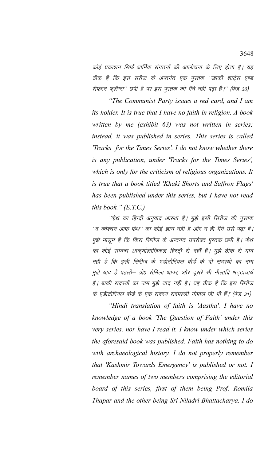कोई प्रकाशन सिर्फ धार्मिक संगठनों की आलोचना के लिए होता है। यह ठीक है कि इस सरीज के अन्तर्गत एक पुस्तक "खाकी शार्ट्स एण्ड सैफरन फ़्लैग्स'' छपी है पर इस पुस्तक को मैंने नहीं पढ़ा है।'' (पेज 30)

"The Communist Party issues a red card, and I am its holder. It is true that I have no faith in religion. A book written by me (exhibit 63) was not written in series; instead, it was published in series. This series is called 'Tracks for the Times Series'. I do not know whether there is any publication, under 'Tracks for the Times Series', which is only for the criticism of religious organizations. It is true that a book titled 'Khaki Shorts and Saffron Flags' has been published under this series, but I have not read this book."  $(E.T.C.)$ 

''फ़ेथ का हिन्दी अनुवाद आस्था है। मुझे इसी सिरीज की पुस्तक ''द क्वेश्चन आफ फेथ'' का कोई ज्ञान नही है और न ही मैंने उसे पढ़ा है। मुझे मालुम है कि किस सिरीज के अन्तर्गत उपरोक्त पुस्तक छपी है। फेथ का कोई सम्बन्ध आक्यलािजिकल हिस्ट्री से नहीं है। मुझे ठीक से याद नहीं है कि इसी सिरीज के एडोटोरियल बोर्ड के दो सदस्यों का नाम मुझे याद है पहली– प्रो0 रोमिला थापर, और दूसरे श्री नीलाद्रि भट्टाचार्य हैं। बाकी सदस्यों का नाम मुझे याद नहीं है। यह ठीक है कि इस सिरीज के एडीटोरियल बोर्ड के एक सदस्य सर्वपल्ली गोपाल जी भी हैं।''(पेज 31)

"Hindi translation of faith is 'Aastha'. I have no knowledge of a book 'The Question of Faith' under this very series, nor have I read it. I know under which series the aforesaid book was published. Faith has nothing to do with archaeological history. I do not properly remember that 'Kashmir Towards Emergency' is published or not. I remember names of two members comprising the editorial board of this series, first of them being Prof. Romila Thapar and the other being Sri Niladri Bhattacharya. I do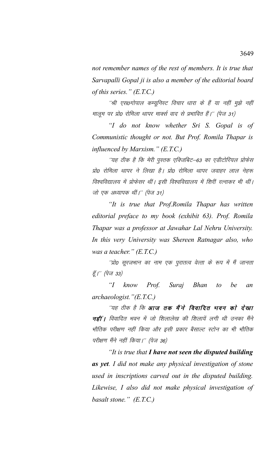*not remember names of the rest of members. It is true that Sarvapalli Gopal ji is also a member of the editorial board of this series." (E.T.C.)*

''श्री एस0गोपाल कम्यूनिस्ट विचार धारा के हैं या नहीं मुझे नहीं मालूम पर प्रो0 रोमिला थापर मार्क्स वाद से प्रभावित हैं।'' (पेज 31)

*"I do not know whether Sri S. Gopal is of Communistic thought or not. But Prof. Romila Thapar is influenced by Marxism." (E.T.C.)*

''यह ठीक है कि मेरी पुस्तक एक्जिबिट–63 का एडीटोरियल प्रोफेस प्रो0 रोमिला थापर ने लिखा है। प्रो0 रोमिला थापर जवाहर लाल नेहरू विश्वविद्यालय में प्रोफेसर थीं। इसी विश्वविद्यालय में शिरीं रत्नाकर भी थीं। जो एक अध्यापक थीं।'' (पेज 31)

*"It is true that Prof.Romila Thapar has written editorial preface to my book (exhibit 63). Prof. Romila Thapar was a professor at Jawahar Lal Nehru University. In this very University was Shereen Ratnagar also, who was a teacher." (E.T.C.)*

''प्रो० सूरजभान का नाम एक पुरातत्व वेत्ता के रूप में मैं जानता हूँ।" (पेज 33)

*"I know Prof. Suraj Bhan to be an archaeologist."(E.T.C.)*

"यह ठीक है कि **आज तक मैंने विवादित भवन को देखा** नहीं | विवादित भवन में जो शिलालेख की शिलायें लगी थी उनका मैंने भौतिक परीक्षण नहीं किया और इसी प्रकार बैसाल्ट स्टोन का भी भौतिक परीक्षण मैंने नहीं किया।'' (पेज 36)

*"It is true that I have not seen the disputed building as yet. I did not make any physical investigation of stone used in inscriptions carved out in the disputed building. Likewise, I also did not make physical investigation of basalt stone." (E.T.C.)*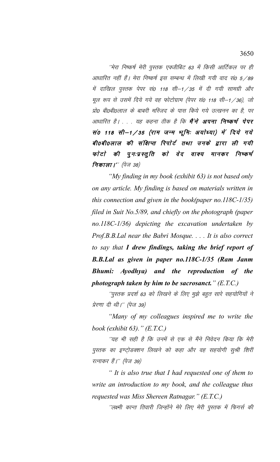''मेरा निष्कर्ष मेरी पुस्तक एक्जीबिट 63 में किसी आर्टिकल पर ही आधारित नहीं हैं। मेरा निष्कर्ष इस सम्बन्ध में लिखी गयी वाद सं0 5/89 में दाखिल पुस्तक पेपर सं0 118 सी–1 / 35 में दी गयी सामग्री और मूल रूप से उसमें दिये गये वह फोटोग्राम (पेपर सं0 118 सी-1/36), जो प्रो0 बी0बी0लाल के बाबरी मस्जिद के पास किये गये उत्खनन का है, पर आधारित है। . . . यह कहना ठीक है कि **मैंने अपना निष्कर्ष पेपर** सं0 118 सी-1/35 (राम जन्म भूमि: अयोध्या) में दिये गये बी0बी0लाल की संक्षिप्त रिपोर्ट तथा उनके द्वारा ली गयी फोटो की पुनःप्रस्तुति को वेद वाक्य मानकर निष्कर्ष निकाला।'' (पेज 38)

"My finding in my book (exhibit 63) is not based only on any article. My finding is based on materials written in this connection and given in the book(paper no.118C-1/35) filed in Suit No.5/89, and chiefly on the photograph (paper no.118C-1/36) depicting the excavation undertaken by Prof.B.B.Lal near the Babri Mosque. . . . It is also correct to say that I drew findings, taking the brief report of B.B.Lal as given in paper no.118C-1/35 (Ram Janm Bhumi: Ayodhya) and the reproduction of the photograph taken by him to be sacrosanct."  $(E.T.C.)$ 

''पुस्तक प्रदर्श 63 को लिखने के लिए मुझे बहुत सारे सहयोगियों ने प्रेरणा दी थी।'' (पेज 39)

"Many of my colleagues inspired me to write the book (exhibit  $63)$ ." (E.T.C.)

''यह भी सही है कि उनमें से एक से मैंने निवेदन किया कि मेरी पुस्तक का इण्टोडक्शन लिखने को कहा और वह सहयोगी सूश्री शिरीं रत्नाकर हैं।'' (पेज 39)

" It is also true that I had requested one of them to write an introduction to my book, and the colleague thus requested was Miss Shereen Ratnagar." (E.T.C.)

''लक्ष्मी कान्त तिवारी जिन्होंने मेरे लिए मेरी पुस्तक में फिगर्स की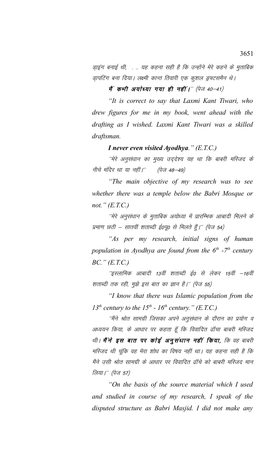डाइंग बनाई थी, . .. यह कहना सही है कि उन्होंने मेरे कहने के मुताबिक झापटिंग बना दिया। लक्ष्मी कान्त तिवारी एक कुशल ड्रफ्टसमैन थे।

में कभी अयोध्या गया ही नहीं।" (पेज 40-41)

*"It is correct to say that Laxmi Kant Tiwari, who drew figures for me in my book, went ahead with the drafting as I wished. Laxmi Kant Tiwari was a skilled draftsman.*

*I never even visited Ayodhya." (E.T.C.)*

''मेरे अनुसंधान का मुख्य उद्*देश्य यह था कि बाबरी मरि*जद के नीचे मंदिर था या नहीं।'' (पेज 48–49)

*"The main objective of my research was to see whether there was a temple below the Babri Mosque or not." (E.T.C.)*

''मेरे अनुसंधान के मुताबिक अयोध्या में प्रारम्भिक आबादी मिलने के प्रमाण छठी – सातवीं शताब्दी ई०पू० से मिलते हैं।'' (पेज 54)

*"As per my research, initial signs of human population in Ayodhya are found from the 6th -7th century BC." (E.T.C.)*

''इस्लामिक आबादी 13वीं शताब्दी ई0 से लेकर 15वीं –16वीं शताब्दी तक रही, मुझे इस बात का ज्ञान है।'' (पेज 55)

*"I know that there was Islamic population from the* 13<sup>th</sup> century to the 15<sup>th</sup> - 16<sup>th</sup> century." (E.T.C.)

''मैंने श्रोत सामग्री जिसका अपने अनुसंधान के दौरान का प्रयोग व अध्ययन किया, के आधार पर कहता हूँ कि विवादित ढाँचा बाबरी मस्जिद थी। **मैं ने इस बात पर कोई अनुसंधान नहीं किया**, कि वह बाबरी मस्जिद थी चुंकि वह मेरा शोध का विषय नहीं था। यह कहना सही है कि मैंने उसी श्रोत सामग्री के आधार पर विवादित ढॉचे को बाबरी मस्जिद मान लिया।'' (पेज 57)

*"On the basis of the source material which I used and studied in course of my research, I speak of the disputed structure as Babri Masjid. I did not make any*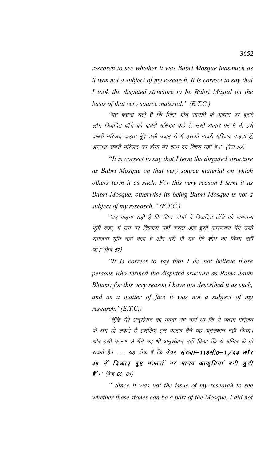*research to see whether it was Babri Mosque inasmuch as it was not a subject of my research. It is correct to say that I took the disputed structure to be Babri Masjid on the basis of that very source material." (E.T.C.)*

''यह कहना सही है कि जिस श्रोत सामग्री के आधार पर दूसरे लोग विवादित ढॉचे को बाबरी मस्जिद कहें हैं, उसी आधार पर मैं भी इसे बाबरी मस्जिद कहता हूँ। उसी वजह से मैं इसको बाबरी मस्जिद कहता हूँ, अन्यथा बाबरी मस्जिद का होना मेरे शोध का विषय नहीं है।'' (पेज 57)

*"It is correct to say that I term the disputed structure as Babri Mosque on that very source material on which others term it as such. For this very reason I term it as Babri Mosque, otherwise its being Babri Mosque is not a subject of my research." (E.T.C.)*

''यह कहना सही है कि जिन लोगों ने विवादित ढाँचे को रामजन्म भूमि कहा, मैं उन पर विश्वास नहीं करता और इसी कारणवश मैंने उसी रामजन्म भूमि नहीं कहा है और वैसे भी यह मेरे शोध का विषय नहीं था।''(पेज 57)

*"It is correct to say that I do not believe those persons who termed the disputed sructure as Rama Janm Bhumi; for this very reason I have not described it as such, and as a matter of fact it was not a subject of my research."(E.T.C.)*

''चूॅकि मेरे अनुसंधान का मुद्दा यह नहीं था कि ये पत्थर मस्जिद के अंग हो सकते हैं इसलिए इस कारण मैंने यह अनुसंधान नहीं किया। ओर इसी कारण से मैंने यह भी अनुसंधान नहीं किया कि ये मन्दिर के हो सकते हैं। . . यह ठीक है कि पेपर संख्या-118सी0-1/44 और 46 में दिखाए हुए पत्थरों पर मानव आकृतियां बनी हुयी  $\vec{g}'$  /" (पेज 60-61)

*" Since it was not the issue of my research to see whether these stones can be a part of the Mosque, I did not*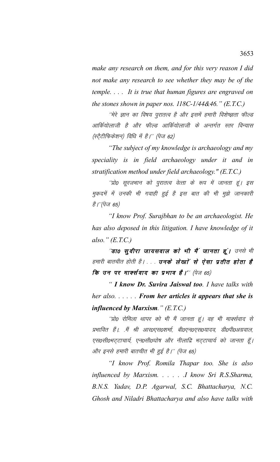make any research on them, and for this very reason I did not make any research to see whether they may be of the temple.... It is true that human figures are engraved on the stones shown in paper nos.  $118C-1/44&46$ ." (E.T.C.)

''मेरे ज्ञान का विषय पुरातत्व है और इसमें हमारी विशेष्ज्ञता फील्ड आर्कियोलाजी है और फील्ड आर्कियोलाजी के अन्तर्गत स्तर विन्यास (स्ट्रेटीफिकेशन) विधि में है।'' (पेज 62)

"The subject of my knowledge is archaeology and my speciality is in field archaeology under it and in stratification method under field archaeology."  $(E.T.C.)$ 

''प्रो0 सुरजभान को पुरातत्व वेत्ता के रूप में जानता हूं। इस मुकदमें में उनकी भी गवाही हुई है इस बात की भी मुझे जानकारी *है।''(पेज 65)* 

"I know Prof. Surajbhan to be an archaeologist. He has also deposed in this litigation. I have knowledge of it also."  $(E.T.C.)$ 

"डा0 सुवीरा जायसवाल को भी मैं जानता हूं। उनसे भी हमारी बातचीत होती है। . . . **उनके लेखाों से ऐसा प्रतीत होता है** कि उन पर मार्क्सवाद का प्रभाव है।'' (पेज 65)

" I know Dr. Suvira Jaiswal too. I have talks with her also.  $\ldots$ . From her articles it appears that she is influenced by Marxism."  $(E.T.C.)$ 

''प्रो0 रोमिला थापर को भी मैं जानता हूं। वह भी मार्क्सवाद से प्रभावित हैं। .मैं श्री आर0एस0शर्मा, बी0एन0एस0यादव, डी0पी0अग्रवाल, एस०सी०भट्टाचार्य, एन०सी०घोष और नीलाद्रि भट्टाचार्य को जानता हूँ। और इनसे हमारी बातचीत भी हुई है।'' (पेज 65)

"I know Prof. Romila Thapar too. She is also influenced by Marxism. . . . . . I know Sri R.S.Sharma, B.N.S. Yadav, D.P. Agarwal, S.C. Bhattacharya, N.C. Ghosh and Niladri Bhattacharya and also have talks with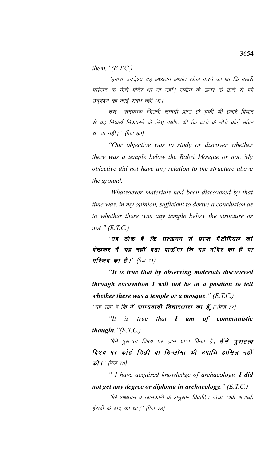them."  $(E.T.C.)$ 

''हमारा उद्देश्य यह अध्ययन अर्थात खोज करने का था कि बाबरी मस्जिद के नीचे मंदिर था या नहीं। जमीन के ऊपर के ढांचे से मेरे उद्देश्य का कोई संबंध नहीं था।

उस समयतक जितनी सामग्री प्राप्त हो चुकी थी हमारे विचार से यह निष्कर्ष निकालने के लिए पर्याप्त थी कि ढांचे के नीचे कोई मंदिर था या नही।'' (पेज 69)

"Our objective was to study or discover whether there was a temple below the Babri Mosque or not. My objective did not have any relation to the structure above the ground.

Whatsoever materials had been discovered by that time was, in my opinion, sufficient to derive a conclusion as to whether there was any temple below the structure or not."  $(E.T.C.)$ 

''यह ठीक है कि उत्खनन से प्राप्त मैटीरियल को देखकर मैं यह नहीं बता पाऊँगा कि यह मंदिर का है या मस्जिद का है।'' (पेज 71)

"It is true that by observing materials discovered through excavation I will not be in a position to tell whether there was a temple or a mosque."  $(E.T.C.)$ 

"यह सही है कि **मैं साम्यवादी विचारधारा का हूँ** ।"(पेज 77)

 $\mathscr{C}$  $i<sub>S</sub>$ true that I am of communistic *thought.*  $" (E.T.C.)$ 

''मैंने पुरातत्व विषय पर ज्ञान प्राप्त किया है। **मैंने पूरातत्व** विषय पर कोई डिग्री या डिप्लोमा की उपाधि हासिल नहीं की |'' (पेज 78)

" I have acquired knowledge of archaeology. I did not get any degree or diploma in archaeology."  $(E.T.C.)$ 

''मेरे अध्ययन व जानकारी के अनुसार विवादित ढॉचा 12वीं शताब्दी ईसवी के बाद का था।'' (पेज 78)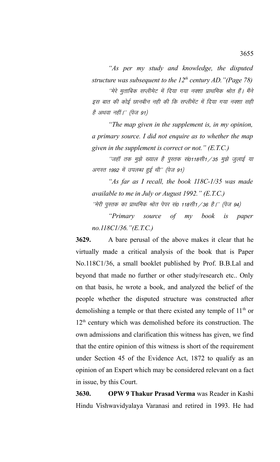*"As per my study and knowledge, the disputed structure was subsequent to the 12th century AD."(Page 78)*

''मेरे मुताबिक सप्लीमेट में दिया गया नक्शा प्राथमिक श्रोत हैं। मैंने इस बात की कोई छानबीन नही की कि सप्लीमेंट में दिया गया नक्शा सही है अथवा नहीं।'' (पेज 91)

*"The map given in the supplement is, in my opinion, a primary source. I did not enquire as to whether the map given in the supplement is correct or not." (E.T.C.)*

 $^{\prime\prime}$ जहाँ तक मुझे ख्याल है पुस्तक सं0118सी1  $\phase$  35 मुझे जुलाई या अगस्त 1992 में उपलब्ध हुई थी" (पेज 91)

*"As far as I recall, the book 118C-1/35 was made available to me in July or August 1992." (E.T.C.)*

 $^{\prime\prime}$ मेरी पुस्तक का प्राथमिक श्रोत पेपर सं0 118सी1 / 36 है।'' (पेज 94)

*"Primary source of my book is paper no.118C1/36."(E.T.C.)*

**3629.** A bare perusal of the above makes it clear that he virtually made a critical analysis of the book that is Paper No.118C1/36, a small booklet published by Prof. B.B.Lal and beyond that made no further or other study/research etc.. Only on that basis, he wrote a book, and analyzed the belief of the people whether the disputed structure was constructed after demolishing a temple or that there existed any temple of 11<sup>th</sup> or  $12<sup>th</sup>$  century which was demolished before its construction. The own admissions and clarification this witness has given, we find that the entire opinion of this witness is short of the requirement under Section 45 of the Evidence Act, 1872 to qualify as an opinion of an Expert which may be considered relevant on a fact in issue, by this Court.

**3630. OPW 9 Thakur Prasad Verma** was Reader in Kashi Hindu Vishwavidyalaya Varanasi and retired in 1993. He had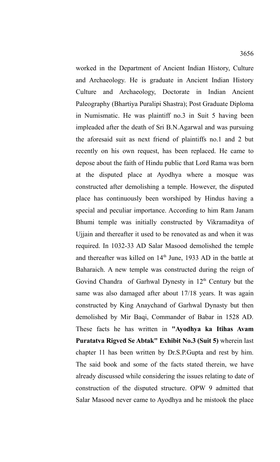worked in the Department of Ancient Indian History, Culture and Archaeology. He is graduate in Ancient Indian History Culture and Archaeology, Doctorate in Indian Ancient Paleography (Bhartiya Puralipi Shastra); Post Graduate Diploma in Numismatic. He was plaintiff no.3 in Suit 5 having been impleaded after the death of Sri B.N.Agarwal and was pursuing the aforesaid suit as next friend of plaintiffs no.1 and 2 but recently on his own request, has been replaced. He came to depose about the faith of Hindu public that Lord Rama was born at the disputed place at Ayodhya where a mosque was constructed after demolishing a temple. However, the disputed place has continuously been worshiped by Hindus having a special and peculiar importance. According to him Ram Janam Bhumi temple was initially constructed by Vikramaditya of Ujjain and thereafter it used to be renovated as and when it was required. In 1032-33 AD Salar Masood demolished the temple and thereafter was killed on  $14<sup>th</sup>$  June, 1933 AD in the battle at Baharaich. A new temple was constructed during the reign of Govind Chandra of Garhwal Dynesty in  $12<sup>th</sup>$  Century but the same was also damaged after about 17/18 years. It was again constructed by King Anaychand of Garhwal Dynasty but then demolished by Mir Baqi, Commander of Babar in 1528 AD. These facts he has written in **"Ayodhya ka Itihas Avam Puratatva Rigved Se Abtak" Exhibit No.3 (Suit 5)** wherein last chapter 11 has been written by Dr.S.P.Gupta and rest by him. The said book and some of the facts stated therein, we have already discussed while considering the issues relating to date of construction of the disputed structure. OPW 9 admitted that Salar Masood never came to Ayodhya and he mistook the place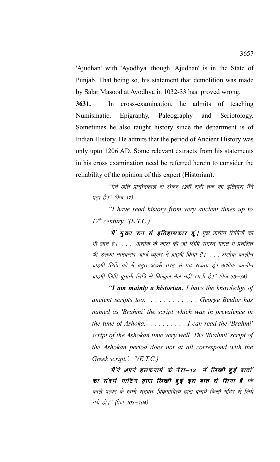'Ajudhan' with 'Ayodhya' though 'Ajudhan' is in the State of Punjab. That being so, his statement that demolition was made by Salar Masood at Ayodhya in 1032-33 has proved wrong.

**3631.** In cross-examination, he admits of teaching Numismatic, Epigraphy, Paleography and Scriptology. Sometimes he also taught history since the department is of Indian History. He admits that the period of Ancient History was only upto 1206 AD. Some relevant extracts from his statements in his cross examination need be referred herein to consider the reliability of the opinion of this expert (Historian):

''मैंने अति प्राचीनकाल से लेकर 12वीं सदी तक का इतिहास मैंने पढ़ा है।'' (पेज 17)

*"I have read history from very ancient times up to*  $12^{th}$  century."(E.T.C.)

"मैं **मुख्य रूप से इतिहासकार हूं।** मुझे प्राचीन लिपियों का भी ज्ञान है। . . . अशोक के काल की जो लिपि समस्त भारत में प्रचलित थी उसका नामकरण जार्ज ब्यूलर ने ब्राह्मी किया है। . . . अशोक कालीन ब्राह्मी लिपि को मैं बहुत अच्छी तरह से पढ़ सकता हूं। अशोक कालीन ब्राह्मी लिपि यूनानी लिपि से बिल्कुल मेल नहीं खाती है।'' (पेज 33–34)

*"I am mainly a historian. I have the knowledge of ancient scripts too. . . . . . . . . . . . George Beular has named as 'Brahmi' the script which was in prevalence in the time of Ashoka. . . . . . . . . . I can read the 'Brahmi' script of the Ashokan time very well. The 'Brahmi' script of the Ashokan period does not at all correspond with the Greek script.'. "(E.T.C.)*

 $\hat{a}^{\mu}$ ने अपने हलफनामें के पैरा-13 में लिखी हुई बातों का संदर्भ मार्टिन द्वारा लिखी इई इस बात से लिया है कि काले पत्थर के खम्भे संभवतः विक्रमादित्य द्वारा बनाये किसी मंदिर से लिये गये हों।'' (पेज 103–104)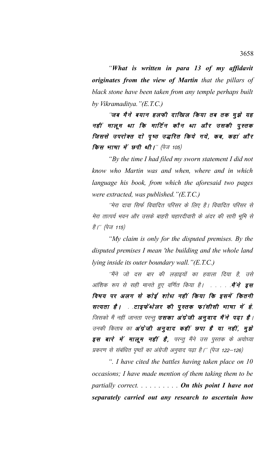*"What is written in para 13 of my affidavit originates from the view of Martin that the pillars of black stone have been taken from any temple perhaps built by Vikramaditya."(E.T.C.)*

"जब मैने बयान हलफी दाखिल किया तब तक मूझे यह नहीं मालूम था कि मार्टिन कौन था और उसकी पुस्तक जिससे उपरोक्त दो पृष्ठ उद्धरित किये गये, कब, कहां और **किस भाषा में छपी थी।**'' (पेज 105)

*"By the time I had filed my sworn statement I did not know who Martin was and when, where and in which language his book, from which the aforesaid two pages were extracted, was published."(E.T.C.)*

"मेरा दावा सिर्फ विवादित परिसर के लिए है। विवादित परिसर से मेरा तात्पर्य भवन और उसके बाहरी चहारदीवारी के अंदर की सारी भूमि से *है।'' (पेज 115)* 

*"My claim is only for the disputed premises. By the disputed premises I mean 'the building and the whole land lying inside its outer boundary wall."(E.T.C.)*

''मैंने जो दस बार की लडाइयों का हवाला दिया है, उसे आंशिक रूप से सही मानते हुए वर्णित किया है। . . . . . **मैं ने इस** विषय पर अलग से कोई शोध नहीं किया कि इसमें कितनी सत्यता है। . .टाइफेंथेलर की पुस्तक फांसीसी भाषा में है, जिसको मैं नहीं जानता परन्तु **उसका अंग्रेजी अनुवाद मैंने पढ़ा है**। उनकी किताब का **अंग्रेजी अनुवाद कहीं छपा है या नहीं, मुझे** इस बारे में मालूम नहीं है, परन्तु मैंने उस पुस्तक के अयोध्या प्रकरण से संबंधित पृष्ठों का अंग्रेजी अनुवाद पढ़ा है।'' (पेज 122–126)

*". I have cited the battles having taken place on 10 occasions; I have made mention of them taking them to be partially correct. . . . . . . . . . On this point I have not separately carried out any research to ascertain how*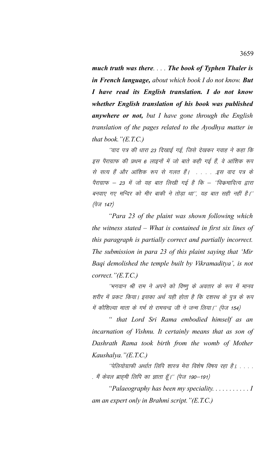*much truth was there. . . . The book of Typhen Thaler is in French language, about which book I do not know. But I have read its English translation. I do not know whether English translation of his book was published anywhere or not, but I have gone through the English translation of the pages related to the Ayodhya matter in that book."(E.T.C.)*

''वाद पत्र की धारा 23 दिखाई गई, जिसे देखकर गवाह ने कहा कि इस पैराग्राफ की प्रथम 6 लाइनों में जो बाते कही गई हैं, वे आंशिक रूप से सत्य हैं और आंशिक रूप से गलत हैं। . . . . .इस वाद पत्र के पैराग्राफ – 23 में जो यह बात लिखी गई है कि – ''विकमादित्य द्वारा बनवाए गए मन्दिर को मीर बाकी ने तोड़ा था", यह बात सही नहीं है।''  $(\vec{q}_{\nabla}$  147)

*"Para 23 of the plaint was shown following which the witness stated – What is contained in first six lines of this paragraph is partially correct and partially incorrect. The submission in para 23 of this plaint saying that 'Mir Baqi demolished the temple built by Vikramaditya', is not correct."(E.T.C.)*

''भगवान श्री राम ने अपने को विष्णू के अवतार के रूप में मानव शरीर में प्रकट किया। इसका अर्थ यही होता है कि दशरथ के पुत्र के रूप में कौशिल्या माता के गर्भ से रामचन्द्र जी ने जन्म लिया।'' (पेज 154)

*" that Lord Sri Rama embodied himself as an incarnation of Vishnu. It certainly means that as son of Dashrath Rama took birth from the womb of Mother Kaushalya."(E.T.C.)*

 $^{\prime\prime}$ पेलियोग्राफी अर्थात लिपि शास्त्र मेरा विशेष विषय रहा है। . . . . . मैं केवल ब्राह्मी लिपि का ज्ञाता हूँ।'' (पेज 190–191)

*"Palaeography has been my speciality. . . . . . . . . . . I am an expert only in Brahmi script."(E.T.C.)*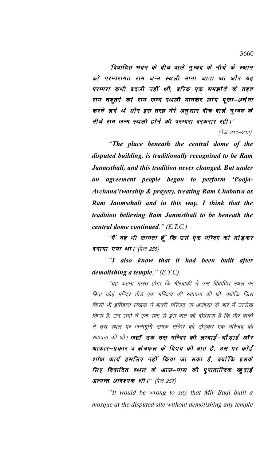"विवादित भवन के बीच वाले गुम्बद के नीचे के स्थान को परम्परागत राम जन्म स्थली माना जाता था और यह परम्परा कभी बदली नहीं थी, बल्कि एक समझौते के तहत राम चबूतरे को राम जन्म स्थली मानकर लोग पूजा–अर्चना करने लगे थे और इस तरह मेरे अनुसार बीच वाले गुम्बद के नीचे राम जन्म स्थली होने की परम्परा बरकरार रही।''

(पेज 211–212)

*"The place beneath the central dome of the disputed building, is traditionally recognised to be Ram Janmsthali, and this tradition never changed. But under an agreement people began to perform 'Pooja-Archana'(worship & prayer), treating Ram Chabutra as Ram Janmsthali and in this way, I think that the tradition believing Ram Janmsthali to be beneath the central dome continued." (E.T.C.)*

*'*मैं यह भी जानता हूँ कि उसे एक मन्दिर को तोड़कर बनाया गया था।"(पेज 255)

*"I also know that it had been built after demolishing a temple." (E.T.C)*

''यह कहना गलत होगा कि मीरबाकी ने उस विवादित स्थल पर बिना कोई मन्दिर तोड़े एक मस्जिद की स्थापना की थी, क्योंकि जिस किसी भी इतिहास लेखक ने बाबरी मस्जिद या अयोध्या के बारे में उल्लेख किया है, उन सभी ने एक स्वर से इस बात को दोहराया है कि मीर बाकी ने उस स्थल पर जन्मभूमि नामक मन्दिर को तोड़कर एक मस्जिद की स्थापना की थी। **जहाँ तक उस मन्दिर की लम्बाई–चौड़ाई और** आकार—प्रकार व क्षेत्रफल के विषय की बात है, उस पर कोई शोध कार्य इसलिए नहीं किया जा सका है, क्योंकि इसके लिए विवादित स्थल के आस–पास की पुरातात्विक खुदाई अत्यन्त आवश्यक थी।'' (पेज 257)

*"It would be wrong to say that Mir Baqi built a mosque at the disputed site without demolishing any temple*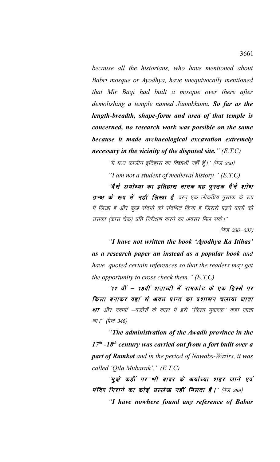*because all the historians, who have mentioned about Babri mosque or Ayodhya, have unequivocally mentioned that Mir Baqi had built a mosque over there after demolishing a temple named Janmbhumi. So far as the length-breadth, shape-form and area of that temple is concerned, no research work was possible on the same because it made archaeological excavation extremely necessary in the vicinity of the disputed site." (E.T.C)*

''मैं मध्य कालीन इतिहास का विद्यार्थी नहीं हूँ।'' (पेज 300)

*"I am not a student of medieval history." (E.T.C)*

''वैसे अयोध्या का इतिहास नामक यह पुस्तक मैंने शोध ग्रन्थ के रूप में नहीं लिखा है वरन एक लोकप्रिय पुस्तक के रूप में लिखा है और कूछ संदर्भो को संदर्भित किया है जिससे पढने वालों को उसका (क्रास चेक) प्रति निरीक्षण करने का अवसर मिल सके।''

 $(\dot{q}_{\nabla}$  336–337)

*"I have not written the book 'Ayodhya Ka Itihas' as a research paper an instead as a popular book and have quoted certain references so that the readers may get the opportunity to cross check them." (E.T.C)*

"17 वीं – 18वीं शताब्दी में रामकोट के एक हिस्से पर किला बनाकर वहां से अवध प्रान्त का प्रशासन चलाया जाता था और नवाबों –वजीरों के काल में इसे ''किला मुबारक'' कहा जाता था।'' (पेज 346)

*"The administration of the Awadh province in the 17th -18th century was carried out from a fort built over a part of Ramkot and in the period of Nawabs-Wazirs, it was called 'Qila Mubarak'." (E.T.C)*

<sup>'</sup>मुझे कहीं पर भी बाबर के अयोध्या शहर जाने एवं मंदिर गिराने का कोई उल्लेख नहीं मिलता है।" (पेज 389)

*"I have nowhere found any reference of Babar*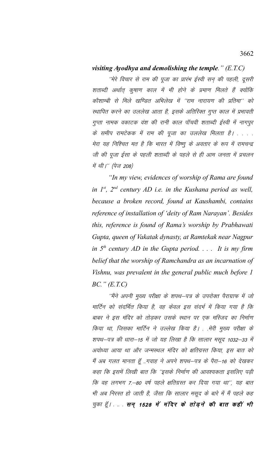## visiting Ayodhya and demolishing the temple."  $(E.T.C)$

''मेरे विचार से राम की पूजा का प्रारंभ ईस्वी सन् की पहली, दूसरी शताब्दी अर्थात् कुषाण काल में भी होने के प्रमाण मिलते हैं क्योंकि कौशाम्बी से मिले खण्डित अभिलेख में 'राम नारायण की प्रतिमा'' को स्थापित करने का उललेख आता है, इसके अतिरिक्त गुप्त काल में प्रभावती गुप्ता नामक वकाटक वंश की रानी काल पॉचवी शताब्दी ईस्वी में नागपुर के समीप रामटेकक में राम की पूजा का उललेख मिलता है। . . . . मेरा यह निश्चित मत है कि भारत में विष्णू के अवतार के रूप में रामचन्द्र जी की पूजा ईसा के पहली शताब्दी के पहले से ही आम जनता में प्रचलन में थी।'' (पेज 208)

"In my view, evidences of worship of Rama are found in  $1^{st}$ ,  $2^{nd}$  century AD i.e. in the Kushana period as well, because a broken record, found at Kaushambi, contains reference of installation of 'deity of Ram Narayan'. Besides this, reference is found of Rama's worship by Prabhawati Gupta, queen of Vakatak dynasty, at Ramtekak near Nagpur in  $5^{th}$  century AD in the Gupta period.  $\ldots$  It is my firm belief that the worship of Ramchandra as an incarnation of Vishnu, was prevalent in the general public much before 1  $BC$ ."  $(ET.C)$ 

''मैंने अपनी मुख्य परीक्षा के शपथ–पत्र के उपरोक्त पैराग्राफ में जो मार्टिन को संदर्भित किया है, वह केवल इस संदर्भ में किया गया है कि बाबर ने इस मंदिर को तोडकर उसके स्थान पर एक मस्जिद का निर्माण किया था, जिसका मार्टिन ने उल्लेख किया है। . .मेरी मुख्य परीक्षा के शपथ–पत्र की धारा–15 में जो यह लिखा है कि सालार मसूद 1032–33 में अयोध्या आया था और जन्मस्थल मंदिर को क्षतिग्रस्त किया, इस बात को मैं अब गलत मानता हूँ ..गवाह ने अपने शपथ–पत्र के पैरा–16 को देखकर कहा कि इसमें लिखी बात कि ''इसके निर्माण की आवश्यकता इसलिए पड़ी कि वह लगभग 7.—80 वर्ष पहले क्षतिग्रस्त कर दिया गया था'', यह बात भी अब निरस्त हो जाती है, जैसा कि सालार मसूद के बारे में मैं पहले कह चुका हूँ। ... सन् 1528 में मंदिर के तोड़ने की बात कहीं भी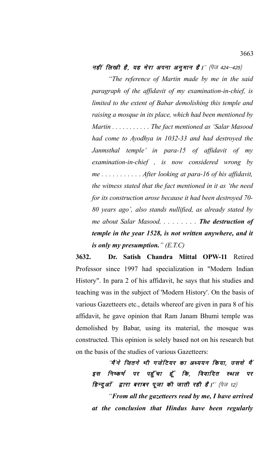नहीं लिखी है, यह मेरा अपना अनूमान है।" (पेज 424-425)

*"The reference of Martin made by me in the said paragraph of the affidavit of my examination-in-chief, is limited to the extent of Babar demolishing this temple and raising a mosque in its place, which had been mentioned by Martin . . . . . . . . . . . The fact mentioned as 'Salar Masood had come to Ayodhya in 1032-33 and had destroyed the Janmsthal temple' in para-15 of affidavit of my examination-in-chief , is now considered wrong by me . . . . . . . . . . . After looking at para-16 of his affidavit, the witness stated that the fact mentioned in it as 'the need for its construction arose because it had been destroyed 70- 80 years ago', also stands nullified, as already stated by me about Salar Masood. . . . . . . . . The destruction of temple in the year 1528, is not written anywhere, and it is only my presumption." (E.T.C)*

**3632. Dr. Satish Chandra Mittal OPW-11** Retired Professor since 1997 had specialization in "Modern Indian History". In para 2 of his affidavit, he says that his studies and teaching was in the subject of 'Modern History'. On the basis of various Gazetteers etc., details whereof are given in para 8 of his affidavit, he gave opinion that Ram Janam Bhumi temple was demolished by Babar, using its material, the mosque was constructed. This opinion is solely based not on his research but on the basis of the studies of various Gazetteers:

"मैं ने जितने भी गजेटियर का अध्ययन किया, उससे मैं इस निष्कर्ष पर पहुँचा हूँ कि, विवादित स्थल पर हिन्दुओं द्वारा बराबर पूजा की जाती रही है।'' (पेज 12)

*"From all the gazetteers read by me, I have arrived at the conclusion that Hindus have been regularly*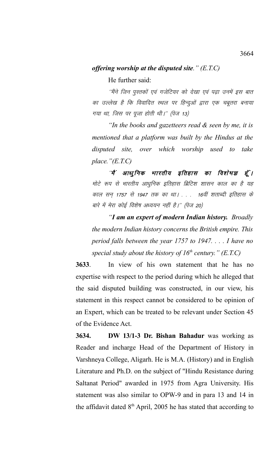## *offering worship at the disputed site." (E.T.C)*

He further said:

''मैंने जिन पुस्तकों एवं गजेटियर को देखा एवं पढा उनमें इस बात का उल्लेख है कि विवादित स्थल पर हिन्दुओं द्वारा एक चबूतरा बनाया गया था, जिस पर पूजा होती थी।" (पेज 13)

*"In the books and gazetteers read & seen by me, it is mentioned that a platform was built by the Hindus at the disputed site, over which worship used to take place."(E.T.C)*

"मैं आधुनिक भारतीय इतिहास का विशेषज्ञ हूँ। मोटे रूप से भारतीय आधुनिक इतिहास ब्रिटिश शासन काल का है यह काल सन् 1757 से 1947 तक का था। . . . 16वीं शताब्दी इतिहास के बारे में मेरा कोई विशेष अध्ययन नहीं है।'' (पेज 20)

*"I am an expert of modern Indian history. Broadly the modern Indian history concerns the British empire. This period falls between the year 1757 to 1947. . . . I have no special study about the history of 16th century." (E.T.C)*

**3633**. In view of his own statement that he has no expertise with respect to the period during which he alleged that the said disputed building was constructed, in our view, his statement in this respect cannot be considered to be opinion of an Expert, which can be treated to be relevant under Section 45 of the Evidence Act.

**3634. DW 13/1-3 Dr. Bishan Bahadur** was working as Reader and incharge Head of the Department of History in Varshneya College, Aligarh. He is M.A. (History) and in English Literature and Ph.D. on the subject of "Hindu Resistance during Saltanat Period" awarded in 1975 from Agra University. His statement was also similar to OPW-9 and in para 13 and 14 in the affidavit dated  $8<sup>th</sup>$  April, 2005 he has stated that according to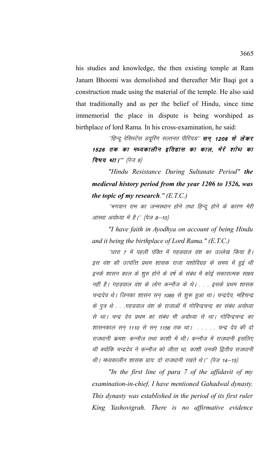his studies and knowledge, the then existing temple at Ram Janam Bhoomi was demolished and thereafter Mir Bagi got a construction made using the material of the temple. He also said that traditionally and as per the belief of Hindu, since time immemorial the place in dispute is being worshiped as birthplace of lord Rama. In his cross-examination, he said:

''हिन्दू रेसिस्टेंस ड्यूरिंग सल्तनत पीरियड'' **सन् 1206 से लेकर** 1526 तक का मध्यकालीन इतिहास का काल, मेरे शाेध का विषय था।" (पेज 8)

"Hindu Resistance During Sultanate Period" the medieval history period from the year 1206 to 1526, was the topic of my research."  $(E.T.C.)$ 

''भगवान राम का जन्मस्थान होने तथा हिन्दू होने के कारण मेरी आस्था अयोध्या में है।'' (पेज 8–10)

"I have faith in Ayodhya on account of being Hindu and it being the birthplace of Lord Rama."  $(E.T.C.)$ 

''धारा 7 में पहली पंक्ति में गहडवाल वंश का उल्लेख किया है। इस वंश की उत्पत्ति प्रथम शासक राजा यशोविग्रह के समय में हुई थी इनके शासन काल के शुरु होने के वर्ष के संबंध में कोई सकारात्मक साक्ष्य नहीं है। गहड़वाल वंश के लोग कन्नौज के थे। . . . इसके प्रथम शासक चन्द्रदेव थे। जिनका शासन सन् 1085 से शुरू हुआ था। चन्द्रदेव, महिचन्द्र के पुत्र थे . . .गहडवाल वंश के राजाओं में गोविन्द्रचन्द्र का संबंध अयोध्या से था। चन्द्र देव प्रथम का संबंध भी अयोध्या से था। गोविन्द्रचन्द्र का शासनकाल सन् 1110 से सन् 1156 तक था। . . . . . चन्द्र देव की दो राजधानी कमशः कन्नौज तथा काशी में थी। कन्नौज में राजधानी इसलिए थी क्योंकि चन्द्रदेव ने कुन्नौज को जीता था, काशी उनकी द्वितीय राजधानी थी। मध्यकालीन शासक प्रायः दो राजधानी रखते थे।'' (पेज 14—15)

"In the first line of para 7 of the affidavit of my examination-in-chief, I have mentioned Gahadwal dynasty. This dynasty was established in the period of its first ruler King Yashovigrah. There is no affirmative evidence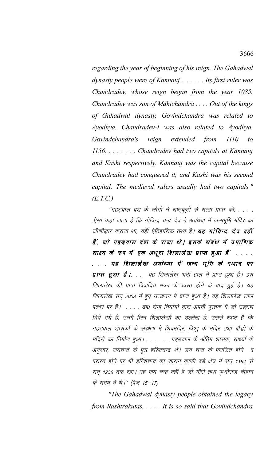regarding the year of beginning of his reign. The Gahadwal dynasty people were of Kannauj.  $\ldots$ . Its first ruler was Chandradev, whose reign began from the year 1085. Chandradev was son of Mahichandra ... Out of the kings of Gahadwal dynasty, Govindchandra was related to Ayodhya. Chandradev-I was also related to Ayodhya. extended from Govindchandra's reign  $1110$  $to$ 1156. . . . . . . . Chandradev had two capitals at Kannauj and Kashi respectively. Kannauj was the capital because Chandradev had conquered it, and Kashi was his second capital. The medieval rulers usually had two capitals."  $(E.T.C.)$ 

''गहड़वाल वंश के लोगों ने राष्ट्रकूटों से सत्ता प्राप्त की, . . . . ऐसा कहा जाता है कि गोविन्द्र चन्द्र देव ने अयोध्या में जन्मभूमि मंदिर का जीर्णोद्धार कराया था. यही ऐतिहासिक तथ्य है। **यह गोविन्द्र देव वहीं** हैं, जो गहड़वाल वंश के राजा थे। इसके संबंध में प्रमाणिक साक्ष्य के रुप में एक अधूरा शिलालेख प्राप्त हुआ हैं . . . . . . . यह शिलालेख अयोध्या में जन्म भूमि के स्थान पर प्राप्त हुआ है। . . यह शिलालेख अभी हाल में प्राप्त हुआ है। इस शिलालेख की प्राप्त विवादित भवन के ध्वस्त होने के बाद हुई है। यह शिलालेख सन् 2003 में हुए उत्खनन में प्राप्त हुआ है। यह शिलालेख लाल पत्थर पर है। . . . . डा0 रोमा नियोगी द्वारा अपनी पुस्तक में जो उद्धरण दिये गये हैं, उनमें जिन शिलालेखों का उल्लेख है, उससे स्पष्ट है कि गहड़वाल शासकों के संरक्षण में शिवमंदिर, विष्णू के मंदिर तथा बौद्धों के मंदिरों का निर्माण हुआ। . . . . . . गहड़वाल के अंतिम शासक, साक्ष्यों के अनुसार, जयचन्द्र के पुत्र हरिशचन्द्र थे। जय चन्द्र के पराजित होने व परास्त होने पर भी हरिशचन्द्र का शासन काफी बड़े क्षेत्र में सन् 1194 से सन 1236 तक रहा। यह जय चन्द्र वहीं है जो गौरी तथा पृथ्वीराज चौहान के समय में थे।'' (पेज 15–17)

"The Gahadwal dynasty people obtained the legacy" from Rashtrakutas, ... It is so said that Govindchandra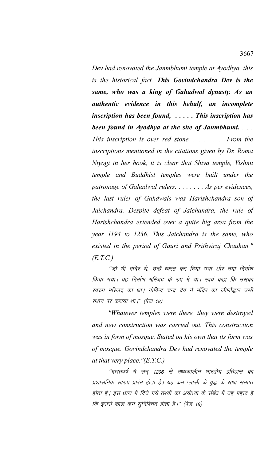Dev had renovated the Janmbhumi temple at Ayodhya, this is the historical fact. This Govindchandra Dev is the same, who was a king of Gahadwal dynasty. As an authentic evidence in this behalf, an incomplete inscription has been found,  $\ldots$ . This inscription has been found in Ayodhya at the site of Janmbhumi.... This inscription is over red stone....... From the inscriptions mentioned in the citations given by Dr. Roma Niyogi in her book, it is clear that Shiva temple, Vishnu temple and Buddhist temples were built under the patronage of Gahadwal rulers. . . . . . . . As per evidences, the last ruler of Gahdwals was Harishchandra son of Jaichandra. Despite defeat of Jaichandra, the rule of Harishchandra extended over a quite big area from the year 1194 to 1236. This Jaichandra is the same, who existed in the period of Gauri and Prithviraj Chauhan."  $(E.T.C.)$ 

''जो भी मंदिर थे, उन्हें ध्वस्त कर दिया गया और नया निर्माण किया गया। वह निर्माण मस्जिद के रुप में था। स्वयं कहा कि उसका स्वरुप मस्जिद का था। गोविन्द चन्द्र देव ने मंदिर का जीर्णोद्धार उसी स्थान पर कराया था।'' (पेज 18)

"Whatever temples were there, they were destroyed and new construction was carried out. This construction was in form of mosque. Stated on his own that its form was of mosque. Govindchandra Dev had renovated the temple at that very place." $(E.T.C.)$ 

''भारतवर्ष में सन् 1206 से मध्यकालीन भारतीय इतिहास का प्रशासनिक स्वरुप प्रारंभ होता है। यह कम प्लासी के युद्ध के साथ समाप्त होता है। इस धारा में दिये गये तथ्यों का अयोध्या के संबंध में यह महत्व है कि इससे काल कम सुनिश्चित होता है।'' (पेज 18)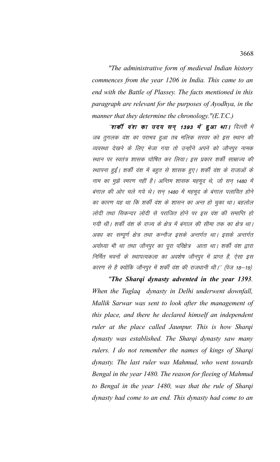"The administrative form of medieval Indian history commences from the year 1206 in India. This came to an end with the Battle of Plassey. The facts mentioned in this paragraph are relevant for the purposes of Ayodhya, in the manner that they determine the chronology." $(E.T.C.)$ 

"**शर्की वंश का उदय सन् 1393 में हुआ था।** दिल्ली में जब तुगलक वंश का पराभव हुआ तब मलिक सरवर को इस स्थान की व्यवस्था देखने के लिए भेजा गया तो उन्होंने अपने को जौनपुर नामक स्थान पर स्वतंत्र शासक घोषित कर लिया। इस प्रकार शर्की साम्राज्य की स्थापना हुईं। शर्की वंश में बहुत से शासक हुए। शर्की वंश के राजाओं के नाम का मुझे स्मरण नहीं है। अन्तिम शासक महमूद थे, जो सन् 1480 में बंगाल की ओर चले गये थे। सन् 1480 में महमूद के बंगाल पलायित होने का कारण यह था कि शर्की वंश के शासन का अन्त हो चुका था। बहलोल लोदी तथा सिकन्दर लोदी से पराजित होने पर इस वंश की समाप्ति हो गयी थी। शर्की वंश के राज्य के क्षेत्र में बंगाल की सीमा तक का क्षेत्र था। अवध का सम्पूर्ण क्षेत्र तथा कन्नौज इसके अन्तर्गत था। इसके अन्तर्गत अयोध्या भी था तथा जौनपुर का पूरा परिक्षेत्र आता था। शर्की वंश द्वारा निर्मित भवनों के स्थापत्यकला का अवशेष जौनपुर में प्राप्त है, ऐसा इस कारण से है क्योंकि जौनपुर में शर्की वंश की राजधानी थी।'' (पेज 18–19)

"The Shargi dynasty advented in the year 1393. When the Tuglaq dynasty in Delhi underwent downfall, Mallik Sarwar was sent to look after the management of this place, and there he declared himself an independent ruler at the place called Jaunpur. This is how Sharqi dynasty was established. The Sharqi dynasty saw many rulers. I do not remember the names of kings of Sharqi dynasty. The last ruler was Mahmud, who went towards Bengal in the year 1480. The reason for fleeing of Mahmud to Bengal in the year 1480, was that the rule of Sharqi dynasty had come to an end. This dynasty had come to an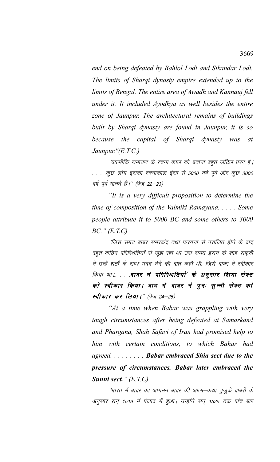*end on being defeated by Bahlol Lodi and Sikandar Lodi. The limits of Sharqi dynasty empire extended up to the limits of Bengal. The entire area of Awadh and Kannauj fell under it. It included Ayodhya as well besides the entire zone of Jaunpur. The architectural remains of buildings built by Sharqi dynasty are found in Jaunpur, it is so because the capital of Sharqi dynasty was at Jaunpur."(E.T.C.)*

''वाल्मीकि रामायण के रचना काल को बताना बहुत जटिल प्रश्न है। . . . .कुछ लोग इसका रचनाकाल ईसा से 5000 वर्ष पूर्व और कुछ 3000 वर्ष पूर्व मानते हैं।'' (पेज 22–23)

*"It is a very difficult proposition to determine the time of composition of the Valmiki Ramayana. . . . . Some people attribute it to 5000 BC and some others to 3000 BC." (E.T.C)*

^^fजिस समय बाबर समरकंद तथा फरगना से पराजित होने के बाद बहत कठिन परिस्थितियों से जुझ रहा था उस समय ईरान के शाह सफवी ने उन्हें शर्तों के साथ मदद देने की बात कही थी, जिसे बाबर ने स्वीकार किया था।.. . . . बाबर ने परिस्थितियों के अनूसार शिया सेक्ट को स्वीकार किया। बाद में बाबर ने पुनः सुन्नी सेक्ट को स्वीकार कर लिया।" (पेज 24–25)

*"At a time when Babar was grappling with very tough circumstances after being defeated at Samarkand and Phargana, Shah Safavi of Iran had promised help to him with certain conditions, to which Bahar had agreed. . . . . . . . . Babar embraced Shia sect due to the pressure of circumstances. Babar later embraced the Sunni sect." (E.T.C)*

^^भारत में बाबर का आगमन बाबर की आत्म—कथा तुजुके बाबरी के अनुसार सन् 1519 में पंजाब में हुआ। उन्होंने सन् 1525 तक पांच बार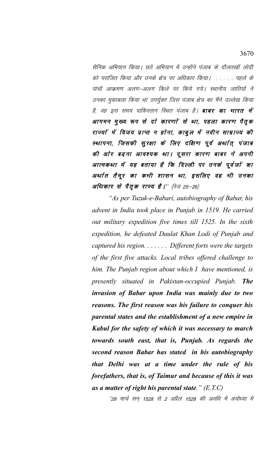सैनिक अभियान किया। छठे अभियान में उन्होंने पंजाब के दौलतर्खा लोदी को पराजित किया और उनके क्षेत्र पर अधिकार किया। . . . . . पहले के पांचों आक्रमण अलग-अलग किले पर किये गये। स्थानीय जातियों ने उनका मुकाबला किया थां उपर्युक्त जिस पंजाब क्षेत्र का मैंने उल्लेख किया है, वह इस समय पाकिस्तान स्थित पंजाब है। **बाबर का भारत में** आगमन मुख्य रूप से दो कारणों से था, पहला कारण पैतृक राज्यों में विजय प्राप्त न होना, काबुल में नवीन साम्राज्य की स्थापना, जिसकी सुरक्षा के लिए दक्षिण पूर्व अर्थात् पंजाब की ओर बढ़ना आवश्यक था। दूसरा कारण बाबर ने अपनी आत्मकथा में यह बताया है कि दिल्ली पर उनके पूर्वजों का अर्थात तैमूर का कभी शासन था, इसलिए वह भी उनका अधिकार से पैतृक राज्य है।'' (पेज 25–26)

"As per Tuzuk-e-Babari, autobiography of Babar, his advent in India took place in Punjab in 1519. He carried out military expedition five times till 1525. In the sixth expedition, he defeated Daulat Khan Lodi of Punjab and captured his region.  $\dots$  . Different forts were the targets of the first five attacks. Local tribes offered challenge to him. The Punjab region about which  $I$  have mentioned, is presently situated in Pakistan-occupied Punjab. The invasion of Babar upon India was mainly due to two reasons. The first reason was his failure to conquer his parental states and the establishment of a new empire in Kabul for the safety of which it was necessary to march towards south east, that is, Punjab. As regards the second reason Babar has stated in his autobiography that Delhi was at a time under the rule of his forefathers, that is, of Taimur and because of this it was as a matter of right his parental state."  $(E.T.C)$ 

''28 मार्च सन् 1528 से 2 अप्रैल 1528 की अवधि में अयोध्या में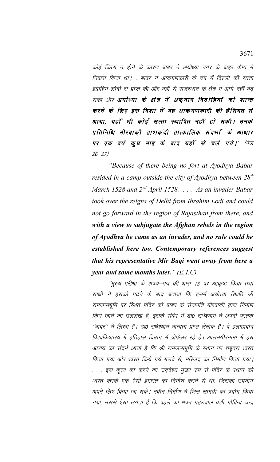कोई किला न होने के कारण बाबर ने अयोध्या नगर के बाहर कैम्प मे निवास किया था। . बाबर ने आक्रमणकारी के रुप में दिल्ली की सत्ता इब्राहिम लोदी से प्राप्त की और वहाँ से राजस्थान के क्षेत्र में आगे नहीं बढ सका और अयोध्या के क्षेत्र में अफ़गान विद्रोहियों को शान्त करने के लिए इस दिशा में वह आकमणकारी की हैसियत से आया, यहाँ भी कोई सत्ता स्थापित नहीं हो सकी। उनके प्रतिनिधि मीरबाकी ताशकंदी तात्कालिक संदर्भा के आधार पर एक वर्ष कूछ माह के बाद यहाँ से चले गये।" (पेज  $26 - 27$ 

"Because of there being no fort at Ayodhya Babar resided in a camp outside the city of Ayodhya between  $28<sup>th</sup>$ March 1528 and 2<sup>nd</sup> April 1528. . . . As an invader Babar took over the reigns of Delhi from Ibrahim Lodi and could not go forward in the region of Rajasthan from there, and with a view to subjugate the Afghan rebels in the region of Ayodhya he came as an invader, and no rule could be established here too. Contemporary references suggest that his representative Mir Baqi went away from here a *year and some months later.*"  $(E.T.C)$ 

''मुख्य परीक्षा के शपथ–पत्र की धारा 13 पर आकृष्ट किया तथा साक्षी ने इसको पढ़ने के बाद बताया कि इसमें अयोध्या स्थिति श्री रामजन्मभूमि पर स्थित मंदिर को बाबर के सेनापति मीरबाकी द्वारा निर्माण किये जाने का उललेख है, इसके संबंध में डा0 राधेश्याम ने अपनी पुस्तक ''बाबर'' में लिखा है। डा0 राधेश्याम मान्यता प्राप्त लेखक हैं। वे इलाहाबाद विश्वविद्यालय में इतिहास विभाग में प्रोफेसर रहे हैं। आलमगीरनामा में इस आशय का संदर्भ आया है कि श्री रामजन्मभूमि के स्थान पर चबूतरा ध्वस्त किया गया और ध्वस्त किये गये मलबे से, मस्जिद का निर्माण किया गया। . . . इस कृत्य को करने का उद्देश्य मुख्य रुप से मंदिर के स्थान को ध्वस्त करके एक ऐसी इमारत का निर्माण करने से था, जिसका उपयोग अपने लिए किया जा सके। नवीन निर्माण में जिस सामग्री का प्रयोग किया गया, उससे ऐसा लगता है कि पहले का भवन गहडवाल वंशी गोविन्द चन्द्र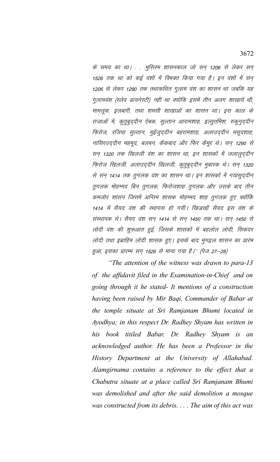के समय का था। . . .मुस्लिम शासनकाल जो सन् 1206 से लेकर सन् 1526 तक था को कई वंशों में विभक्त किया गया है। इन वंशों में सन् 1206 से लेकर 1290 तक तथाकथित गुलाम वंश का शासन था जबकि यह गुलामवंश (स्लेव डायनेस्टी) नहीं था क्योंकि इसमें तीन अलग शाखायें थी, मामलूक, इलबारी, तथा शमसी शाखाओं का शासन था। इस काल के राजाओं में, कुतुबुद्दीन ऐबक, सुल्तान आरामशाह, इल्तुतमिश, रुकुनुद्दीन फ़िरोज, रजिया सुल्तान, मुईजुद्दीन बहरामशाह, अलाउद्दीन मसूदशाह, नासिरउद्दीन महमूद, बलबन, कैंकबाद और फिर कैमूर थे। सन् 1290 से सन् 1320 तक खिलजी वंश का शासन था, इन शासकों में जलालुद्दीन फ़िरोज खिलजी, अलाउद्दीन खिलजी, कुतुबुद्दीन मुबारक थे। सन् 1320 से सन् 1414 तक तुगलक वंश का शासन था। इन शासकों में गयासुद्दीन तुगलक मोहम्मद बिन तुगलक, फिरोजशाह तुगलक और उसके बाद तीन कमजोर शासन जिसमें अन्तिम शासक मोहम्मद शाह तुगलक हुए क्योंकि 1414 में सैयद वंश की स्थापना हो गयी। खिज्रखॉ सैयद इस वंश के संस्थापक थे। सैयद वंश सन् 1414 से सन् 1450 तक था। सन् 1450 से लोदी वंश की शुरूआत हुई, जिसके शासकों में बहलोल लोदी, सिकंदर लोदी तथा इब्राहिम लोदी शासक हुए। इसके बाद मुगद्वल शासन का प्रारंभ हुआ, इसका प्रारम्भ सन् 1526 से माना गया है।'' (पेज 27–28)

"The attention of the witness was drawn to para-13" of the affidavit filed in the Examination-in-Chief and on going through it he stated- It mentions of a construction having been raised by Mir Baqi, Commander of Babar at the temple situate at Sri Ramjanam Bhumi located in Ayodhya; in this respect Dr. Radhey Shyam has written in his book titiled Babar. Dr. Radhey Shyam is an acknowledged author. He has been a Professor in the History Department at the University of Allahabad. Alamgirnama contains a reference to the effect that a Chabutra situate at a place called Sri Ramjanam Bhumi was demolished and after the said demolition a mosque was constructed from its debris.  $\ldots$  The aim of this act was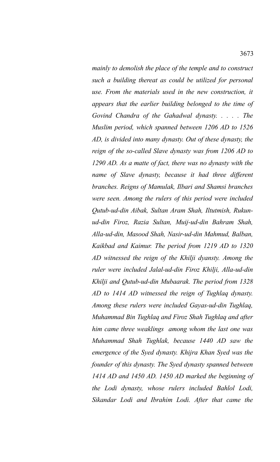*such a building thereat as could be utilized for personal use. From the materials used in the new construction, it appears that the earlier building belonged to the time of Govind Chandra of the Gahadwal dynasty. . . . . The Muslim period, which spanned between 1206 AD to 1526 AD, is divided into many dynasty. Out of these dynasty, the reign of the so-called Slave dynasty was from 1206 AD to 1290 AD. As a matte of fact, there was no dynasty with the name of Slave dynasty, because it had three different branches. Reigns of Mamulak, Ilbari and Shamsi branches were seen. Among the rulers of this period were included Qutub-ud-din Aibak, Sultan Aram Shah, Iltutmish, Rukunud-din Firoz, Razia Sultan, Muij-ud-din Bahram Shah, Alla-ud-din, Masood Shah, Nasir-ud-din Mahmud, Balban, Kaikbad and Kaimur. The period from 1219 AD to 1320 AD witnessed the reign of the Khilji dyansty. Among the ruler were included Jalal-ud-din Firoz Khilji, Alla-ud-din Khilji and Qutub-ud-din Mubaarak. The period from 1328 AD to 1414 AD witnessed the reign of Tughlaq dynasty. Among these rulers were included Gayas-ud-din Tughlaq, Muhammad Bin Tughlaq and Firoz Shah Tughlaq and after him came three weaklings among whom the last one was Muhammad Shah Tughlak, because 1440 AD saw the emergence of the Syed dynasty. Khijra Khan Syed was the founder of this dynasty. The Syed dynasty spanned between 1414 AD and 1450 AD. 1450 AD marked the beginning of the Lodi dynasty, whose rulers included Bahlol Lodi, Sikandar Lodi and Ibrahim Lodi. After that came the*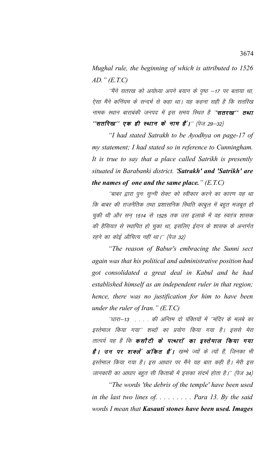*Mughal rule, the beginning of which is attributed to 1526 AD." (E.T.C)*

''मैंने सतरख को अयोध्या अपने बयान के पृष्ठ –17 पर बताया था, ऐसा मैंने कनिंघम के सन्दर्भ से कहा था। यह कहना सही है कि सतरिख नामक स्थान बाराबंकी जनपद में इस समय स्थित है ''**सतरख'' तथा**  $^{\prime\prime}$ सतरिख'' एक ही स्थान के नाम हैं।'' (पेज 29–32)

*"I had stated Satrakh to be Ayodhya on page-17 of my statement; I had stated so in reference to Cunningham. It is true to say that a place called Satrikh is presently situated in Barabanki district. 'Satrakh' and 'Satrikh' are the names of one and the same place." (E.T.C)*

''बाबर द्वारा पुनः सुन्नी सेक्ट को स्वीकार करने का कारण यह था कि बाबर की राजनैतिक तथा प्रशासनिक स्थिति काबुल में बहुत मजबूत हो चुकी थी और सन् 1514 से 1525 तक उस इलाके में वह स्वतंत्र शासक की हैसियत से स्थापित हो चुका था, इसलिए ईरान के शासक के अन्तर्गत रहने का कोई औचित्य नहीं था।'' (पेज 32)

*"The reason of Babur's embracing the Sunni sect again was that his political and administrative position had got consolidated a great deal in Kabul and he had established himself as an independent ruler in that region; hence, there was no justification for him to have been under the ruler of Iran." (E.T.C)*

''धारा–13 . . . . की अन्तिम दो पंक्तियों में ''मंदिर के मलबे का इस्तेमाल किया गया'' शब्दों का प्रयोग किया गया है। इससे मेरा तात्पर्य यह है कि **कसौटी के पत्थारों का इस्तेमाल किया गया है । उन पर शक्लें अंकित हैं ।** खम्भे ज्यों के त्यों हैं, जिनका भी इस्तेमाल किया गया है। इस आधार पर मैंने यह बात कही है। मेरी इस जानकारी का आधार बहुत सी किताबों में इसका संदर्भ होता है।'' (पेज 34)

*"The words 'the debris of the temple' have been used in the last two lines of. . . . . . . . . Para 13. By the said words I mean that Kasauti stones have been used. Images*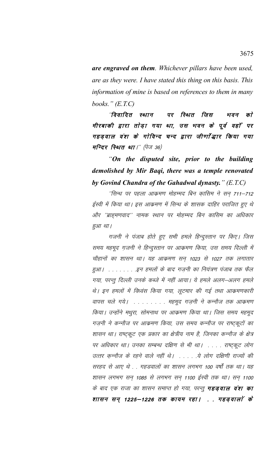are engraved on them. Whichever pillars have been used, are as they were. I have stated this thing on this basis. This information of mine is based on references to them in many books."  $(E.T.C)$ 

"विवादित स्थान पर रिथित जिस को भवन मीरबाकी द्वारा तोड़ा गया था, उस भवन के पूर्व वहाँ पर गहड़वाल वंश के गोविन्द चन्द द्वारा जीर्णोद्धार किया गया मन्दिर रिथत था।" (पेज 36)

"On the disputed site, prior to the building demolished by Mir Baqi, there was a temple renovated by Govind Chandra of the Gahadwal dynasty."  $(E.T.C)$ 

''सिन्ध पर पहला आक्रमण मोहम्मद बिन क़ासिम ने सन् 711–712 ईस्वी में किया था। इस आक्रमण में सिन्ध के शासक दाहिर पराजित हुए थे और ''ब्राह्मणवाद'' नामक स्थान पर मोहम्मद बिन कासिम का अधिकार हुआ था।

गजनी ने पंजाब होते हुए सभी हमले हिन्दुस्तान पर किए। जिस समय महमूद ग़जनी ने हिन्दुस्तान पर आक्रमण किया, उस समय दिल्ली में चौहानों का शासन था। यह आक्रमण सन् 1023 से 1027 तक लगातार हुआ। . . . . . . . . इन हमलों के बाद गज़नी का नियंत्रण पंजाब तक फैल गया, परन्तु दिल्ली उनके कब्जे में नहीं आया। ये हमले अलग-अलग हमले थे। इन हमलों में विध्वंस किया गया, लूटमार की गई तथा आक्रमणकारी वापस चले गये। . . . . . . . . महमूद गज़नी ने कन्नौज तक आक्रमण किया। उन्होंने मथुरा, सोमनाथ पर आक्रमण किया था। जिस समय महमूद गज़नी ने कन्नौज पर आक्रमण किया, उस समय कन्नौज पर राष्ट्रकूटों का शासन था। राष्ट्कूट एक प्रकार का क्षेत्रीय नाम है, जिनका कन्नौज के क्षेत्र पर अधिकार था। उनका सम्बन्ध दक्षिण से भी था। . . . . राष्ट्कूट लोग उत्तर कन्नौज के रहने वाले नहीं थे। . . . . .ये लोग दक्षिणी राज्यों की सरहद से आए थे . . गहडवालों का शासन लगभग 100 वर्षों तक था। यह शासन लगभग सन् 1085 से लगभग सन् 1100 ईस्वी तक था। सन् 1100 के बाद एक राजा का शासन समाप्त हो गया, परन्तु **गहड़वाल वंश का** शासन सन् 1225–1226 तक कायम रहा। . . गहड़वालां के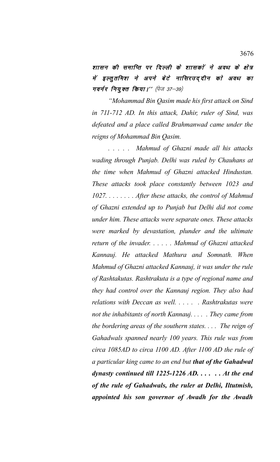शासन की समाप्ति पर दिल्ली के शासकों ने अवध के क्षेत्र में इल्तुतमिश ने अपने बेटे नासिरउददीन को अवध का **गवर्नर नियुक्त किया।''** (पेज 37–39)

*"Mohammad Bin Qasim made his first attack on Sind in 711-712 AD. In this attack, Dahir, ruler of Sind, was defeated and a place called Brahmanwad came under the reigns of Mohammad Bin Qasim.* 

*. . . . . Mahmud of Ghazni made all his attacks wading through Punjab. Delhi was ruled by Chauhans at the time when Mahmud of Ghazni attacked Hindustan. These attacks took place constantly between 1023 and 1027. . . . . . . . After these attacks, the control of Mahmud of Ghazni extended up to Punjab but Delhi did not come under him. These attacks were separate ones. These attacks were marked by devastation, plunder and the ultimate return of the invader. . . . . . Mahmud of Ghazni attacked Kannauj. He attacked Mathura and Somnath. When Mahmud of Ghazni attacked Kannauj, it was under the rule of Rashtakutas. Rashtrakuta is a type of regional name and they had control over the Kannauj region. They also had relations with Deccan as well. . . . . . Rashtrakutas were not the inhabitants of north Kannauj. . . . . They came from the bordering areas of the southern states. . . . The reign of Gahadwals spanned nearly 100 years. This rule was from circa 1085AD to circa 1100 AD. After 1100 AD the rule of a particular king came to an end but that of the Gahadwal dynasty continued till 1225-1226 AD. . . . . . At the end of the rule of Gahadwals, the ruler at Delhi, Iltutmish, appointed his son governor of Awadh for the Awadh*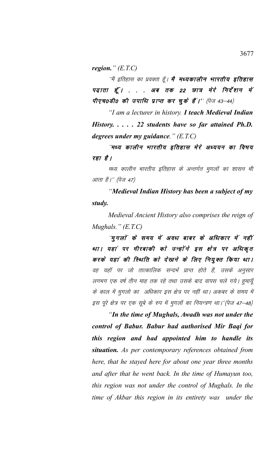region."  $(E.T.C)$ 

''मैं इतिहास का प्रवक्ता हूँ। **मै मध्यकालीन भारतीय इतिहास** पढ़ाता हूँ। ... अब तक 22 छात्र मेरे निर्देशन में पीएच0डी0 की उपाधि प्राप्त कर चुके हैं।'' (पेज 43-44)

"I am a lecturer in history. I teach Medieval Indian History. . . . . 22 students have so far attained Ph.D. degrees under my guidance."  $(E.T.C)$ 

''मध्य कालीन भारतीय इतिहास मेरे अध्ययन का विषय रहा है।

मध्य कालीन भारतीय इतिहास के अन्तर्गत मुगलों का शासन भी आता है।'' (पेज 47)

"Medieval Indian History has been a subject of my study.

Medieval Ancient History also comprises the reign of Mughals."  $(E.T.C)$ 

''मुगलों के समय में अवध बाबर के अधिकार में नहीं था। यहां पर मीरबाकी को उन्होंने इस क्षेत्र पर अधिकृत करके यहां की स्थिति को देखने के लिए नियुक्त किया था। वह यहाँ पर जो तात्कालिक सन्दर्भ प्राप्त होते हैं, उसके अनुसार लगभग एक वर्ष तीन माह तक रहे तथा उसके बाद वापस चले गये। हुमायूँ के काल में मुगलो का अधिकार इस क्षेत्र पर नहीं था। अकबर के समय में इस पूरे क्षेत्र पर एक सूबे के रुप में मुगलों का नियन्त्रण था।''(पेज 47–48)

"In the time of Mughals, Awadh was not under the control of Babur. Babur had authorised Mir Baqi for this region and had appointed him to handle its situation. As per contemporary references obtained from here, that he stayed here for about one year three months and after that he went back. In the time of Humayun too, this region was not under the control of Mughals. In the time of Akbar this region in its entirety was under the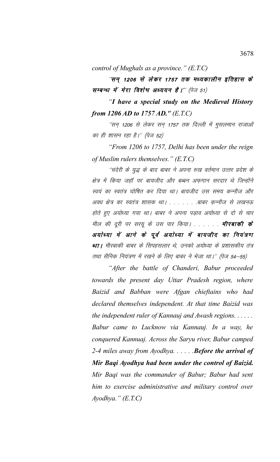control of Mughals as a province."  $(E.T.C)$ 

"सन् 1206 से लेकर 1757 तक मध्यकालीन इतिहास के सम्बन्ध में मेरा विशेष अध्ययन है।" (पेज 51)

"I have a special study on the Medieval History from 1206 AD to 1757 AD."  $(E.T.C)$ 

''सन् 1206 से लेकर सन् 1757 तक दिल्ली में मुसलमान राजाओं का ही शासन रहा है।'' (पेज 52)

"From 1206 to 1757, Delhi has been under the reign of Muslim rulers themselves."  $(E.T.C)$ 

''चंदेरी के युद्ध के बाद बाबर ने अपना रुख वर्तमान उत्तर प्रदेश के क्षेत्र में किया जहाँ पर बायजीद और बब्बन अफगान सरदार थे जिन्होंने स्वयं का स्वतंत्र घोषित कर दिया था। बायजीद उस समय कन्नौज और अवध क्षेत्र का स्वतंत्र शासक था। . . . . . . .बाबर कन्नौज से लखनऊ होते हुए अयोध्या गया था। बाबर ने अपना पड़ाव अयोध्या से दो से चार मील की दूरी पर सरयू के उस पार किया। . . . . . . **मीरबाकी के** अयोध्या में आने के पूर्व अयोध्या में बायजीद का नियंत्रण था। मीरबाकी बाबर के सिपहसलार थे, उनको अयोध्या के प्रशासकीय तंत्र तथा सैनिक नियंत्रण में रखने के लिए बाबर ने भेजा था।'' (पेज 54–55)

"After the battle of Chanderi, Babur proceeded towards the present day Uttar Pradesh region, where Baizid and Babban were Afgan chieftains who had declared themselves independent. At that time Baizid was the independent ruler of Kannauj and Awash regions. . . . . . Babur came to Lucknow via Kannauj. In a way, he conquered Kannuaj. Across the Saryu river, Babur camped 2-4 miles away from Ayodhya......Before the arrival of Mir Baqi Ayodhya had been under the control of Baizid. Mir Baqi was the commander of Babur; Babur had sent him to exercise administrative and military control over  $Ayodhya.$ "  $(E.T.C)$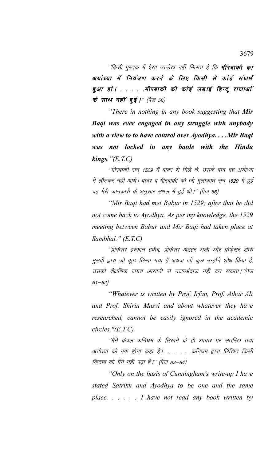''किसी पुस्तक में ऐसा उल्लेख नहीं मिलता है कि **मीरबाकी का** अयोध्या में नियंत्रण करने के लिए किसी से कोई संघर्ष हुआ हो। . . . . मीरबाकी की कोई लड़ाई हिन्दू राजाओं के साथ नहीं हुई।'' (पेज 56)

*"There in nothing in any book suggesting that Mir Baqi was ever engaged in any struggle with anybody with a view to to have control over Ayodhya. . . .Mir Baqi was not locked in any battle with the Hindu kings."(E.T.C)*

´´मीरबाकी सन 1529 में बाबर से मिले थे, उसके बाद वह अयोध्या में लौटकर नहीं आये। बाबर व मीरबाकी की जो मुलाकात सन् 1529 में हुई वह मेरी जानकारी के अनुसार संभल में हुई थी।'' (पेज 56)

*"Mir Baqi had met Babur in 1529; after that he did not come back to Ayodhya. As per my knowledge, the 1529 meeting between Babur and Mir Baqi had taken place at Sambhal." (E.T.C)*

 $^\prime$ प्रोफेसर इरफान हबीब, प्रोफेसर अतहर अली और प्रोफेसर शीरीं मुसवी द्वारा जो कुछ लिखा गया है अथवा जो कुछ उन्होंने शोध किया है, उसको शैक्षणिक जगत आसानी से नजरअंदाज नहीं कर सकता।"(पेज  $61 - 62)$ 

*"Whatever is written by Prof. Irfan, Prof. Athar Ali and Prof. Shirin Musvi and about whatever they have researched, cannot be easily ignored in the academic circles."(E.T.C)*

''मैंने केवल कनिंघम के लिखने के ही आधार पर सतरिख तथा अयोध्या को एक होना कहा है। . . . . . कनिंघम द्वारा लिखित किसी किताब को मैंने नहीं पढ़ा है।'' (पेज 83–84)

*"Only on the basis of Cunningham's write-up I have stated Satrikh and Ayodhya to be one and the same place. . . . . . I have not read any book written by*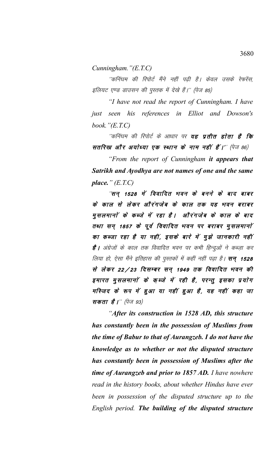*Cunningham."(E.T.C)*

''कनिंघम की रिपोर्ट मैंने नहीं पढ़ी है। केवल उसके रेफरेंस, इलियट एण्ड डाउसन की पुस्तक में देखे हैं।'' (पेज 85)

*"I have not read the report of Cunningham. I have just seen his references in Elliot and Dowson's book."(E.T.C)*

''कनिंघम की रिपोर्ट के आधार पर **यह प्रतीत होता है कि** सतरिख और अयोध्या एक स्थान के नाम नहीं हैं।'' (पेज 86)

*"From the report of Cunningham it appears that Satrikh and Ayodhya are not names of one and the same place." (E.T.C)*

*''सन् 1528 में विवादित भवन के बनने के बाद बाबर* के काल से लेकर औरंगजेब के काल तक यह भवन बराबर मुसलमानों के कब्जे में रहा है। औरंगजेब के काल के बाद तथा सन् 1857 के पूर्व विवादित भवन पर बराबर मुसलमानों का कब्जा रहा है या नहीं, इसके बारे में मूझे जानकारी नहीं है | अंग्रेजों के काल तक विवादित भवन पर कभी हिन्दुओं ने कब्ज़ा कर लिया हो, ऐसा मैंने इतिहास की पुस्तकों में कहीं नहीं पढ़ा है। **सन् 1528** से लेकर 22/23 दिसम्बर सन् 1949 तक विवादित भवन की इमारत मुसलमानों के कब्जे में रही है, परन्तु इसका प्रयोग मस्जिद के रूप में हुआ या नहीं हुआ है, यह नहीं कहा जा **सकता है।**'' (पेज 93)

*"After its construction in 1528 AD, this structure has constantly been in the possession of Muslims from the time of Babur to that of Aurangzeb. I do not have the knowledge as to whether or not the disputed structure has constantly been in possession of Muslims after the time of Aurangzeb and prior to 1857 AD. I have nowhere read in the history books, about whether Hindus have ever been in possession of the disputed structure up to the English period. The building of the disputed structure*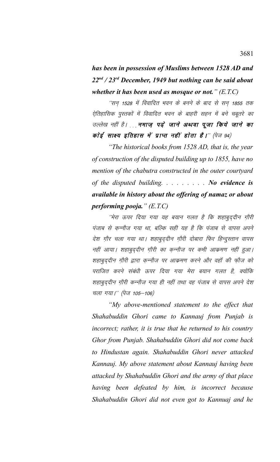*has been in possession of Muslims between 1528 AD and 22nd / 23rd December, 1949 but nothing can be said about whether it has been used as mosque or not." (E.T.C)*

''सन् 1528 में विवादित भवन के बनने के बाद से सन् 1855 तक ऐतिहासिक पुस्तकों में विवादित भवन के बाहरी सहन में बने चबूतरे का उल्लेख नहीं है। मुमाज पढ़े जाने अथवा पूजा किये जाने का कोई साक्ष्य इतिहास में प्राप्त नहीं होता है।" (पेज 94)

*"The historical books from 1528 AD, that is, the year of construction of the disputed building up to 1855, have no mention of the chabutra constructed in the outer courtyard of the disputed building. . . . . . . . . No evidence is available in history about the offering of namaz or about performing pooja." (E.T.C)*

 $^{\prime\prime}$ मेरा ऊपर दिया गया यह बयान गलत है कि शहाबुददीन गौरी पंजाब से कन्नौज गया था, बल्कि सही यह है कि पंजाब से वापस अपने देश गौर चला गया था। शहाबुद्दीन गौरी दोबारा फिर हिन्दुस्तान वापस नहीं आया। शहाबुददीन गौरी का कन्नौज पर कभी आक्रमण नहीं हुआ। शहाबुद्दीन ग़ौरी द्वारा कुन्नौज पर आक्रमण करने और वहाँ की फ़ौज को पराजित करने संबंधी ऊपर दिया गया मेरा बयान गलत है, क्योंकि शहाबुद्दीन ग़ौरी कन्नौज गया ही नहीं तथा वह पंजाब से वापस अपने देश चला गया।'' (पेज 105–106)

*"My above-mentioned statement to the effect that Shahabuddin Ghori came to Kannauj from Punjab is incorrect; rather, it is true that he returned to his country Ghor from Punjab. Shahabuddin Ghori did not come back to Hindustan again. Shahabuddin Ghori never attacked Kannauj. My above statement about Kannauj having been attacked by Shahabuddin Ghori and the army of that place having been defeated by him, is incorrect because Shahabuddin Ghori did not even got to Kannuaj and he*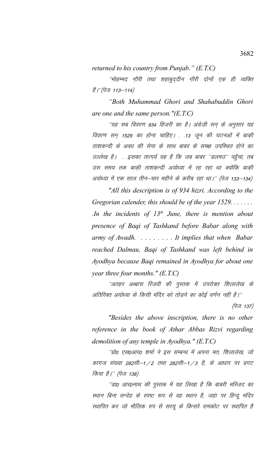*returned to his country from Punjab." (E.T.C)*

 $^{\prime\prime}$ मोहम्मद ग़ौरी तथा शहाबुद्दीन ग़ौरी दोनों एक ही व्यक्ति ਨੂੰ |"(ਧੇज 113–114)

*"Both Muhammad Ghori and Shahabuddin Ghori are one and the same person."(E.T.C)*

^'यह सब विवरण 934 हिजरी का है। अंग्रेज़ी सन के अनुसार यह विवरण सन् 1529 का होना चाहिए। . .13 जून की घटनओं में बाक़ी ताशकन्दी के अवध की सेना के साथ बाबर के समक्ष उपस्थित होने का उल्लेख है। . .इसका तात्पर्य यह है कि जब बाबर ''डलमउ'' पहुँचा, तब उस समय तक बाकी ताशकन्दी अयोध्या में रह रहा था क्योंकि बाकी अयोध्या में एक साल तीन–चार महीने के करीब रहा था।'' (पेज 133–134)

*"All this description is of 934 hizri. According to the Gregorian calender, this should be of the year 1529. . . . . . . .In the incidents of 13th June, there is mention about presence of Baqi of Tashkand before Babar along with army of Awadh. . . . . . . . . It implies that when Babar reached Dalmau, Baqi of Tashkand was left behind in Ayodhya because Baqi remained in Ayodhya for about one year three four months." (E.T.C)*

''अतहर अब्बास रिज़वी की पुस्तक में उपरोक्त शिलालेख के अतिरिक्त अयोध्या के किसी मंदिर को तोड़ने का कोई वर्णन नहीं है।''  $(\dot{q}_{\nabla}$  137)

*"Besides the above inscription, there is no other reference in the book of Athar Abbas Rizvi regarding demolition of any temple in Ayodhya." (E.T.C)*

''प्रो० एस०आर० शर्मा ने इस सम्बन्ध में अपना मत, शिलालेख, जो कागुज संख्या 282सी–1/2 तथा 282सी–1/3 है, के आधार पर प्रगट किया है।'' (पेज 138)

''डा0 आर0नाथ की पुस्तक में यह लिखा है कि बाबरी मस्जिद का स्थान बिना सन्देह के स्पष्ट रूप से वह स्थान है, जहां पर हिन्दू मंदिर स्थापित कर जो मौलिक रुप से सरयू के किनारे रामकोट पर स्थापित है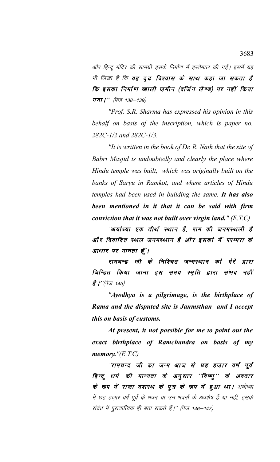ओर हिन्दु मंदिर की सामग्री इसके निर्माण में इस्तेमाल की गई। इसमें यह भी लिखा है कि **यह दृढ़ विश्वास के साथ कहा जा सकता है** कि इसका निर्माण खाली ज़मीन (वर्जिन लैण्ड) पर नहीं किया **गया।''** (पेज 138–139)

*"Prof. S.R. Sharma has expressed his opinion in this behalf on basis of the inscription, which is paper no. 282C-1/2 and 282C-1/3.*

*"It is written in the book of Dr. R. Nath that the site of Babri Masjid is undoubtedly and clearly the place where Hindu temple was built, which was originally built on the banks of Saryu in Ramkot, and where articles of Hindu temples had been used in building the same. It has also been mentioned in it that it can be said with firm conviction that it was not built over virgin land." (E.T.C)*

"अयोध्या एक तीर्थ स्थान है, राम की जनमस्थली है ओं र विवादित स्थल जनमस्थान है और इसको मैं परम्परा के आधार पर मानता हूँ।

रामचन्द्र जी के निश्चित जन्मस्थान को मेरे द्वारा चिन्हित किया जाना इस समय स्मृति द्वारा संभव नहीं है |''(पेज 145)

*"Ayodhya is a pilgrimage, is the birthplace of Rama and the disputed site is Janmsthan and I accept this on basis of customs.*

*At present, it not possible for me to point out the exact birthplace of Ramchandra on basis of my memory."(E.T.C)*

*''रामचन्द्र जी का जन्म आज से छह हज़ार वर्ष पूर्व* हिन्दू धर्म की मान्यता के अनुसार ''विष्णु'' के अवतार के रूप में राजा दशरथ के पुत्र के रूप में हुआ था। अयोध्या में छह हजार वर्ष पूर्व के भवन या उन भवनों के अवशेष हैं या नहीं, इसके संबंध में पुरातात्विक ही बता सकते हैं।'' (पेज 146–147)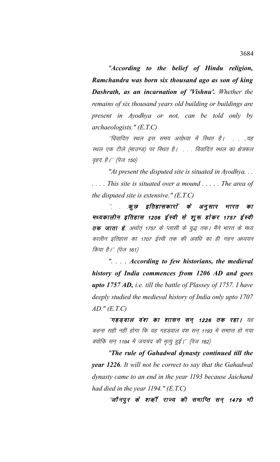*"According to the belief of Hindu religion, Ramchandra was born six thousand ago as son of king Dashrath, as an incarnation of 'Vishnu'. Whether the remains of six thousand years old building or buildings are present in Ayodhya or not, can be told only by archaeologists." (E.T.C)*

"विवादित स्थल इस समय अयोध्या में स्थित है। . . ..यह स्थल एक टीले (माउण्ड) पर स्थित है। ... विवादित स्थल का क्षेत्रफल *वृहद है।'' (पेज 150)* 

*"At present the disputed site is situated in Ayodhya. . . . . . . This site is situated over a mound . . . . . The area of the disputed site is extensive." (E.T.C)*

.कूछ इतिहासकारों के अनुसार भारत का मध्यकालीन इतिहास 1206 ईस्वी से शुरू होकर 1757 ईस्वी तक जाता है, अर्थात् 1757 के प्लासी के युद्ध तक। मैंने भारत के मध्य कालीन इतिहास का 1707 ईस्वी तक की अवधि का ही गहन अध्ययन किया है।'' (पेज 161)

*". . . . According to few historians, the medieval history of India commences from 1206 AD and goes upto 1757 AD, i.e. till the battle of Plassey of 1757. I have deeply studied the medieval history of India only upto 1707 AD." (E.T.C)*

"गहड़वाल वंश का शासन सन् 1226 तक रहा। यह कहना सही नहीं होगा कि यह गहडवाल वंश सन 1193 में समाप्त हो गया क्योंकि सन् 1194 में जयचंद की मृत्यू हुई।'' (पेज 162)

*"The rule of Gahadwal dynasty continued till the year 1226. It will not be correct to say that the Gahadwal dynasty came to an end in the year 1193 because Jaichand had died in the year 1194." (E.T.C)*

''जौनपुर के शक़्1ें राज्य की समाप्ति सन् 1479 <del>भी</del>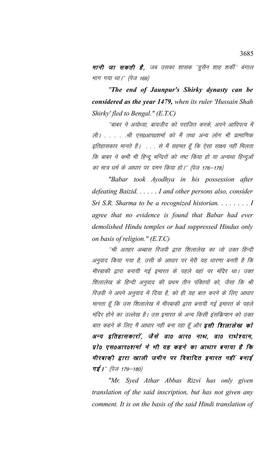**मानी जा सकती है**, जब उसका शासक ''ह्सैन शाह शर्की'' बंगाल भाग गया था।" (पेज 169)

*"The end of Jaunpur's Shirky dynasty can be considered as the year 1479, when its ruler 'Hussain Shah Shirky' fled to Bengal." (E.T.C)*

''बाबर ने अयोध्या, बायजीद को पराजित करके, अपने आधिपत्य में ली। . . . . .श्री एस0आर0शर्मा को मैं तथा अन्य लोग भी प्रामाणिक इतिहासकार मानते हैं। . . . से मैं सहमत हूँ कि ऐसा साक्ष्य नहीं मिलता कि बाबर ने कभी भी हिन्दू मन्दिरों को नष्ट किया हो या अन्यथा हिन्दुओं का मात्र धर्म के आधार पर दमन किया हो।'' (पेज 176–178)

*"Babar took Ayodhya in his possession after defeating Baizid. . . . . . I and other persons also, consider Sri S.R. Sharma to be a recognized historian. . . . . . . . I agree that no evidence is found that Babar had ever demolished Hindu temples or had suppressed Hindus only on basis of religion." (E.T.C)*

''श्री अतहर अब्बास रिजवी द्वारा शिलालेख का जो उक्त हिन्दी अनुवाद किया गया है, उसी के आधार पर मेरी यह धारणा बनती है कि मीरबाकी द्वारा बनायी गई इमारत के पहले वहां पर मंदिर था। उक्त शिलालेख के हिन्दी अनुवाद की प्रथम तीन पंक्तियों को, जैसा कि श्री रिज़वी ने अपने अनुवाद में दिया है, को ही यह बात करने के लिए आधार मानता हूँ कि उस शिलालेख में मीरबाकी द्वारा बनायी गई इमारत के पहले मंदिर होने का उल्लेख है। उस इमारत के अन्य किसी इंसक्रिप्शन को उक्त बात कहने के लिए मैं आधार नहीं बना रहा हूँ और **इसी शिलालेख को** अन्य इतिहासकारों, जैसे डा0 आर0 नाथ, डा0 राधेश्याम, प्रो0 एस0आर0शर्मा ने भी यह कहने का आधार बनाया है कि मीरबाकी द्वारा खाली जमीन पर विवादित इमारत नहीं बनाई  $\pi$ ई |" (पेज 179—180)

*"Mr. Syed Athar Abbas Rizvi has only given translation of the said inscription, but has not given any comment. It is on the basis of the said Hindi translation of*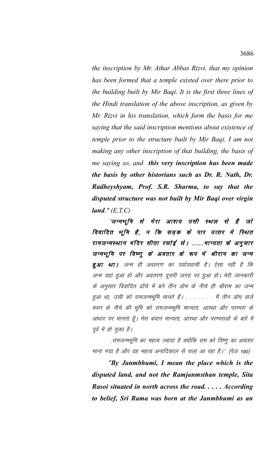*the inscription by Mr. Athar Abbas Rizvi, that my opinion has been formed that a temple existed over there prior to the building built by Mir Baqi. It is the first three lines of the Hindi translation of the above inscription, as given by Mr. Rizvi in his translation, which form the basis for me saying that the said inscription mentions about existence of temple prior to the structure built by Mir Baqi. I am not making any other inscription of that building, the basis of me saying so, and this very inscription has been made the basis by other historians such as Dr. R. Nath, Dr. Radheyshyam, Prof. S.R. Sharma, to say that the disputed structure was not built by Mir Baqi over virgin land." (E.T.C)*

"जन्मभूमि से मेरा आशय उसी स्थल से है जो विवादित भूमि है, न कि सड़क के पार उत्तर मे स्थित रामजन्मस्थान मंदिर सीता रसोई से। .......मान्यता के अनुसार जन्मभूमि पर विष्णु के अवतार के रूप में श्रीराम का जन्म **हुआ था।** जन्म ही अवतरण का पर्यायवाची है। ऐसा नहीं है कि जन्म यहां हुआ हो और अवतरण दूसरी जगह पर हुआ हो। मेरी जानकारी के अनुसार विवादित ढॉचे में बने तीन डोम के नीचे ही श्रीराम का जन्म हुआ था, उसी को रामजन्मभूमि मानते हैं। . . . . . . मैं तीन डोम वाले भवन के नीचे की भूमि को रामजन्मभूमि मान्यता, आस्था और परम्परा के आधार पर मानता हूँ। मेरा बयान मान्यता, आस्था और परम्पराओं के बारे में पूर्व में हो चुका है।

.रामजन्मभूमि का महत्व ज़्यादा है क्योंकि राम को विष्णु का अवतार माना गया है और वह महत्व अनादिकाल से चला आ रहा है।'' (पेज 190)

*"By Janmbhumi, I mean the place which is the disputed land, and not the Ramjanmsthan temple, Sita Rasoi situated in north across the road. . . . . According to belief, Sri Rama was born at the Janmbhumi as an*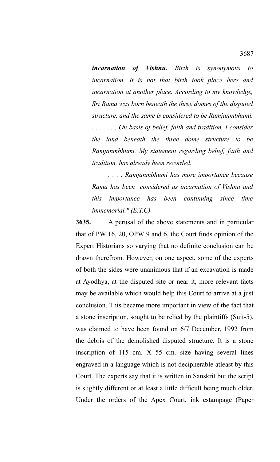*incarnation of Vishnu. Birth is synonymous to incarnation. It is not that birth took place here and incarnation at another place. According to my knowledge, Sri Rama was born beneath the three domes of the disputed structure, and the same is considered to be Ramjanmbhumi. . . . . . . . On basis of belief, faith and tradition, I consider the land beneath the three dome structure to be Ramjanmbhumi. My statement regarding belief, faith and tradition, has already been recorded.*

*. . . . Ramjanmbhumi has more importance because Rama has been considered as incarnation of Vishnu and this importance has been continuing since time immemorial." (E.T.C)*

**3635.** A perusal of the above statements and in particular that of PW 16, 20, OPW 9 and 6, the Court finds opinion of the Expert Historians so varying that no definite conclusion can be drawn therefrom. However, on one aspect, some of the experts of both the sides were unanimous that if an excavation is made at Ayodhya, at the disputed site or near it, more relevant facts may be available which would help this Court to arrive at a just conclusion. This became more important in view of the fact that a stone inscription, sought to be relied by the plaintiffs (Suit-5), was claimed to have been found on 6/7 December, 1992 from the debris of the demolished disputed structure. It is a stone inscription of 115 cm. X 55 cm. size having several lines engraved in a language which is not decipherable atleast by this Court. The experts say that it is written in Sanskrit but the script is slightly different or at least a little difficult being much older. Under the orders of the Apex Court, ink estampage (Paper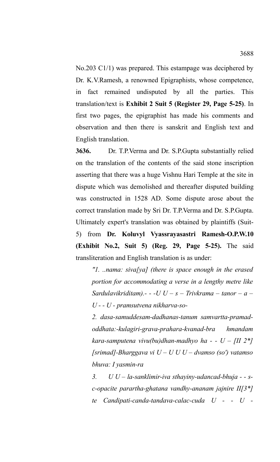No.203 C1/1) was prepared. This estampage was deciphered by Dr. K.V.Ramesh, a renowned Epigraphists, whose competence, in fact remained undisputed by all the parties. This translation/text is **Exhibit 2 Suit 5 (Register 29, Page 5-25)**. In first two pages, the epigraphist has made his comments and observation and then there is sanskrit and English text and English translation.

**3636.** Dr. T.P.Verma and Dr. S.P.Gupta substantially relied on the translation of the contents of the said stone inscription asserting that there was a huge Vishnu Hari Temple at the site in dispute which was demolished and thereafter disputed building was constructed in 1528 AD. Some dispute arose about the correct translation made by Sri Dr. T.P.Verma and Dr. S.P.Gupta. Ultimately expert's translation was obtained by plaintiffs (Suit-5) from **Dr. Koluvyl Vyassrayasastri Ramesh-O.P.W.10 (Exhibit No.2, Suit 5) (Reg. 29, Page 5-25).** The said transliteration and English translation is as under:

*"1. ..nama: siva[ya] (there is space enough in the erased portion for accommodating a verse in a lengthy metre like Sardulavikriditam).- - -U U – s – Trivkrama – tanor – a – U - - U - pramsutvena nikharva-so-*

*2. dasa-samuddesam-dadhanas-tanum samvartta-pramadoddhata:-kulagiri-grava-prahara-kvanad-bra hmandam kara-samputena vivu(bu)dhan-madhyo ha - - U – [II 2\*] [srimad]-Bharggava vi U – U U U – dvamso (so') vatamso bhuva: I yasmin-ra*

*3. U U – la-sanklimir-iva sthayiny-udancad-bhuja - - sc-opacite parartha-ghatana vandhy-ananam jajnire II[3\*] te Candipati-canda-tandava-calac-cuda U - - U -*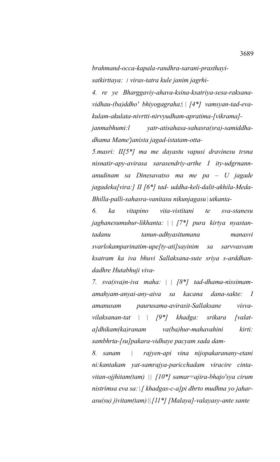*brahmand-occa-kapala-randhra-sarani-prasthayi*satkirttaya: / viras-tatra kule janim jagrhi-

*4. re ye Bharggaviy-ahava-ksina-ksatriya-sesa-raksana*vidhau-(ba)ddho' bhiyogagraha: | [4\*] vamsyan-tad-eva*kulam-akulata-nivrtti-nirvyudham-apratima-[vikrama]-*

*janmabhumi:l yatr-atisahasa-sahasra(sra)-samiddhadhama Mame'janista jagad-istatam-otta-*

*5.masri: II[5\*] ma me dayastu vapusi dravinesu trsna nisnatir-apy-avirasa sarasendriy-arthe I ity-udgrnannanudinam sa Dinesavatso ma me pa – U jagade jagadeka[vira:] II [6\*] tad- uddha-keli-dalit-akhila-Meda-Bhilla-palli-sahasra-vanitasu nikunjagasu utkanta-*

*6. ka vitapino vita-vistitani te sva-stanesu jaghanesumuhur-likhanta: [7\*] pura kirtya nyastantadanu tanun-adhyasitumana manasvi svarlokamparinatim-upe[ty-ati]sayinim sa sarvvasvam ksatram ka iva bhuvi Sallaksana-sute sriya s-arddhandadhre Hutabhuji viva-*

*7. sva(sva)n-iva maha: [8\*] tad-dhama-nissimamamahyam-anyai-any-aiva sa kacana dana-sakte: I amanusam paurusama-avirasit-Sallaksane visvavilaksanan-tat [9\*] khadga: srikara [valata]dhikam(ka)ranam va(ba)hur-mahavahini kirti: sambhrta-[su]pakara-vidhaye pacyam sada dam-*

*8. sanam rajyen-api vina nijopakaranany-etani ni:kantakam yat-samrajya-paricchadam viracire cintavitan-ojjhitam(tam) [10\*] samar=ajira-bhajo'sya cirum nistrimsa eva sa: [ khadgas-c-a]pi dhrto mudhna yo jaharasu(su) jivitam(tam) [11\*] [Malaya]-valayasy-ante sante*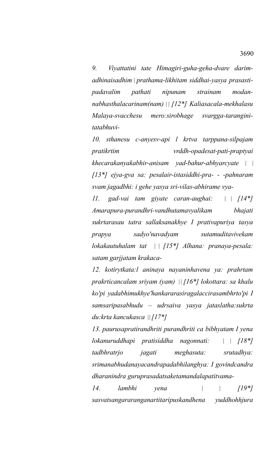*9. Viyattatini tate Himagiri-guha-geha-dvare darimadhinaisadhim prathama-likhitam siddhai-yasya prasastipadavalim pathati nipunam strainam modannabhasthalacarinam(nam) [12\*] Kaliasacala-mekhalasu Malaya-svacchesu mero:sirobhage svargga-taranginitatabhuvi-*

*10. sthanesu c-anyesv-api l krtva tarppana-silpajam pratikrtim vrddh-opadesat-pati-praptyai khecarakanyakabhir-anisam yad-bahur-abhyarcyate [13\*] ejya-gva sa: pesalair-istasiddhi-pra- - -pahnaram svam jagadbhi: i gehe yasya sri-vilas-abhirame vya-*

*11. gad-vai tam giyate caran-aughai: [14\*] Amarapura-purandhri-vandhutamavyalikam bhajati sukrtarasau tatra sallaksanakhye I prativapuriya tasya prapya sadyo'navadyam sutamuditavivekam lokakautuhalam tat [15\*] Alhana: pranaya-pesala: satam garjjatam krakaca-*

*12. kotirytkata:l aninaya nayaninhavena ya: prahrtam prakrticancalam sriyam (yam) [16\*] lokottara: sa khalu ko'pi yadabhimukhye'hankararasiragalaccirasambhrto'pi I samsaripasabhudu – udrsaiva yasya jataslatha:sukrta du:krta kancukasca [17\*]*

*13. paurusapratirandhriti purandhriti ca bibhyatam I yena lokanuruddhapi pratisiddha nagonnati: [18\*] tadbhratrjo jagati meghasuta: srutadhya: srimanabhudanayacandrapadabhilanghya: I govindcandra dharanindra guruprasadatsaketamandalapatitvama-*

*14. lambhi yena [19\*] sasvatsangararanganartitaripuskandhena yuddhohhjura*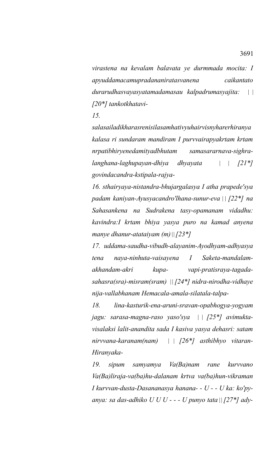*virastena na kevalam balavata ye durmmada mocita: I apyuddamacamupradananiratasvanena caikantato durarudhasvayasyatamadamasau kalpadrumasyajita: [20\*] tankotkhatavi-*

*15.* 

*salasailadikharasrenisilasamhativyuhairvisnyharerhiranya kalasa ri sundaram mandiram I purvvairapyakrtam krtam nrpatibhiryenedamityadbhutam samasararnava-sighralanghana-laghupayan-dhiya dhyayata [21\*] govindacandra-kstipala-rajya-*

*16. sthairyaya-nistandra-bhujargalasya I atha prapede'sya padam kaniyan-Ayusyacandro'lhana-sunur-eva [22\*] na Sahasankena na Sudrakena tasy-opamanam vidadhu: kavindra:I krtam bhiya yasya puro na kamad anyena manye dhanur-atataiyam (m) [23\*]*

*17. uddama-saudha-vibudh-alayanim-Ayodhyam-adhyasya tena naya-ninhuta-vaisayena I Saketa-mandalamakhandam-akri kupa- vapi-pratisraya-tagadasahasra(sra)-misram(sram) [24\*] nidra-nirodha-vidhaye nija-vallabhanam Hemacala-amala-silatala-talpa-*

*18. lina-kasturik-ena-aruni-sravan-opabhogya-yogyam jagu: sarasa-magna-raso yaso'sya [25\*] avimuktavisalaksi lalit-anandita sada I kasiva yasya dehasri: satam nirvvana-karanam(nam) [26\*] asthibhyo vitaran-Hiranyaka-*

*19. sipum samyamya Va(Ba)nam rane kurvvano Va(Ba)liraja-va(ba)hu-dalanam krtva va(ba)hun-vikraman I kurvvan-dusta-Dasananasya hanana- - U - - U ka: ko'pyanya: sa das-adhiko U U U - - - U punyo tata [27\*] ady-*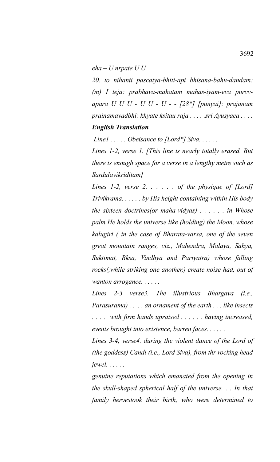*eha – U nrpate U U*

*20. to nihanti pascatya-bhiti-api bhisana-bahu-dandam: (m) I teja: prabhava-mahatam mahas-iyam-eva purvvapara U U U - U U - U - - [28\*] [punyai]: prajanam prainamavadbhi: khyate ksitau raja . . . . .sri Ayusyaca . . . . English Translation*

 *Line1 . . . . . Obeisance to [Lord\*] Siva. . . . . .* 

*Lines 1-2, verse 1. [This line is nearly totally erased. But there is enough space for a verse in a lengthy metre such as Sardulavikriditam]*

*Lines 1-2, verse 2. . . . . . of the physique of [Lord] Trivikrama. . . . . . by His height containing within His body the sixteen doctrines(or maha-vidyas) . . . . . . in Whose palm He holds the universe like (holding) the Moon, whose kalugiri ( in the case of Bharata-varsa, one of the seven great mountain ranges, viz., Mahendra, Malaya, Sahya, Suktimat, Rksa, Vindhya and Pariyatra) whose falling rocks(,while striking one another,) create noise had, out of wanton arrogance. . . . . .* 

*Lines 2-3 verse3. The illustrious Bhargava (i.e., Parasurama) . . . . an ornament of the earth . . . like insects . . . . with firm hands upraised . . . . . . having increased, events brought into existence, barren faces. . . . . .* 

*Lines 3-4, verse4. during the violent dance of the Lord of (the goddess) Candi (i.e., Lord Siva), from thr rocking head jewel. . . . . .*

*genuine reputations which emanated from the opening in the skull-shaped spherical half of the universe. . . In that family heroestook their birth, who were determined to*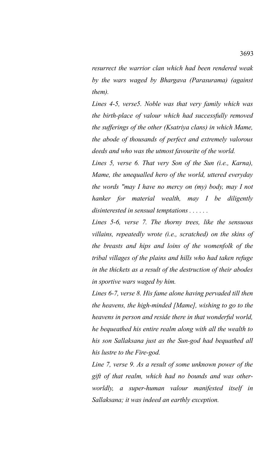*resurrect the warrior clan which had been rendered weak by the wars waged by Bhargava (Parasurama) (against them).*

*Lines 4-5, verse5. Noble was that very family which was the birth-place of valour which had successfully removed the sufferings of the other (Ksatriya clans) in which Mame, the abode of thousands of perfect and extremely valorous deeds and who was the utmost favourite of the world.*

*Lines 5, verse 6. That very Son of the Sun (i.e., Karna), Mame, the unequalled hero of the world, uttered everyday the words "may I have no mercy on (my) body, may I not hanker for material wealth, may I be diligently disinterested in sensual temptations . . . . . .* 

*Lines 5-6, verse 7. The thorny trees, like the sensuous villains, repeatedly wrote (i.e., scratched) on the skins of the breasts and hips and loins of the womenfolk of the tribal villages of the plains and hills who had taken refuge in the thickets as a result of the destruction of their abodes in sportive wars waged by him.* 

*Lines 6-7, verse 8. His fame alone having pervaded till then the heavens, the high-minded [Mame], wishing to go to the heavens in person and reside there in that wonderful world, he bequeathed his entire realm along with all the wealth to his son Sallaksana just as the Sun-god had bequathed all his lustre to the Fire-god.* 

*Line 7, verse 9. As a result of some unknown power of the gift of that realm, which had no bounds and was otherworldly, a super-human valour manifested itself in Sallaksana; it was indeed an earthly exception.*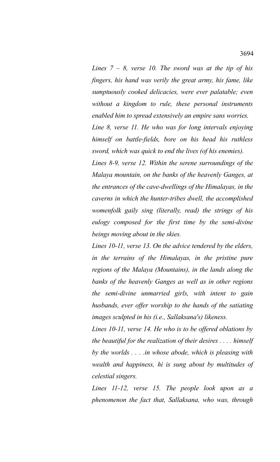*Lines 7 – 8, verse 10. The sword was at the tip of his fingers, his hand was verily the great army, his fame, like sumptuously cooked delicacies, were ever palatable; even without a kingdom to rule, these personal instruments enabled him to spread extensively an empire sans worries.*

*Line 8, verse 11. He who was for long intervals enjoying himself on battle-fields, bore on his head his ruthless sword, which was quick to end the lives (of his enemies).*

*Lines 8-9, verse 12. Within the serene surroundings of the Malaya mountain, on the banks of the heavenly Ganges, at the entrances of the cave-dwellings of the Himalayas, in the caverns in which the hunter-tribes dwell, the accomplished womenfolk gaily sing (literally, read) the strings of his eulogy composed for the first time by the semi-divine beings moving about in the skies.* 

*Lines 10-11, verse 13. On the advice tendered by the elders, in the terrains of the Himalayas, in the pristine pure regions of the Malaya (Mountains), in the lands along the banks of the heavenly Ganges as well as in other regions the semi-divine unmarried girls, with intent to gain husbands, ever offer worship to the hands of the satiating images sculpted in his (i.e., Sallaksana's) likeness.*

*Lines 10-11, verse 14. He who is to be offered oblations by the beautiful for the realization of their desires . . . . himself by the worlds . . . .in whose abode, which is pleasing with wealth and happiness, hi is sung about by multitudes of celestial singers.*

*Lines 11-12, verse 15. The people look upon as a phenomenon the fact that, Sallaksana, who was, through*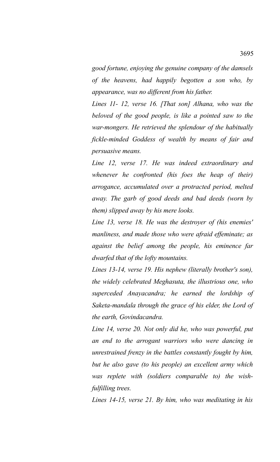*good fortune, enjoying the genuine company of the damsels of the heavens, had happily begotten a son who, by appearance, was no different from his father.*

*Lines 11- 12, verse 16. [That son] Alhana, who was the beloved of the good people, is like a pointed saw to the war-mongers. He retrieved the splendour of the habitually fickle-minded Goddess of wealth by means of fair and persuasive means.*

*Line 12, verse 17. He was indeed extraordinary and whenever he confronted (his foes the heap of their) arrogance, accumulated over a protracted period, melted away. The garb of good deeds and bad deeds (worn by them) slipped away by his mere looks.*

*Line 13, verse 18. He was the destroyer of (his enemies' manliness, and made those who were afraid effeminate; as against the belief among the people, his eminence far dwarfed that of the lofty mountains.*

*Lines 13-14, verse 19. His nephew (literally brother's son), the widely celebrated Meghasuta, the illustrious one, who superceded Anayacandra; he earned the lordship of Saketa-mandala through the grace of his elder, the Lord of the earth, Govindacandra.* 

*Line 14, verse 20. Not only did he, who was powerful, put an end to the arrogant warriors who were dancing in unrestrained frenzy in the battles constantly fought by him, but he also gave (to his people) an excellent army which was replete with (soldiers comparable to) the wishfulfilling trees.*

*Lines 14-15, verse 21. By him, who was meditating in his*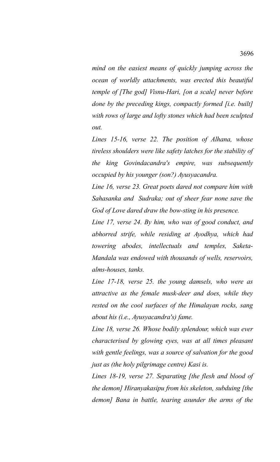*mind on the easiest means of quickly jumping across the ocean of worldly attachments, was erected this beautiful temple of [The god] Visnu-Hari, [on a scale] never before done by the preceding kings, compactly formed [i.e. built] with rows of large and lofty stones which had been sculpted out.*

*Lines 15-16, verse 22. The position of Alhana, whose tireless shoulders were like safety latches for the stability of the king Govindacandra's empire, was subsequently occupied by his younger (son?) Ayusyacandra.*

*Line 16, verse 23. Great poets dared not compare him with Sahasanka and Sudraka; out of sheer fear none save the God of Love dared draw the bow-sting in his presence.*

*Line 17, verse 24. By him, who was of good conduct, and abhorred strife, while residing at Ayodhya, which had towering abodes, intellectuals and temples, Saketa-Mandala was endowed with thousands of wells, reservoirs, alms-houses, tanks.*

*Line 17-18, verse 25. the young damsels, who were as attractive as the female musk-deer and does, while they rested on the cool surfaces of the Himalayan rocks, sang about his (i.e., Ayusyacandra's) fame.*

*Line 18, verse 26. Whose bodily splendour, which was ever characterised by glowing eyes, was at all times pleasant with gentle feelings, was a source of salvation for the good just as (the holy pilgrimage centre) Kasi is.*

*Lines 18-19, verse 27. Separating [the flesh and blood of the demon] Hiranyakasipu from his skeleton, subduing [the demon] Bana in battle, tearing asunder the arms of the*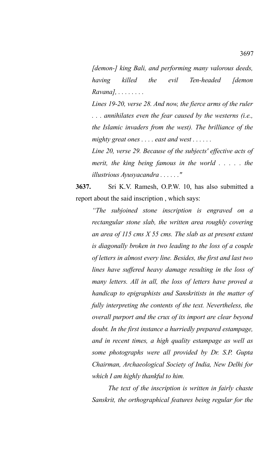*[demon-] king Bali, and performing many valorous deeds, having killed the evil Ten-headed [demon Ravana], . . . . . . . .* 

*Lines 19-20, verse 28. And now, the fierce arms of the ruler . . . annihilates even the fear caused by the westerns (i.e., the Islamic invaders from the west). The brilliance of the mighty great ones . . . . east and west . . . . . .* 

*Line 20, verse 29. Because of the subjects' effective acts of merit, the king being famous in the world . . . . . the illustrious Ayusyacandra . . . . . ."*

**3637.** Sri K.V. Ramesh, O.P.W. 10, has also submitted a report about the said inscription , which says:

*"The subjoined stone inscription is engraved on a rectangular stone slab, the written area roughly covering an area of 115 cms X 55 cms. The slab as at present extant is diagonally broken in two leading to the loss of a couple of letters in almost every line. Besides, the first and last two lines have suffered heavy damage resulting in the loss of many letters. All in all, the loss of letters have proved a handicap to epigraphists and Sanskritists in the matter of fully interpreting the contents of the text. Nevertheless, the overall purport and the crux of its import are clear beyond doubt. In the first instance a hurriedly prepared estampage, and in recent times, a high quality estampage as well as some photographs were all provided by Dr. S.P. Gupta Chairman, Archaeological Society of India, New Delhi for which I am highly thankful to him.* 

*The text of the inscription is written in fairly chaste Sanskrit, the orthographical features being regular for the*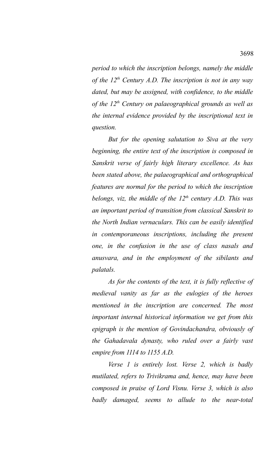*period to which the inscription belongs, namely the middle of the 12th Century A.D. The inscription is not in any way dated, but may be assigned, with confidence, to the middle of the 12th Century on palaeographical grounds as well as the internal evidence provided by the inscriptional text in question.* 

*But for the opening salutation to Siva at the very beginning, the entire text of the inscription is composed in Sanskrit verse of fairly high literary excellence. As has been stated above, the palaeographical and orthographical features are normal for the period to which the inscription belongs, viz, the middle of the 12th century A.D. This was an important period of transition from classical Sanskrit to the North Indian vernaculars. This can be easily identified in contemporaneous inscriptions, including the present one, in the confusion in the use of class nasals and anusvara, and in the employment of the sibilants and palatals.*

*As for the contents of the text, it is fully reflective of medieval vanity as far as the eulogies of the heroes mentioned in the inscription are concerned. The most important internal historical information we get from this epigraph is the mention of Govindachandra, obviously of the Gahadavala dynasty, who ruled over a fairly vast empire from 1114 to 1155 A.D.*

*Verse 1 is entirely lost. Verse 2, which is badly mutilated, refers to Trivikrama and, hence, may have been composed in praise of Lord Visnu. Verse 3, which is also badly damaged, seems to allude to the near-total*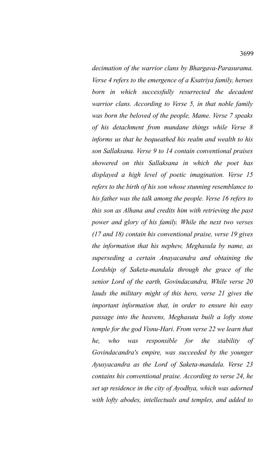*decimation of the warrior clans by Bhargava-Parasurama. Verse 4 refers to the emergence of a Ksatriya family, heroes born in which successfully resurrected the decadent warrior clans. According to Verse 5, in that noble family was born the beloved of the people, Mame. Verse 7 speaks of his detachment from mundane things while Verse 8 informs us that he bequeathed his realm and wealth to his son Sallaksana. Verse 9 to 14 contain conventional praises showered on this Sallaksana in which the poet has displayed a high level of poetic imagination. Verse 15 refers to the birth of his son whose stunning resemblance to his father was the talk among the people. Verse 16 refers to this son as Alhana and credits him with retrieving the past power and glory of his family. While the next two verses (17 and 18) contain his conventional praise, verse 19 gives the information that his nephew, Meghasula by name, as superseding a certain Anayacandra and obtaining the Lordship of Saketa-mandala through the grace of the senior Lord of the earth, Govindacandra, While verse 20 lauds the military might of this hero, verse 21 gives the important information that, in order to ensure his easy passage into the heavens, Meghasuta built a lofty stone temple for the god Visnu-Hari. From verse 22 we learn that he, who was responsible for the stability of Govindacandra's empire, was succeeded by the younger Ayusyacandra as the Lord of Saketa-mandala. Verse 23 contains his conventional praise. According to verse 24, he set up residence in the city of Ayodhya, which was adorned with lofty abodes, intellectuals and temples, and added to*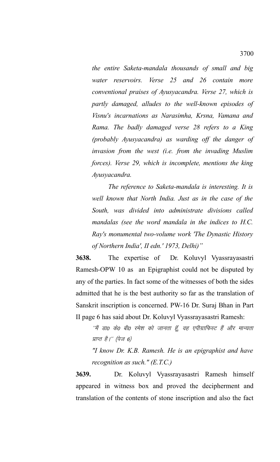*the entire Saketa-mandala thousands of small and big water reservoirs. Verse 25 and 26 contain more conventional praises of Ayusyacandra. Verse 27, which is partly damaged, alludes to the well-known episodes of Visnu's incarnations as Narasimha, Krsna, Vamana and Rama. The badly damaged verse 28 refers to a King (probably Ayusyacandra) as warding off the danger of invasion from the west (i.e. from the invading Muslim forces). Verse 29, which is incomplete, mentions the king Ayusyacandra.* 

*The reference to Saketa-mandala is interesting. It is well known that North India. Just as in the case of the South, was divided into administrate divisions called mandalas (see the word mandala in the indices to H.C. Ray's monumental two-volume work 'The Dynastic History of Northern India', II edn.' 1973, Delhi)"*

**3638.** The expertise of Dr. Koluvyl Vyassrayasastri Ramesh-OPW 10 as an Epigraphist could not be disputed by any of the parties. In fact some of the witnesses of both the sides admitted that he is the best authority so far as the translation of Sanskrit inscription is concerned. PW-16 Dr. Suraj Bhan in Part II page 6 has said about Dr. Koluvyl Vyassrayasastri Ramesh:

''मैं डाo केo बीo रमेश को जानता हूँ, वह एपीग्राफिस्ट हैं और मान्यता प्राप्त है।'' (पेज 6)

*"I know Dr. K.B. Ramesh. He is an epigraphist and have recognition as such." (E.T.C.)*

**3639.** Dr. Koluvyl Vyassrayasastri Ramesh himself appeared in witness box and proved the decipherment and translation of the contents of stone inscription and also the fact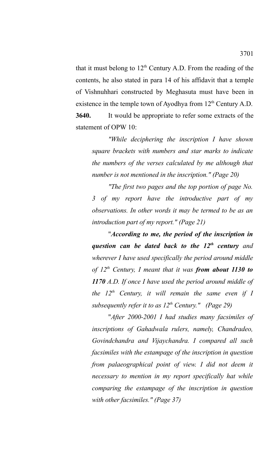that it must belong to  $12<sup>th</sup>$  Century A.D. From the reading of the contents, he also stated in para 14 of his affidavit that a temple of Vishnuhhari constructed by Meghasuta must have been in existence in the temple town of Ayodhya from  $12<sup>th</sup>$  Century A.D. **3640.** It would be appropriate to refer some extracts of the statement of OPW 10:

*"While deciphering the inscription I have shown square brackets with numbers and star marks to indicate the numbers of the verses calculated by me although that number is not mentioned in the inscription." (Page 20)*

*"The first two pages and the top portion of page No. 3 of my report have the introductive part of my observations. In other words it may be termed to be as an introduction part of my report." (Page 21)*

"*According to me, the period of the inscription in question can be dated back to the 12th century and wherever I have used specifically the period around middle of 12th Century, I meant that it was from about 1130 to 1170 A.D. If once I have used the period around middle of the 12th Century, it will remain the same even if I subsequently refer it to as 12th Century." (Page 29)*

"*After 2000-2001 I had studies many facsimiles of inscriptions of Gahadwala rulers, namely, Chandradeo, Govindchandra and Vijaychandra. I compared all such facsimiles with the estampage of the inscription in question from palaeographical point of view. I did not deem it necessary to mention in my report specifically hat while comparing the estampage of the inscription in question with other facsimiles." (Page 37)*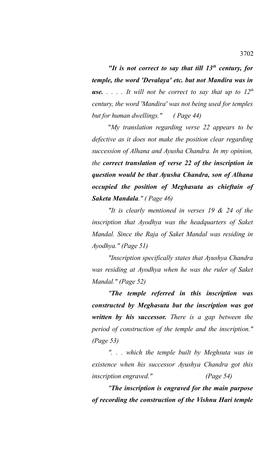*"It is not correct to say that till 13th century, for temple, the word 'Devalaya' etc. but not Mandira was in* **use.**  $\ldots$  *It will not be correct to say that up to*  $12^{th}$ *century, the word 'Mandira' was not being used for temples but for human dwellings." ( Page 44)*

"*My translation regarding verse 22 appears to be defective as it does not make the position clear regarding succession of Alhana and Ayusha Chandra. In my opinion, the correct translation of verse 22 of the inscription in question would be that Ayusha Chandra, son of Alhana occupied the position of Meghasuta as chieftain of Saketa Mandala." ( Page 46)*

*"It is clearly mentioned in verses 19 & 24 of the inscription that Ayodhya was the headquarters of Saket Mandal. Since the Raja of Saket Mandal was residing in Ayodhya." (Page 51)*

*"Inscription specifically states that Ayushya Chandra was residing at Ayodhya when he was the ruler of Saket Mandal." (Page 52)*

*"The temple referred in this inscription was constructed by Meghasuta but the inscription was got written by his successor. There is a gap between the period of construction of the temple and the inscription." (Page 53)*

*". . . which the temple built by Meghsuta was in existence when his successor Ayushya Chandra got this inscription engraved." (Page 54)*

*"The inscription is engraved for the main purpose of recording the construction of the Vishnu Hari temple*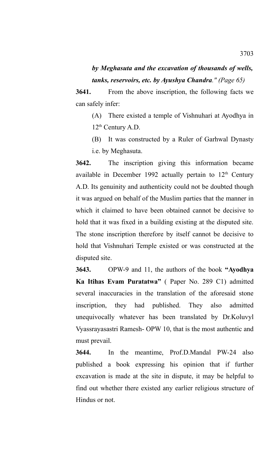## *by Meghasuta and the excavation of thousands of wells, tanks, reservoirs, etc. by Ayushya Chandra." (Page 65)*

**3641.** From the above inscription, the following facts we can safely infer:

(A) There existed a temple of Vishnuhari at Ayodhya in 12<sup>th</sup> Century A.D.

(B) It was constructed by a Ruler of Garhwal Dynasty i.e. by Meghasuta.

**3642.** The inscription giving this information became available in December 1992 actually pertain to  $12<sup>th</sup>$  Century A.D. Its genuinity and authenticity could not be doubted though it was argued on behalf of the Muslim parties that the manner in which it claimed to have been obtained cannot be decisive to hold that it was fixed in a building existing at the disputed site. The stone inscription therefore by itself cannot be decisive to hold that Vishnuhari Temple existed or was constructed at the disputed site.

**3643.** OPW-9 and 11, the authors of the book **"Ayodhya Ka Itihas Evam Puratatwa"** ( Paper No. 289 C1) admitted several inaccuracies in the translation of the aforesaid stone inscription, they had published. They also admitted unequivocally whatever has been translated by Dr.Koluvyl Vyassrayasastri Ramesh- OPW 10, that is the most authentic and must prevail.

**3644.** In the meantime, Prof.D.Mandal PW-24 also published a book expressing his opinion that if further excavation is made at the site in dispute, it may be helpful to find out whether there existed any earlier religious structure of Hindus or not.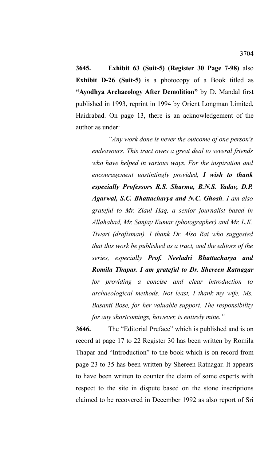**3645. Exhibit 63 (Suit-5) (Register 30 Page 7-98)** also **Exhibit D-26 (Suit-5)** is a photocopy of a Book titled as **"Ayodhya Archaeology After Demolition"** by D. Mandal first published in 1993, reprint in 1994 by Orient Longman Limited, Haidrabad. On page 13, there is an acknowledgement of the author as under:

*"Any work done is never the outcome of one person's endeavours. This tract owes a great deal to several friends who have helped in various ways. For the inspiration and encouragement unstintingly provided, I wish to thank especially Professors R.S. Sharma, B.N.S. Yadav, D.P. Agarwal, S.C. Bhattacharya and N.C. Ghosh. I am also grateful to Mr. Ziaul Haq, a senior journalist based in Allahabad, Mr. Sanjay Kumar (photographer) and Mr. L.K. Tiwari (draftsman). I thank Dr. Also Rai who suggested that this work be published as a tract, and the editors of the series, especially Prof. Neeladri Bhattacharya and Romila Thapar. I am grateful to Dr. Shereen Ratnagar for providing a concise and clear introduction to archaeological methods. Not least, I thank my wife, Ms. Basanti Bose, for her valuable support. The responsibility for any shortcomings, however, is entirely mine."*

**3646.** The "Editorial Preface" which is published and is on record at page 17 to 22 Register 30 has been written by Romila Thapar and "Introduction" to the book which is on record from page 23 to 35 has been written by Shereen Ratnagar. It appears to have been written to counter the claim of some experts with respect to the site in dispute based on the stone inscriptions claimed to be recovered in December 1992 as also report of Sri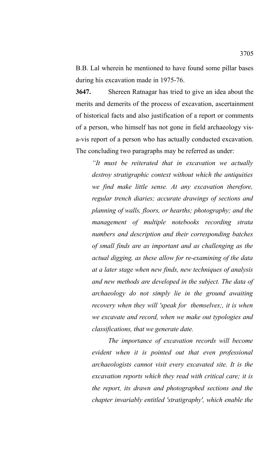B.B. Lal wherein he mentioned to have found some pillar bases during his excavation made in 1975-76.

**3647.** Shereen Ratnagar has tried to give an idea about the merits and demerits of the process of excavation, ascertainment of historical facts and also justification of a report or comments of a person, who himself has not gone in field archaeology visa-vis report of a person who has actually conducted excavation. The concluding two paragraphs may be referred as under:

*"It must be reiterated that in excavation we actually destroy stratigraphic context without which the antiquities we find make little sense. At any excavation therefore, regular trench diaries; accurate drawings of sections and planning of walls, floors, or hearths; photography; and the management of multiple notebooks recording strata numbers and description and their corresponding batches of small finds are as important and as challenging as the actual digging, as these allow for re-examining of the data at a later stage when new finds, new techniques of analysis and new methods are developed in the subject. The data of archaeology do not simply lie in the ground awaiting recovery when they will 'speak for themselves;, it is when we excavate and record, when we make out typologies and classifications, that we generate date.* 

*The importance of excavation records will become evident when it is pointed out that even professional archaeologists cannot visit every excavated site. It is the excavation reports which they read with critical care; it is the report, its drawn and photographed sections and the chapter invariably entitled 'stratigraphy', which enable the*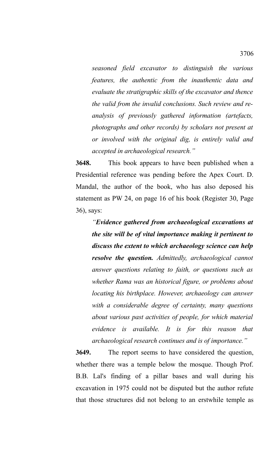*seasoned field excavator to distinguish the various features, the authentic from the inauthentic data and evaluate the stratigraphic skills of the excavator and thence the valid from the invalid conclusions. Such review and reanalysis of previously gathered information (artefacts, photographs and other records) by scholars not present at or involved with the original dig, is entirely valid and accepted in archaeological research."* 

**3648.** This book appears to have been published when a Presidential reference was pending before the Apex Court. D. Mandal, the author of the book, who has also deposed his statement as PW 24, on page 16 of his book (Register 30, Page 36), says:

*"Evidence gathered from archaeological excavations at the site will be of vital importance making it pertinent to discuss the extent to which archaeology science can help resolve the question. Admittedly, archaeological cannot answer questions relating to faith, or questions such as whether Rama was an historical figure, or problems about locating his birthplace. However, archaeology can answer with a considerable degree of certainty, many questions about various past activities of people, for which material evidence is available. It is for this reason that archaeological research continues and is of importance."*

**3649.** The report seems to have considered the question, whether there was a temple below the mosque. Though Prof. B.B. Lal's finding of a pillar bases and wall during his excavation in 1975 could not be disputed but the author refute that those structures did not belong to an erstwhile temple as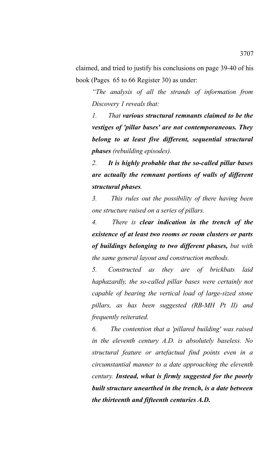claimed, and tried to justify his conclusions on page 39-40 of his book (Pages 65 to 66 Register 30) as under:

*"The analysis of all the strands of information from Discovery 1 reveals that:* 

*1. That various structural remnants claimed to be the vestiges of 'pillar bases' are not contemporaneous. They belong to at least five different, sequential structural phases (rebuilding episodes).* 

*2. It is highly probable that the so-called pillar bases are actually the remnant portions of walls of different structural phases.* 

*3. This rules out the possibility of there having been one structure raised on a series of pillars.* 

*4. There is clear indication in the trench of the existence of at least two rooms or room clusters or parts of buildings belonging to two different phases, but with the same general layout and construction methods.* 

*5. Constructed as they are of brickbats laid haphazardly, the so-called pillar bases were certainly not capable of bearing the vertical load of large-sized stone pillars, as has been suggested (RB-MH Pt II) and frequently reiterated.* 

*6. The contention that a 'pillared building' was raised in the eleventh century A.D. is absolutely baseless. No structural feature or artefactual find points even in a circumstantial manner to a date approaching the eleventh century. Instead, what is firmly suggested for the poorly built structure unearthed in the trench, is a date between the thirteenth and fifteenth centuries A.D.*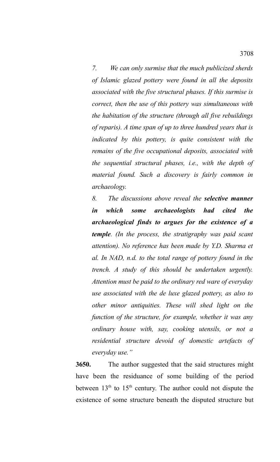*7. We can only surmise that the much publicized sherds of Islamic glazed pottery were found in all the deposits associated with the five structural phases. If this surmise is correct, then the use of this pottery was simultaneous with the habitation of the structure (through all five rebuildings of reparis). A time span of up to three hundred years that is indicated by this pottery, is quite consistent with the remains of the five occupational deposits, associated with the sequential structural phases, i.e., with the depth of material found. Such a discovery is fairly common in archaeology.* 

*8. The discussions above reveal the selective manner in which some archaeologists had cited the archaeological finds to argues for the existence of a temple. (In the process, the stratigraphy was paid scant attention). No reference has been made by Y.D. Sharma et al. In NAD, n.d. to the total range of pottery found in the trench. A study of this should be undertaken urgently. Attention must be paid to the ordinary red ware of everyday use associated with the de luxe glazed pottery, as also to other minor antiquities. These will shed light on the function of the structure, for example, whether it was any ordinary house with, say, cooking utensils, or not a residential structure devoid of domestic artefacts of everyday use."*

**3650.** The author suggested that the said structures might have been the residuance of some building of the period between  $13<sup>th</sup>$  to  $15<sup>th</sup>$  century. The author could not dispute the existence of some structure beneath the disputed structure but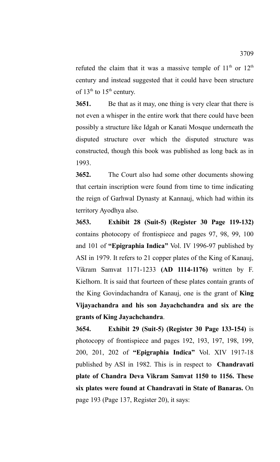refuted the claim that it was a massive temple of  $11<sup>th</sup>$  or  $12<sup>th</sup>$ century and instead suggested that it could have been structure of  $13<sup>th</sup>$  to  $15<sup>th</sup>$  century.

**3651.** Be that as it may, one thing is very clear that there is not even a whisper in the entire work that there could have been possibly a structure like Idgah or Kanati Mosque underneath the disputed structure over which the disputed structure was constructed, though this book was published as long back as in 1993.

**3652.** The Court also had some other documents showing that certain inscription were found from time to time indicating the reign of Garhwal Dynasty at Kannauj, which had within its territory Ayodhya also.

**3653. Exhibit 28 (Suit-5) (Register 30 Page 119-132)** contains photocopy of frontispiece and pages 97, 98, 99, 100 and 101 of **"Epigraphia Indica"** Vol. IV 1996-97 published by ASI in 1979. It refers to 21 copper plates of the King of Kanauj, Vikram Samvat 1171-1233 **(AD 1114-1176)** written by F. Kielhorn. It is said that fourteen of these plates contain grants of the King Govindachandra of Kanauj, one is the grant of **King Vijayachandra and his son Jayachchandra and six are the grants of King Jayachchandra**.

**3654. Exhibit 29 (Suit-5) (Register 30 Page 133-154)** is photocopy of frontispiece and pages 192, 193, 197, 198, 199, 200, 201, 202 of **"Epigraphia Indica"** Vol. XIV 1917-18 published by ASI in 1982. This is in respect to **Chandravati plate of Chandra Deva Vikram Samvat 1150 to 1156. These six plates were found at Chandravati in State of Banaras.** On page 193 (Page 137, Register 20), it says: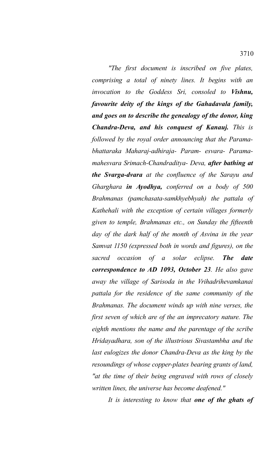*"The first document is inscribed on five plates, comprising a total of ninety lines. It begins with an invocation to the Goddess Sri, consoled to Vishnu, favourite deity of the kings of the Gahadavala family, and goes on to describe the genealogy of the donor, king Chandra-Deva, and his conquest of Kanauj. This is followed by the royal order announcing that the Paramabhattaraka Maharaj-adhiraja- Param- esvara- Paramamahesvara Srimach-Chandraditya- Deva, after bathing at the Svarga-dvara at the confluence of the Sarayu and Gharghara in Ayodhya, conferred on a body of 500 Brahmanas (pamchasata-samkhyebhyah) the pattala of Kathehali with the exception of certain villages formerly given to temple, Brahmanas etc., on Sunday the fifteenth day of the dark half of the month of Asvina in the year Samvat 1150 (expressed both in words and figures), on the sacred occasion of a solar eclipse. The date correspondence to AD 1093, October 23. He also gave away the village of Sarisoda in the Vrihadrihevamkanai pattala for the residence of the same community of the Brahmanas. The document winds up with nine verses, the first seven of which are of the an imprecatory nature. The eighth mentions the name and the parentage of the scribe Hridayadhara, son of the illustrious Sivastambha and the last eulogizes the donor Chandra-Deva as the king by the resoundings of whose copper-plates bearing grants of land, "at the time of their being engraved with rows of closely written lines, the universe has become deafened."* 

*It is interesting to know that one of the ghats of*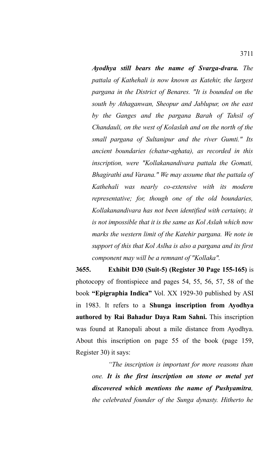*Ayodhya still bears the name of Svarga-dvara. The pattala of Kathehali is now known as Katehir, the largest pargana in the District of Benares. "It is bounded on the south by Athaganwan, Sheopur and Jablupur, on the east by the Ganges and the pargana Barah of Tahsil of Chandauli, on the west of Kolaslah and on the north of the small pargana of Sultanipur and the river Gumti." Its ancient boundaries (chatur-aghata), as recorded in this inscription, were "Kollakanandivara pattala the Gomati, Bhagirathi and Varana." We may assume that the pattala of Kathehali was nearly co-extensive with its modern representative; for, though one of the old boundaries, Kollakanandivara has not been identified with certainty, it is not impossible that it is the same as Kol Aslah which now marks the western limit of the Katehir pargana. We note in support of this that Kol Aslha is also a pargana and its first component may will be a remnant of "Kollaka".*

**3655. Exhibit D30 (Suit-5) (Register 30 Page 155-165)** is photocopy of frontispiece and pages 54, 55, 56, 57, 58 of the book **"Epigraphia Indica"** Vol. XX 1929-30 published by ASI in 1983. It refers to a **Shunga inscription from Ayodhya authored by Rai Bahadur Daya Ram Sahni.** This inscription was found at Ranopali about a mile distance from Ayodhya. About this inscription on page 55 of the book (page 159, Register 30) it says:

*"The inscription is important for more reasons than one. It is the first inscription on stone or metal yet discovered which mentions the name of Pushyamitra, the celebrated founder of the Sunga dynasty. Hitherto he*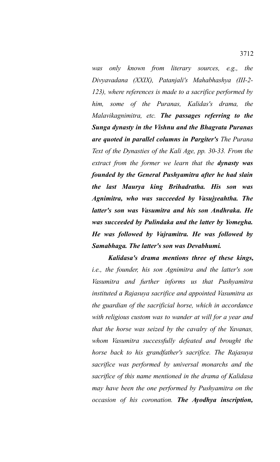*was only known from literary sources, e.g., the Divyavadana (XXIX), Patanjali's Mahabhashya (III-2- 123), where references is made to a sacrifice performed by him, some of the Puranas, Kalidas's drama, the Malavikagnimitra, etc. The passages referring to the Sunga dynasty in the Vishnu and the Bhagvata Puranas are quoted in parallel columns in Pargiter's The Purana Text of the Dynasties of the Kali Age, pp. 30-33. From the extract from the former we learn that the dynasty was founded by the General Pushyamitra after he had slain the last Maurya king Brihadratha. His son was Agnimitra, who was succeeded by Vasujyeahtha. The latter's son was Vasumitra and his son Andhraka. He was succeeded by Pulindaka and the latter by Yomegha. He was followed by Vajramitra. He was followed by Samabhaga. The latter's son was Devabhumi.*

*Kalidasa's drama mentions three of these kings, i.e., the founder, his son Agnimitra and the latter's son Vasumitra and further informs us that Pushyamitra instituted a Rajasuya sacrifice and appointed Vasumitra as the guardian of the sacrificial horse, which in accordance with religious custom was to wander at will for a year and that the horse was seized by the cavalry of the Yavanas, whom Vasumitra successfully defeated and brought the horse back to his grandfather's sacrifice. The Rajasuya sacrifice was performed by universal monarchs and the sacrifice of this name mentioned in the drama of Kalidasa may have been the one performed by Pushyamitra on the occasion of his coronation. The Ayodhya inscription,*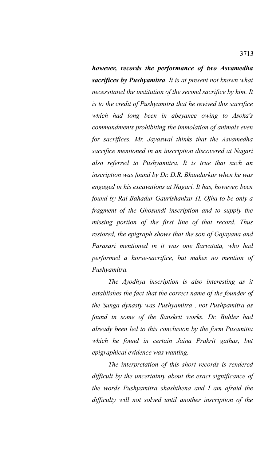*however, records the performance of two Asvamedha sacrifices by Pushyamitra. It is at present not known what necessitated the institution of the second sacrifice by him. It is to the credit of Pushyamitra that he revived this sacrifice which had long been in abeyance owing to Asoka's commandments prohibiting the immolation of animals even for sacrifices. Mr. Jayaswal thinks that the Asvamedha sacrifice mentioned in an inscription discovered at Nagari also referred to Pushyamitra. It is true that such an inscription was found by Dr. D.R. Bhandarkar when he was engaged in his excavations at Nagari. It has, however, been found by Rai Bahadur Gaurishankar H. Ojha to be only a fragment of the Ghosundi inscription and to supply the missing portion of the first line of that record. Thus restored, the epigraph shows that the son of Gajayana and Parasari mentioned in it was one Sarvatata, who had performed a horse-sacrifice, but makes no mention of Pushyamitra.*

*The Ayodhya inscription is also interesting as it establishes the fact that the correct name of the founder of the Sunga dynasty was Pushyamitra , not Pushpamitra as found in some of the Sanskrit works. Dr. Buhler had already been led to this conclusion by the form Pusamitta which he found in certain Jaina Prakrit gathas, but epigraphical evidence was wanting.*

*The interpretation of this short records is rendered difficult by the uncertainty about the exact significance of the words Pushyamitra shashthena and I am afraid the difficulty will not solved until another inscription of the*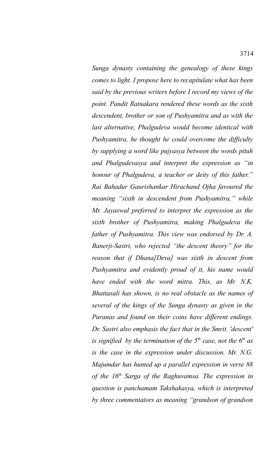*Sunga dynasty containing the genealogy of these kings comes to light. I propose here to recapitulate what has been said by the previous writers before I record my views of the point. Pandit Ratnakara rendered these words as the sixth descendent, brother or son of Pushyamitra and as with the last alternative, Phalgudeva would become identical with Pushyamitra, he thought he could overcome the difficulty by supplying a word like pujyasya between the words pituh and Phalgudevasya and interpret the expression as "in honour of Phalgudeva, a teacher or deity of this father." Rai Bahadur Gaurishankar Hirachand Ojha favoured the meaning "sixth in descendent from Pushyamitra," while Mr. Jayaswal preferred to interpret the expression as the sixth brother of Pushyamitra, making Phalgudeva the father of Pushyamitra. This view was endorsed by Dr. A. Banerji-Sastri, who rejected "the descent theory" for the reason that if Dhana[Deva] was sixth in descent from Pushyamitra and evidently proud of it, his name would have ended with the word mitra. This, as Mr. N.K. Bhattasali has shown, is no real obstacle as the names of several of the kings of the Sunga dynasty as given in the Puranas and found on their coins have different endings. Dr. Sastri also emphasis the fact that in the Smrit. 'descent' is signified by the termination of the 5th case, not the 6th as is the case in the expression under discussion. Mr. N.G. Majumdar has hunted up a parallel expression in verse 88 of the 16th Sarga of the Raghuvamsa. The expression in question is panchamam Takshakasya, which is interpreted by three commentators as meaning "grandson of grandson*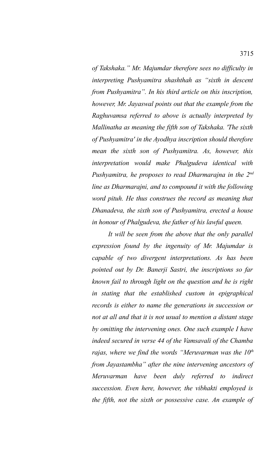*of Takshaka." Mr. Majumdar therefore sees no difficulty in interpreting Pushyamitra shashthah as "sixth in descent from Pushyamitra". In his third article on this inscription, however, Mr. Jayaswal points out that the example from the Raghuvamsa referred to above is actually interpreted by Mallinatha as meaning the fifth son of Takshaka. 'The sixth of Pushyamitra' in the Ayodhya inscription should therefore mean the sixth son of Pushyamitra. As, however, this interpretation would make Phalgudeva identical with Pushyamitra, he proposes to read Dharmarajna in the 2nd line as Dharmarajni, and to compound it with the following word pituh. He thus construes the record as meaning that Dhanadeva, the sixth son of Pushyamitra, erected a house in honour of Phalgudeva, the father of his lawful queen.*

*It will be seen from the above that the only parallel expression found by the ingenuity of Mr. Majumdar is capable of two divergent interpretations. As has been pointed out by Dr. Banerji Sastri, the inscriptions so far known fail to through light on the question and he is right in stating that the established custom in epigraphical records is either to name the generations in succession or not at all and that it is not usual to mention a distant stage by omitting the intervening ones. One such example I have indeed secured in verse 44 of the Vamsavali of the Chamba rajas, where we find the words "Meruvarman was the 10th from Jayastambha" after the nine intervening ancestors of Meruvarman have been duly referred to indirect succession. Even here, however, the vibhakti employed is the fifth, not the sixth or possessive case. An example of*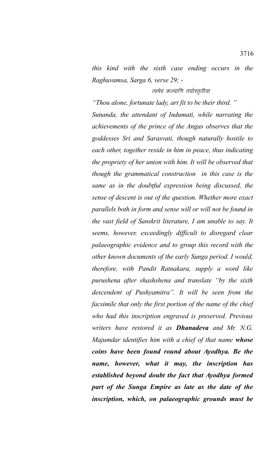*this kind with the sixth case ending occurs in the Raghuvamsa, Sarga 6, verse 29; -* 

## त्वमेव कल्याणि तयोस्तृतीया

*"Thou alone, fortunate lady, art fit to be their third. " Sunanda, the attendant of Indumati, while narrating the achievements of the prince of the Angas observes that the goddesses Sri and Sarasvati, though naturally hostile to each other, together reside in him in peace, thus indicating the propriety of her union with him. It will be observed that though the grammatical construction in this case is the same as in the doubtful expression being discussed, the sense of descent is out of the question. Whether more exact parallels both in form and sense will or will not be found in the vast field of Sanskrit literature, I am unable to say. It seems, however, exceedingly difficult to disregard clear palaeographic evidence and to group this record with the other known documents of the early Sunga period. I would, therefore, with Pandit Ratnakara, supply a word like purushena after shashshena and translate "by the sixth descendent of Pushyamitra". It will be seen from the facsimile that only the first portion of the name of the chief who had this inscription engraved is preserved. Previous writers have restored it as Dhanadeva and Mr. N.G. Majumdar identifies him with a chief of that name whose coins have been found round about Ayodhya. Be the name, however, what it may, the inscription has established beyond doubt the fact that Ayodhya formed part of the Sunga Empire as late as the date of the inscription, which, on palaeographic grounds must be*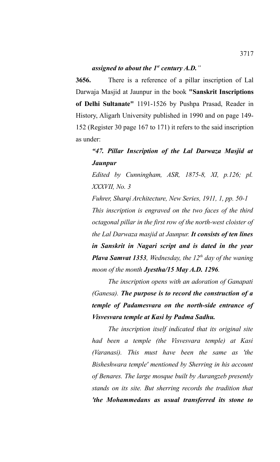**3656.** There is a reference of a pillar inscription of Lal Darwaja Masjid at Jaunpur in the book **"Sanskrit Inscriptions of Delhi Sultanate"** 1191-1526 by Pushpa Prasad, Reader in History, Aligarh University published in 1990 and on page 149- 152 (Register 30 page 167 to 171) it refers to the said inscription as under:

# *"47. Pillar Inscription of the Lal Darwaza Masjid at Jaunpur*

*Edited by Cunningham, ASR, 1875-8, XI, p.126; pl. XXXVII, No. 3* 

*Fuhrer, Sharqi Architecture, New Series, 1911, 1, pp. 50-1 This inscription is engraved on the two faces of the third octagonal pillar in the first row of the north-west cloister of the Lal Darwaza masjid at Jaunpur. It consists of ten lines in Sanskrit in Nagari script and is dated in the year Plava Samvat 1353, Wednesday, the 12th day of the waning moon of the month Jyestha/15 May A.D. 1296.*

*The inscription opens with an adoration of Ganapati (Ganesa). The purpose is to record the construction of a temple of Padamesvara on the north-side entrance of Visvesvara temple at Kasi by Padma Sadhu.*

*The inscription itself indicated that its original site had been a temple (the Visvesvara temple) at Kasi (Varanasi). This must have been the same as 'the Bisheshwara temple' mentioned by Sherring in his account of Benares. The large mosque built by Aurangzeb presently stands on its site. But sherring records the tradition that 'the Mohammedans as usual transferred its stone to*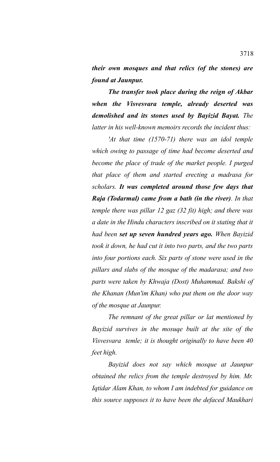*their own mosques and that relics (of the stones) are found at Jaunpur.*

*The transfer took place during the reign of Akbar when the Visvesvara temple, already deserted was demolished and its stones used by Bayizid Bayat. The latter in his well-known memoirs records the incident thus:*

*'At that time (1570-71) there was an idol temple which owing to passage of time had become deserted and become the place of trade of the market people. I purged that place of them and started erecting a madrasa for scholars. It was completed around those few days that Raja (Todarmal) came from a bath (in the river). In that temple there was pillar 12 gaz (32 fit) high; and there was a date in the Hindu characters inscribed on it stating that it had been set up seven hundred years ago. When Bayizid took it down, he had cut it into two parts, and the two parts into four portions each. Six parts of stone were used in the pillars and slabs of the mosque of the madarasa; and two parts were taken by Khwaja (Dost) Muhammad. Bakshi of the Khanan (Mun'im Khan) who put them on the door way of the mosque at Jaunpur.*

*The remnant of the great pillar or lat mentioned by Bayizid survives in the mosuqe built at the site of the Visvesvara temle; it is thought originally to have been 40 feet high.* 

*Bayizid does not say which mosque at Jaunpur obtained the relics from the temple destroyed by him. Mr. Iqtidar Alam Khan, to whom I am indebted for guidance on this source supposes it to have been the defaced Maukhari*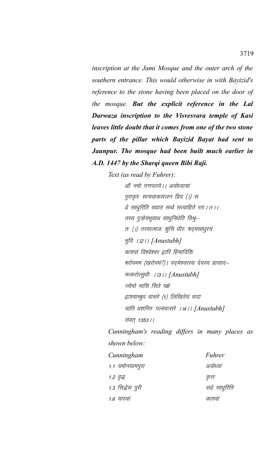*inscription at the Jami Mosque and the outer arch of the southern entrance. This would otherwise in with Bayizid's reference to the stone having been placed on the door of the mosque. But the explicit reference in the Lal Darwaza inscription to the Visvesvara temple of Kasi leaves little doubt that it comes from one of the two stone parts of the pillar which Bayizid Bayat had sent to Jaunpur. The mosque had been built much earlier in A.D. 1447 by the Sharqi queen Bibi Raji.* 

*Text (as read by Fuhrer):*

ओं नमो गणपतये । । अयोध्यायां पुरावृतः सत्यवाकसजन प्रिय (।) स ढे साधूरिति ख्यात सर्व्व सत्वाहिते रतः । ।१ । । तस्य पुत्रोयभूवाथ साधुनिधेति विश्रु– तः (।) तस्यात्मजः शुचि धीरः षद्मसाधुरयं Hk qfo AA2AA *[Anustubh]* काश्यां विश्वेश्वर द्वारि हिमादिशि षरोपमम (खरोपमं?) । पदमेश्वरस्य देवस्य प्रासाद– मत्करोत्सुधीः । <sub>1311</sub> [Anustubh] ज्येष्ठे मासि सिते पक्षे द्वाश्याम्बुध वासरे (1) लिखितेयं सदा याति प्रशस्तिः पल्ववत्सरे ।।4।। [Anustubh] संवत् 1353 | |

*Cunningham's reading differs in many places as shown below:*

| Cunningham       | Fuhrer       |
|------------------|--------------|
| 1.1 यमोनयामपुरा  | अयोध्यां     |
| 1.2 वृद्ध        | वृत्तः       |
| 1.3 सिद्धेस पुरी | सढे साधुरिति |
| 1.6 यास्या       | काश्या       |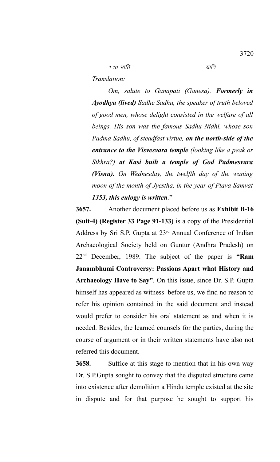$1.10$  भाति  $\overline{4}$ 

*Translation:*

*Om, salute to Ganapati (Ganesa). Formerly in Ayodhya (lived) Sadhe Sadhu, the speaker of truth beloved of good men, whose delight consisted in the welfare of all beings. His son was the famous Sadhu Nidhi, whose son Padma Sadhu, of steadfast virtue, on the north-side of the entrance to the Visvesvara temple (looking like a peak or Sikhra?) at Kasi built a temple of God Padmesvara (Visnu). On Wednesday, the twelfth day of the waning moon of the month of Jyestha, in the year of Plava Samvat 1353, this eulogy is written.*"

**3657.** Another document placed before us as **Exhibit B-16 (Suit-4) (Register 33 Page 91-133)** is a copy of the Presidential Address by Sri S.P. Gupta at 23rd Annual Conference of Indian Archaeological Society held on Guntur (Andhra Pradesh) on 22nd December, 1989. The subject of the paper is **"Ram Janambhumi Controversy: Passions Apart what History and Archaeology Have to Say"**. On this issue, since Dr. S.P. Gupta himself has appeared as witness before us, we find no reason to refer his opinion contained in the said document and instead would prefer to consider his oral statement as and when it is needed. Besides, the learned counsels for the parties, during the course of argument or in their written statements have also not referred this document.

**3658.** Suffice at this stage to mention that in his own way Dr. S.P.Gupta sought to convey that the disputed structure came into existence after demolition a Hindu temple existed at the site in dispute and for that purpose he sought to support his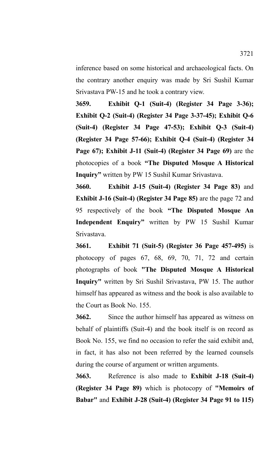inference based on some historical and archaeological facts. On the contrary another enquiry was made by Sri Sushil Kumar Srivastava PW-15 and he took a contrary view.

**3659. Exhibit Q-1 (Suit-4) (Register 34 Page 3-36); Exhibit Q-2 (Suit-4) (Register 34 Page 3-37-45); Exhibit Q-6 (Suit-4) (Register 34 Page 47-53); Exhibit Q-3 (Suit-4) (Register 34 Page 57-66); Exhibit Q-4 (Suit-4) (Register 34 Page 67); Exhibit J-11 (Suit-4) (Register 34 Page 69)** are the photocopies of a book **"The Disputed Mosque A Historical Inquiry"** written by PW 15 Sushil Kumar Srivastava.

**3660. Exhibit J-15 (Suit-4) (Register 34 Page 83)** and **Exhibit J-16 (Suit-4) (Register 34 Page 85)** are the page 72 and 95 respectively of the book **"The Disputed Mosque An Independent Enquiry"** written by PW 15 Sushil Kumar Srivastava.

**3661. Exhibit 71 (Suit-5) (Register 36 Page 457-495)** is photocopy of pages 67, 68, 69, 70, 71, 72 and certain photographs of book **"The Disputed Mosque A Historical Inquiry"** written by Sri Sushil Srivastava, PW 15. The author himself has appeared as witness and the book is also available to the Court as Book No. 155.

**3662.** Since the author himself has appeared as witness on behalf of plaintiffs (Suit-4) and the book itself is on record as Book No. 155, we find no occasion to refer the said exhibit and, in fact, it has also not been referred by the learned counsels during the course of argument or written arguments.

**3663.** Reference is also made to **Exhibit J-18 (Suit-4) (Register 34 Page 89)** which is photocopy of **"Memoirs of Babar"** and **Exhibit J-28 (Suit-4) (Register 34 Page 91 to 115)**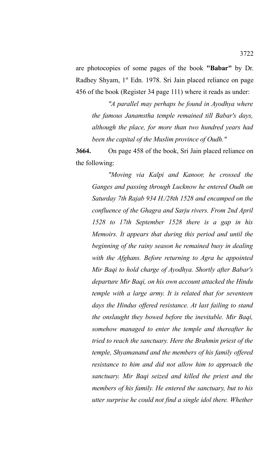are photocopies of some pages of the book **"Babar"** by Dr. Radhey Shyam, 1<sup>st</sup> Edn. 1978. Sri Jain placed reliance on page 456 of the book (Register 34 page 111) where it reads as under:

*"A parallel may perhaps be found in Ayodhya where the famous Janamstha temple remained till Babar's days, although the place, for more than two hundred years had been the capital of the Muslim province of Oudh."*

**3664.** On page 458 of the book, Sri Jain placed reliance on the following:

*"Moving via Kalpi and Kanoor, he crossed the Ganges and passing through Lucknow he entered Oudh on Saturday 7th Rajab 934 H./28th 1528 and encamped on the confluence of the Ghagra and Sarju rivers. From 2nd April 1528 to 17th September 1528 there is a gap in his Memoirs. It appears that during this period and until the beginning of the rainy season he remained busy in dealing with the Afghans. Before returning to Agra he appointed Mir Baqi to hold charge of Ayodhya. Shortly after Babar's departure Mir Baqi, on his own account attacked the Hindu temple with a large army. It is related that for seventeen days the Hindus offered resistance. At last failing to stand the onslaught they bowed before the inevitable. Mir Baqi, somehow managed to enter the temple and thereafter he tried to reach the sanctuary. Here the Brahmin priest of the temple, Shyamanand and the members of his family offered resistance to him and did not allow him to approach the sanctuary. Mir Baqi seized and killed the priest and the members of his family. He entered the sanctuary, but to his utter surprise he could not find a single idol there. Whether*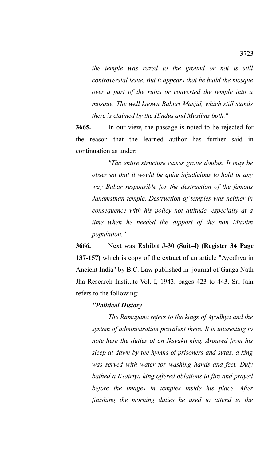*the temple was razed to the ground or not is still controversial issue. But it appears that he build the mosque over a part of the ruins or converted the temple into a mosque. The well known Baburi Masjid, which still stands there is claimed by the Hindus and Muslims both."*

**3665.** In our view, the passage is noted to be rejected for the reason that the learned author has further said in continuation as under:

*"The entire structure raises grave doubts. It may be observed that it would be quite injudicious to hold in any way Babar responsible for the destruction of the famous Janamsthan temple. Destruction of temples was neither in consequence with his policy not attitude, especially at a time when he needed the support of the non Muslim population."*

**3666.** Next was **Exhibit J-30 (Suit-4) (Register 34 Page 137-157)** which is copy of the extract of an article "Ayodhya in Ancient India" by B.C. Law published in journal of Ganga Nath Jha Research Institute Vol. I, 1943, pages 423 to 443. Sri Jain refers to the following:

## *"Political History*

*The Ramayana refers to the kings of Ayodhya and the system of administration prevalent there. It is interesting to note here the duties of an Iksvaku king. Aroused from his sleep at dawn by the hymns of prisoners and sutas, a king was served with water for washing hands and feet. Duly bathed a Ksatriya king offered oblations to fire and prayed before the images in temples inside his place. After finishing the morning duties he used to attend to the*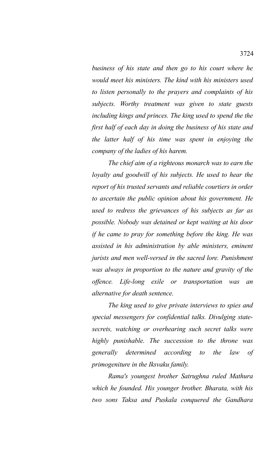*business of his state and then go to his court where he would meet his ministers. The kind with his ministers used to listen personally to the prayers and complaints of his subjects. Worthy treatment was given to state guests including kings and princes. The king used to spend the the first half of each day in doing the business of his state and the latter half of his time was spent in enjoying the company of the ladies of his harem.*

*The chief aim of a righteous monarch was to earn the loyalty and goodwill of his subjects. He used to hear the report of his trusted servants and reliable courtiers in order to ascertain the public opinion about his government. He used to redress the grievances of his subjects as far as possible. Nobody was detained or kept waiting at his door if he came to pray for something before the king. He was assisted in his administration by able ministers, eminent jurists and men well-versed in the sacred lore. Punishment was always in proportion to the nature and gravity of the offence. Life-long exile or transportation was an alternative for death sentence.* 

*The king used to give private interviews to spies and special messengers for confidential talks. Divulging statesecrets, watching or overhearing such secret talks were highly punishable. The succession to the throne was generally determined according to the law of primogeniture in the Iksvaku family.* 

*Rama's youngest brother Satrughna ruled Mathura which he founded. His younger brother. Bharata, with his two sons Taksa and Puskala conquered the Gandhara*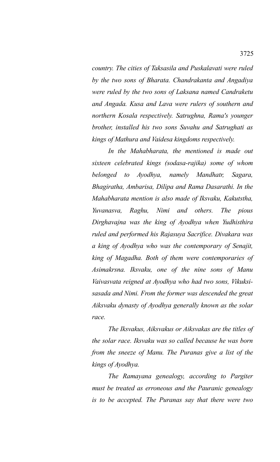*country. The cities of Taksasila and Puskalavati were ruled by the two sons of Bharata. Chandrakanta and Angadiya were ruled by the two sons of Laksana named Candraketu and Angada. Kusa and Lava were rulers of southern and northern Kosala respectively. Satrughna, Rama's younger brother, installed his two sons Suvahu and Satrughati as kings of Mathura and Vaidesa kingdoms respectively.* 

*In the Mahabharata, the mentioned is made out sixteen celebrated kings (sodasa-rajika) some of whom belonged to Ayodhya, namely Mandhatr, Sagara, Bhagiratha, Ambarisa, Dilipa and Rama Dasarathi. In the Mahabharata mention is also made of Iksvaku, Kakutstha, Yuvanasva, Raghu, Nimi and others. The pious Dirghavajna was the king of Ayodhya when Yudhisthira ruled and performed his Rajasuya Sacrifice. Divakara was a king of Ayodhya who was the contemporary of Senajit, king of Magadha. Both of them were contemporaries of Asimakrsna. Iksvaku, one of the nine sons of Manu Vaivasvata reigned at Ayodhya who had two sons, Vikuksisasada and Nimi. From the former was descended the great Aiksvaku dynasty of Ayodhya generally known as the solar race.* 

*The Iksvakus, Aiksvakus or Aiksvakas are the titles of the solar race. Iksvaku was so called because he was born from the sneeze of Manu. The Puranas give a list of the kings of Ayodhya.* 

*The Ramayana genealogy, according to Pargiter must be treated as erroneous and the Pauranic genealogy is to be accepted. The Puranas say that there were two*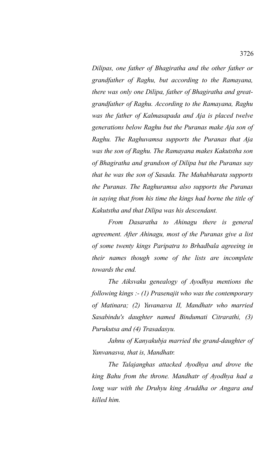*Dilipas, one father of Bhagiratha and the other father or grandfather of Raghu, but according to the Ramayana, there was only one Dilipa, father of Bhagiratha and greatgrandfather of Raghu. According to the Ramayana, Raghu was the father of Kalmasapada and Aja is placed twelve generations below Raghu but the Puranas make Aja son of Raghu. The Raghuvamsa supports the Puranas that Aja was the son of Raghu. The Ramayana makes Kakutstha son of Bhagiratha and grandson of Dilipa but the Puranas say that he was the son of Sasada. The Mahabharata supports the Puranas. The Raghuramsa also supports the Puranas in saying that from his time the kings had borne the title of Kakutstha and that Dilipa was his descendant.* 

*From Dasaratha to Ahinagu there is general agreement. After Ahinagu, most of the Puranas give a list of some twenty kings Paripatra to Brhadbala agreeing in their names though some of the lists are incomplete towards the end.* 

*The Aiksvaku genealogy of Ayodhya mentions the following kings :- (1) Prasenajit who was the contemporary of Matinara; (2) Yuvanasva II, Mandhatr who married Sasabindu's daughter named Bindumati Citrarathi, (3) Purukutsa and (4) Trasadasyu.* 

*Jahnu of Kanyakubja married the grand-daughter of Yanvanasva, that is, Mandhatr.* 

*The Talajanghas attacked Ayodhya and drove the king Bahu from the throne. Mandhatr of Ayodhya had a long war with the Druhyu king Aruddha or Angara and killed him.*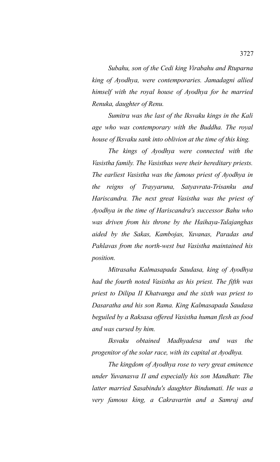*Subahu, son of the Cedi king Virabahu and Rtuparna king of Ayodhya, were contemporaries. Jamadagni allied himself with the royal house of Ayodhya for he married Renuka, daughter of Renu.* 

*Sumitra was the last of the Iksvaku kings in the Kali age who was contemporary with the Buddha. The royal house of Iksvaku sank into oblivion at the time of this king.* 

*The kings of Ayodhya were connected with the Vasistha family. The Vasisthas were their hereditary priests. The earliest Vasistha was the famous priest of Ayodhya in the reigns of Trayyaruna, Satyavrata-Trisanku and Hariscandra. The next great Vasistha was the priest of Ayodhya in the time of Hariscandra's successor Bahu who was driven from his throne by the Haihaya-Talajanghas aided by the Sakas, Kambojas, Yavanas, Paradas and Pahlavas from the north-west but Vasistha maintained his position.* 

*Mitrasaha Kalmasapada Saudasa, king of Ayodhya had the fourth noted Vasistha as his priest. The fifth was priest to Dilipa II Khatvanga and the sixth was priest to Dasaratha and his son Rama. King Kalmasapada Saudasa beguiled by a Raksasa offered Vasistha human flesh as food and was cursed by him.* 

*Iksvaku obtained Madhyadesa and was the progenitor of the solar race, with its capital at Ayodhya.* 

*The kingdom of Ayodhya rose to very great eminence under Yuvanasva II and especially his son Mandhatr. The latter married Sasabindu's daughter Bindumati. He was a very famous king, a Cakravartin and a Samraj and*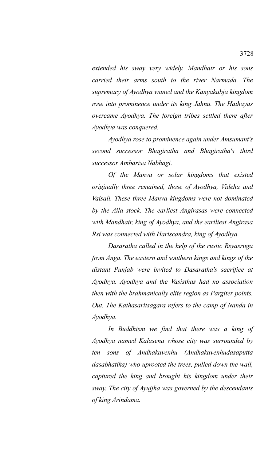*extended his sway very widely. Mandhatr or his sons carried their arms south to the river Narmada. The supremacy of Ayodhya waned and the Kanyakubja kingdom rose into prominence under its king Jahnu. The Haihayas overcame Ayodhya. The foreign tribes settled there after Ayodhya was conquered.* 

*Ayodhya rose to prominence again under Amsumant's second successor Bhagiratha and Bhagiratha's third successor Ambarisa Nabhagi.* 

*Of the Manva or solar kingdoms that existed originally three remained, those of Ayodhya, Videha and Vaisali. These three Manva kingdoms were not dominated by the Aila stock. The earliest Angirasas were connected with Mandhatr, king of Ayodhya, and the eariliest Angirasa Rsi was connected with Hariscandra, king of Ayodhya.* 

*Dasaratha called in the help of the rustic Rsyasruga from Anga. The eastern and southern kings and kings of the distant Punjab were invited to Dasaratha's sacrifice at Ayodhya. Ayodhya and the Vasisthas had no association then with the brahmanically elite region as Pargiter points. Out. The Kathasaritsagara refers to the camp of Nanda in Ayodhya.*

*In Buddhism we find that there was a king of Ayodhya named Kalasena whose city was surrounded by ten sons of Andhakavenhu (Andhakavenhudasaputta dasabhatika) who uprooted the trees, pulled down the wall, captured the king and brought his kingdom under their sway. The city of Ayujjha was governed by the descendants of king Arindama.*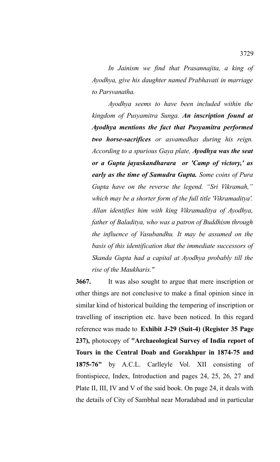*In Jainism we find that Prasannajita, a king of Ayodhya, give his daughter named Prabhavati in marriage to Parsvanatha.* 

*Ayodhya seems to have been included within the kingdom of Pusyamitra Sunga. An inscription found at Ayodhya mentions the fact that Pusyamitra performed two horse-sacrifices or asvamedhas during his reign. According to a spurious Gaya plate, Ayodhya was the seat or a Gupta jayaskandharara or 'Camp of victory,' as early as the time of Samudra Gupta. Some coins of Pura Gupta have on the reverse the legend. "Sri Vikramah," which may be a shorter form of the full title 'Vikramaditya'. Allan identifies him with king Vikramaditya of Ayodhya, father of Baladitya, who was a patron of Buddhism through the influence of Vasubandhu. It may be assumed on the basis of this identification that the immediate successors of Skanda Gupta had a capital at Ayodhya probably till the rise of the Maukharis."*

**3667.** It was also sought to argue that mere inscription or other things are not conclusive to make a final opinion since in similar kind of historical building the tempering of inscription or travelling of inscription etc. have been noticed. In this regard reference was made to **Exhibit J-29 (Suit-4) (Register 35 Page 237),** photocopy of **"Archaeological Survey of India report of Tours in the Central Doab and Gorakhpur in 1874-75 and 1875-76"** by A.C.L. Carlleyle Vol. XII consisting of frontispiece, Index, Introduction and pages 24, 25, 26, 27 and Plate II, III, IV and V of the said book. On page 24, it deals with the details of City of Sambhal near Moradabad and in particular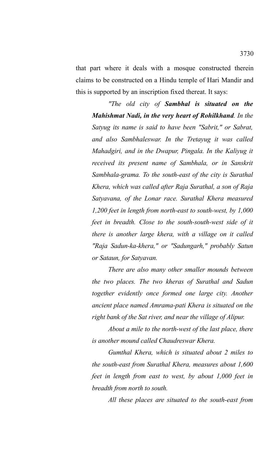that part where it deals with a mosque constructed therein claims to be constructed on a Hindu temple of Hari Mandir and this is supported by an inscription fixed thereat. It says:

*"The old city of Sambhal is situated on the Mahishmat Nadi, in the very heart of Rohilkhand. In the Satyug its name is said to have been "Sabrit," or Sabrat, and also Sambhaleswar. In the Tretayug it was called Mahadgiri, and in the Dwapur, Pingala. In the Kaliyug it received its present name of Sambhala, or in Sanskrit Sambhala-grama. To the south-east of the city is Surathal Khera, which was called after Raja Surathal, a son of Raja Satyavana, of the Lonar race. Surathal Khera measured 1,200 feet in length from north-east to south-west, by 1,000 feet in breadth. Close to the south-south-west side of it there is another large khera, with a village on it called "Raja Sadun-ka-khera," or "Sadungarh," probably Satun or Sataun, for Satyavan.* 

*There are also many other smaller mounds between the two places. The two kheras of Surathal and Sadun together evidently once formed one large city. Another ancient place named Amrama-pati Khera is situated on the right bank of the Sat river, and near the village of Alipur.* 

*About a mile to the north-west of the last place, there is another mound called Chaudreswar Khera.* 

*Gumthal Khera, which is situated about 2 miles to the south-east from Surathal Khera, measures about 1,600 feet in length from east to west, by about 1,000 feet in breadth from north to south.* 

*All these places are situated to the south-east from*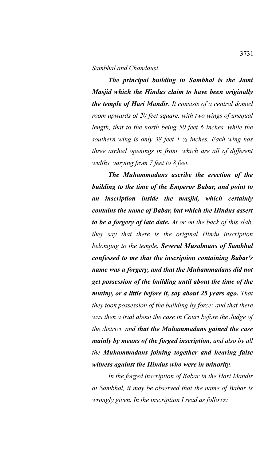*Sambhal and Chandausi.* 

*The principal building in Sambhal is the Jami Masjid which the Hindus claim to have been originally the temple of Hari Mandir. It consists of a central domed room upwards of 20 feet square, with two wings of unequal length, that to the north being 50 feet 6 inches, while the southern wing is only 38 feet 1 ½ inches. Each wing has three arched openings in front, which are all of different widths, varying from 7 feet to 8 feet.* 

*The Muhammadans ascribe the erection of the building to the time of the Emperor Babar, and point to an inscription inside the masjid, which certainly contains the name of Babar, but which the Hindus assert to be a forgery of late date. At or on the back of this slab, they say that there is the original Hindu inscription belonging to the temple. Several Musalmans of Sambhal confessed to me that the inscription containing Babar's name was a forgery, and that the Muhammadans did not get possession of the building until about the time of the mutiny, or a little before it, say about 25 years ago. That they took possession of the building by force; and that there was then a trial about the case in Court before the Judge of the district, and that the Muhammadans gained the case mainly by means of the forged inscription, and also by all the Muhammadans joining together and hearing false witness against the Hindus who were in minority.* 

*In the forged inscription of Babar in the Hari Mandir at Sambhal, it may be observed that the name of Babar is wrongly given. In the inscription I read as follows:*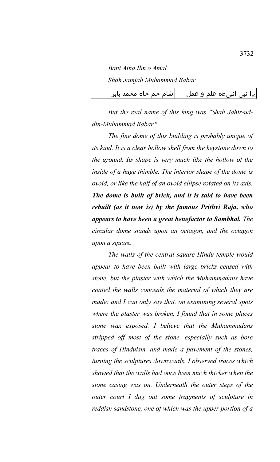*Bani Aina Ilm o Amal Shah Jamjah Muhammad Babar*

ےا نبی انبیءہ علم و عمل  $\qquad \qquad |$ شام جم جاہ محمد بابر

*But the real name of this king was "Shah Jahir-uddin-Muhammad Babar."*

*The fine dome of this building is probably unique of its kind. It is a clear hollow shell from the keystone down to the ground. Its shape is very much like the hollow of the inside of a huge thimble. The interior shape of the dome is ovoid, or like the half of an ovoid ellipse rotated on its axis. The dome is built of brick, and it is said to have been rebuilt (as it now is) by the famous Prithvi Raja, who appears to have been a great benefactor to Sambhal. The circular dome stands upon an octagon, and the octagon upon a square.* 

*The walls of the central square Hindu temple would appear to have been built with large bricks ceased with stone, but the plaster with which the Muhammadans have coated the walls conceals the material of which they are made; and I can only say that, on examining several spots where the plaster was broken. I found that in some places stone wax exposed. I believe that the Muhammadans stripped off most of the stone, especially such as bore traces of Hinduism, and made a pavement of the stones, turning the sculptures downwards. I observed traces which showed that the walls had once been much thicker when the stone casing was on. Underneath the outer steps of the outer court I dug out some fragments of sculpture in reddish sandstone, one of which was the upper portion of a*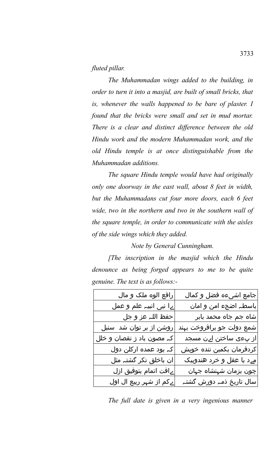## *fluted pillar.*

*The Muhammadan wings added to the building, in order to turn it into a masjid, are built of small bricks, that is, whenever the walls happened to be bare of plaster. I found that the bricks were small and set in mud mortar. There is a clear and distinct difference between the old Hindu work and the modern Muhammadan work, and the old Hindu temple is at once distinguishable from the Muhammadan additions.* 

*The square Hindu temple would have had originally only one doorway in the east wall, about 8 feet in width, but the Muhammadans cut four more doors, each 6 feet wide, two in the northern and two in the southern wall of the square temple, in order to communicate with the aisles of the side wings which they added.* 

*Note by General Cunningham.*

*[The inscription in the masjid which the Hindu denounce as being forged appears to me to be quite genuine. The text is as follows:-*

| رافع الوه ملک و مال       | جامع اشیءہ فضل و کمال               |
|---------------------------|-------------------------------------|
| ےا نیی انبیہ علم و عمل    | باسطہ اضجء امن و امان               |
| حفظ اللہ عز و جل          | شاہ جم جاہ محمد بابر                |
| روشن از بر توان شد سنبل   | شمع دولت جو برافروخت بہند           |
| کہ مصون باد ز نقصان و خلل | از پءی ساختن اےن مس <mark>جد</mark> |
| کہ بود عمدہ ارکلن دول     | کردفرمان بکمین ننده خویش            |
| ان باخلق نکر گشتہ مثل     | مےد با عقل و خرد هندوبیک            |
| ےافت اتمام بتوفیق ازل     | چون بزمان شہنشاہ جہان               |
| ےکم از شہر ربیع ال اول    | سال تاریخ ذمہ دورش گشتہ             |

*The full date is given in a very ingenious manner*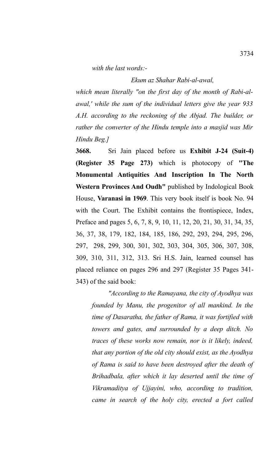*with the last words:-*

#### *Ekum az Shahar Rabi-al-awal,*

*which mean literally "on the first day of the month of Rabi-alawal,' while the sum of the individual letters give the year 933 A.H. according to the reckoning of the Abjad. The builder, or rather the converter of the Hindu temple into a masjid was Mir Hindu Beg.]*

**3668.** Sri Jain placed before us **Exhibit J-24 (Suit-4) (Register 35 Page 273)** which is photocopy of **"The Monumental Antiquities And Inscription In The North Western Provinces And Oudh"** published by Indological Book House, **Varanasi in 1969**. This very book itself is book No. 94 with the Court. The Exhibit contains the frontispiece, Index, Preface and pages 5, 6, 7, 8, 9, 10, 11, 12, 20, 21, 30, 31, 34, 35, 36, 37, 38, 179, 182, 184, 185, 186, 292, 293, 294, 295, 296, 297, 298, 299, 300, 301, 302, 303, 304, 305, 306, 307, 308, 309, 310, 311, 312, 313. Sri H.S. Jain, learned counsel has placed reliance on pages 296 and 297 (Register 35 Pages 341- 343) of the said book:

*"According to the Ramayana, the city of Ayodhya was founded by Manu, the progenitor of all mankind. In the time of Dasaratha, the father of Rama, it was fortified with towers and gates, and surrounded by a deep ditch. No traces of these works now remain, nor is it likely, indeed, that any portion of the old city should exist, as the Ayodhya of Rama is said to have been destroyed after the death of Brihadbala, after which it lay deserted until the time of Vikramaditya of Ujjayini, who, according to tradition, came in search of the holy city, erected a fort called*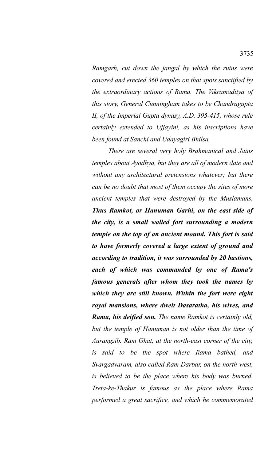*Ramgarh, cut down the jangal by which the ruins were covered and erected 360 temples on that spots sanctified by the extraordinary actions of Rama. The Vikramaditya of this story, General Cunningham takes to be Chandragupta II, of the Imperial Gupta dynasy, A.D. 395-415, whose rule certainly extended to Ujjayini, as his inscriptions have been found at Sanchi and Udayagiri Bhilsa.* 

*There are several very holy Brahmanical and Jains temples about Ayodhya, but they are all of modern date and without any architectural pretensions whatever; but there can be no doubt that most of them occupy the sites of more ancient temples that were destroyed by the Muslamans. Thus Ramkot, or Hanuman Garhi, on the east side of the city, is a small walled fort surrounding a modern temple on the top of an ancient mound. This fort is said to have formerly covered a large extent of ground and according to tradition, it was surrounded by 20 bastions, each of which was commanded by one of Rama's famous generals after whom they took the names by which they are still known. Within the fort were eight royal mansions, where dwelt Dasaratha, his wives, and Rama, his deified son. The name Ramkot is certainly old, but the temple of Hanuman is not older than the time of Aurangzib. Ram Ghat, at the north-east corner of the city, is said to be the spot where Rama bathed, and Svargadvaram, also called Ram Darbar, on the north-west, is believed to be the place where his body was burned. Treta-ke-Thakur is famous as the place where Rama performed a great sacrifice, and which he commemorated*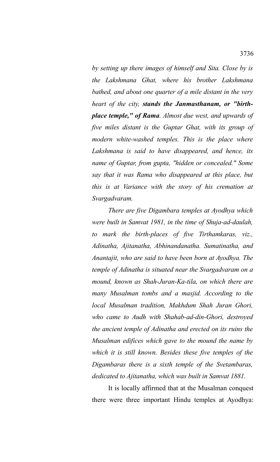*by setting up there images of himself and Sita. Close by is the Lakshmana Ghat, where his brother Lakshmana bathed, and about one quarter of a mile distant in the very heart of the city, stands the Janmasthanam, or "birthplace temple," of Rama. Almost due west, and upwards of five miles distant is the Guptar Ghat, with its group of modern white-washed temples. This is the place where Lakshmana is said to have disappeared, and hence, its name of Guptar, from gupta, "hidden or concealed." Some say that it was Rama who disappeared at this place, but this is at Variance with the story of his cremation at Svargadvaram.* 

*There are five Digambara temples at Ayodhya which were built in Samvat 1981, in the time of Shuja-ad-daulah, to mark the birth-places of five Tirthamkaras, viz., Adinatha, Ajitanatha, Abhinandanatha. Sumatinatha, and Anantajit, who are said to have been born at Ayodhya. The temple of Adinatha is situated near the Svargadvaram on a mound, known as Shah-Juran-Ka-tila, on which there are many Musalman tombs and a masjid. According to the local Musalman tradition, Makhdum Shah Juran Ghori, who came to Audh with Shahab-ad-din-Ghori, destroyed the ancient temple of Adinatha and erected on its ruins the Musalman edifices which gave to the mound the name by which it is still known. Besides these five temples of the Digambaras there is a sixth temple of the Svetambaras, dedicated to Ajitanatha, which was built in Samvat 1881.* 

It is locally affirmed that at the Musalman conquest there were three important Hindu temples at Ayodhya: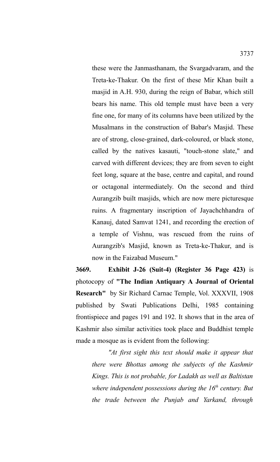these were the Janmasthanam, the Svargadvaram, and the Treta-ke-Thakur. On the first of these Mir Khan built a masjid in A.H. 930, during the reign of Babar, which still bears his name. This old temple must have been a very fine one, for many of its columns have been utilized by the Musalmans in the construction of Babar's Masjid. These are of strong, close-grained, dark-coloured, or black stone, called by the natives kasauti, "touch-stone slate," and carved with different devices; they are from seven to eight feet long, square at the base, centre and capital, and round or octagonal intermediately. On the second and third Aurangzib built masjids, which are now mere picturesque ruins. A fragmentary inscription of Jayachchhandra of Kanauj, dated Samvat 1241, and recording the erection of a temple of Vishnu, was rescued from the ruins of Aurangzib's Masjid, known as Treta-ke-Thakur, and is

**3669. Exhibit J-26 (Suit-4) (Register 36 Page 423)** is photocopy of **"The Indian Antiquary A Journal of Oriental Research"** by Sir Richard Carnac Temple, Vol. XXXVII, 1908 published by Swati Publications Delhi, 1985 containing frontispiece and pages 191 and 192. It shows that in the area of Kashmir also similar activities took place and Buddhist temple made a mosque as is evident from the following:

now in the Faizabad Museum."

*"At first sight this text should make it appear that there were Bhottas among the subjects of the Kashmir Kings. This is not probable, for Ladakh as well as Baltistan where independent possessions during the 16th century. But the trade between the Punjab and Yarkand, through*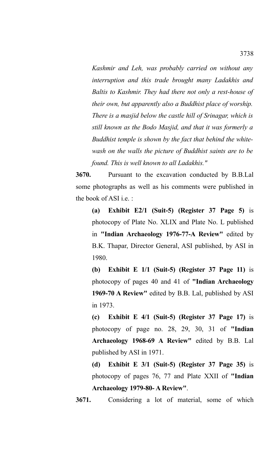*Kashmir and Leh, was probably carried on without any interruption and this trade brought many Ladakhis and Baltis to Kashmir. They had there not only a rest-house of their own, but apparently also a Buddhist place of worship. There is a masjid below the castle hill of Srinagar, which is still known as the Bodo Masjid, and that it was formerly a Buddhist temple is shown by the fact that behind the whitewash on the walls the picture of Buddhist saints are to be found. This is well known to all Ladakhis."*

**3670.** Pursuant to the excavation conducted by B.B.Lal some photographs as well as his comments were published in the book of ASI i.e. :

**(a) Exhibit E2/1 (Suit-5) (Register 37 Page 5)** is photocopy of Plate No. XLIX and Plate No. L published in **"Indian Archaeology 1976-77-A Review"** edited by B.K. Thapar, Director General, ASI published, by ASI in 1980.

**(b) Exhibit E 1/1 (Suit-5) (Register 37 Page 11)** is photocopy of pages 40 and 41 of **"Indian Archaeology 1969-70 A Review"** edited by B.B. Lal, published by ASI in 1973.

**(c) Exhibit E 4/1 (Suit-5) (Register 37 Page 17)** is photocopy of page no. 28, 29, 30, 31 of **"Indian Archaeology 1968-69 A Review"** edited by B.B. Lal published by ASI in 1971.

**(d) Exhibit E 3/1 (Suit-5) (Register 37 Page 35)** is photocopy of pages 76, 77 and Plate XXII of **"Indian Archaeology 1979-80- A Review"**.

**3671.** Considering a lot of material, some of which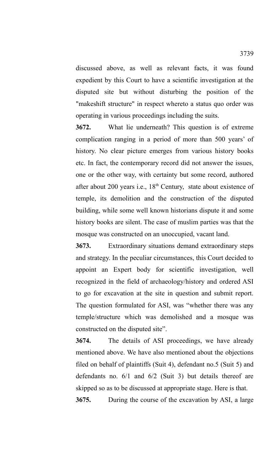discussed above, as well as relevant facts, it was found expedient by this Court to have a scientific investigation at the disputed site but without disturbing the position of the "makeshift structure" in respect whereto a status quo order was operating in various proceedings including the suits.

**3672.** What lie underneath? This question is of extreme complication ranging in a period of more than 500 years' of history. No clear picture emerges from various history books etc. In fact, the contemporary record did not answer the issues, one or the other way, with certainty but some record, authored after about 200 years i.e.,  $18<sup>th</sup>$  Century, state about existence of temple, its demolition and the construction of the disputed building, while some well known historians dispute it and some history books are silent. The case of muslim parties was that the mosque was constructed on an unoccupied, vacant land.

**3673.** Extraordinary situations demand extraordinary steps and strategy. In the peculiar circumstances, this Court decided to appoint an Expert body for scientific investigation, well recognized in the field of archaeology/history and ordered ASI to go for excavation at the site in question and submit report. The question formulated for ASI, was "whether there was any temple/structure which was demolished and a mosque was constructed on the disputed site".

**3674.** The details of ASI proceedings, we have already mentioned above. We have also mentioned about the objections filed on behalf of plaintiffs (Suit 4), defendant no.5 (Suit 5) and defendants no. 6/1 and 6/2 (Suit 3) but details thereof are skipped so as to be discussed at appropriate stage. Here is that.

**3675.** During the course of the excavation by ASI, a large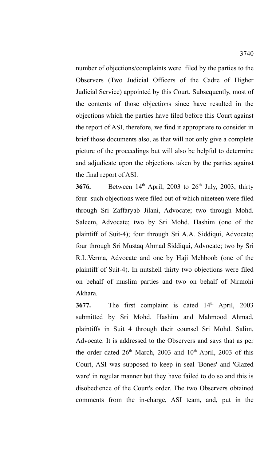number of objections/complaints were filed by the parties to the Observers (Two Judicial Officers of the Cadre of Higher Judicial Service) appointed by this Court. Subsequently, most of the contents of those objections since have resulted in the objections which the parties have filed before this Court against the report of ASI, therefore, we find it appropriate to consider in brief those documents also, as that will not only give a complete picture of the proceedings but will also be helpful to determine and adjudicate upon the objections taken by the parties against the final report of ASI.

**3676.** Between 14<sup>th</sup> April, 2003 to 26<sup>th</sup> July, 2003, thirty four such objections were filed out of which nineteen were filed through Sri Zaffaryab Jilani, Advocate; two through Mohd. Saleem, Advocate; two by Sri Mohd. Hashim (one of the plaintiff of Suit-4); four through Sri A.A. Siddiqui, Advocate; four through Sri Mustaq Ahmad Siddiqui, Advocate; two by Sri R.L.Verma, Advocate and one by Haji Mehboob (one of the plaintiff of Suit-4). In nutshell thirty two objections were filed on behalf of muslim parties and two on behalf of Nirmohi Akhara.

**3677.** The first complaint is dated 14<sup>th</sup> April, 2003 submitted by Sri Mohd. Hashim and Mahmood Ahmad, plaintiffs in Suit 4 through their counsel Sri Mohd. Salim, Advocate. It is addressed to the Observers and says that as per the order dated  $26<sup>th</sup>$  March, 2003 and  $10<sup>th</sup>$  April, 2003 of this Court, ASI was supposed to keep in seal 'Bones' and 'Glazed ware' in regular manner but they have failed to do so and this is disobedience of the Court's order. The two Observers obtained comments from the in-charge, ASI team, and, put in the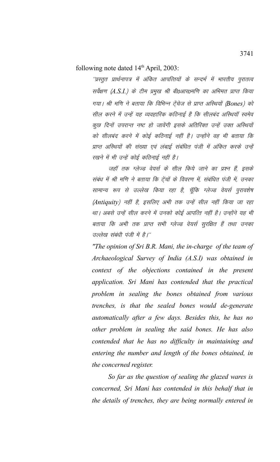following note dated  $14<sup>th</sup>$  April, 2003:

´'प्रस्तुत प्रार्थनापत्र में अंकित आपत्तियों के सन्दर्भ में भारतीय पुरातत्व सर्वेक्षण (A.S.I.) के टीम प्रमुख श्री बी0आर0मणि का अभिमत प्राप्त किया गया। श्री मणि ने बताया कि विभिन्न ट्रेंचेज से प्राप्त अस्थियों (Bones) को सील करने में उन्हें यह व्यवहारिक कठिनाई है कि सीलबंद अस्थियॉं स्वमेव कुछ दिनों उपरान्त नष्ट हो जावेंगी इसके अतिरिक्त उन्हें उक्त अस्थियों को सीलबंद करने में कोई कठिनाई नहीं है। उन्होंने वह भी बताया कि प्राप्त अस्थियों की संख्या एवं लंबाई संबंधित पंजी में अंकित करके उन्हें रखने में भी उन्हें कोई कठिनाई नहीं है।

जहॉ तक ग्लेज्ड वेयर्स के सील किये जाने का प्रश्न हैं, इसके संबंध में श्री मणि ने बताया कि टेंचों के विवरण में, संबंधित पंजी में, उनका सामान्य रूप से उल्लेख किया रहा है, चूँकि ग्लेज्ड वेयर्स पुरावशेष (Antiquity) नहीं है, इसलिए अभी तक उन्हें सील नहीं किया जा रहा था। अबसे उन्हें सील करने में उनको कोई आपत्ति नहीं है। उन्होंने यह भी बताया कि अभी तक प्राप्त सभी ग्लेज्ड वेयर्स सुरक्षित हैं तथा उनका उल्लेख संबंधी पंजी में है।''

*"The opinion of Sri B.R. Mani, the in-charge of the team of Archaeological Survey of India (A.S.I) was obtained in context of the objections contained in the present application. Sri Mani has contended that the practical problem in sealing the bones obtained from various trenches, is that the sealed bones would de-generate automatically after a few days. Besides this, he has no other problem in sealing the said bones. He has also contended that he has no difficulty in maintaining and entering the number and length of the bones obtained, in the concerned register.*

*So far as the question of sealing the glazed wares is concerned, Sri Mani has contended in this behalf that in the details of trenches, they are being normally entered in*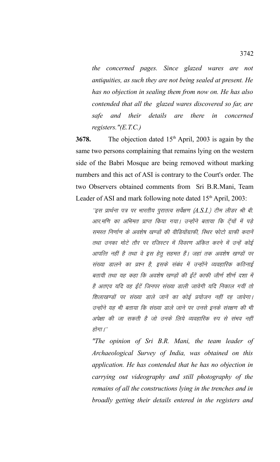*the concerned pages. Since glazed wares are not antiquities, as such they are not being sealed at present. He has no objection in sealing them from now on. He has also contended that all the glazed wares discovered so far, are safe and their details are there in concerned registers."(E.T.C.)*

**3678.** The objection dated 15<sup>th</sup> April, 2003 is again by the same two persons complaining that remains lying on the western side of the Babri Mosque are being removed without marking numbers and this act of ASI is contrary to the Court's order. The two Observers obtained comments from Sri B.R.Mani, Team Leader of ASI and mark following note dated  $15<sup>th</sup>$  April, 2003:

 $^{\prime\prime}$ इस प्रार्थना पत्र पर भारतीय पुरातत्व सर्वेक्षण (A.S.I.) टीम लीडर श्री बी. आर.मणि का अभिमत प्राप्त किया गया। उन्होंने बताया कि टेंचों में पड़े समस्त निर्णाण के अवशेष खण्डों की वीडियोंग्राफी, स्थिर फोटो ग्राफी करानें तथा उनका मोटे तौर पर रजिस्टर में विवरण अंकित करने में उन्हें कोई आपत्ति नहीं है तथा वे इस हेतू सहमत हैं। जहां तक अवशेष खण्डों पर संख्या डालने का प्रश्न है, इसके संबंध में उन्होंने व्यवहारिक कठिनाई बतायी तथा यह कहा कि अवशेष खण्डों की ईंटें काफी जीर्ण शीर्ण दशा में है अतएव यदि वह ईंटें जिनपर संख्या डाली जावेगी यदि निकाल गयीं तो शिलाखण्डों पर संख्या डाले जानें का कोई प्रयोजन नहीं रह जावेगा। उन्होंने यह भी बताया कि संख्या डाले जाने पर उनसे इनके संरक्षण की भी अपेक्षा की जा सकती है जो उनके लिये व्यवहारिक रुप से संभव नहीं होगा। $^{\prime\prime}$ 

*"The opinion of Sri B.R. Mani, the team leader of Archaeological Survey of India, was obtained on this application. He has contended that he has no objection in carrying out videography and still photography of the remains of all the constructions lying in the trenches and in broadly getting their details entered in the registers and*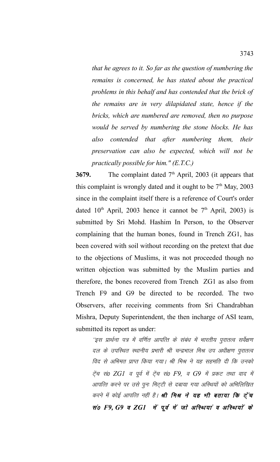*that he agrees to it. So far as the question of numbering the remains is concerned, he has stated about the practical problems in this behalf and has contended that the brick of the remains are in very dilapidated state, hence if the bricks, which are numbered are removed, then no purpose would be served by numbering the stone blocks. He has also contended that after numbering them, their preservation can also be expected, which will not be practically possible for him." (E.T.C.)*

**3679.** The complaint dated 7<sup>th</sup> April, 2003 (it appears that this complaint is wrongly dated and it ought to be  $7<sup>th</sup>$  May, 2003 since in the complaint itself there is a reference of Court's order dated  $10<sup>th</sup>$  April, 2003 hence it cannot be  $7<sup>th</sup>$  April, 2003) is submitted by Sri Mohd. Hashim In Person, to the Observer complaining that the human bones, found in Trench ZG1, has been covered with soil without recording on the pretext that due to the objections of Muslims, it was not proceeded though no written objection was submitted by the Muslim parties and therefore, the bones recovered from Trench ZG1 as also from Trench F9 and G9 be directed to be recorded. The two Observers, after receiving comments from Sri Chandrabhan Mishra, Deputy Superintendent, the then incharge of ASI team, submitted its report as under:

''इस प्रार्थना पत्र में वर्णित आपत्ति के संबंध में भारतीय पुरातत्व सर्वेक्षण दल के उपस्थित स्थानीय प्रभारी श्री चन्द्रभाल मिश्र उप अधीक्षण पुरातत्व विद से अभिमत प्राप्त किया गया। श्री मिश्र ने यह सहमति दी कि उनको रेंच सं0 ZG1 व पूर्व में ट्रेंच सं0 F9, व G9 में प्रकट तथा वाद में आपत्ति करने पर उसे पुनः मिट्टी से दबाया गया अस्थियों को अभिलिखित करने में कोई आपत्ति नहीं है। **श्री मिश्र ने यह भी बताया कि ट्रेंच** सं0 F9, G9 व ZG1 में पूर्व में जो अस्थियां व अस्थियों के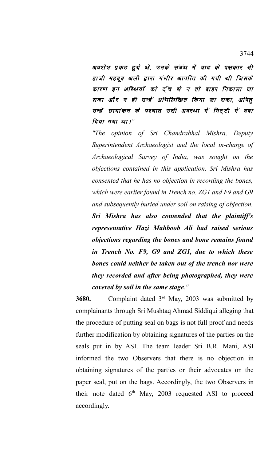अवशेष प्रकट हुये थे, उनके संबंध में वाद के पक्षकार श्री हाजी महबूब अली द्वारा गंभीर आपत्ति की गयी थी जिसके कारण इन अस्थियों को ट्रेंच से न तो बाहर निकाला जा सका और न ही उन्हें अभिलिखित किया जा सका, अपितु उन्हें छायांकन के पश्चात उसी अवस्था में मिट्टी में दबा दिया गया था।"

*"The opinion of Sri Chandrabhal Mishra, Deputy Superintendent Archaeologist and the local in-charge of Archaeological Survey of India, was sought on the objections contained in this application. Sri Mishra has consented that he has no objection in recording the bones, which were earlier found in Trench no. ZG1 and F9 and G9 and subsequently buried under soil on raising of objection. Sri Mishra has also contended that the plaintiff's representative Hazi Mahboob Ali had raised serious objections regarding the bones and bone remains found in Trench No. F9, G9 and ZG1, due to which these bones could neither be taken out of the trench nor were they recorded and after being photographed, they were covered by soil in the same stage."*

**3680.** Complaint dated 3rd May, 2003 was submitted by complainants through Sri Mushtaq Ahmad Siddiqui alleging that the procedure of putting seal on bags is not full proof and needs further modification by obtaining signatures of the parties on the seals put in by ASI. The team leader Sri B.R. Mani, ASI informed the two Observers that there is no objection in obtaining signatures of the parties or their advocates on the paper seal, put on the bags. Accordingly, the two Observers in their note dated  $6<sup>th</sup>$  May, 2003 requested ASI to proceed accordingly.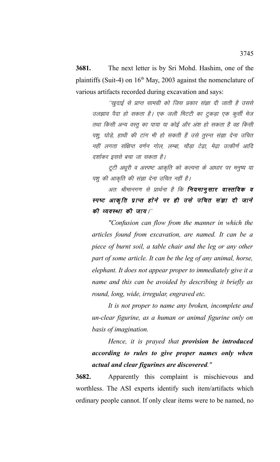**3681.** The next letter is by Sri Mohd. Hashim, one of the plaintiffs (Suit-4) on  $16<sup>th</sup>$  May, 2003 against the nomenclature of various artifacts recorded during excavation and says:

''खुदाई से प्राप्त सामग्री को जिस प्रकार संज्ञा दी जाती है उससे उलझाव पैदा हो सकता है। एक जली मिटटी का टुकड़ा एक कुर्सी मेज तथा किसी अन्य वस्तू का पाया या कोई और अंश हो सकता है वह किसी पशु, घोड़े, हाथी की टांग भी हो सकती हैं उसे तुरन्त संज्ञा देना उचित नहीं लगता संक्षिप्त वर्णन गोल, लम्बा, चौडा टेढा, मेढा उत्कीर्ण आदि दर्शाकर इससे बचा जा सकता है।

टूटी अधूरी व अस्पष्ट आकृति को कल्पना के आधार पर मनुष्य या पशु की आकृति की संज्ञा देना उचित नहीं है।

अतः श्रीमानगण से प्रार्थना है कि **नियमानुसार वास्तविक व** स्पष्ट आकृति प्राप्त होने पर ही उसे उचित संज्ञा दी जाने की व्यवस्था की जाय।"

*"Confusion can flow from the manner in which the articles found from excavation, are named. It can be a piece of burnt soil, a table chair and the leg or any other part of some article. It can be the leg of any animal, horse, elephant. It does not appear proper to immediately give it a name and this can be avoided by describing it briefly as round, long, wide, irregular, engraved etc.*

*It is not proper to name any broken, incomplete and un-clear figurine, as a human or animal figurine only on basis of imagination.*

*Hence, it is prayed that provision be introduced according to rules to give proper names only when actual and clear figurines are discovered."*

**3682.** Apparently this complaint is mischievous and worthless. The ASI experts identify such item/artifacts which ordinary people cannot. If only clear items were to be named, no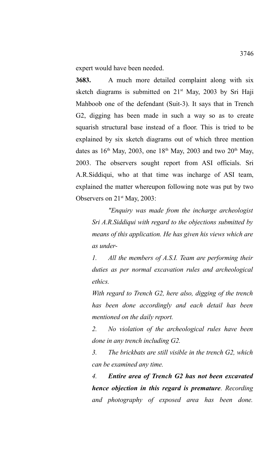expert would have been needed.

**3683.** A much more detailed complaint along with six sketch diagrams is submitted on 21<sup>st</sup> May, 2003 by Sri Haji Mahboob one of the defendant (Suit-3). It says that in Trench G2, digging has been made in such a way so as to create squarish structural base instead of a floor. This is tried to be explained by six sketch diagrams out of which three mention dates as  $16<sup>th</sup>$  May, 2003, one  $18<sup>th</sup>$  May, 2003 and two  $20<sup>th</sup>$  May, 2003. The observers sought report from ASI officials. Sri A.R.Siddiqui, who at that time was incharge of ASI team, explained the matter whereupon following note was put by two Observers on  $21<sup>st</sup>$  May, 2003:

*"Enquiry was made from the incharge archeologist Sri A.R.Siddiqui with regard to the objections submitted by means of this application. He has given his views which are as under-*

*1. All the members of A.S.I. Team are performing their duties as per normal excavation rules and archeological ethics.* 

*With regard to Trench G2, here also, digging of the trench has been done accordingly and each detail has been mentioned on the daily report.*

*2. No violation of the archeological rules have been done in any trench including G2.*

*3. The brickbats are still visible in the trench G2, which can be examined any time.*

*4. Entire area of Trench G2 has not been excavated hence objection in this regard is premature. Recording and photography of exposed area has been done.*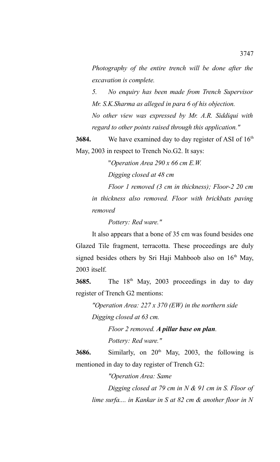*Photography of the entire trench will be done after the excavation is complete.*

*5. No enquiry has been made from Trench Supervisor Mr. S.K.Sharma as alleged in para 6 of his objection.*

*No other view was expressed by Mr. A.R. Siddiqui with regard to other points raised through this application."*

**3684.** We have examined day to day register of ASI of 16<sup>th</sup> May, 2003 in respect to Trench No.G2. It says:

"*Operation Area 290 x 66 cm E.W.*

*Digging closed at 48 cm*

*Floor 1 removed (3 cm in thickness); Floor-2 20 cm in thickness also removed. Floor with brickbats paving removed* 

*Pottery: Red ware."*

It also appears that a bone of 35 cm was found besides one Glazed Tile fragment, terracotta. These proceedings are duly signed besides others by Sri Haji Mahboob also on  $16<sup>th</sup>$  May, 2003 itself.

**3685.** The 18<sup>th</sup> May, 2003 proceedings in day to day register of Trench G2 mentions:

*"Operation Area: 227 x 370 (EW) in the northern side Digging closed at 63 cm.*

> *Floor 2 removed. A pillar base on plan. Pottery: Red ware."*

3686. Similarly, on 20<sup>th</sup> May, 2003, the following is mentioned in day to day register of Trench G2:

*"Operation Area: Same*

*Digging closed at 79 cm in N & 91 cm in S. Floor of lime surfa.... in Kankar in S at 82 cm & another floor in N*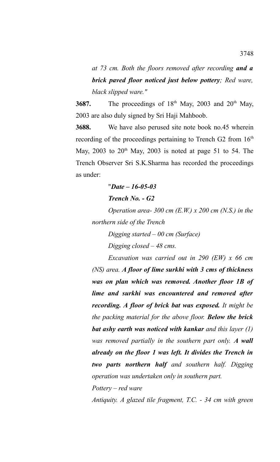*at 73 cm. Both the floors removed after recording and a brick paved floor noticed just below pottery; Red ware, black slipped ware."*

**3687.** The proceedings of  $18<sup>th</sup>$  May, 2003 and 20<sup>th</sup> May, 2003 are also duly signed by Sri Haji Mahboob.

**3688.** We have also perused site note book no.45 wherein recording of the proceedings pertaining to Trench G2 from  $16<sup>th</sup>$ May,  $2003$  to  $20<sup>th</sup>$  May,  $2003$  is noted at page 51 to 54. The Trench Observer Sri S.K.Sharma has recorded the proceedings as under:

### "*Date – 16-05-03*

#### *Trench No. - G2*

*Operation area- 300 cm (E.W.) x 200 cm (N.S.) in the northern side of the Trench*

*Digging started – 00 cm (Surface)*

*Digging closed – 48 cms.*

*Excavation was carried out in 290 (EW) x 66 cm (NS) area. A floor of lime surkhi with 3 cms of thickness was on plan which was removed. Another floor 1B of lime and surkhi was encountered and removed after recording. A floor of brick bat was exposed. It might be the packing material for the above floor. Below the brick bat ashy earth was noticed with kankar and this layer (1) was removed partially in the southern part only. A wall already on the floor 1 was left. It divides the Trench in two parts northern half and southern half. Digging operation was undertaken only in southern part.*

*Pottery – red ware*

*Antiquity. A glazed tile fragment, T.C. - 34 cm with green*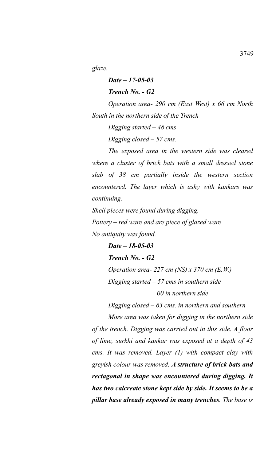*glaze.*

*Date – 17-05-03 Trench No. - G2 Operation area- 290 cm (East West) x 66 cm North South in the northern side of the Trench Digging started – 48 cms Digging closed – 57 cms. The exposed area in the western side was cleared where a cluster of brick bats with a small dressed stone*

*slab of 38 cm partially inside the western section encountered. The layer which is ashy with kankars was continuing.*

*Shell pieces were found during digging. Pottery – red ware and are piece of glazed ware No antiquity was found.*

*Date – 18-05-03 Trench No. - G2 Operation area- 227 cm (NS) x 370 cm (E.W.) Digging started – 57 cms in southern side 00 in northern side*

*Digging closed – 63 cms. in northern and southern*

*More area was taken for digging in the northern side of the trench. Digging was carried out in this side. A floor of lime, surkhi and kankar was exposed at a depth of 43 cms. It was removed. Layer (1) with compact clay with greyish colour was removed. A structure of brick bats and rectagonal in shape was encountered during digging. It has two calcreate stone kept side by side. It seems to be a pillar base already exposed in many trenches. The base is*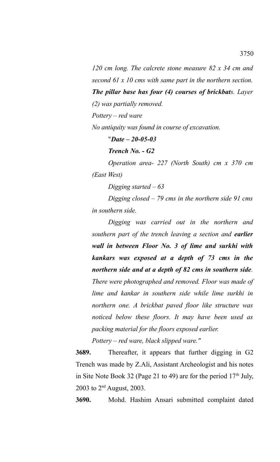*120 cm long. The calcrete stone measure 82 x 34 cm and second 61 x 10 cms with same part in the northern section. The pillar base has four (4) courses of brickbats. Layer*

*(2) was partially removed.*

*Pottery – red ware* 

*No antiquity was found in course of excavation.*

"*Date – 20-05-03*

*Trench No. - G2*

*Operation area- 227 (North South) cm x 370 cm (East West)*

*Digging started – 63* 

*Digging closed – 79 cms in the northern side 91 cms in southern side.*

*Digging was carried out in the northern and southern part of the trench leaving a section and earlier wall in between Floor No. 3 of lime and surkhi with kankars was exposed at a depth of 73 cms in the northern side and at a depth of 82 cms in southern side. There were photographed and removed. Floor was made of lime and kankar in southern side while lime surkhi in northern one. A brickbat paved floor like structure was noticed below these floors. It may have been used as packing material for the floors exposed earlier.*

*Pottery – red ware, black slipped ware."*

**3689.** Thereafter, it appears that further digging in G2 Trench was made by Z.Ali, Assistant Archeologist and his notes in Site Note Book 32 (Page 21 to 49) are for the period  $17<sup>th</sup>$  July, 2003 to  $2^{nd}$  August, 2003.

**3690.** Mohd. Hashim Ansari submitted complaint dated